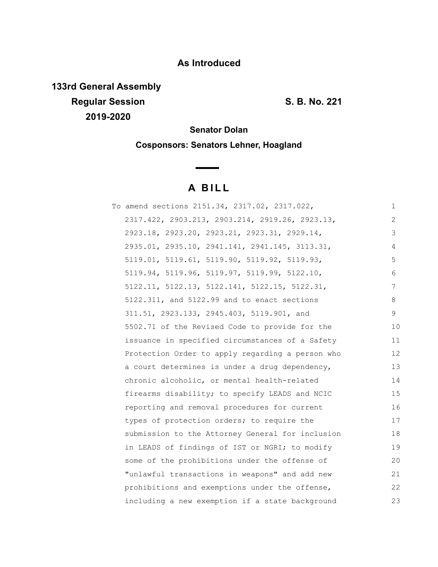## **As Introduced**

**133rd General Assembly Regular Session S. B. No. 221 2019-2020**

**Senator Dolan**

**Cosponsors: Senators Lehner, Hoagland**

# **A B I L L**

 $\sim$   $\sim$ 

| To amend sections 2151.34, 2317.02, 2317.022,    | 1  |
|--------------------------------------------------|----|
| 2317.422, 2903.213, 2903.214, 2919.26, 2923.13,  | 2  |
| 2923.18, 2923.20, 2923.21, 2923.31, 2929.14,     | 3  |
| 2935.01, 2935.10, 2941.141, 2941.145, 3113.31,   | 4  |
| 5119.01, 5119.61, 5119.90, 5119.92, 5119.93,     | 5  |
| 5119.94, 5119.96, 5119.97, 5119.99, 5122.10,     | 6  |
| 5122.11, 5122.13, 5122.141, 5122.15, 5122.31,    | 7  |
| 5122.311, and 5122.99 and to enact sections      | 8  |
| 311.51, 2923.133, 2945.403, 5119.901, and        | 9  |
| 5502.71 of the Revised Code to provide for the   | 10 |
| issuance in specified circumstances of a Safety  | 11 |
| Protection Order to apply regarding a person who | 12 |
| a court determines is under a drug dependency,   | 13 |
| chronic alcoholic, or mental health-related      | 14 |
| firearms disability; to specify LEADS and NCIC   | 15 |
| reporting and removal procedures for current     | 16 |
| types of protection orders; to require the       | 17 |
| submission to the Attorney General for inclusion | 18 |
| in LEADS of findings of IST or NGRI; to modify   | 19 |
| some of the prohibitions under the offense of    | 20 |
| "unlawful transactions in weapons" and add new   | 21 |
| prohibitions and exemptions under the offense,   | 22 |
| including a new exemption if a state background  | 23 |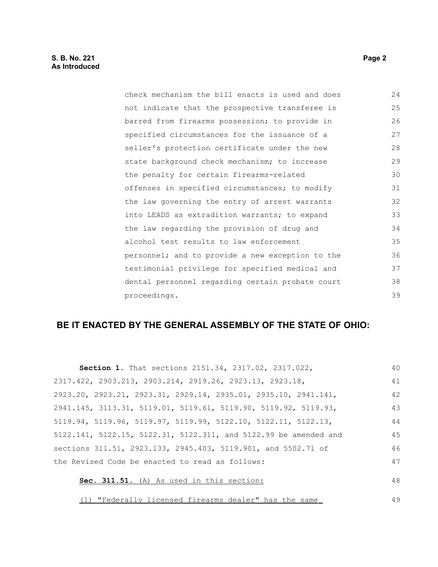| check mechanism the bill enacts is used and does | 24 |
|--------------------------------------------------|----|
| not indicate that the prospective transferee is  | 25 |
| barred from firearms possession; to provide in   | 26 |
| specified circumstances for the issuance of a    | 27 |
| seller's protection certificate under the new    | 28 |
| state background check mechanism; to increase    | 29 |
| the penalty for certain firearms-related         | 30 |
| offenses in specified circumstances; to modify   | 31 |
| the law governing the entry of arrest warrants   | 32 |
| into LEADS as extradition warrants; to expand    | 33 |
| the law regarding the provision of drug and      | 34 |
| alcohol test results to law enforcement          | 35 |
| personnel; and to provide a new exception to the | 36 |
| testimonial privilege for specified medical and  | 37 |
| dental personnel regarding certain probate court | 38 |
| proceedings.                                     | 39 |

### **BE IT ENACTED BY THE GENERAL ASSEMBLY OF THE STATE OF OHIO:**

| Section 1. That sections 2151.34, 2317.02, 2317.022,             | 40 |
|------------------------------------------------------------------|----|
| 2317.422, 2903.213, 2903.214, 2919.26, 2923.13, 2923.18,         | 41 |
| 2923.20, 2923.21, 2923.31, 2929.14, 2935.01, 2935.10, 2941.141,  | 42 |
| 2941.145, 3113.31, 5119.01, 5119.61, 5119.90, 5119.92, 5119.93,  | 43 |
| 5119.94, 5119.96, 5119.97, 5119.99, 5122.10, 5122.11, 5122.13,   | 44 |
| 5122.141, 5122.15, 5122.31, 5122.311, and 5122.99 be amended and | 45 |
| sections 311.51, 2923.133, 2945.403, 5119.901, and 5502.71 of    | 46 |
| the Revised Code be enacted to read as follows:                  | 47 |
| Sec. 311.51. (A) As used in this section:                        | 48 |

(1) "Federally licensed firearms dealer" has the same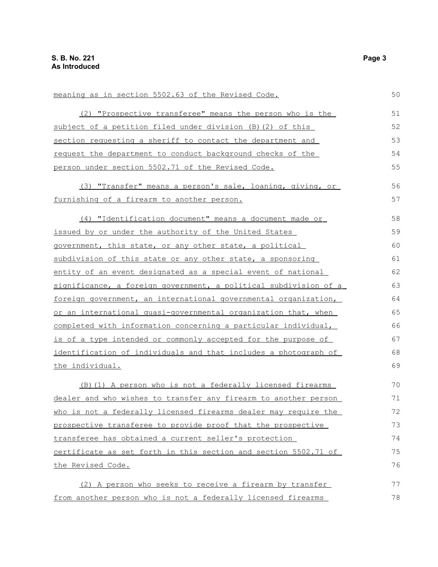| meaning as in section 5502.63 of the Revised Code.               | 50 |
|------------------------------------------------------------------|----|
| (2) "Prospective transferee" means the person who is the         | 51 |
| subject of a petition filed under division (B) (2) of this       | 52 |
| section requesting a sheriff to contact the department and       | 53 |
| request the department to conduct background checks of the       | 54 |
| person under section 5502.71 of the Revised Code.                | 55 |
| (3) "Transfer" means a person's sale, loaning, giving, or        | 56 |
| furnishing of a firearm to another person.                       | 57 |
| (4) "Identification document" means a document made or           | 58 |
| issued by or under the authority of the United States            | 59 |
| government, this state, or any other state, a political          | 60 |
| subdivision of this state or any other state, a sponsoring       | 61 |
| entity of an event designated as a special event of national     | 62 |
| significance, a foreign government, a political subdivision of a | 63 |
| foreign government, an international governmental organization,  | 64 |
| or an international quasi-qovernmental organization that, when   | 65 |
| completed with information concerning a particular individual,   | 66 |
| is of a type intended or commonly accepted for the purpose of    | 67 |
| identification of individuals and that includes a photograph of  | 68 |
| the individual.                                                  | 69 |
| (B) (1) A person who is not a federally licensed firearms        | 70 |
| dealer and who wishes to transfer any firearm to another person  | 71 |
| who is not a federally licensed firearms dealer may require the  | 72 |
| prospective transferee to provide proof that the prospective     | 73 |
| transferee has obtained a current seller's protection            | 74 |
| certificate as set forth in this section and section 5502.71 of  | 75 |
| the Revised Code.                                                | 76 |
| (2) A person who seeks to receive a firearm by transfer          | 77 |
| from another person who is not a federally licensed firearms     | 78 |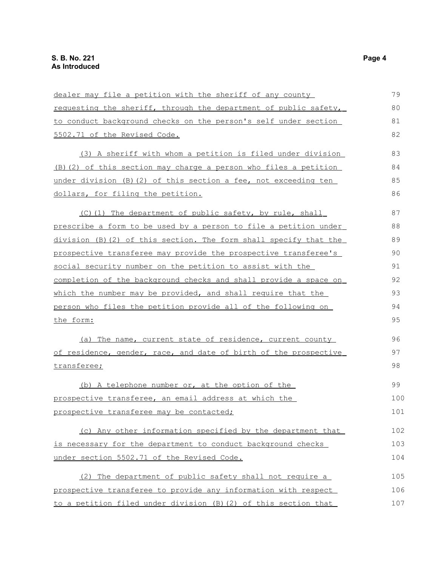| dealer may file a petition with the sheriff of any county         | 79  |
|-------------------------------------------------------------------|-----|
| requesting the sheriff, through the department of public safety,  | 80  |
| to conduct background checks on the person's self under section   | 81  |
| 5502.71 of the Revised Code.                                      | 82  |
| (3) A sheriff with whom a petition is filed under division        | 83  |
| (B) (2) of this section may charge a person who files a petition  | 84  |
| under division (B) (2) of this section a fee, not exceeding ten   | 85  |
| dollars, for filing the petition.                                 | 86  |
| (C)(1) The department of public safety, by rule, shall            | 87  |
| prescribe a form to be used by a person to file a petition under  | 88  |
| division (B) (2) of this section. The form shall specify that the | 89  |
| prospective transferee may provide the prospective transferee's   | 90  |
| social security number on the petition to assist with the         | 91  |
| completion of the background checks and shall provide a space on  | 92  |
| which the number may be provided, and shall require that the      | 93  |
| person who files the petition provide all of the following on     | 94  |
| the form:                                                         | 95  |
| (a) The name, current state of residence, current county          | 96  |
| of residence, gender, race, and date of birth of the prospective  | 97  |
| transferee;                                                       | 98  |
| (b) A telephone number or, at the option of the                   | 99  |
| prospective transferee, an email address at which the             | 100 |
| prospective transferee may be contacted;                          | 101 |
| (c) Any other information specified by the department that        | 102 |
| is necessary for the department to conduct background checks      | 103 |
| under section 5502.71 of the Revised Code.                        | 104 |
| (2) The department of public safety shall not require a           | 105 |
| prospective transferee to provide any information with respect    | 106 |
| to a petition filed under division (B) (2) of this section that   | 107 |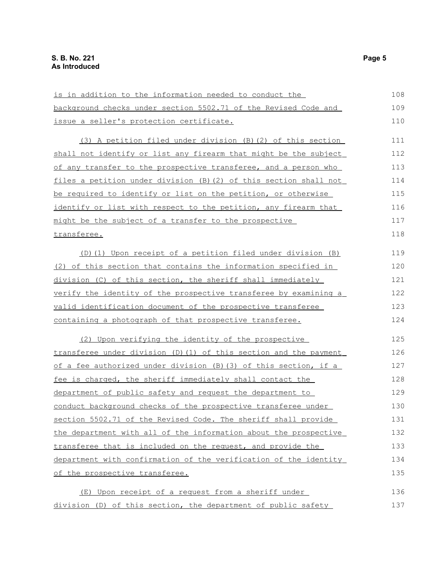| is in addition to the information needed to conduct the           | 108 |
|-------------------------------------------------------------------|-----|
| background checks under section 5502.71 of the Revised Code and   | 109 |
| issue a seller's protection certificate.                          | 110 |
| (3) A petition filed under division (B) (2) of this section       | 111 |
| shall not identify or list any firearm that might be the subject  | 112 |
| of any transfer to the prospective transferee, and a person who   | 113 |
| files a petition under division (B) (2) of this section shall not | 114 |
| be required to identify or list on the petition, or otherwise     | 115 |
| identify or list with respect to the petition, any firearm that   | 116 |
| might be the subject of a transfer to the prospective             | 117 |
| transferee.                                                       | 118 |
| (D) (1) Upon receipt of a petition filed under division (B)       | 119 |
| (2) of this section that contains the information specified in    | 120 |
| division (C) of this section, the sheriff shall immediately       | 121 |
| verify the identity of the prospective transferee by examining a  | 122 |
| valid identification document of the prospective transferee       | 123 |
| <u>containing a photograph of that prospective transferee.</u>    | 124 |
| (2) Upon verifying the identity of the prospective                | 125 |
| transferee under division (D) (1) of this section and the payment | 126 |
| of a fee authorized under division (B) (3) of this section, if a  | 127 |
| fee is charged, the sheriff immediately shall contact the         | 128 |
| department of public safety and request the department to         | 129 |
| conduct background checks of the prospective transferee under     | 130 |
| section 5502.71 of the Revised Code. The sheriff shall provide    | 131 |
| the department with all of the information about the prospective  | 132 |
| transferee that is included on the request, and provide the       | 133 |
| department with confirmation of the verification of the identity  | 134 |
| of the prospective transferee.                                    | 135 |
| (E) Upon receipt of a request from a sheriff under                | 136 |
| division (D) of this section, the department of public safety     | 137 |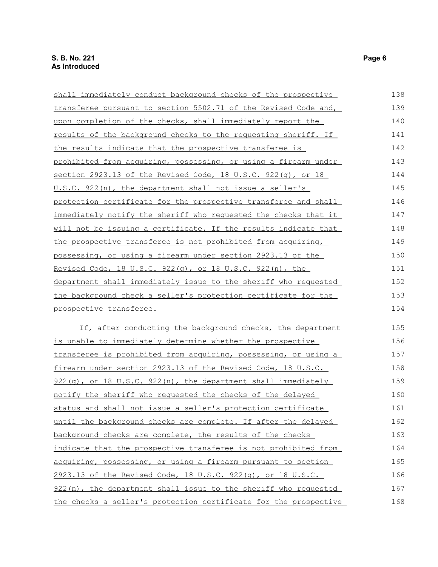| shall immediately conduct background checks of the prospective   | 138 |
|------------------------------------------------------------------|-----|
| transferee pursuant to section 5502.71 of the Revised Code and,  | 139 |
| upon completion of the checks, shall immediately report the      | 140 |
| results of the background checks to the requesting sheriff. If   | 141 |
| the results indicate that the prospective transferee is          | 142 |
| prohibited from acquiring, possessing, or using a firearm under  | 143 |
| section 2923.13 of the Revised Code, 18 U.S.C. 922(g), or 18     | 144 |
| <u>U.S.C. 922(n), the department shall not issue a seller's</u>  | 145 |
| protection certificate for the prospective transferee and shall  | 146 |
| immediately notify the sheriff who requested the checks that it  | 147 |
| will not be issuing a certificate. If the results indicate that  | 148 |
| the prospective transferee is not prohibited from acquiring,     | 149 |
| possessing, or using a firearm under section 2923.13 of the      | 150 |
| Revised Code, 18 U.S.C. 922(g), or 18 U.S.C. 922(n), the         | 151 |
| department shall immediately issue to the sheriff who requested  | 152 |
| the background check a seller's protection certificate for the   | 153 |
| prospective transferee.                                          | 154 |
| If, after conducting the background checks, the department       | 155 |
| is unable to immediately determine whether the prospective       | 156 |
| transferee is prohibited from acquiring, possessing, or using a  | 157 |
| firearm under section 2923.13 of the Revised Code, 18 U.S.C.     | 158 |
| 922(g), or 18 U.S.C. 922(n), the department shall immediately    | 159 |
| notify the sheriff who requested the checks of the delayed       | 160 |
| status and shall not issue a seller's protection certificate     | 161 |
| until the background checks are complete. If after the delayed   | 162 |
| background checks are complete, the results of the checks        | 163 |
| indicate that the prospective transferee is not prohibited from  | 164 |
| acquiring, possessing, or using a firearm pursuant to section    | 165 |
| 2923.13 of the Revised Code, 18 U.S.C. 922(q), or 18 U.S.C.      | 166 |
| 922(n), the department shall issue to the sheriff who requested  | 167 |
| the checks a seller's protection certificate for the prospective | 168 |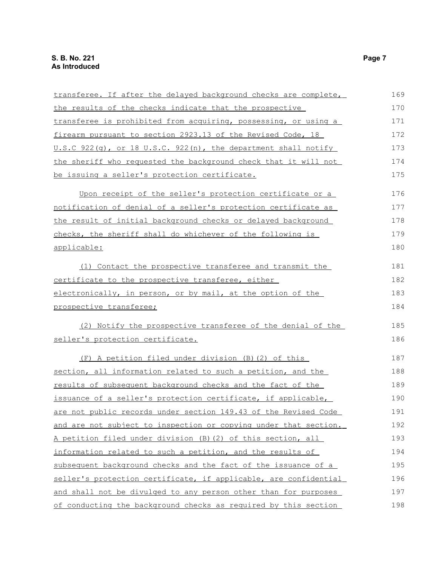| transferee. If after the delayed background checks are complete, | 169 |
|------------------------------------------------------------------|-----|
| the results of the checks indicate that the prospective          | 170 |
| transferee is prohibited from acquiring, possessing, or using a  | 171 |
| firearm pursuant to section 2923.13 of the Revised Code, 18      | 172 |
| U.S.C 922(g), or 18 U.S.C. 922(n), the department shall notify   | 173 |
| the sheriff who requested the background check that it will not  | 174 |
| be issuing a seller's protection certificate.                    | 175 |
| Upon receipt of the seller's protection certificate or a         | 176 |
| notification of denial of a seller's protection certificate as   | 177 |
| the result of initial background checks or delayed background    | 178 |
| checks, the sheriff shall do whichever of the following is       | 179 |
| applicable:                                                      | 180 |
| (1) Contact the prospective transferee and transmit the          | 181 |
| certificate to the prospective transferee, either                | 182 |
| electronically, in person, or by mail, at the option of the      | 183 |
| prospective transferee;                                          | 184 |
| (2) Notify the prospective transferee of the denial of the       | 185 |
| seller's protection certificate.                                 | 186 |
| (F) A petition filed under division (B) (2) of this              | 187 |
| section, all information related to such a petition, and the     | 188 |
| results of subsequent background checks and the fact of the      | 189 |
| issuance of a seller's protection certificate, if applicable,    | 190 |
| are not public records under section 149.43 of the Revised Code  | 191 |
| and are not subject to inspection or copying under that section. | 192 |
| A petition filed under division (B) (2) of this section, all     | 193 |
| information related to such a petition, and the results of       | 194 |
| subsequent background checks and the fact of the issuance of a   | 195 |
| seller's protection certificate, if applicable, are confidential | 196 |
| and shall not be divulged to any person other than for purposes  | 197 |
| of conducting the background checks as required by this section  | 198 |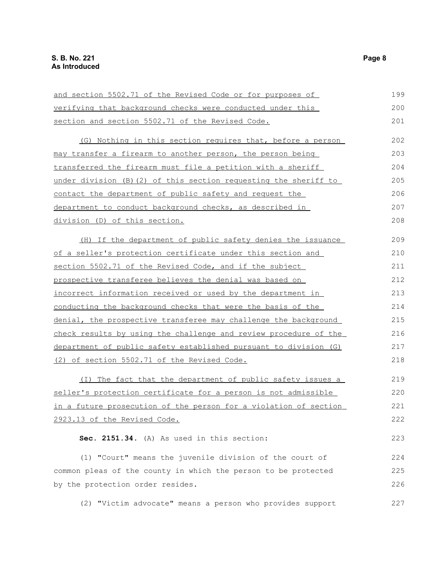| and section 5502.71 of the Revised Code or for purposes of         | 199 |
|--------------------------------------------------------------------|-----|
| verifying that background checks were conducted under this         | 200 |
| section and section 5502.71 of the Revised Code.                   | 201 |
| (G) Nothing in this section requires that, before a person         | 202 |
| may transfer a firearm to another person, the person being         | 203 |
| <u>transferred the firearm must file a petition with a sheriff</u> | 204 |
| under division (B) (2) of this section requesting the sheriff to   | 205 |
| contact the department of public safety and request the            | 206 |
| department to conduct background checks, as described in           | 207 |
| division (D) of this section.                                      | 208 |
| (H) If the department of public safety denies the issuance         | 209 |
| of a seller's protection certificate under this section and        | 210 |
| section 5502.71 of the Revised Code, and if the subject            | 211 |
| prospective transferee believes the denial was based on            | 212 |
| incorrect information received or used by the department in        | 213 |
| conducting the background checks that were the basis of the        | 214 |
| denial, the prospective transferee may challenge the background    | 215 |
| check results by using the challenge and review procedure of the   | 216 |
| department of public safety established pursuant to division (G)   | 217 |
| (2) of section 5502.71 of the Revised Code.                        | 218 |
| The fact that the department of public safety issues a<br>(1)      | 219 |
| seller's protection certificate for a person is not admissible     | 220 |
| in a future prosecution of the person for a violation of section   | 221 |
| 2923.13 of the Revised Code.                                       | 222 |
| Sec. 2151.34. (A) As used in this section:                         | 223 |
| (1) "Court" means the juvenile division of the court of            | 224 |
| common pleas of the county in which the person to be protected     | 225 |
| by the protection order resides.                                   | 226 |
| (2) "Victim advocate" means a person who provides support          | 227 |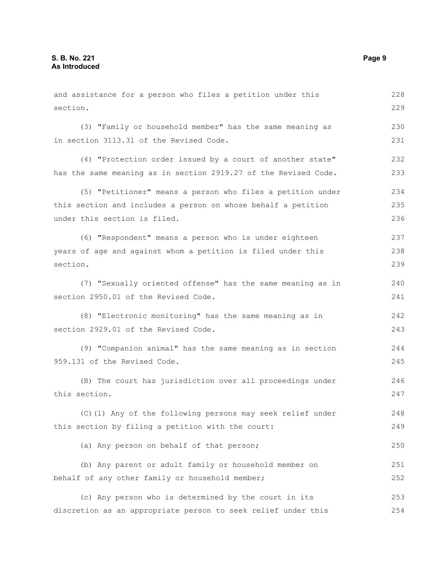and assistance for a person who files a petition under this section. (3) "Family or household member" has the same meaning as in section 3113.31 of the Revised Code. (4) "Protection order issued by a court of another state" has the same meaning as in section 2919.27 of the Revised Code. (5) "Petitioner" means a person who files a petition under this section and includes a person on whose behalf a petition under this section is filed. (6) "Respondent" means a person who is under eighteen years of age and against whom a petition is filed under this section. (7) "Sexually oriented offense" has the same meaning as in section 2950.01 of the Revised Code. (8) "Electronic monitoring" has the same meaning as in section 2929.01 of the Revised Code. (9) "Companion animal" has the same meaning as in section 959.131 of the Revised Code. (B) The court has jurisdiction over all proceedings under this section. (C)(1) Any of the following persons may seek relief under this section by filing a petition with the court: (a) Any person on behalf of that person; (b) Any parent or adult family or household member on behalf of any other family or household member; (c) Any person who is determined by the court in its discretion as an appropriate person to seek relief under this 228 229 230 231 232 233 234 235 236 237 238 239 240 241 242 243 244 245 246 247 248 249 250 251 252 253 254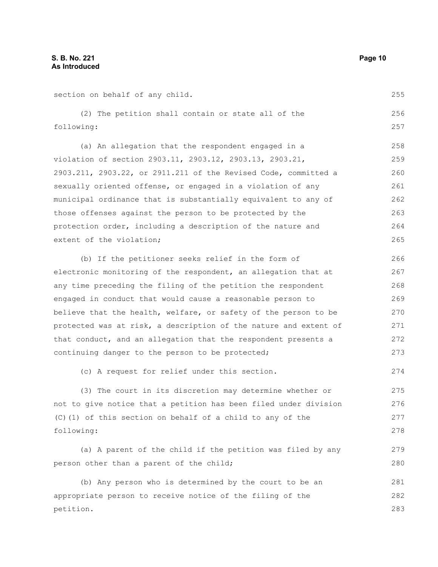section on behalf of any child.

(2) The petition shall contain or state all of the following: 256 257

(a) An allegation that the respondent engaged in a violation of section 2903.11, 2903.12, 2903.13, 2903.21, 2903.211, 2903.22, or 2911.211 of the Revised Code, committed a sexually oriented offense, or engaged in a violation of any municipal ordinance that is substantially equivalent to any of those offenses against the person to be protected by the protection order, including a description of the nature and extent of the violation; 258 259 260 261 262 263 264 265

(b) If the petitioner seeks relief in the form of electronic monitoring of the respondent, an allegation that at any time preceding the filing of the petition the respondent engaged in conduct that would cause a reasonable person to believe that the health, welfare, or safety of the person to be protected was at risk, a description of the nature and extent of that conduct, and an allegation that the respondent presents a continuing danger to the person to be protected; 266 267 268 269 270 271 272 273

(c) A request for relief under this section. 274

(3) The court in its discretion may determine whether or not to give notice that a petition has been filed under division (C)(1) of this section on behalf of a child to any of the following: 275 276 277 278

(a) A parent of the child if the petition was filed by any person other than a parent of the child;

(b) Any person who is determined by the court to be an appropriate person to receive notice of the filing of the petition. 281 282 283

255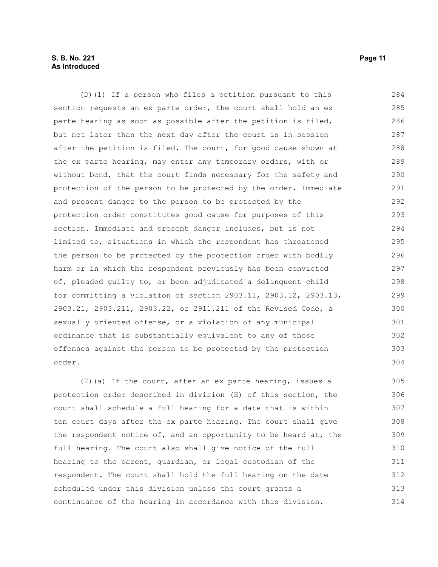#### **S. B. No. 221 Page 11 As Introduced**

(D)(1) If a person who files a petition pursuant to this section requests an ex parte order, the court shall hold an ex parte hearing as soon as possible after the petition is filed, but not later than the next day after the court is in session after the petition is filed. The court, for good cause shown at the ex parte hearing, may enter any temporary orders, with or without bond, that the court finds necessary for the safety and protection of the person to be protected by the order. Immediate and present danger to the person to be protected by the protection order constitutes good cause for purposes of this section. Immediate and present danger includes, but is not limited to, situations in which the respondent has threatened the person to be protected by the protection order with bodily harm or in which the respondent previously has been convicted of, pleaded guilty to, or been adjudicated a delinquent child for committing a violation of section 2903.11, 2903.12, 2903.13, 2903.21, 2903.211, 2903.22, or 2911.211 of the Revised Code, a sexually oriented offense, or a violation of any municipal ordinance that is substantially equivalent to any of those offenses against the person to be protected by the protection order. 284 285 286 287 288 289 290 291 292 293 294 295 296 297 298 299 300 301 302 303 304

(2)(a) If the court, after an ex parte hearing, issues a protection order described in division (E) of this section, the court shall schedule a full hearing for a date that is within ten court days after the ex parte hearing. The court shall give the respondent notice of, and an opportunity to be heard at, the full hearing. The court also shall give notice of the full hearing to the parent, guardian, or legal custodian of the respondent. The court shall hold the full hearing on the date scheduled under this division unless the court grants a continuance of the hearing in accordance with this division. 305 306 307 308 309 310 311 312 313 314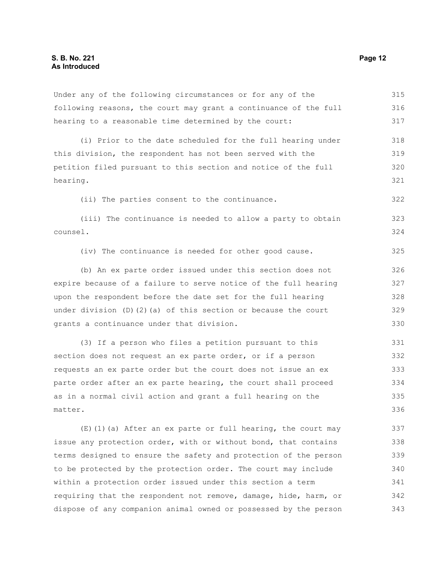Under any of the following circumstances or for any of the following reasons, the court may grant a continuance of the full hearing to a reasonable time determined by the court:

(i) Prior to the date scheduled for the full hearing under this division, the respondent has not been served with the petition filed pursuant to this section and notice of the full hearing. 318 319 320 321

(ii) The parties consent to the continuance.

(iii) The continuance is needed to allow a party to obtain counsel. 323 324

(iv) The continuance is needed for other good cause.

(b) An ex parte order issued under this section does not expire because of a failure to serve notice of the full hearing upon the respondent before the date set for the full hearing under division (D)(2)(a) of this section or because the court grants a continuance under that division.

(3) If a person who files a petition pursuant to this section does not request an ex parte order, or if a person requests an ex parte order but the court does not issue an ex parte order after an ex parte hearing, the court shall proceed as in a normal civil action and grant a full hearing on the matter. 331 332 333 334 335 336

(E)(1)(a) After an ex parte or full hearing, the court may issue any protection order, with or without bond, that contains terms designed to ensure the safety and protection of the person to be protected by the protection order. The court may include within a protection order issued under this section a term requiring that the respondent not remove, damage, hide, harm, or dispose of any companion animal owned or possessed by the person 337 338 339 340 341 342 343

315 316 317

322

325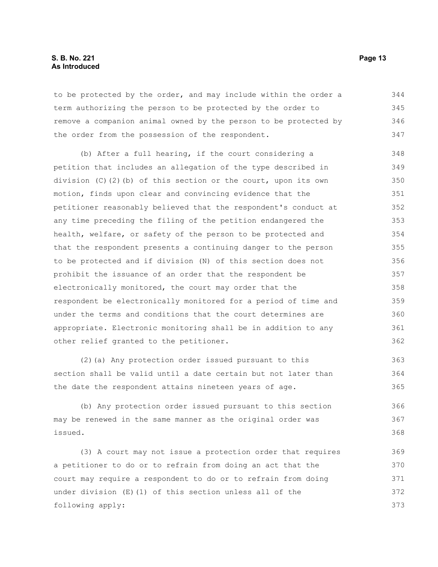#### **S. B. No. 221 Page 13 As Introduced**

to be protected by the order, and may include within the order a term authorizing the person to be protected by the order to remove a companion animal owned by the person to be protected by the order from the possession of the respondent. 344 345 346 347

(b) After a full hearing, if the court considering a petition that includes an allegation of the type described in division (C)(2)(b) of this section or the court, upon its own motion, finds upon clear and convincing evidence that the petitioner reasonably believed that the respondent's conduct at any time preceding the filing of the petition endangered the health, welfare, or safety of the person to be protected and that the respondent presents a continuing danger to the person to be protected and if division (N) of this section does not prohibit the issuance of an order that the respondent be electronically monitored, the court may order that the respondent be electronically monitored for a period of time and under the terms and conditions that the court determines are appropriate. Electronic monitoring shall be in addition to any other relief granted to the petitioner. 348 349 350 351 352 353 354 355 356 357 358 359 360 361 362

(2)(a) Any protection order issued pursuant to this section shall be valid until a date certain but not later than the date the respondent attains nineteen years of age. 363 364 365

(b) Any protection order issued pursuant to this section may be renewed in the same manner as the original order was issued. 366 367 368

(3) A court may not issue a protection order that requires a petitioner to do or to refrain from doing an act that the court may require a respondent to do or to refrain from doing under division (E)(1) of this section unless all of the following apply: 369 370 371 372 373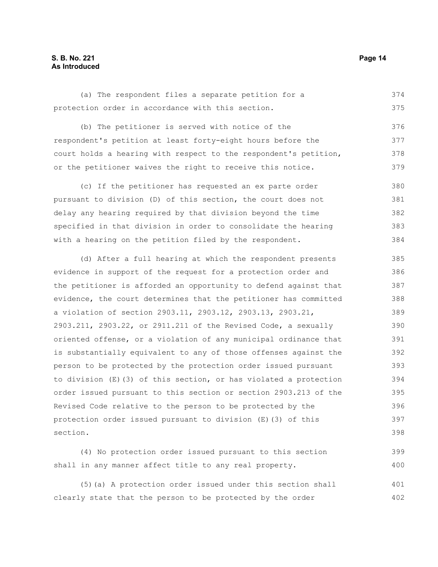#### **S. B. No. 221 Page 14 As Introduced**

(a) The respondent files a separate petition for a protection order in accordance with this section. 374 375

(b) The petitioner is served with notice of the respondent's petition at least forty-eight hours before the court holds a hearing with respect to the respondent's petition, or the petitioner waives the right to receive this notice. 376 377 378 379

(c) If the petitioner has requested an ex parte order pursuant to division (D) of this section, the court does not delay any hearing required by that division beyond the time specified in that division in order to consolidate the hearing with a hearing on the petition filed by the respondent. 380 381 382 383 384

(d) After a full hearing at which the respondent presents evidence in support of the request for a protection order and the petitioner is afforded an opportunity to defend against that evidence, the court determines that the petitioner has committed a violation of section 2903.11, 2903.12, 2903.13, 2903.21, 2903.211, 2903.22, or 2911.211 of the Revised Code, a sexually oriented offense, or a violation of any municipal ordinance that is substantially equivalent to any of those offenses against the person to be protected by the protection order issued pursuant to division (E)(3) of this section, or has violated a protection order issued pursuant to this section or section 2903.213 of the Revised Code relative to the person to be protected by the protection order issued pursuant to division (E)(3) of this section. 385 386 387 388 389 390 391 392 393 394 395 396 397 398

(4) No protection order issued pursuant to this section shall in any manner affect title to any real property. 399 400

(5)(a) A protection order issued under this section shall clearly state that the person to be protected by the order 401 402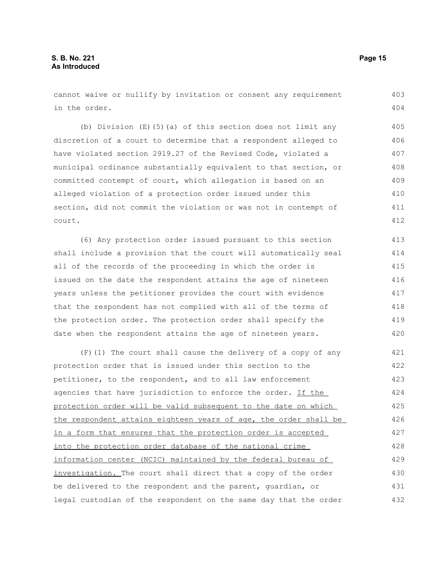cannot waive or nullify by invitation or consent any requirement in the order. 403 404

(b) Division (E)(5)(a) of this section does not limit any discretion of a court to determine that a respondent alleged to have violated section 2919.27 of the Revised Code, violated a municipal ordinance substantially equivalent to that section, or committed contempt of court, which allegation is based on an alleged violation of a protection order issued under this section, did not commit the violation or was not in contempt of court. 405 406 407 408 409 410 411 412

(6) Any protection order issued pursuant to this section shall include a provision that the court will automatically seal all of the records of the proceeding in which the order is issued on the date the respondent attains the age of nineteen years unless the petitioner provides the court with evidence that the respondent has not complied with all of the terms of the protection order. The protection order shall specify the date when the respondent attains the age of nineteen years. 413 414 415 416 417 418 419 420

(F)(1) The court shall cause the delivery of a copy of any protection order that is issued under this section to the petitioner, to the respondent, and to all law enforcement agencies that have jurisdiction to enforce the order. If the protection order will be valid subsequent to the date on which the respondent attains eighteen years of age, the order shall be in a form that ensures that the protection order is accepted into the protection order database of the national crime information center (NCIC) maintained by the federal bureau of investigation. The court shall direct that a copy of the order be delivered to the respondent and the parent, guardian, or legal custodian of the respondent on the same day that the order 421 422 423 424 425 426 427 428 429 430 431 432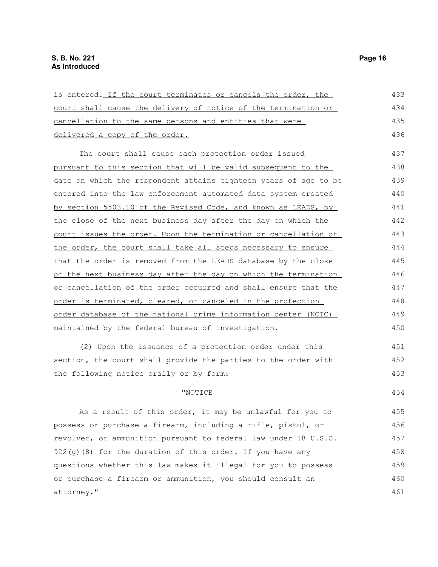| is entered. If the court terminates or cancels the order, the    | 433 |
|------------------------------------------------------------------|-----|
| court shall cause the delivery of notice of the termination or   | 434 |
| cancellation to the same persons and entities that were          | 435 |
| delivered a copy of the order.                                   | 436 |
| The court shall cause each protection order issued               | 437 |
| pursuant to this section that will be valid subsequent to the    | 438 |
| date on which the respondent attains eighteen years of age to be | 439 |
| entered into the law enforcement automated data system created   | 440 |
| by section 5503.10 of the Revised Code, and known as LEADS, by   | 441 |
| the close of the next business day after the day on which the    | 442 |
| court issues the order. Upon the termination or cancellation of  | 443 |
| the order, the court shall take all steps necessary to ensure    | 444 |
| that the order is removed from the LEADS database by the close   | 445 |
| of the next business day after the day on which the termination  | 446 |
| or cancellation of the order occurred and shall ensure that the  | 447 |
| order is terminated, cleared, or canceled in the protection      | 448 |
| order database of the national crime information center (NCIC)   | 449 |
| maintained by the federal bureau of investigation.               | 450 |
| (2) Upon the issuance of a protection order under this           | 451 |
| section, the court shall provide the parties to the order with   | 452 |
| the following notice orally or by form:                          | 453 |
| "NOTICE                                                          | 454 |
| As a result of this order, it may be unlawful for you to         | 455 |
| possess or purchase a firearm, including a rifle, pistol, or     | 456 |
| revolver, or ammunition pursuant to federal law under 18 U.S.C.  | 457 |
| $922$ (g) (8) for the duration of this order. If you have any    | 458 |
| questions whether this law makes it illegal for you to possess   | 459 |
| or purchase a firearm or ammunition, you should consult an       | 460 |
| attorney."                                                       | 461 |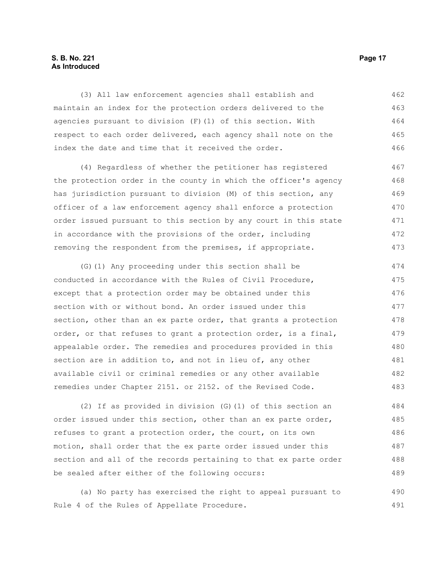#### **S. B. No. 221 Page 17 As Introduced**

(3) All law enforcement agencies shall establish and maintain an index for the protection orders delivered to the agencies pursuant to division  $(F)$  (1) of this section. With respect to each order delivered, each agency shall note on the index the date and time that it received the order. 462 463 464 465 466

(4) Regardless of whether the petitioner has registered the protection order in the county in which the officer's agency has jurisdiction pursuant to division (M) of this section, any officer of a law enforcement agency shall enforce a protection order issued pursuant to this section by any court in this state in accordance with the provisions of the order, including removing the respondent from the premises, if appropriate. 467 468 469 470 471 472 473

(G)(1) Any proceeding under this section shall be conducted in accordance with the Rules of Civil Procedure, except that a protection order may be obtained under this section with or without bond. An order issued under this section, other than an ex parte order, that grants a protection order, or that refuses to grant a protection order, is a final, appealable order. The remedies and procedures provided in this section are in addition to, and not in lieu of, any other available civil or criminal remedies or any other available remedies under Chapter 2151. or 2152. of the Revised Code. 474 475 476 477 478 479 480 481 482 483

(2) If as provided in division (G)(1) of this section an order issued under this section, other than an ex parte order, refuses to grant a protection order, the court, on its own motion, shall order that the ex parte order issued under this section and all of the records pertaining to that ex parte order be sealed after either of the following occurs: 484 485 486 487 488 489

(a) No party has exercised the right to appeal pursuant to Rule 4 of the Rules of Appellate Procedure. 490 491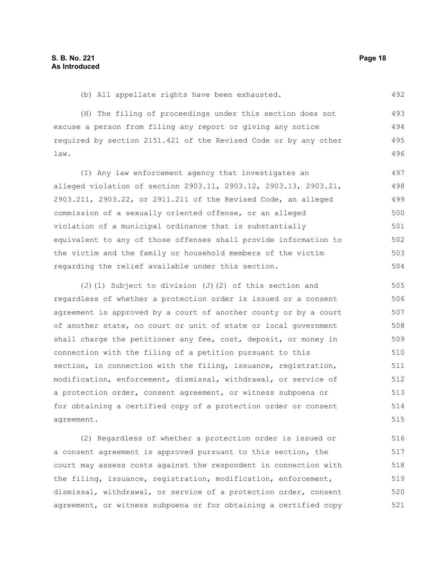(b) All appellate rights have been exhausted. 492

(H) The filing of proceedings under this section does not excuse a person from filing any report or giving any notice required by section 2151.421 of the Revised Code or by any other law. 493 494 495 496

(I) Any law enforcement agency that investigates an alleged violation of section 2903.11, 2903.12, 2903.13, 2903.21, 2903.211, 2903.22, or 2911.211 of the Revised Code, an alleged commission of a sexually oriented offense, or an alleged violation of a municipal ordinance that is substantially equivalent to any of those offenses shall provide information to the victim and the family or household members of the victim regarding the relief available under this section. 497 498 499 500 501 502 503 504

(J)(1) Subject to division (J)(2) of this section and regardless of whether a protection order is issued or a consent agreement is approved by a court of another county or by a court of another state, no court or unit of state or local government shall charge the petitioner any fee, cost, deposit, or money in connection with the filing of a petition pursuant to this section, in connection with the filing, issuance, registration, modification, enforcement, dismissal, withdrawal, or service of a protection order, consent agreement, or witness subpoena or for obtaining a certified copy of a protection order or consent agreement. 505 506 507 508 509 510 511 512 513 514 515

(2) Regardless of whether a protection order is issued or a consent agreement is approved pursuant to this section, the court may assess costs against the respondent in connection with the filing, issuance, registration, modification, enforcement, dismissal, withdrawal, or service of a protection order, consent agreement, or witness subpoena or for obtaining a certified copy 516 517 518 519 520 521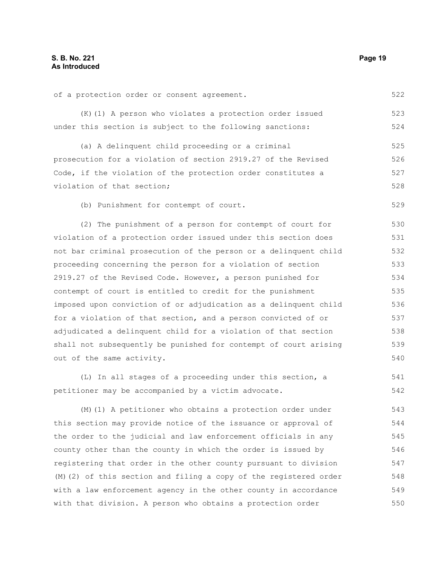of a protection order or consent agreement. (K)(1) A person who violates a protection order issued under this section is subject to the following sanctions: (a) A delinquent child proceeding or a criminal prosecution for a violation of section 2919.27 of the Revised Code, if the violation of the protection order constitutes a violation of that section; (b) Punishment for contempt of court. (2) The punishment of a person for contempt of court for violation of a protection order issued under this section does not bar criminal prosecution of the person or a delinquent child proceeding concerning the person for a violation of section 2919.27 of the Revised Code. However, a person punished for contempt of court is entitled to credit for the punishment imposed upon conviction of or adjudication as a delinquent child for a violation of that section, and a person convicted of or adjudicated a delinquent child for a violation of that section shall not subsequently be punished for contempt of court arising out of the same activity. 522 523 524 525 526 527 528 529 530 531 532 533 534 535 536 537 538 539 540

(L) In all stages of a proceeding under this section, a petitioner may be accompanied by a victim advocate. 541 542

(M)(1) A petitioner who obtains a protection order under this section may provide notice of the issuance or approval of the order to the judicial and law enforcement officials in any county other than the county in which the order is issued by registering that order in the other county pursuant to division (M)(2) of this section and filing a copy of the registered order with a law enforcement agency in the other county in accordance with that division. A person who obtains a protection order 543 544 545 546 547 548 549 550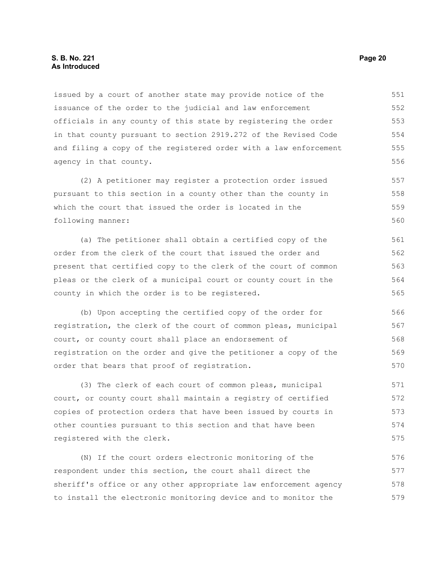issued by a court of another state may provide notice of the issuance of the order to the judicial and law enforcement officials in any county of this state by registering the order in that county pursuant to section 2919.272 of the Revised Code and filing a copy of the registered order with a law enforcement agency in that county. 551 552 553 554 555 556

(2) A petitioner may register a protection order issued pursuant to this section in a county other than the county in which the court that issued the order is located in the following manner: 557 558 559 560

(a) The petitioner shall obtain a certified copy of the order from the clerk of the court that issued the order and present that certified copy to the clerk of the court of common pleas or the clerk of a municipal court or county court in the county in which the order is to be registered. 561 562 563 564 565

(b) Upon accepting the certified copy of the order for registration, the clerk of the court of common pleas, municipal court, or county court shall place an endorsement of registration on the order and give the petitioner a copy of the order that bears that proof of registration.

(3) The clerk of each court of common pleas, municipal court, or county court shall maintain a registry of certified copies of protection orders that have been issued by courts in other counties pursuant to this section and that have been registered with the clerk. 571 572 573 574 575

(N) If the court orders electronic monitoring of the respondent under this section, the court shall direct the sheriff's office or any other appropriate law enforcement agency to install the electronic monitoring device and to monitor the 576 577 578 579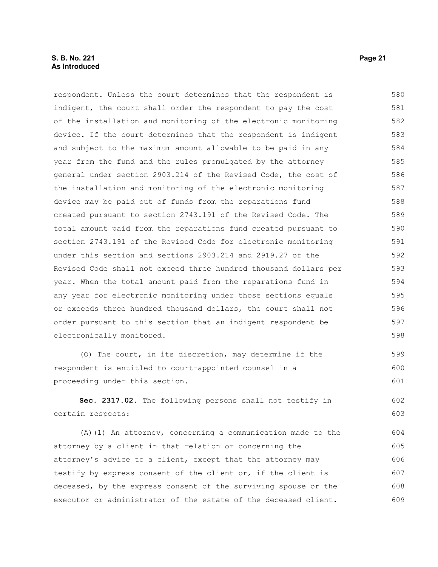respondent. Unless the court determines that the respondent is indigent, the court shall order the respondent to pay the cost of the installation and monitoring of the electronic monitoring device. If the court determines that the respondent is indigent and subject to the maximum amount allowable to be paid in any year from the fund and the rules promulgated by the attorney general under section 2903.214 of the Revised Code, the cost of the installation and monitoring of the electronic monitoring device may be paid out of funds from the reparations fund created pursuant to section 2743.191 of the Revised Code. The total amount paid from the reparations fund created pursuant to section 2743.191 of the Revised Code for electronic monitoring under this section and sections 2903.214 and 2919.27 of the Revised Code shall not exceed three hundred thousand dollars per year. When the total amount paid from the reparations fund in any year for electronic monitoring under those sections equals or exceeds three hundred thousand dollars, the court shall not order pursuant to this section that an indigent respondent be electronically monitored. 580 581 582 583 584 585 586 587 588 589 590 591 592 593 594 595 596 597 598

(O) The court, in its discretion, may determine if the respondent is entitled to court-appointed counsel in a proceeding under this section. 599 600 601

**Sec. 2317.02.** The following persons shall not testify in certain respects:

(A)(1) An attorney, concerning a communication made to the attorney by a client in that relation or concerning the attorney's advice to a client, except that the attorney may testify by express consent of the client or, if the client is deceased, by the express consent of the surviving spouse or the executor or administrator of the estate of the deceased client. 604 605 606 607 608 609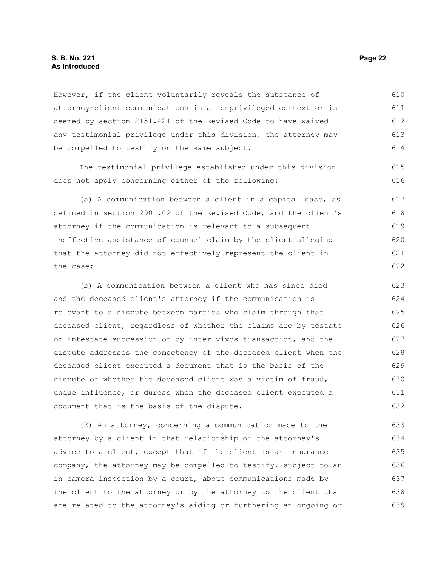#### **S. B. No. 221 Page 22 As Introduced**

However, if the client voluntarily reveals the substance of attorney-client communications in a nonprivileged context or is deemed by section 2151.421 of the Revised Code to have waived any testimonial privilege under this division, the attorney may be compelled to testify on the same subject. 610 611 612 613 614

The testimonial privilege established under this division does not apply concerning either of the following:

(a) A communication between a client in a capital case, as defined in section 2901.02 of the Revised Code, and the client's attorney if the communication is relevant to a subsequent ineffective assistance of counsel claim by the client alleging that the attorney did not effectively represent the client in the case; 617 618 619 620 621 622

(b) A communication between a client who has since died and the deceased client's attorney if the communication is relevant to a dispute between parties who claim through that deceased client, regardless of whether the claims are by testate or intestate succession or by inter vivos transaction, and the dispute addresses the competency of the deceased client when the deceased client executed a document that is the basis of the dispute or whether the deceased client was a victim of fraud, undue influence, or duress when the deceased client executed a document that is the basis of the dispute. 623 624 625 626 627 628 629 630 631 632

(2) An attorney, concerning a communication made to the attorney by a client in that relationship or the attorney's advice to a client, except that if the client is an insurance company, the attorney may be compelled to testify, subject to an in camera inspection by a court, about communications made by the client to the attorney or by the attorney to the client that are related to the attorney's aiding or furthering an ongoing or 633 634 635 636 637 638 639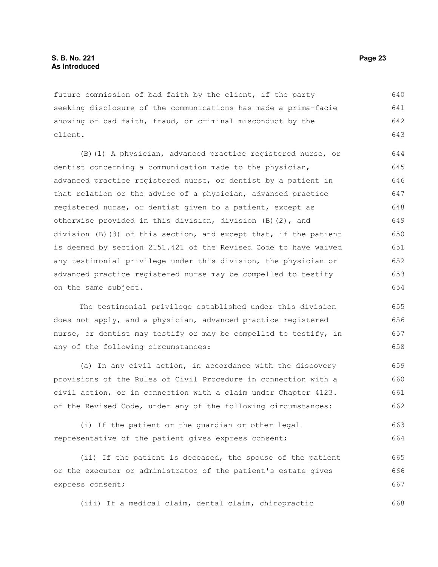future commission of bad faith by the client, if the party seeking disclosure of the communications has made a prima-facie showing of bad faith, fraud, or criminal misconduct by the client. 640 641 642 643

(B)(1) A physician, advanced practice registered nurse, or dentist concerning a communication made to the physician, advanced practice registered nurse, or dentist by a patient in that relation or the advice of a physician, advanced practice registered nurse, or dentist given to a patient, except as otherwise provided in this division, division (B)(2), and division (B)(3) of this section, and except that, if the patient is deemed by section 2151.421 of the Revised Code to have waived any testimonial privilege under this division, the physician or advanced practice registered nurse may be compelled to testify on the same subject. 644 645 646 647 648 649 650 651 652 653 654

The testimonial privilege established under this division does not apply, and a physician, advanced practice registered nurse, or dentist may testify or may be compelled to testify, in any of the following circumstances:

(a) In any civil action, in accordance with the discovery provisions of the Rules of Civil Procedure in connection with a civil action, or in connection with a claim under Chapter 4123. of the Revised Code, under any of the following circumstances: 659 660 661 662

(i) If the patient or the guardian or other legal representative of the patient gives express consent; 663 664

(ii) If the patient is deceased, the spouse of the patient or the executor or administrator of the patient's estate gives express consent; 665 666 667

(iii) If a medical claim, dental claim, chiropractic 668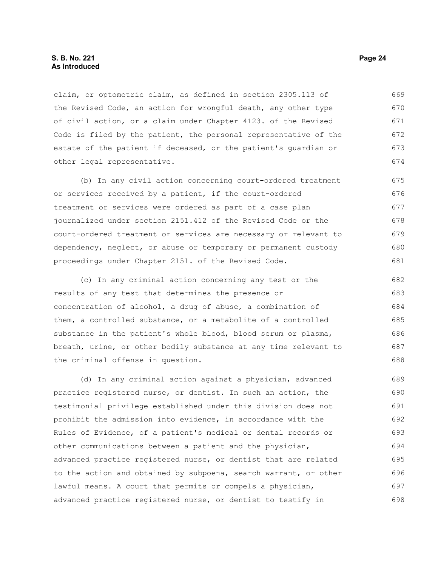claim, or optometric claim, as defined in section 2305.113 of the Revised Code, an action for wrongful death, any other type of civil action, or a claim under Chapter 4123. of the Revised Code is filed by the patient, the personal representative of the estate of the patient if deceased, or the patient's guardian or other legal representative. 669 670 671 672 673 674

(b) In any civil action concerning court-ordered treatment or services received by a patient, if the court-ordered treatment or services were ordered as part of a case plan journalized under section 2151.412 of the Revised Code or the court-ordered treatment or services are necessary or relevant to dependency, neglect, or abuse or temporary or permanent custody proceedings under Chapter 2151. of the Revised Code. 675 676 677 678 679 680 681

(c) In any criminal action concerning any test or the results of any test that determines the presence or concentration of alcohol, a drug of abuse, a combination of them, a controlled substance, or a metabolite of a controlled substance in the patient's whole blood, blood serum or plasma, breath, urine, or other bodily substance at any time relevant to the criminal offense in question. 682 683 684 685 686 687 688

(d) In any criminal action against a physician, advanced practice registered nurse, or dentist. In such an action, the testimonial privilege established under this division does not prohibit the admission into evidence, in accordance with the Rules of Evidence, of a patient's medical or dental records or other communications between a patient and the physician, advanced practice registered nurse, or dentist that are related to the action and obtained by subpoena, search warrant, or other lawful means. A court that permits or compels a physician, advanced practice registered nurse, or dentist to testify in 689 690 691 692 693 694 695 696 697 698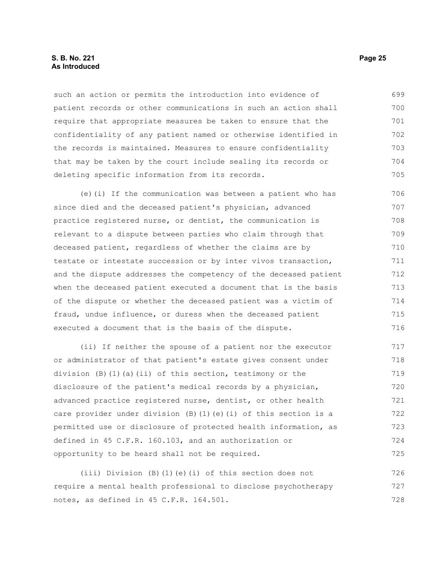#### **S. B. No. 221 Page 25 As Introduced**

such an action or permits the introduction into evidence of patient records or other communications in such an action shall require that appropriate measures be taken to ensure that the confidentiality of any patient named or otherwise identified in the records is maintained. Measures to ensure confidentiality that may be taken by the court include sealing its records or deleting specific information from its records. 699 700 701 702 703 704 705

(e)(i) If the communication was between a patient who has since died and the deceased patient's physician, advanced practice registered nurse, or dentist, the communication is relevant to a dispute between parties who claim through that deceased patient, regardless of whether the claims are by testate or intestate succession or by inter vivos transaction, and the dispute addresses the competency of the deceased patient when the deceased patient executed a document that is the basis of the dispute or whether the deceased patient was a victim of fraud, undue influence, or duress when the deceased patient executed a document that is the basis of the dispute. 706 707 708 709 710 711 712 713 714 715 716

(ii) If neither the spouse of a patient nor the executor or administrator of that patient's estate gives consent under division (B)(1)(a)(ii) of this section, testimony or the disclosure of the patient's medical records by a physician, advanced practice registered nurse, dentist, or other health care provider under division (B)(1)(e)(i) of this section is a permitted use or disclosure of protected health information, as defined in 45 C.F.R. 160.103, and an authorization or opportunity to be heard shall not be required. 717 718 719 720 721 722 723 724 725

(iii) Division (B)(1)(e)(i) of this section does not require a mental health professional to disclose psychotherapy notes, as defined in 45 C.F.R. 164.501. 726 727 728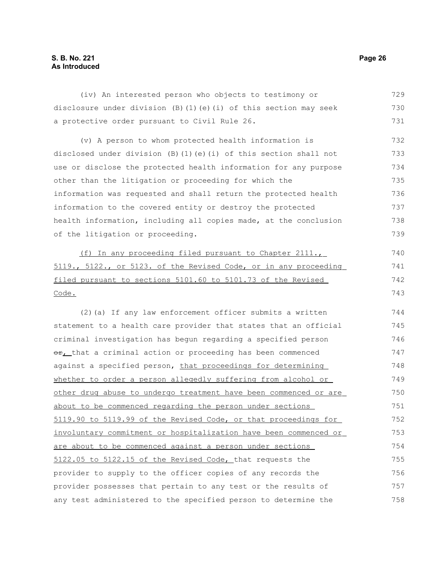#### **S. B. No. 221 Page 26 As Introduced**

(iv) An interested person who objects to testimony or disclosure under division (B)(1)(e)(i) of this section may seek a protective order pursuant to Civil Rule 26. 729 730 731

(v) A person to whom protected health information is disclosed under division  $(B)$  (1)(e)(i) of this section shall not use or disclose the protected health information for any purpose other than the litigation or proceeding for which the information was requested and shall return the protected health information to the covered entity or destroy the protected health information, including all copies made, at the conclusion of the litigation or proceeding. 732 733 734 735 736 737 738 739

 (f) In any proceeding filed pursuant to Chapter 2111., 5119., 5122., or 5123. of the Revised Code, or in any proceeding filed pursuant to sections 5101.60 to 5101.73 of the Revised Code.

(2)(a) If any law enforcement officer submits a written statement to a health care provider that states that an official criminal investigation has begun regarding a specified person or, that a criminal action or proceeding has been commenced against a specified person, that proceedings for determining whether to order a person allegedly suffering from alcohol or other drug abuse to undergo treatment have been commenced or are about to be commenced regarding the person under sections 5119.90 to 5119.99 of the Revised Code, or that proceedings for involuntary commitment or hospitalization have been commenced or are about to be commenced against a person under sections  $5122.05$  to  $5122.15$  of the Revised Code, that requests the provider to supply to the officer copies of any records the provider possesses that pertain to any test or the results of any test administered to the specified person to determine the 744 745 746 747 748 749 750 751 752 753 754 755 756 757 758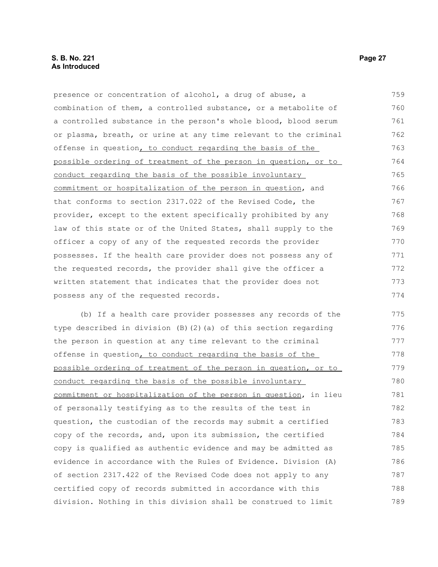| presence or concentration of alcohol, a drug of abuse, a         | 759 |
|------------------------------------------------------------------|-----|
| combination of them, a controlled substance, or a metabolite of  | 760 |
| a controlled substance in the person's whole blood, blood serum  | 761 |
| or plasma, breath, or urine at any time relevant to the criminal | 762 |
| offense in question, to conduct regarding the basis of the       | 763 |
| possible ordering of treatment of the person in question, or to  | 764 |
| conduct regarding the basis of the possible involuntary          | 765 |
| commitment or hospitalization of the person in question, and     | 766 |
| that conforms to section 2317.022 of the Revised Code, the       | 767 |
| provider, except to the extent specifically prohibited by any    | 768 |
| law of this state or of the United States, shall supply to the   | 769 |
| officer a copy of any of the requested records the provider      | 770 |
| possesses. If the health care provider does not possess any of   | 771 |
| the requested records, the provider shall give the officer a     | 772 |
| written statement that indicates that the provider does not      | 773 |
| possess any of the requested records.                            | 774 |
| (b) If a health care provider possesses any records of the       | 775 |
| type described in division (B)(2)(a) of this section regarding   | 776 |
| the person in question at any time relevant to the criminal      | 777 |
|                                                                  |     |

offense in question, to conduct regarding the basis of the possible ordering of treatment of the person in question, or to conduct regarding the basis of the possible involuntary commitment or hospitalization of the person in question, in lieu of personally testifying as to the results of the test in question, the custodian of the records may submit a certified copy of the records, and, upon its submission, the certified copy is qualified as authentic evidence and may be admitted as evidence in accordance with the Rules of Evidence. Division (A) of section 2317.422 of the Revised Code does not apply to any certified copy of records submitted in accordance with this division. Nothing in this division shall be construed to limit 778 779 780 781 782 783 784 785 786 787 788 789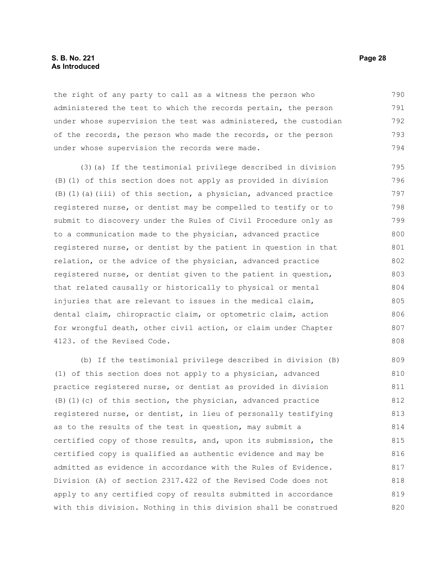#### **S. B. No. 221 Page 28 As Introduced**

the right of any party to call as a witness the person who administered the test to which the records pertain, the person under whose supervision the test was administered, the custodian of the records, the person who made the records, or the person under whose supervision the records were made. 790 791 792 793 794

(3)(a) If the testimonial privilege described in division (B)(1) of this section does not apply as provided in division (B)(1)(a)(iii) of this section, a physician, advanced practice registered nurse, or dentist may be compelled to testify or to submit to discovery under the Rules of Civil Procedure only as to a communication made to the physician, advanced practice registered nurse, or dentist by the patient in question in that relation, or the advice of the physician, advanced practice registered nurse, or dentist given to the patient in question, that related causally or historically to physical or mental injuries that are relevant to issues in the medical claim, dental claim, chiropractic claim, or optometric claim, action for wrongful death, other civil action, or claim under Chapter 4123. of the Revised Code. 795 796 797 798 799 800 801 802 803 804 805 806 807 808

(b) If the testimonial privilege described in division (B) (1) of this section does not apply to a physician, advanced practice registered nurse, or dentist as provided in division (B)(1)(c) of this section, the physician, advanced practice registered nurse, or dentist, in lieu of personally testifying as to the results of the test in question, may submit a certified copy of those results, and, upon its submission, the certified copy is qualified as authentic evidence and may be admitted as evidence in accordance with the Rules of Evidence. Division (A) of section 2317.422 of the Revised Code does not apply to any certified copy of results submitted in accordance with this division. Nothing in this division shall be construed 809 810 811 812 813 814 815 816 817 818 819 820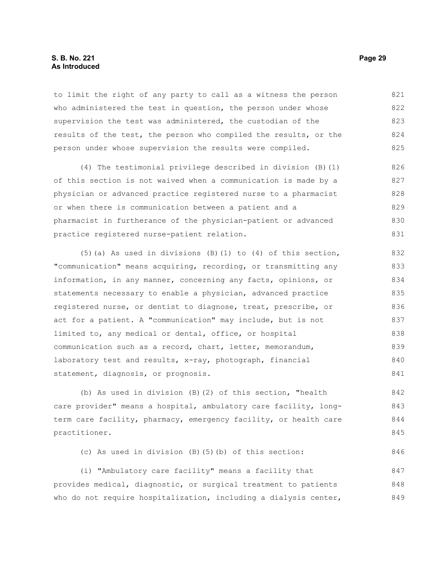#### **S. B. No. 221 Page 29 As Introduced**

to limit the right of any party to call as a witness the person who administered the test in question, the person under whose supervision the test was administered, the custodian of the results of the test, the person who compiled the results, or the person under whose supervision the results were compiled. 821 822 823 824 825

(4) The testimonial privilege described in division (B)(1) of this section is not waived when a communication is made by a physician or advanced practice registered nurse to a pharmacist or when there is communication between a patient and a pharmacist in furtherance of the physician-patient or advanced practice registered nurse-patient relation. 826 827 828 829 830 831

(5)(a) As used in divisions  $(B)(1)$  to  $(4)$  of this section, "communication" means acquiring, recording, or transmitting any information, in any manner, concerning any facts, opinions, or statements necessary to enable a physician, advanced practice registered nurse, or dentist to diagnose, treat, prescribe, or act for a patient. A "communication" may include, but is not limited to, any medical or dental, office, or hospital communication such as a record, chart, letter, memorandum, laboratory test and results, x-ray, photograph, financial statement, diagnosis, or prognosis. 832 833 834 835 836 837 838 839 840 841

(b) As used in division (B)(2) of this section, "health care provider" means a hospital, ambulatory care facility, longterm care facility, pharmacy, emergency facility, or health care practitioner. 842 843 844 845

(c) As used in division (B)(5)(b) of this section:

(i) "Ambulatory care facility" means a facility that provides medical, diagnostic, or surgical treatment to patients who do not require hospitalization, including a dialysis center, 847 848 849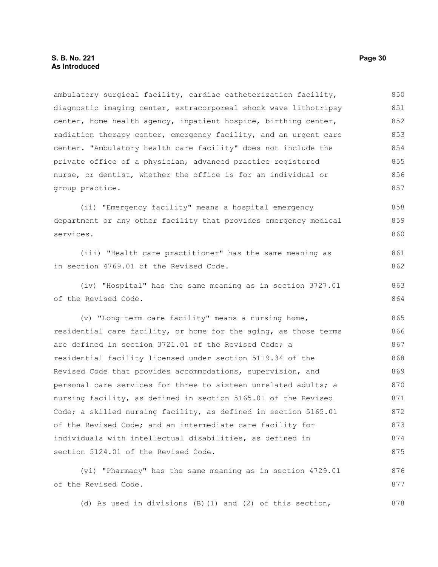ambulatory surgical facility, cardiac catheterization facility, diagnostic imaging center, extracorporeal shock wave lithotripsy center, home health agency, inpatient hospice, birthing center, radiation therapy center, emergency facility, and an urgent care center. "Ambulatory health care facility" does not include the private office of a physician, advanced practice registered nurse, or dentist, whether the office is for an individual or group practice. 850 851 852 853 854 855 856 857

(ii) "Emergency facility" means a hospital emergency department or any other facility that provides emergency medical services. 858 859 860

(iii) "Health care practitioner" has the same meaning as in section 4769.01 of the Revised Code.

(iv) "Hospital" has the same meaning as in section 3727.01 of the Revised Code.

(v) "Long-term care facility" means a nursing home, residential care facility, or home for the aging, as those terms are defined in section 3721.01 of the Revised Code; a residential facility licensed under section 5119.34 of the Revised Code that provides accommodations, supervision, and personal care services for three to sixteen unrelated adults; a nursing facility, as defined in section 5165.01 of the Revised Code; a skilled nursing facility, as defined in section 5165.01 of the Revised Code; and an intermediate care facility for individuals with intellectual disabilities, as defined in section 5124.01 of the Revised Code. 865 866 867 868 869 870 871 872 873 874 875

(vi) "Pharmacy" has the same meaning as in section 4729.01 of the Revised Code. 876 877

(d) As used in divisions (B)(1) and (2) of this section, 878

861 862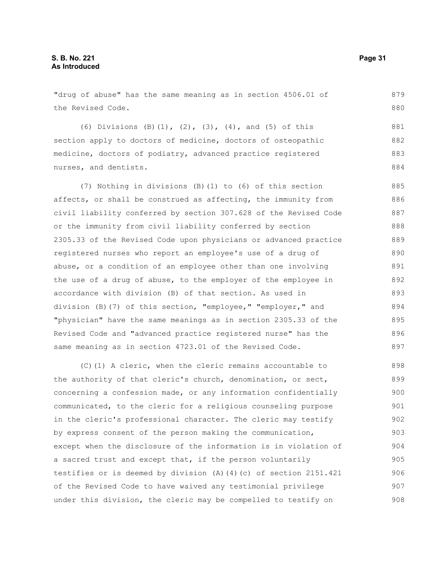"drug of abuse" has the same meaning as in section 4506.01 of the Revised Code.

(6) Divisions (B)(1), (2), (3), (4), and (5) of this section apply to doctors of medicine, doctors of osteopathic medicine, doctors of podiatry, advanced practice registered nurses, and dentists.

(7) Nothing in divisions (B)(1) to (6) of this section affects, or shall be construed as affecting, the immunity from civil liability conferred by section 307.628 of the Revised Code or the immunity from civil liability conferred by section 2305.33 of the Revised Code upon physicians or advanced practice registered nurses who report an employee's use of a drug of abuse, or a condition of an employee other than one involving the use of a drug of abuse, to the employer of the employee in accordance with division (B) of that section. As used in division (B)(7) of this section, "employee," "employer," and "physician" have the same meanings as in section 2305.33 of the Revised Code and "advanced practice registered nurse" has the same meaning as in section 4723.01 of the Revised Code. 885 886 887 888 889 890 891 892 893 894 895 896 897

(C)(1) A cleric, when the cleric remains accountable to the authority of that cleric's church, denomination, or sect, concerning a confession made, or any information confidentially communicated, to the cleric for a religious counseling purpose in the cleric's professional character. The cleric may testify by express consent of the person making the communication, except when the disclosure of the information is in violation of a sacred trust and except that, if the person voluntarily testifies or is deemed by division (A)(4)(c) of section 2151.421 of the Revised Code to have waived any testimonial privilege under this division, the cleric may be compelled to testify on 898 899 900 901 902 903 904 905 906 907 908

879 880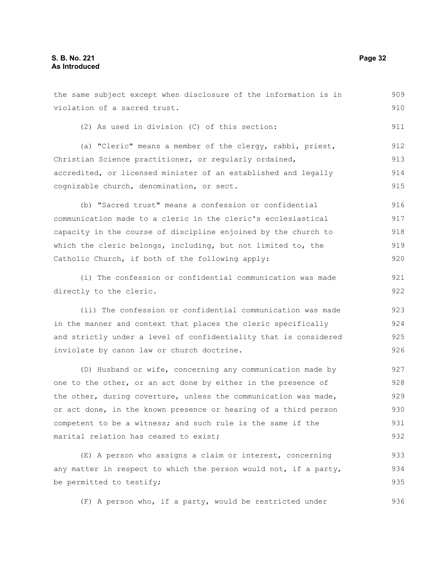the same subject except when disclosure of the information is in violation of a sacred trust. (2) As used in division (C) of this section: (a) "Cleric" means a member of the clergy, rabbi, priest, Christian Science practitioner, or regularly ordained, accredited, or licensed minister of an established and legally cognizable church, denomination, or sect. (b) "Sacred trust" means a confession or confidential communication made to a cleric in the cleric's ecclesiastical capacity in the course of discipline enjoined by the church to which the cleric belongs, including, but not limited to, the Catholic Church, if both of the following apply: (i) The confession or confidential communication was made directly to the cleric. (ii) The confession or confidential communication was made in the manner and context that places the cleric specifically and strictly under a level of confidentiality that is considered inviolate by canon law or church doctrine. (D) Husband or wife, concerning any communication made by one to the other, or an act done by either in the presence of 909 910 911 912 913 914 915 916 917 918 919 920 921 922 923 924 925 926 927 928

the other, during coverture, unless the communication was made, or act done, in the known presence or hearing of a third person competent to be a witness; and such rule is the same if the marital relation has ceased to exist; 929 930 931 932

(E) A person who assigns a claim or interest, concerning any matter in respect to which the person would not, if a party, be permitted to testify; 933 934 935

(F) A person who, if a party, would be restricted under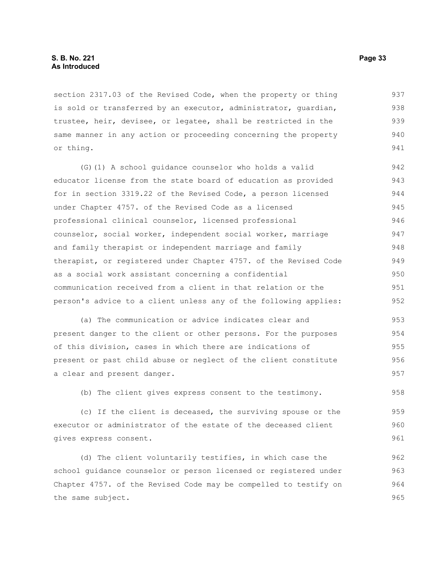section 2317.03 of the Revised Code, when the property or thing is sold or transferred by an executor, administrator, guardian, trustee, heir, devisee, or legatee, shall be restricted in the same manner in any action or proceeding concerning the property or thing. 937 938 939 940 941

(G)(1) A school guidance counselor who holds a valid educator license from the state board of education as provided for in section 3319.22 of the Revised Code, a person licensed under Chapter 4757. of the Revised Code as a licensed professional clinical counselor, licensed professional counselor, social worker, independent social worker, marriage and family therapist or independent marriage and family therapist, or registered under Chapter 4757. of the Revised Code as a social work assistant concerning a confidential communication received from a client in that relation or the person's advice to a client unless any of the following applies: 942 943 944 945 946 947 948 949 950 951 952

(a) The communication or advice indicates clear and present danger to the client or other persons. For the purposes of this division, cases in which there are indications of present or past child abuse or neglect of the client constitute a clear and present danger. 953 954 955 956 957

(b) The client gives express consent to the testimony.

(c) If the client is deceased, the surviving spouse or the executor or administrator of the estate of the deceased client gives express consent. 959 960 961

(d) The client voluntarily testifies, in which case the school guidance counselor or person licensed or registered under Chapter 4757. of the Revised Code may be compelled to testify on the same subject. 962 963 964 965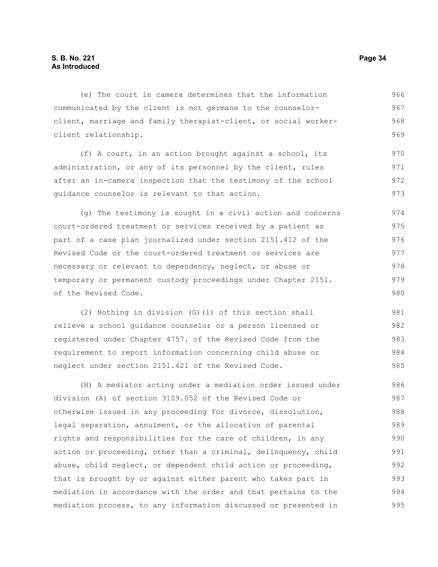#### **S. B. No. 221 Page 34 As Introduced**

(e) The court in camera determines that the information communicated by the client is not germane to the counselorclient, marriage and family therapist-client, or social workerclient relationship. 966 967 968 969

(f) A court, in an action brought against a school, its administration, or any of its personnel by the client, rules after an in-camera inspection that the testimony of the school guidance counselor is relevant to that action. 970 971 972 973

(g) The testimony is sought in a civil action and concerns court-ordered treatment or services received by a patient as part of a case plan journalized under section 2151.412 of the Revised Code or the court-ordered treatment or services are necessary or relevant to dependency, neglect, or abuse or temporary or permanent custody proceedings under Chapter 2151. of the Revised Code. 974 975 976 977 978 979 980

(2) Nothing in division (G)(1) of this section shall relieve a school guidance counselor or a person licensed or registered under Chapter 4757. of the Revised Code from the requirement to report information concerning child abuse or neglect under section 2151.421 of the Revised Code. 981 982 983 984 985

(H) A mediator acting under a mediation order issued under division (A) of section 3109.052 of the Revised Code or otherwise issued in any proceeding for divorce, dissolution, legal separation, annulment, or the allocation of parental rights and responsibilities for the care of children, in any action or proceeding, other than a criminal, delinquency, child abuse, child neglect, or dependent child action or proceeding, that is brought by or against either parent who takes part in mediation in accordance with the order and that pertains to the mediation process, to any information discussed or presented in 986 987 988 989 990 991 992 993 994 995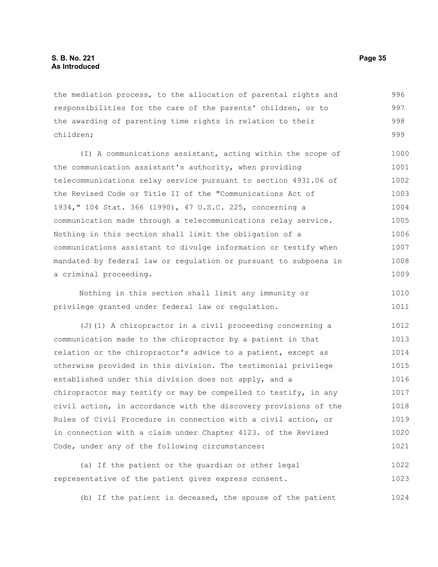the mediation process, to the allocation of parental rights and responsibilities for the care of the parents' children, or to the awarding of parenting time rights in relation to their children; 996 997 998 999

(I) A communications assistant, acting within the scope of the communication assistant's authority, when providing telecommunications relay service pursuant to section 4931.06 of the Revised Code or Title II of the "Communications Act of 1934," 104 Stat. 366 (1990), 47 U.S.C. 225, concerning a communication made through a telecommunications relay service. Nothing in this section shall limit the obligation of a communications assistant to divulge information or testify when mandated by federal law or regulation or pursuant to subpoena in a criminal proceeding. 1000 1001 1002 1003 1004 1005 1006 1007 1008 1009

Nothing in this section shall limit any immunity or privilege granted under federal law or regulation. 1010 1011

(J)(1) A chiropractor in a civil proceeding concerning a communication made to the chiropractor by a patient in that relation or the chiropractor's advice to a patient, except as otherwise provided in this division. The testimonial privilege established under this division does not apply, and a chiropractor may testify or may be compelled to testify, in any civil action, in accordance with the discovery provisions of the Rules of Civil Procedure in connection with a civil action, or in connection with a claim under Chapter 4123. of the Revised Code, under any of the following circumstances: 1012 1013 1014 1015 1016 1017 1018 1019 1020 1021

(a) If the patient or the guardian or other legal representative of the patient gives express consent. 1022 1023

(b) If the patient is deceased, the spouse of the patient 1024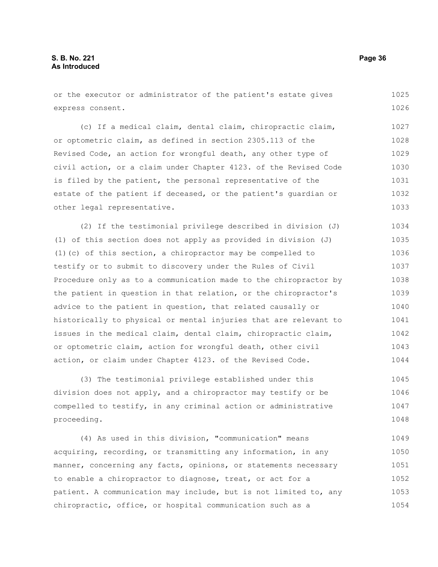or the executor or administrator of the patient's estate gives express consent. 1025 1026

(c) If a medical claim, dental claim, chiropractic claim, or optometric claim, as defined in section 2305.113 of the Revised Code, an action for wrongful death, any other type of civil action, or a claim under Chapter 4123. of the Revised Code is filed by the patient, the personal representative of the estate of the patient if deceased, or the patient's guardian or other legal representative. 1027 1028 1029 1030 1031 1032 1033

(2) If the testimonial privilege described in division (J) (1) of this section does not apply as provided in division (J) (1)(c) of this section, a chiropractor may be compelled to testify or to submit to discovery under the Rules of Civil Procedure only as to a communication made to the chiropractor by the patient in question in that relation, or the chiropractor's advice to the patient in question, that related causally or historically to physical or mental injuries that are relevant to issues in the medical claim, dental claim, chiropractic claim, or optometric claim, action for wrongful death, other civil action, or claim under Chapter 4123. of the Revised Code. 1034 1035 1036 1037 1038 1039 1040 1041 1042 1043 1044

(3) The testimonial privilege established under this division does not apply, and a chiropractor may testify or be compelled to testify, in any criminal action or administrative proceeding. 1045 1046 1047 1048

(4) As used in this division, "communication" means acquiring, recording, or transmitting any information, in any manner, concerning any facts, opinions, or statements necessary to enable a chiropractor to diagnose, treat, or act for a patient. A communication may include, but is not limited to, any chiropractic, office, or hospital communication such as a 1049 1050 1051 1052 1053 1054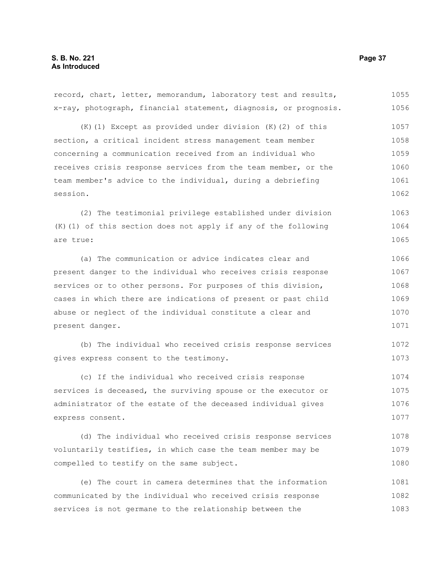record, chart, letter, memorandum, laboratory test and results, x-ray, photograph, financial statement, diagnosis, or prognosis.  $(K)$  (1) Except as provided under division  $(K)$  (2) of this section, a critical incident stress management team member concerning a communication received from an individual who receives crisis response services from the team member, or the team member's advice to the individual, during a debriefing session. (2) The testimonial privilege established under division (K)(1) of this section does not apply if any of the following are true: (a) The communication or advice indicates clear and present danger to the individual who receives crisis response services or to other persons. For purposes of this division, cases in which there are indications of present or past child abuse or neglect of the individual constitute a clear and present danger. (b) The individual who received crisis response services gives express consent to the testimony. (c) If the individual who received crisis response services is deceased, the surviving spouse or the executor or 1055 1056 1057 1058 1059 1060 1061 1062 1063 1064 1065 1066 1067 1068 1069 1070 1071 1072 1073 1074 1075

administrator of the estate of the deceased individual gives express consent. 1076 1077

(d) The individual who received crisis response services voluntarily testifies, in which case the team member may be compelled to testify on the same subject. 1078 1079 1080

(e) The court in camera determines that the information communicated by the individual who received crisis response services is not germane to the relationship between the 1081 1082 1083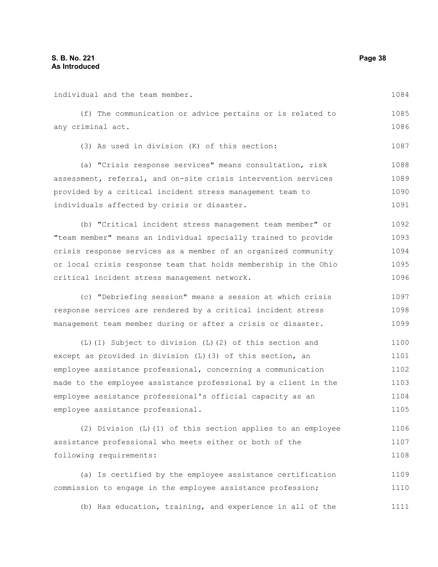| individual and the team member.                                 | 1084 |
|-----------------------------------------------------------------|------|
| (f) The communication or advice pertains or is related to       | 1085 |
| any criminal act.                                               | 1086 |
| (3) As used in division (K) of this section:                    | 1087 |
| (a) "Crisis response services" means consultation, risk         | 1088 |
| assessment, referral, and on-site crisis intervention services  | 1089 |
| provided by a critical incident stress management team to       | 1090 |
| individuals affected by crisis or disaster.                     | 1091 |
| (b) "Critical incident stress management team member" or        | 1092 |
| "team member" means an individual specially trained to provide  | 1093 |
| crisis response services as a member of an organized community  | 1094 |
| or local crisis response team that holds membership in the Ohio | 1095 |
| critical incident stress management network.                    | 1096 |
| (c) "Debriefing session" means a session at which crisis        | 1097 |
| response services are rendered by a critical incident stress    | 1098 |
| management team member during or after a crisis or disaster.    | 1099 |
| (L) (1) Subject to division (L) (2) of this section and         | 1100 |
| except as provided in division $(L)$ (3) of this section, an    | 1101 |
| employee assistance professional, concerning a communication    | 1102 |
| made to the employee assistance professional by a client in the | 1103 |
| employee assistance professional's official capacity as an      | 1104 |
| employee assistance professional.                               | 1105 |
| (2) Division (L) (1) of this section applies to an employee     | 1106 |
| assistance professional who meets either or both of the         | 1107 |
| following requirements:                                         | 1108 |
| (a) Is certified by the employee assistance certification       | 1109 |
| commission to engage in the employee assistance profession;     | 1110 |
| (b) Has education, training, and experience in all of the       | 1111 |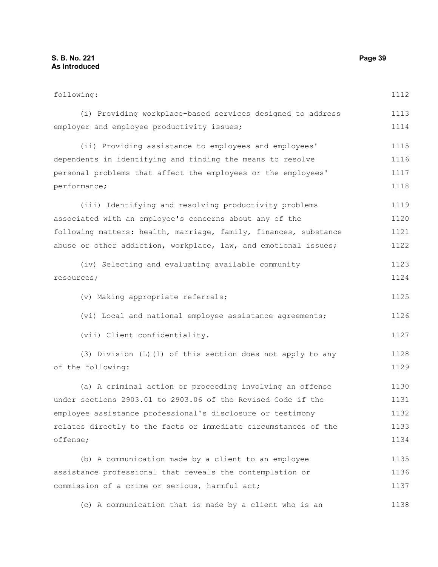## **S. B. No. 221 Page 39 As Introduced**

following: (i) Providing workplace-based services designed to address employer and employee productivity issues; (ii) Providing assistance to employees and employees' dependents in identifying and finding the means to resolve personal problems that affect the employees or the employees' performance; (iii) Identifying and resolving productivity problems associated with an employee's concerns about any of the following matters: health, marriage, family, finances, substance abuse or other addiction, workplace, law, and emotional issues; (iv) Selecting and evaluating available community resources; (v) Making appropriate referrals; (vi) Local and national employee assistance agreements; (vii) Client confidentiality. (3) Division (L)(1) of this section does not apply to any of the following: (a) A criminal action or proceeding involving an offense under sections 2903.01 to 2903.06 of the Revised Code if the employee assistance professional's disclosure or testimony relates directly to the facts or immediate circumstances of the offense; (b) A communication made by a client to an employee assistance professional that reveals the contemplation or commission of a crime or serious, harmful act; (c) A communication that is made by a client who is an 1112 1113 1114 1115 1116 1117 1118 1119 1120 1121 1122 1123 1124 1125 1126 1127 1128 1129 1130 1131 1132 1133 1134 1135 1136 1137 1138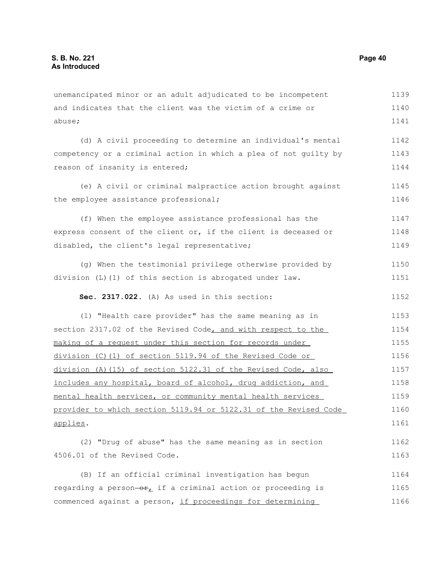unemancipated minor or an adult adjudicated to be incompetent and indicates that the client was the victim of a crime or abuse; (d) A civil proceeding to determine an individual's mental competency or a criminal action in which a plea of not guilty by reason of insanity is entered; (e) A civil or criminal malpractice action brought against the employee assistance professional; (f) When the employee assistance professional has the express consent of the client or, if the client is deceased or disabled, the client's legal representative; (g) When the testimonial privilege otherwise provided by division (L)(1) of this section is abrogated under law. **Sec. 2317.022.** (A) As used in this section: (1) "Health care provider" has the same meaning as in section 2317.02 of the Revised Code, and with respect to the making of a request under this section for records under division (C)(1) of section 5119.94 of the Revised Code or division (A)(15) of section 5122.31 of the Revised Code, also includes any hospital, board of alcohol, drug addiction, and mental health services, or community mental health services provider to which section 5119.94 or 5122.31 of the Revised Code applies. (2) "Drug of abuse" has the same meaning as in section 4506.01 of the Revised Code. (B) If an official criminal investigation has begun regarding a person- $\Theta r_L$  if a criminal action or proceeding is commenced against a person, if proceedings for determining 1139 1140 1141 1142 1143 1144 1145 1146 1147 1148 1149 1150 1151 1152 1153 1154 1155 1156 1157 1158 1159 1160 1161 1162 1163 1164 1165 1166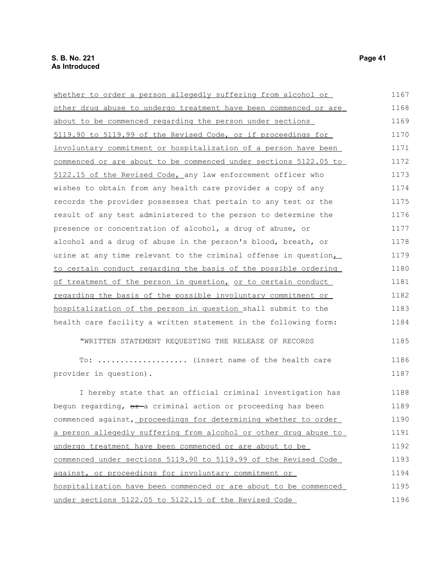| whether to order a person allegedly suffering from alcohol or    | 1167 |
|------------------------------------------------------------------|------|
| other drug abuse to undergo treatment have been commenced or are | 1168 |
| about to be commenced regarding the person under sections        | 1169 |
| 5119.90 to 5119.99 of the Revised Code, or if proceedings for    | 1170 |
| involuntary commitment or hospitalization of a person have been  | 1171 |
| commenced or are about to be commenced under sections 5122.05 to | 1172 |
| 5122.15 of the Revised Code, any law enforcement officer who     | 1173 |
| wishes to obtain from any health care provider a copy of any     | 1174 |
| records the provider possesses that pertain to any test or the   | 1175 |
| result of any test administered to the person to determine the   | 1176 |
| presence or concentration of alcohol, a drug of abuse, or        | 1177 |
| alcohol and a drug of abuse in the person's blood, breath, or    | 1178 |
| urine at any time relevant to the criminal offense in question,  | 1179 |
| to certain conduct regarding the basis of the possible ordering  | 1180 |
| of treatment of the person in question, or to certain conduct    | 1181 |
| regarding the basis of the possible involuntary commitment or    | 1182 |
| hospitalization of the person in question shall submit to the    | 1183 |
| health care facility a written statement in the following form:  | 1184 |
| "WRITTEN STATEMENT REQUESTING THE RELEASE OF RECORDS             | 1185 |
| To:  (insert name of the health care                             | 1186 |
| provider in question).                                           | 1187 |
| I hereby state that an official criminal investigation has       | 1188 |
| begun regarding, or a criminal action or proceeding has been     | 1189 |
| commenced against, proceedings for determining whether to order  | 1190 |
| a person allegedly suffering from alcohol or other drug abuse to | 1191 |
| undergo treatment have been commenced or are about to be         | 1192 |
| commenced under sections 5119.90 to 5119.99 of the Revised Code  | 1193 |
| against, or proceedings for involuntary commitment or            | 1194 |
| hospitalization have been commenced or are about to be commenced | 1195 |
| under sections 5122.05 to 5122.15 of the Revised Code            | 1196 |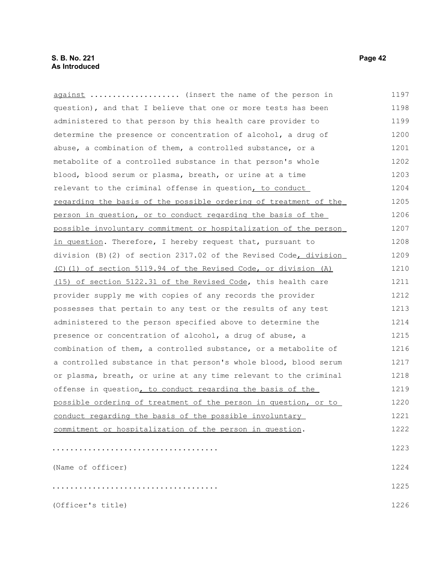# **S. B. No. 221 Page 42 As Introduced**

against .................... (insert the name of the person in question), and that I believe that one or more tests has been administered to that person by this health care provider to determine the presence or concentration of alcohol, a drug of abuse, a combination of them, a controlled substance, or a metabolite of a controlled substance in that person's whole blood, blood serum or plasma, breath, or urine at a time relevant to the criminal offense in question, to conduct regarding the basis of the possible ordering of treatment of the person in question, or to conduct regarding the basis of the possible involuntary commitment or hospitalization of the person in question. Therefore, I hereby request that, pursuant to division  $(B)$  (2) of section 2317.02 of the Revised Code, division (C)(1) of section 5119.94 of the Revised Code, or division (A) (15) of section 5122.31 of the Revised Code, this health care provider supply me with copies of any records the provider possesses that pertain to any test or the results of any test administered to the person specified above to determine the presence or concentration of alcohol, a drug of abuse, a combination of them, a controlled substance, or a metabolite of a controlled substance in that person's whole blood, blood serum or plasma, breath, or urine at any time relevant to the criminal offense in question, to conduct regarding the basis of the possible ordering of treatment of the person in question, or to conduct regarding the basis of the possible involuntary commitment or hospitalization of the person in question. ..................................... (Name of officer) ..................................... (Officer's title) 1197 1198 1199 1200 1201 1202 1203 1204 1205 1206 1207 1208 1209 1210 1211 1212 1213 1214 1215 1216 1217 1218 1219 1220 1221 1222 1223 1224 1225 1226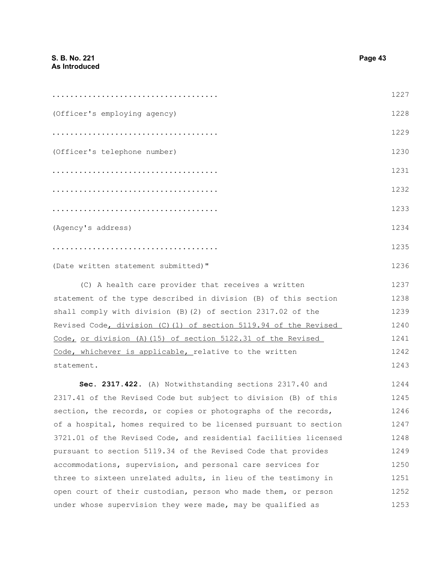|                                     | 1227 |
|-------------------------------------|------|
| (Officer's employing agency)        | 1228 |
|                                     | 1229 |
| (Officer's telephone number)        | 1230 |
|                                     | 1231 |
|                                     | 1232 |
|                                     | 1233 |
| (Agency's address)                  | 1234 |
|                                     | 1235 |
| (Date written statement submitted)" | 1236 |

(C) A health care provider that receives a written statement of the type described in division (B) of this section shall comply with division (B)(2) of section 2317.02 of the Revised Code, division (C)(1) of section 5119.94 of the Revised Code, or division (A)(15) of section 5122.31 of the Revised Code, whichever is applicable, relative to the written statement. 1237 1238 1239 1240 1241 1242 1243

**Sec. 2317.422.** (A) Notwithstanding sections 2317.40 and 2317.41 of the Revised Code but subject to division (B) of this section, the records, or copies or photographs of the records, of a hospital, homes required to be licensed pursuant to section 3721.01 of the Revised Code, and residential facilities licensed pursuant to section 5119.34 of the Revised Code that provides accommodations, supervision, and personal care services for three to sixteen unrelated adults, in lieu of the testimony in open court of their custodian, person who made them, or person under whose supervision they were made, may be qualified as 1244 1245 1246 1247 1248 1249 1250 1251 1252 1253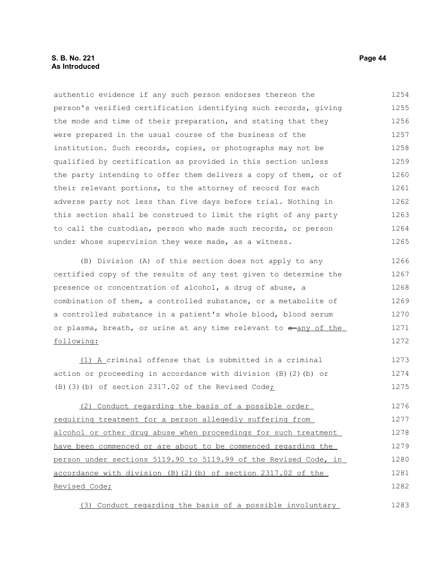# **S. B. No. 221 Page 44 As Introduced**

authentic evidence if any such person endorses thereon the person's verified certification identifying such records, giving the mode and time of their preparation, and stating that they were prepared in the usual course of the business of the institution. Such records, copies, or photographs may not be qualified by certification as provided in this section unless the party intending to offer them delivers a copy of them, or of their relevant portions, to the attorney of record for each adverse party not less than five days before trial. Nothing in this section shall be construed to limit the right of any party to call the custodian, person who made such records, or person under whose supervision they were made, as a witness. 1254 1255 1256 1257 1258 1259 1260 1261 1262 1263 1264 1265

(B) Division (A) of this section does not apply to any certified copy of the results of any test given to determine the presence or concentration of alcohol, a drug of abuse, a combination of them, a controlled substance, or a metabolite of a controlled substance in a patient's whole blood, blood serum or plasma, breath, or urine at any time relevant to  $a$ -any of the following: 1266 1267 1268 1269 1270 1271 1272

 (1) Acriminal offense that is submitted in a criminal action or proceeding in accordance with division (B)(2)(b) or (B)(3)(b) of section 2317.02 of the Revised Code; 1273 1274 1275

 (2) Conduct regarding the basis of a possible order requiring treatment for a person allegedly suffering from alcohol or other drug abuse when proceedings for such treatment have been commenced or are about to be commenced regarding the person under sections 5119.90 to 5119.99 of the Revised Code, in accordance with division (B)(2)(b) of section 2317.02 of the Revised Code; 1276 1277 1278 1279 1280 1281 1282

 (3) Conduct regarding the basis of a possible involuntary 1283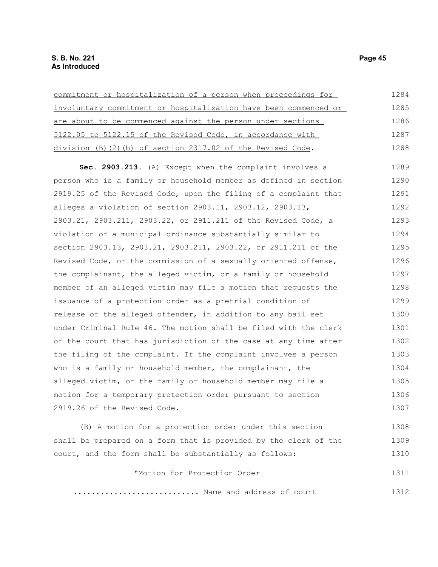| commitment or hospitalization of a person when proceedings for     | 1284 |
|--------------------------------------------------------------------|------|
| involuntary commitment or hospitalization have been commenced or   | 1285 |
| are about to be commenced against the person under sections        | 1286 |
| 5122.05 to 5122.15 of the Revised Code, in accordance with         | 1287 |
| division $(B)$ $(2)$ $(b)$ of section 2317.02 of the Revised Code. | 1288 |

**Sec. 2903.213.** (A) Except when the complaint involves a person who is a family or household member as defined in section 2919.25 of the Revised Code, upon the filing of a complaint that alleges a violation of section 2903.11, 2903.12, 2903.13, 2903.21, 2903.211, 2903.22, or 2911.211 of the Revised Code, a violation of a municipal ordinance substantially similar to section 2903.13, 2903.21, 2903.211, 2903.22, or 2911.211 of the Revised Code, or the commission of a sexually oriented offense, the complainant, the alleged victim, or a family or household member of an alleged victim may file a motion that requests the issuance of a protection order as a pretrial condition of release of the alleged offender, in addition to any bail set under Criminal Rule 46. The motion shall be filed with the clerk of the court that has jurisdiction of the case at any time after the filing of the complaint. If the complaint involves a person who is a family or household member, the complainant, the alleged victim, or the family or household member may file a motion for a temporary protection order pursuant to section 2919.26 of the Revised Code. 1289 1290 1291 1292 1293 1294 1295 1296 1297 1298 1299 1300 1301 1302 1303 1304 1305 1306 1307

(B) A motion for a protection order under this section shall be prepared on a form that is provided by the clerk of the court, and the form shall be substantially as follows: 1308 1309 1310

> "Motion for Protection Order 1311

........................... Name and address of court 1312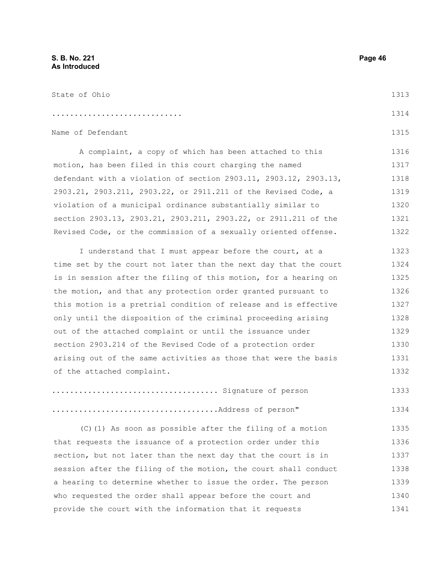| State of Ohio                                                             | 1313 |
|---------------------------------------------------------------------------|------|
|                                                                           | 1314 |
| Name of Defendant                                                         | 1315 |
| A complaint, a copy of which has been attached to this                    | 1316 |
| motion, has been filed in this court charging the named                   | 1317 |
| defendant with a violation of section $2903.11$ , $2903.12$ , $2903.13$ , | 1318 |
| 2903.21, 2903.211, 2903.22, or 2911.211 of the Revised Code, a            | 1319 |
| violation of a municipal ordinance substantially similar to               | 1320 |
| section 2903.13, 2903.21, 2903.211, 2903.22, or 2911.211 of the           | 1321 |
| Revised Code, or the commission of a sexually oriented offense.           | 1322 |

I understand that I must appear before the court, at a time set by the court not later than the next day that the court is in session after the filing of this motion, for a hearing on the motion, and that any protection order granted pursuant to this motion is a pretrial condition of release and is effective only until the disposition of the criminal proceeding arising out of the attached complaint or until the issuance under section 2903.214 of the Revised Code of a protection order arising out of the same activities as those that were the basis of the attached complaint. 1323 1324 1325 1326 1327 1328 1329 1330 1331 1332

| Signature of person | 1333 |
|---------------------|------|
| Address of person"  | 1334 |

(C)(1) As soon as possible after the filing of a motion that requests the issuance of a protection order under this section, but not later than the next day that the court is in session after the filing of the motion, the court shall conduct a hearing to determine whether to issue the order. The person who requested the order shall appear before the court and provide the court with the information that it requests 1335 1336 1337 1338 1339 1340 1341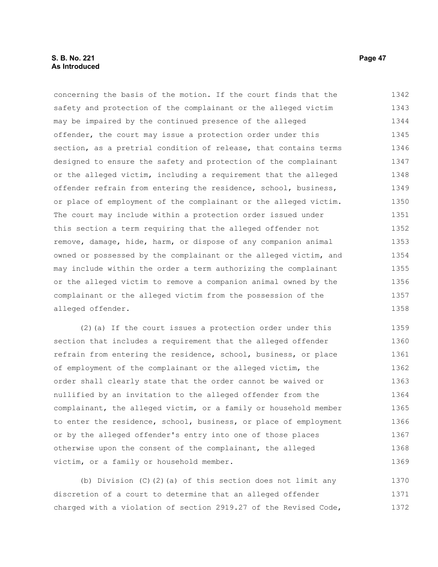concerning the basis of the motion. If the court finds that the safety and protection of the complainant or the alleged victim may be impaired by the continued presence of the alleged offender, the court may issue a protection order under this section, as a pretrial condition of release, that contains terms designed to ensure the safety and protection of the complainant or the alleged victim, including a requirement that the alleged offender refrain from entering the residence, school, business, or place of employment of the complainant or the alleged victim. The court may include within a protection order issued under this section a term requiring that the alleged offender not remove, damage, hide, harm, or dispose of any companion animal owned or possessed by the complainant or the alleged victim, and may include within the order a term authorizing the complainant or the alleged victim to remove a companion animal owned by the complainant or the alleged victim from the possession of the alleged offender. 1342 1343 1344 1345 1346 1347 1348 1349 1350 1351 1352 1353 1354 1355 1356 1357 1358

(2)(a) If the court issues a protection order under this section that includes a requirement that the alleged offender refrain from entering the residence, school, business, or place of employment of the complainant or the alleged victim, the order shall clearly state that the order cannot be waived or nullified by an invitation to the alleged offender from the complainant, the alleged victim, or a family or household member to enter the residence, school, business, or place of employment or by the alleged offender's entry into one of those places otherwise upon the consent of the complainant, the alleged victim, or a family or household member. 1359 1360 1361 1362 1363 1364 1365 1366 1367 1368 1369

(b) Division (C)(2)(a) of this section does not limit any discretion of a court to determine that an alleged offender charged with a violation of section 2919.27 of the Revised Code, 1370 1371 1372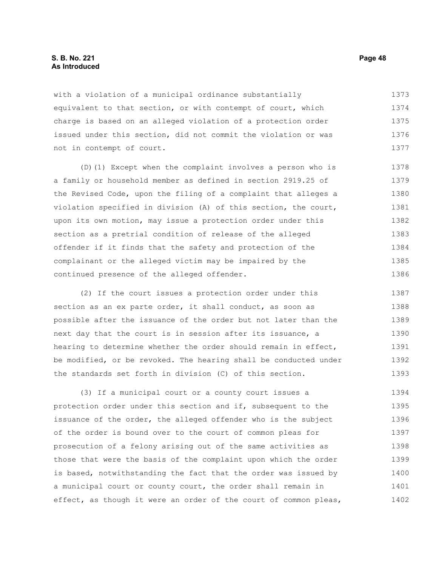### **S. B. No. 221 Page 48 As Introduced**

with a violation of a municipal ordinance substantially equivalent to that section, or with contempt of court, which charge is based on an alleged violation of a protection order issued under this section, did not commit the violation or was not in contempt of court. 1373 1374 1375 1376 1377

(D)(1) Except when the complaint involves a person who is a family or household member as defined in section 2919.25 of the Revised Code, upon the filing of a complaint that alleges a violation specified in division (A) of this section, the court, upon its own motion, may issue a protection order under this section as a pretrial condition of release of the alleged offender if it finds that the safety and protection of the complainant or the alleged victim may be impaired by the continued presence of the alleged offender. 1378 1379 1380 1381 1382 1383 1384 1385 1386

(2) If the court issues a protection order under this section as an ex parte order, it shall conduct, as soon as possible after the issuance of the order but not later than the next day that the court is in session after its issuance, a hearing to determine whether the order should remain in effect, be modified, or be revoked. The hearing shall be conducted under the standards set forth in division (C) of this section. 1387 1388 1389 1390 1391 1392 1393

(3) If a municipal court or a county court issues a protection order under this section and if, subsequent to the issuance of the order, the alleged offender who is the subject of the order is bound over to the court of common pleas for prosecution of a felony arising out of the same activities as those that were the basis of the complaint upon which the order is based, notwithstanding the fact that the order was issued by a municipal court or county court, the order shall remain in effect, as though it were an order of the court of common pleas, 1394 1395 1396 1397 1398 1399 1400 1401 1402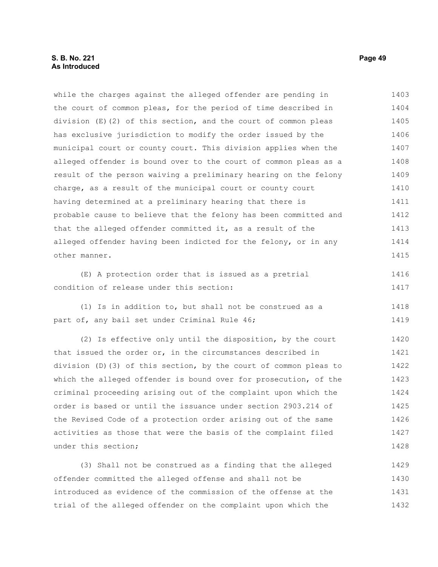# **S. B. No. 221 Page 49 As Introduced**

while the charges against the alleged offender are pending in the court of common pleas, for the period of time described in division (E)(2) of this section, and the court of common pleas has exclusive jurisdiction to modify the order issued by the municipal court or county court. This division applies when the alleged offender is bound over to the court of common pleas as a result of the person waiving a preliminary hearing on the felony charge, as a result of the municipal court or county court having determined at a preliminary hearing that there is probable cause to believe that the felony has been committed and that the alleged offender committed it, as a result of the alleged offender having been indicted for the felony, or in any other manner. 1403 1404 1405 1406 1407 1408 1409 1410 1411 1412 1413 1414 1415

(E) A protection order that is issued as a pretrial condition of release under this section: 1416 1417

(1) Is in addition to, but shall not be construed as a part of, any bail set under Criminal Rule 46; 1418 1419

(2) Is effective only until the disposition, by the court that issued the order or, in the circumstances described in division (D)(3) of this section, by the court of common pleas to which the alleged offender is bound over for prosecution, of the criminal proceeding arising out of the complaint upon which the order is based or until the issuance under section 2903.214 of the Revised Code of a protection order arising out of the same activities as those that were the basis of the complaint filed under this section; 1420 1421 1422 1423 1424 1425 1426 1427 1428

(3) Shall not be construed as a finding that the alleged offender committed the alleged offense and shall not be introduced as evidence of the commission of the offense at the trial of the alleged offender on the complaint upon which the 1429 1430 1431 1432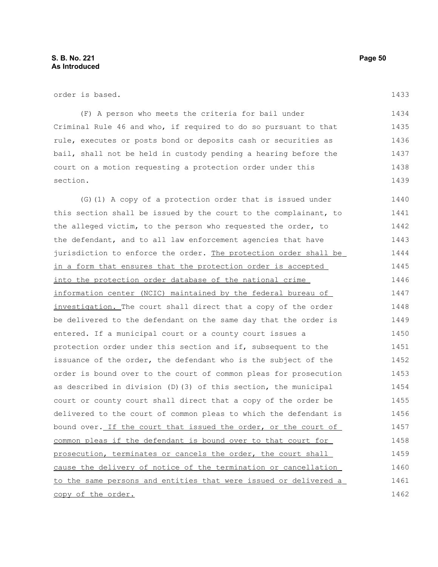| order is based. |  |
|-----------------|--|
|-----------------|--|

1433

(F) A person who meets the criteria for bail under Criminal Rule 46 and who, if required to do so pursuant to that rule, executes or posts bond or deposits cash or securities as bail, shall not be held in custody pending a hearing before the court on a motion requesting a protection order under this section. 1434 1435 1436 1437 1438 1439

(G)(1) A copy of a protection order that is issued under this section shall be issued by the court to the complainant, to the alleged victim, to the person who requested the order, to the defendant, and to all law enforcement agencies that have jurisdiction to enforce the order. The protection order shall be in a form that ensures that the protection order is accepted into the protection order database of the national crime information center (NCIC) maintained by the federal bureau of investigation. The court shall direct that a copy of the order be delivered to the defendant on the same day that the order is entered. If a municipal court or a county court issues a protection order under this section and if, subsequent to the issuance of the order, the defendant who is the subject of the order is bound over to the court of common pleas for prosecution as described in division (D)(3) of this section, the municipal court or county court shall direct that a copy of the order be delivered to the court of common pleas to which the defendant is bound over. If the court that issued the order, or the court of common pleas if the defendant is bound over to that court for prosecution, terminates or cancels the order, the court shall cause the delivery of notice of the termination or cancellation to the same persons and entities that were issued or delivered a copy of the order. 1440 1441 1442 1443 1444 1445 1446 1447 1448 1449 1450 1451 1452 1453 1454 1455 1456 1457 1458 1459 1460 1461 1462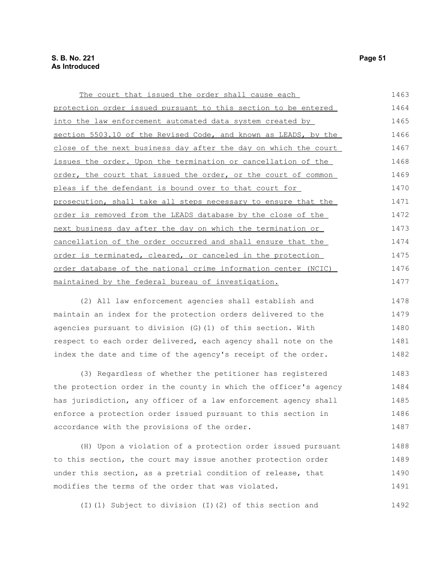| The court that issued the order shall cause each                   | 1463 |
|--------------------------------------------------------------------|------|
| protection order issued pursuant to this section to be entered     | 1464 |
| into the law enforcement automated data system created by          | 1465 |
| section 5503.10 of the Revised Code, and known as LEADS, by the    | 1466 |
| close of the next business day after the day on which the court    | 1467 |
| issues the order. Upon the termination or cancellation of the      | 1468 |
| order, the court that issued the order, or the court of common     | 1469 |
| pleas if the defendant is bound over to that court for             | 1470 |
| prosecution, shall take all steps necessary to ensure that the     | 1471 |
| order is removed from the LEADS database by the close of the       | 1472 |
| next business day after the day on which the termination or        | 1473 |
| cancellation of the order occurred and shall ensure that the       | 1474 |
| <u>order is terminated, cleared, or canceled in the protection</u> | 1475 |
| order database of the national crime information center (NCIC)     | 1476 |
| maintained by the federal bureau of investigation.                 | 1477 |
|                                                                    |      |

(2) All law enforcement agencies shall establish and maintain an index for the protection orders delivered to the agencies pursuant to division (G)(1) of this section. With respect to each order delivered, each agency shall note on the index the date and time of the agency's receipt of the order. 1478 1479 1480 1481 1482

(3) Regardless of whether the petitioner has registered the protection order in the county in which the officer's agency has jurisdiction, any officer of a law enforcement agency shall enforce a protection order issued pursuant to this section in accordance with the provisions of the order. 1483 1484 1485 1486 1487

(H) Upon a violation of a protection order issued pursuant to this section, the court may issue another protection order under this section, as a pretrial condition of release, that modifies the terms of the order that was violated. 1488 1489 1490 1491

(I)(1) Subject to division (I)(2) of this section and 1492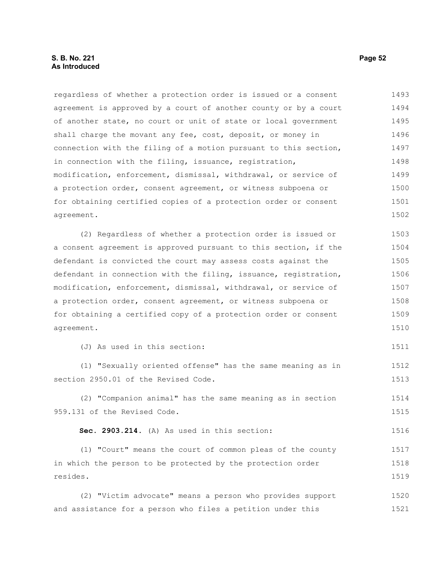## **S. B. No. 221 Page 52 As Introduced**

regardless of whether a protection order is issued or a consent agreement is approved by a court of another county or by a court of another state, no court or unit of state or local government shall charge the movant any fee, cost, deposit, or money in connection with the filing of a motion pursuant to this section, in connection with the filing, issuance, registration, modification, enforcement, dismissal, withdrawal, or service of a protection order, consent agreement, or witness subpoena or for obtaining certified copies of a protection order or consent agreement. 1493 1494 1495 1496 1497 1498 1499 1500 1501 1502

(2) Regardless of whether a protection order is issued or a consent agreement is approved pursuant to this section, if the defendant is convicted the court may assess costs against the defendant in connection with the filing, issuance, registration, modification, enforcement, dismissal, withdrawal, or service of a protection order, consent agreement, or witness subpoena or for obtaining a certified copy of a protection order or consent agreement. 1503 1504 1505 1506 1507 1508 1509 1510

(J) As used in this section:

(1) "Sexually oriented offense" has the same meaning as in section 2950.01 of the Revised Code. 1512 1513

(2) "Companion animal" has the same meaning as in section 959.131 of the Revised Code. 1514 1515

**Sec. 2903.214.** (A) As used in this section: 1516

(1) "Court" means the court of common pleas of the county in which the person to be protected by the protection order resides. 1517 1518 1519

(2) "Victim advocate" means a person who provides support and assistance for a person who files a petition under this 1520 1521

1511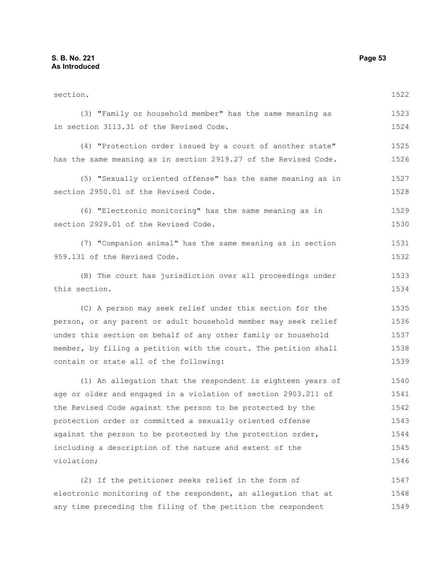# **S. B. No. 221 Page 53 As Introduced**

| section.                                                        | 1522 |
|-----------------------------------------------------------------|------|
| (3) "Family or household member" has the same meaning as        | 1523 |
| in section 3113.31 of the Revised Code.                         | 1524 |
| (4) "Protection order issued by a court of another state"       | 1525 |
| has the same meaning as in section 2919.27 of the Revised Code. | 1526 |
| (5) "Sexually oriented offense" has the same meaning as in      | 1527 |
| section 2950.01 of the Revised Code.                            | 1528 |
| (6) "Electronic monitoring" has the same meaning as in          | 1529 |
| section 2929.01 of the Revised Code.                            | 1530 |
| (7) "Companion animal" has the same meaning as in section       | 1531 |
| 959.131 of the Revised Code.                                    | 1532 |
| (B) The court has jurisdiction over all proceedings under       | 1533 |
| this section.                                                   | 1534 |
| (C) A person may seek relief under this section for the         | 1535 |
| person, or any parent or adult household member may seek relief | 1536 |
| under this section on behalf of any other family or household   | 1537 |
| member, by filing a petition with the court. The petition shall | 1538 |
| contain or state all of the following:                          | 1539 |
| (1) An allegation that the respondent is eighteen years of      | 1540 |
| age or older and engaged in a violation of section 2903.211 of  | 1541 |
| the Revised Code against the person to be protected by the      | 1542 |
| protection order or committed a sexually oriented offense       | 1543 |
| against the person to be protected by the protection order,     | 1544 |
| including a description of the nature and extent of the         | 1545 |
| violation;                                                      | 1546 |
| (2) If the petitioner seeks relief in the form of               | 1547 |
| electronic monitoring of the respondent, an allegation that at  | 1548 |
| any time preceding the filing of the petition the respondent    | 1549 |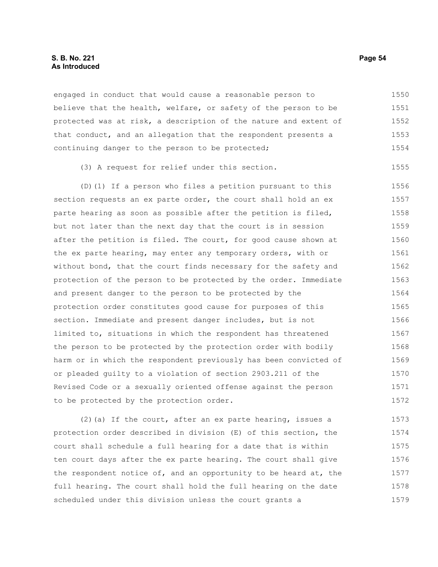#### **S. B. No. 221 Page 54 As Introduced**

engaged in conduct that would cause a reasonable person to believe that the health, welfare, or safety of the person to be protected was at risk, a description of the nature and extent of that conduct, and an allegation that the respondent presents a continuing danger to the person to be protected; 1550 1551 1552 1553 1554

(3) A request for relief under this section. 1555

(D)(1) If a person who files a petition pursuant to this section requests an ex parte order, the court shall hold an ex parte hearing as soon as possible after the petition is filed, but not later than the next day that the court is in session after the petition is filed. The court, for good cause shown at the ex parte hearing, may enter any temporary orders, with or without bond, that the court finds necessary for the safety and protection of the person to be protected by the order. Immediate and present danger to the person to be protected by the protection order constitutes good cause for purposes of this section. Immediate and present danger includes, but is not limited to, situations in which the respondent has threatened the person to be protected by the protection order with bodily harm or in which the respondent previously has been convicted of or pleaded guilty to a violation of section 2903.211 of the Revised Code or a sexually oriented offense against the person to be protected by the protection order. 1556 1557 1558 1559 1560 1561 1562 1563 1564 1565 1566 1567 1568 1569 1570 1571 1572

 $(2)$  (a) If the court, after an ex parte hearing, issues a protection order described in division (E) of this section, the court shall schedule a full hearing for a date that is within ten court days after the ex parte hearing. The court shall give the respondent notice of, and an opportunity to be heard at, the full hearing. The court shall hold the full hearing on the date scheduled under this division unless the court grants a 1573 1574 1575 1576 1577 1578 1579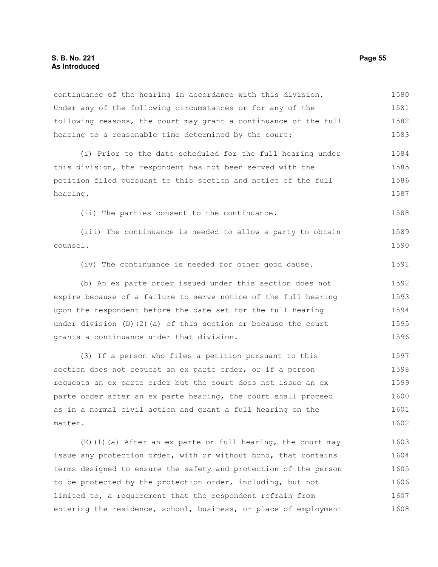# **S. B. No. 221 Page 55 As Introduced**

continuance of the hearing in accordance with this division. Under any of the following circumstances or for any of the following reasons, the court may grant a continuance of the full hearing to a reasonable time determined by the court: 1580 1581 1582 1583

(i) Prior to the date scheduled for the full hearing under this division, the respondent has not been served with the petition filed pursuant to this section and notice of the full hearing. 1584 1585 1586 1587

(ii) The parties consent to the continuance.

(iii) The continuance is needed to allow a party to obtain counsel. 1589 1590

(iv) The continuance is needed for other good cause.

(b) An ex parte order issued under this section does not expire because of a failure to serve notice of the full hearing upon the respondent before the date set for the full hearing under division  $(D)$   $(2)$   $(a)$  of this section or because the court grants a continuance under that division. 1592 1593 1594 1595 1596

(3) If a person who files a petition pursuant to this section does not request an ex parte order, or if a person requests an ex parte order but the court does not issue an ex parte order after an ex parte hearing, the court shall proceed as in a normal civil action and grant a full hearing on the matter. 1597 1598 1599 1600 1601 1602

 $(E)$ (1)(a) After an ex parte or full hearing, the court may issue any protection order, with or without bond, that contains terms designed to ensure the safety and protection of the person to be protected by the protection order, including, but not limited to, a requirement that the respondent refrain from entering the residence, school, business, or place of employment 1603 1604 1605 1606 1607 1608

1588

1591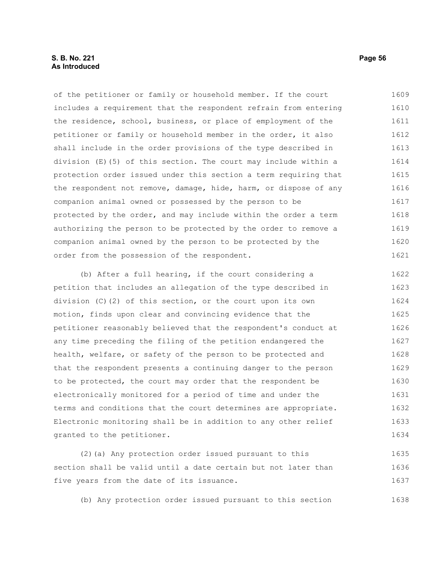# **S. B. No. 221 Page 56 As Introduced**

of the petitioner or family or household member. If the court includes a requirement that the respondent refrain from entering the residence, school, business, or place of employment of the petitioner or family or household member in the order, it also shall include in the order provisions of the type described in division (E)(5) of this section. The court may include within a protection order issued under this section a term requiring that the respondent not remove, damage, hide, harm, or dispose of any companion animal owned or possessed by the person to be protected by the order, and may include within the order a term authorizing the person to be protected by the order to remove a companion animal owned by the person to be protected by the order from the possession of the respondent. (b) After a full hearing, if the court considering a petition that includes an allegation of the type described in division (C)(2) of this section, or the court upon its own motion, finds upon clear and convincing evidence that the petitioner reasonably believed that the respondent's conduct at any time preceding the filing of the petition endangered the 1609 1610 1611 1612 1613 1614 1615 1616 1617 1618 1619 1620 1621 1622 1623 1624 1625 1626 1627

health, welfare, or safety of the person to be protected and that the respondent presents a continuing danger to the person to be protected, the court may order that the respondent be electronically monitored for a period of time and under the terms and conditions that the court determines are appropriate. Electronic monitoring shall be in addition to any other relief granted to the petitioner. 1628 1629 1630 1631 1632 1633 1634

(2)(a) Any protection order issued pursuant to this section shall be valid until a date certain but not later than five years from the date of its issuance. 1635 1636 1637

(b) Any protection order issued pursuant to this section

1638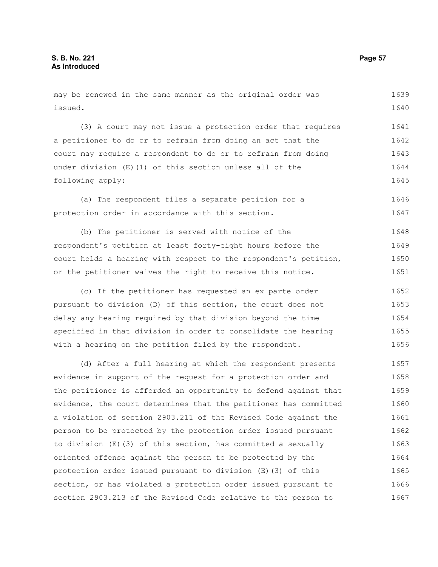may be renewed in the same manner as the original order was issued. (3) A court may not issue a protection order that requires a petitioner to do or to refrain from doing an act that the court may require a respondent to do or to refrain from doing under division (E)(1) of this section unless all of the following apply: (a) The respondent files a separate petition for a protection order in accordance with this section. (b) The petitioner is served with notice of the respondent's petition at least forty-eight hours before the court holds a hearing with respect to the respondent's petition, or the petitioner waives the right to receive this notice. (c) If the petitioner has requested an ex parte order pursuant to division (D) of this section, the court does not delay any hearing required by that division beyond the time specified in that division in order to consolidate the hearing with a hearing on the petition filed by the respondent. (d) After a full hearing at which the respondent presents evidence in support of the request for a protection order and 1639 1640 1641 1642 1643 1644 1645 1646 1647 1648 1649 1650 1651 1652 1653 1654 1655 1656 1657 1658

the petitioner is afforded an opportunity to defend against that evidence, the court determines that the petitioner has committed a violation of section 2903.211 of the Revised Code against the person to be protected by the protection order issued pursuant to division (E)(3) of this section, has committed a sexually oriented offense against the person to be protected by the protection order issued pursuant to division (E)(3) of this section, or has violated a protection order issued pursuant to section 2903.213 of the Revised Code relative to the person to 1659 1660 1661 1662 1663 1664 1665 1666 1667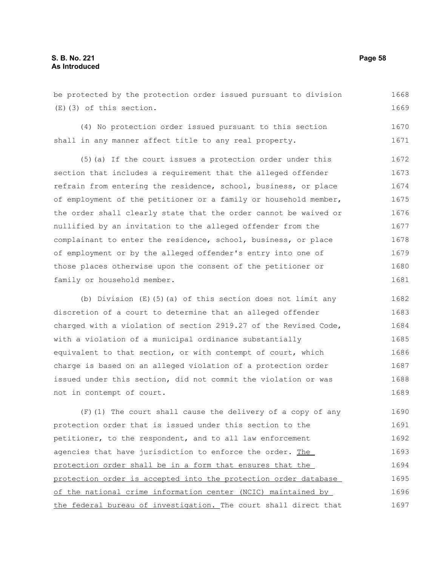# **S. B. No. 221 Page 58 As Introduced**

be protected by the protection order issued pursuant to division (E)(3) of this section. 1668 1669

(4) No protection order issued pursuant to this section shall in any manner affect title to any real property. 1670 1671

(5)(a) If the court issues a protection order under this section that includes a requirement that the alleged offender refrain from entering the residence, school, business, or place of employment of the petitioner or a family or household member, the order shall clearly state that the order cannot be waived or nullified by an invitation to the alleged offender from the complainant to enter the residence, school, business, or place of employment or by the alleged offender's entry into one of those places otherwise upon the consent of the petitioner or family or household member. 1672 1673 1674 1675 1676 1677 1678 1679 1680 1681

(b) Division (E)(5)(a) of this section does not limit any discretion of a court to determine that an alleged offender charged with a violation of section 2919.27 of the Revised Code, with a violation of a municipal ordinance substantially equivalent to that section, or with contempt of court, which charge is based on an alleged violation of a protection order issued under this section, did not commit the violation or was not in contempt of court. 1682 1683 1684 1685 1686 1687 1688 1689

 $(F)$  (1) The court shall cause the delivery of a copy of any protection order that is issued under this section to the petitioner, to the respondent, and to all law enforcement agencies that have jurisdiction to enforce the order. The protection order shall be in a form that ensures that the protection order is accepted into the protection order database of the national crime information center (NCIC) maintained by the federal bureau of investigation. The court shall direct that 1690 1691 1692 1693 1694 1695 1696 1697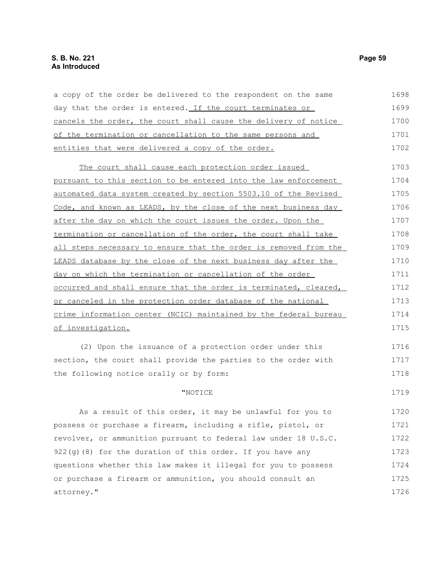| a copy of the order be delivered to the respondent on the same   | 1698 |
|------------------------------------------------------------------|------|
| day that the order is entered. If the court terminates or        | 1699 |
| cancels the order, the court shall cause the delivery of notice  | 1700 |
| of the termination or cancellation to the same persons and       | 1701 |
| entities that were delivered a copy of the order.                | 1702 |
| The court shall cause each protection order issued               | 1703 |
| pursuant to this section to be entered into the law enforcement  | 1704 |
| automated data system created by section 5503.10 of the Revised  | 1705 |
| Code, and known as LEADS, by the close of the next business day  | 1706 |
| after the day on which the court issues the order. Upon the      | 1707 |
| termination or cancellation of the order, the court shall take   | 1708 |
| all steps necessary to ensure that the order is removed from the | 1709 |
| LEADS database by the close of the next business day after the   | 1710 |
| day on which the termination or cancellation of the order        | 1711 |
| occurred and shall ensure that the order is terminated, cleared, | 1712 |
| or canceled in the protection order database of the national     | 1713 |
| crime information center (NCIC) maintained by the federal bureau | 1714 |
| of investigation.                                                | 1715 |
| (2) Upon the issuance of a protection order under this           | 1716 |
| section, the court shall provide the parties to the order with   | 1717 |
| the following notice orally or by form:                          | 1718 |
| "NOTICE                                                          | 1719 |
| As a result of this order, it may be unlawful for you to         | 1720 |
| possess or purchase a firearm, including a rifle, pistol, or     | 1721 |
| revolver, or ammunition pursuant to federal law under 18 U.S.C.  | 1722 |
| $922(g)$ (8) for the duration of this order. If you have any     | 1723 |
| questions whether this law makes it illegal for you to possess   | 1724 |
| or purchase a firearm or ammunition, you should consult an       | 1725 |
| attorney."                                                       | 1726 |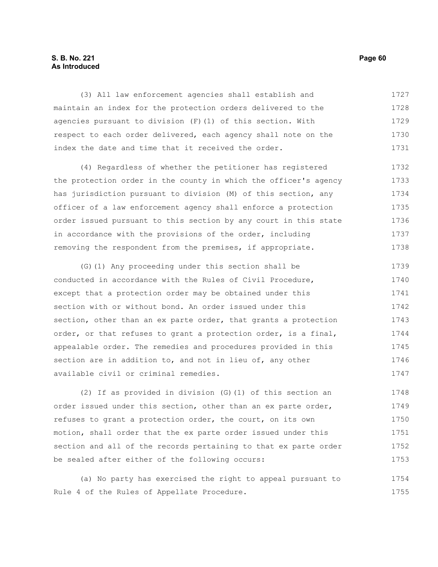# **S. B. No. 221 Page 60 As Introduced**

(3) All law enforcement agencies shall establish and maintain an index for the protection orders delivered to the agencies pursuant to division  $(F)$  (1) of this section. With respect to each order delivered, each agency shall note on the index the date and time that it received the order. 1727 1728 1729 1730 1731

(4) Regardless of whether the petitioner has registered the protection order in the county in which the officer's agency has jurisdiction pursuant to division (M) of this section, any officer of a law enforcement agency shall enforce a protection order issued pursuant to this section by any court in this state in accordance with the provisions of the order, including removing the respondent from the premises, if appropriate. 1732 1733 1734 1735 1736 1737 1738

(G)(1) Any proceeding under this section shall be conducted in accordance with the Rules of Civil Procedure, except that a protection order may be obtained under this section with or without bond. An order issued under this section, other than an ex parte order, that grants a protection order, or that refuses to grant a protection order, is a final, appealable order. The remedies and procedures provided in this section are in addition to, and not in lieu of, any other available civil or criminal remedies. 1739 1740 1741 1742 1743 1744 1745 1746 1747

(2) If as provided in division (G)(1) of this section an order issued under this section, other than an ex parte order, refuses to grant a protection order, the court, on its own motion, shall order that the ex parte order issued under this section and all of the records pertaining to that ex parte order be sealed after either of the following occurs: 1748 1749 1750 1751 1752 1753

(a) No party has exercised the right to appeal pursuant to Rule 4 of the Rules of Appellate Procedure. 1754 1755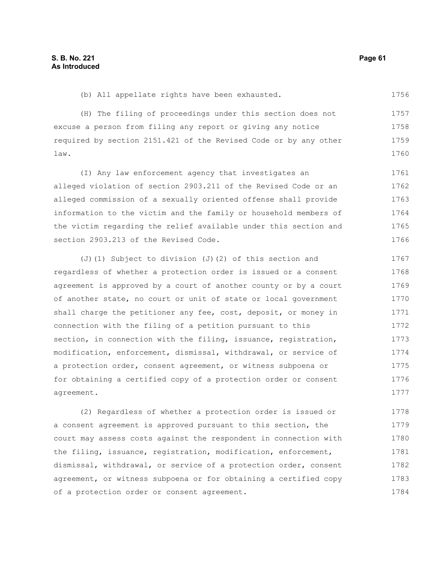(b) All appellate rights have been exhausted. 1756

(H) The filing of proceedings under this section does not excuse a person from filing any report or giving any notice required by section 2151.421 of the Revised Code or by any other law. 1757 1758 1759 1760

(I) Any law enforcement agency that investigates an alleged violation of section 2903.211 of the Revised Code or an alleged commission of a sexually oriented offense shall provide information to the victim and the family or household members of the victim regarding the relief available under this section and section 2903.213 of the Revised Code. 1761 1762 1763 1764 1765 1766

(J)(1) Subject to division (J)(2) of this section and regardless of whether a protection order is issued or a consent agreement is approved by a court of another county or by a court of another state, no court or unit of state or local government shall charge the petitioner any fee, cost, deposit, or money in connection with the filing of a petition pursuant to this section, in connection with the filing, issuance, registration, modification, enforcement, dismissal, withdrawal, or service of a protection order, consent agreement, or witness subpoena or for obtaining a certified copy of a protection order or consent agreement. 1767 1768 1769 1770 1771 1772 1773 1774 1775 1776 1777

(2) Regardless of whether a protection order is issued or a consent agreement is approved pursuant to this section, the court may assess costs against the respondent in connection with the filing, issuance, registration, modification, enforcement, dismissal, withdrawal, or service of a protection order, consent agreement, or witness subpoena or for obtaining a certified copy of a protection order or consent agreement. 1778 1779 1780 1781 1782 1783 1784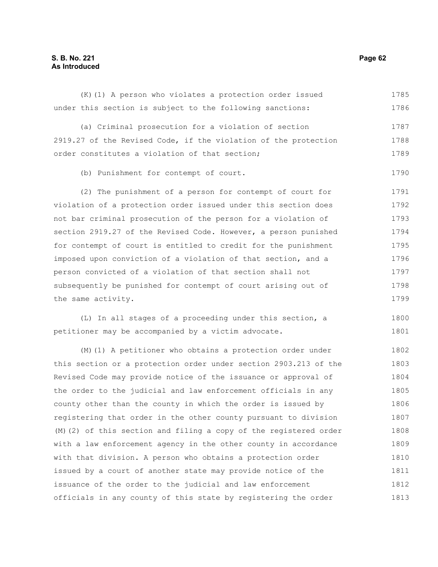# **S. B. No. 221 Page 62 As Introduced**

| under this section is subject to the following sanctions:       | 1786 |
|-----------------------------------------------------------------|------|
| (a) Criminal prosecution for a violation of section             | 1787 |
| 2919.27 of the Revised Code, if the violation of the protection | 1788 |
| order constitutes a violation of that section;                  | 1789 |
| (b) Punishment for contempt of court.                           | 1790 |
| (2) The punishment of a person for contempt of court for        | 1791 |
| violation of a protection order issued under this section does  | 1792 |
| not bar criminal prosecution of the person for a violation of   | 1793 |
| section 2919.27 of the Revised Code. However, a person punished | 1794 |
| for contempt of court is entitled to credit for the punishment  | 1795 |
| imposed upon conviction of a violation of that section, and a   | 1796 |

(K)(1) A person who violates a protection order issued

person convicted of a violation of that section shall not subsequently be punished for contempt of court arising out of the same activity. 1797 1798 1799

(L) In all stages of a proceeding under this section, a petitioner may be accompanied by a victim advocate. 1800 1801

(M)(1) A petitioner who obtains a protection order under this section or a protection order under section 2903.213 of the Revised Code may provide notice of the issuance or approval of the order to the judicial and law enforcement officials in any county other than the county in which the order is issued by registering that order in the other county pursuant to division (M)(2) of this section and filing a copy of the registered order with a law enforcement agency in the other county in accordance with that division. A person who obtains a protection order issued by a court of another state may provide notice of the issuance of the order to the judicial and law enforcement officials in any county of this state by registering the order 1802 1803 1804 1805 1806 1807 1808 1809 1810 1811 1812 1813

1785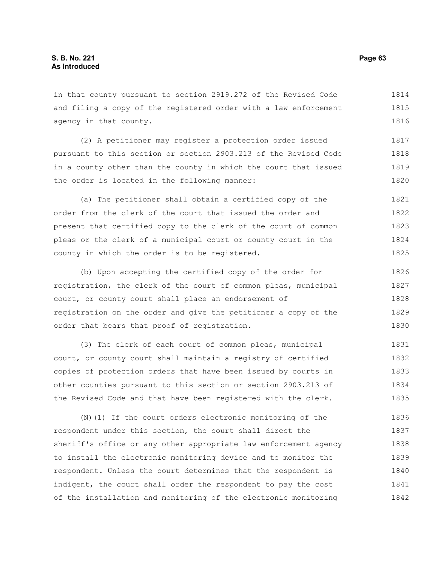in that county pursuant to section 2919.272 of the Revised Code and filing a copy of the registered order with a law enforcement agency in that county. 1814 1815 1816

(2) A petitioner may register a protection order issued pursuant to this section or section 2903.213 of the Revised Code in a county other than the county in which the court that issued the order is located in the following manner: 1817 1818 1819 1820

(a) The petitioner shall obtain a certified copy of the order from the clerk of the court that issued the order and present that certified copy to the clerk of the court of common pleas or the clerk of a municipal court or county court in the county in which the order is to be registered. 1821 1822 1823 1824 1825

(b) Upon accepting the certified copy of the order for registration, the clerk of the court of common pleas, municipal court, or county court shall place an endorsement of registration on the order and give the petitioner a copy of the order that bears that proof of registration. 1826 1827 1828 1829 1830

(3) The clerk of each court of common pleas, municipal court, or county court shall maintain a registry of certified copies of protection orders that have been issued by courts in other counties pursuant to this section or section 2903.213 of the Revised Code and that have been registered with the clerk. 1831 1832 1833 1834 1835

(N)(1) If the court orders electronic monitoring of the respondent under this section, the court shall direct the sheriff's office or any other appropriate law enforcement agency to install the electronic monitoring device and to monitor the respondent. Unless the court determines that the respondent is indigent, the court shall order the respondent to pay the cost of the installation and monitoring of the electronic monitoring 1836 1837 1838 1839 1840 1841 1842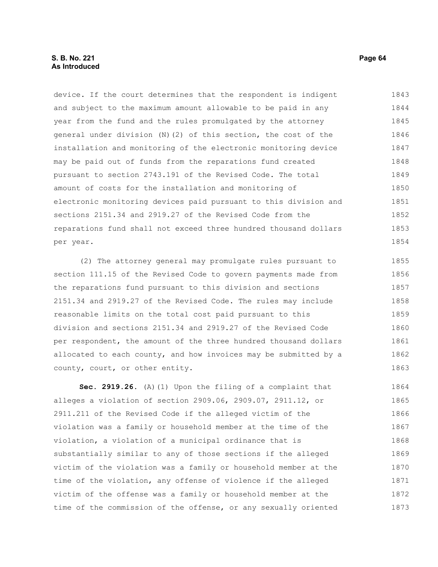# **S. B. No. 221 Page 64 As Introduced**

device. If the court determines that the respondent is indigent and subject to the maximum amount allowable to be paid in any year from the fund and the rules promulgated by the attorney general under division (N)(2) of this section, the cost of the installation and monitoring of the electronic monitoring device may be paid out of funds from the reparations fund created pursuant to section 2743.191 of the Revised Code. The total amount of costs for the installation and monitoring of electronic monitoring devices paid pursuant to this division and sections 2151.34 and 2919.27 of the Revised Code from the reparations fund shall not exceed three hundred thousand dollars per year. 1843 1844 1845 1846 1847 1848 1849 1850 1851 1852 1853 1854

(2) The attorney general may promulgate rules pursuant to section 111.15 of the Revised Code to govern payments made from the reparations fund pursuant to this division and sections 2151.34 and 2919.27 of the Revised Code. The rules may include reasonable limits on the total cost paid pursuant to this division and sections 2151.34 and 2919.27 of the Revised Code per respondent, the amount of the three hundred thousand dollars allocated to each county, and how invoices may be submitted by a county, court, or other entity. 1855 1856 1857 1858 1859 1860 1861 1862 1863

**Sec. 2919.26.** (A)(1) Upon the filing of a complaint that alleges a violation of section 2909.06, 2909.07, 2911.12, or 2911.211 of the Revised Code if the alleged victim of the violation was a family or household member at the time of the violation, a violation of a municipal ordinance that is substantially similar to any of those sections if the alleged victim of the violation was a family or household member at the time of the violation, any offense of violence if the alleged victim of the offense was a family or household member at the time of the commission of the offense, or any sexually oriented 1864 1865 1866 1867 1868 1869 1870 1871 1872 1873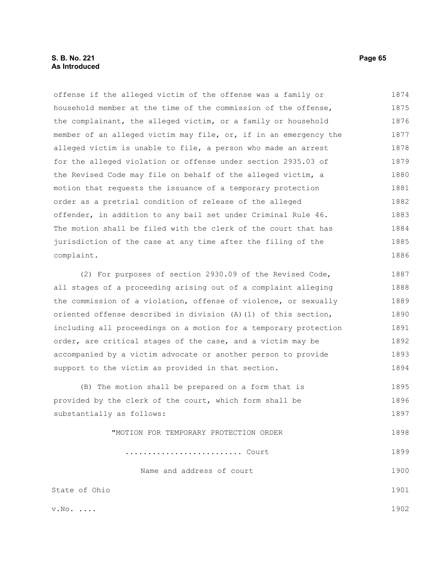# **S. B. No. 221 Page 65 As Introduced**

offense if the alleged victim of the offense was a family or household member at the time of the commission of the offense, the complainant, the alleged victim, or a family or household member of an alleged victim may file, or, if in an emergency the alleged victim is unable to file, a person who made an arrest for the alleged violation or offense under section 2935.03 of the Revised Code may file on behalf of the alleged victim, a motion that requests the issuance of a temporary protection order as a pretrial condition of release of the alleged offender, in addition to any bail set under Criminal Rule 46. The motion shall be filed with the clerk of the court that has jurisdiction of the case at any time after the filing of the complaint. 1874 1875 1876 1877 1878 1879 1880 1881 1882 1883 1884 1885 1886

(2) For purposes of section 2930.09 of the Revised Code, all stages of a proceeding arising out of a complaint alleging the commission of a violation, offense of violence, or sexually oriented offense described in division (A)(1) of this section, including all proceedings on a motion for a temporary protection order, are critical stages of the case, and a victim may be accompanied by a victim advocate or another person to provide support to the victim as provided in that section. 1887 1888 1889 1890 1891 1892 1893 1894

(B) The motion shall be prepared on a form that is provided by the clerk of the court, which form shall be substantially as follows: 1895 1896 1897

> "MOTION FOR TEMPORARY PROTECTION ORDER ......................... Court 1898 1899

- - Name and address of court

State of Ohio

v.No. ....

1902

1900

1901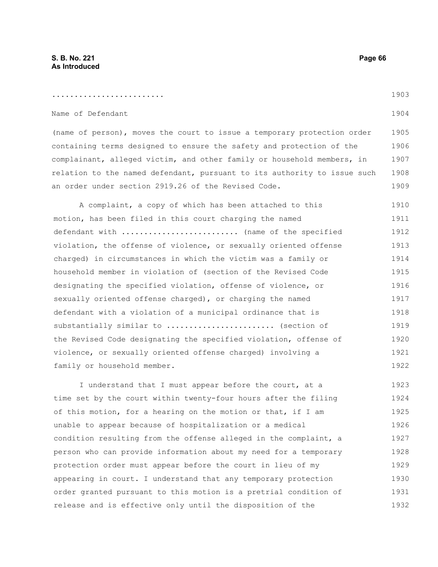......................... Name of Defendant (name of person), moves the court to issue a temporary protection order containing terms designed to ensure the safety and protection of the complainant, alleged victim, and other family or household members, in relation to the named defendant, pursuant to its authority to issue such an order under section 2919.26 of the Revised Code. A complaint, a copy of which has been attached to this motion, has been filed in this court charging the named defendant with .......................... (name of the specified violation, the offense of violence, or sexually oriented offense charged) in circumstances in which the victim was a family or household member in violation of (section of the Revised Code designating the specified violation, offense of violence, or sexually oriented offense charged), or charging the named defendant with a violation of a municipal ordinance that is substantially similar to ........................ (section of the Revised Code designating the specified violation, offense of violence, or sexually oriented offense charged) involving a family or household member. I understand that I must appear before the court, at a time set by the court within twenty-four hours after the filing of this motion, for a hearing on the motion or that, if I am unable to appear because of hospitalization or a medical condition resulting from the offense alleged in the complaint, a person who can provide information about my need for a temporary protection order must appear before the court in lieu of my 1903 1904 1905 1906 1907 1908 1909 1910 1911 1912 1913 1914 1915 1916 1917 1918 1919 1920 1921 1922 1923 1924 1925 1926 1927 1928 1929

appearing in court. I understand that any temporary protection order granted pursuant to this motion is a pretrial condition of release and is effective only until the disposition of the 1930 1931 1932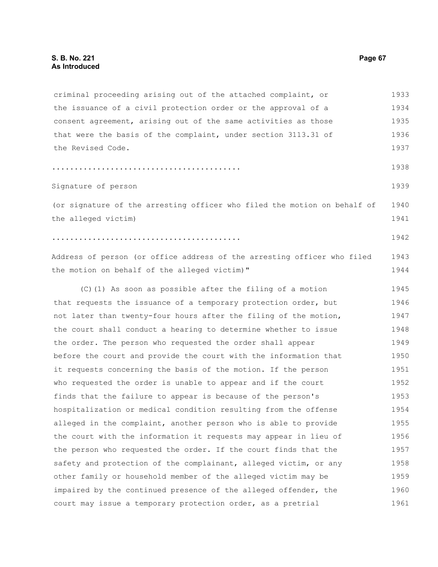criminal proceeding arising out of the attached complaint, or the issuance of a civil protection order or the approval of a consent agreement, arising out of the same activities as those that were the basis of the complaint, under section 3113.31 of the Revised Code. .......................................... Signature of person (or signature of the arresting officer who filed the motion on behalf of the alleged victim) .......................................... Address of person (or office address of the arresting officer who filed the motion on behalf of the alleged victim)" (C)(1) As soon as possible after the filing of a motion that requests the issuance of a temporary protection order, but not later than twenty-four hours after the filing of the motion, the court shall conduct a hearing to determine whether to issue the order. The person who requested the order shall appear before the court and provide the court with the information that it requests concerning the basis of the motion. If the person who requested the order is unable to appear and if the court finds that the failure to appear is because of the person's hospitalization or medical condition resulting from the offense alleged in the complaint, another person who is able to provide the court with the information it requests may appear in lieu of the person who requested the order. If the court finds that the safety and protection of the complainant, alleged victim, or any other family or household member of the alleged victim may be impaired by the continued presence of the alleged offender, the court may issue a temporary protection order, as a pretrial 1933 1934 1935 1936 1937 1938 1939 1940 1941 1942 1943 1944 1945 1946 1947 1948 1949 1950 1951 1952 1953 1954 1955 1956 1957 1958 1959 1960 1961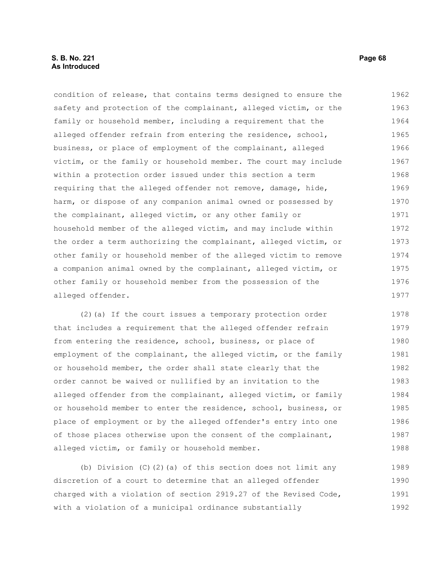condition of release, that contains terms designed to ensure the safety and protection of the complainant, alleged victim, or the family or household member, including a requirement that the alleged offender refrain from entering the residence, school, business, or place of employment of the complainant, alleged victim, or the family or household member. The court may include within a protection order issued under this section a term requiring that the alleged offender not remove, damage, hide, harm, or dispose of any companion animal owned or possessed by the complainant, alleged victim, or any other family or household member of the alleged victim, and may include within the order a term authorizing the complainant, alleged victim, or other family or household member of the alleged victim to remove a companion animal owned by the complainant, alleged victim, or other family or household member from the possession of the alleged offender. 1962 1963 1964 1965 1966 1967 1968 1969 1970 1971 1972 1973 1974 1975 1976 1977

(2)(a) If the court issues a temporary protection order that includes a requirement that the alleged offender refrain from entering the residence, school, business, or place of employment of the complainant, the alleged victim, or the family or household member, the order shall state clearly that the order cannot be waived or nullified by an invitation to the alleged offender from the complainant, alleged victim, or family or household member to enter the residence, school, business, or place of employment or by the alleged offender's entry into one of those places otherwise upon the consent of the complainant, alleged victim, or family or household member. 1978 1979 1980 1981 1982 1983 1984 1985 1986 1987 1988

(b) Division (C)(2)(a) of this section does not limit any discretion of a court to determine that an alleged offender charged with a violation of section 2919.27 of the Revised Code, with a violation of a municipal ordinance substantially 1989 1990 1991 1992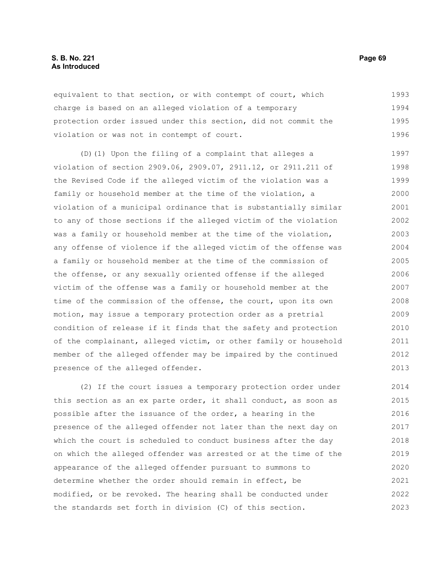# **S. B. No. 221 Page 69 As Introduced**

equivalent to that section, or with contempt of court, which charge is based on an alleged violation of a temporary protection order issued under this section, did not commit the violation or was not in contempt of court. 1993 1994 1995 1996

(D)(1) Upon the filing of a complaint that alleges a violation of section 2909.06, 2909.07, 2911.12, or 2911.211 of the Revised Code if the alleged victim of the violation was a family or household member at the time of the violation, a violation of a municipal ordinance that is substantially similar to any of those sections if the alleged victim of the violation was a family or household member at the time of the violation, any offense of violence if the alleged victim of the offense was a family or household member at the time of the commission of the offense, or any sexually oriented offense if the alleged victim of the offense was a family or household member at the time of the commission of the offense, the court, upon its own motion, may issue a temporary protection order as a pretrial condition of release if it finds that the safety and protection of the complainant, alleged victim, or other family or household member of the alleged offender may be impaired by the continued presence of the alleged offender. 1997 1998 1999 2000 2001 2002 2003 2004 2005 2006 2007 2008 2009 2010 2011 2012 2013

(2) If the court issues a temporary protection order under this section as an ex parte order, it shall conduct, as soon as possible after the issuance of the order, a hearing in the presence of the alleged offender not later than the next day on which the court is scheduled to conduct business after the day on which the alleged offender was arrested or at the time of the appearance of the alleged offender pursuant to summons to determine whether the order should remain in effect, be modified, or be revoked. The hearing shall be conducted under the standards set forth in division (C) of this section. 2014 2015 2016 2017 2018 2019 2020 2021 2022 2023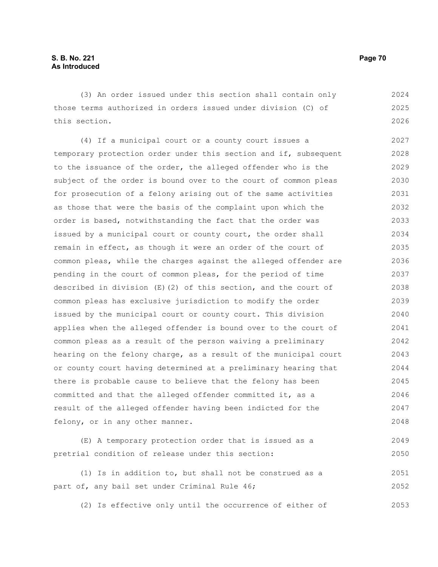(3) An order issued under this section shall contain only those terms authorized in orders issued under division (C) of this section. 2024 2025 2026

(4) If a municipal court or a county court issues a temporary protection order under this section and if, subsequent to the issuance of the order, the alleged offender who is the subject of the order is bound over to the court of common pleas for prosecution of a felony arising out of the same activities as those that were the basis of the complaint upon which the order is based, notwithstanding the fact that the order was issued by a municipal court or county court, the order shall remain in effect, as though it were an order of the court of common pleas, while the charges against the alleged offender are pending in the court of common pleas, for the period of time described in division  $(E)(2)$  of this section, and the court of common pleas has exclusive jurisdiction to modify the order issued by the municipal court or county court. This division applies when the alleged offender is bound over to the court of common pleas as a result of the person waiving a preliminary hearing on the felony charge, as a result of the municipal court or county court having determined at a preliminary hearing that there is probable cause to believe that the felony has been committed and that the alleged offender committed it, as a result of the alleged offender having been indicted for the felony, or in any other manner. 2027 2028 2029 2030 2031 2032 2033 2034 2035 2036 2037 2038 2039 2040 2041 2042 2043 2044 2045 2046 2047 2048

```
(E) A temporary protection order that is issued as a
pretrial condition of release under this section:
                                                                            2049
                                                                            2050
```
(1) Is in addition to, but shall not be construed as a part of, any bail set under Criminal Rule 46; 2051 2052

(2) Is effective only until the occurrence of either of 2053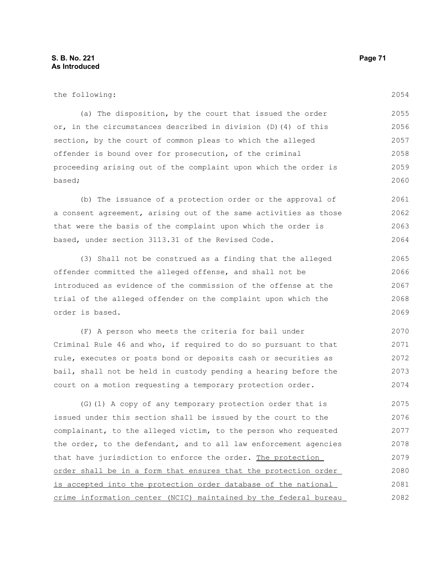| the following:                                                   | 2054 |
|------------------------------------------------------------------|------|
| (a) The disposition, by the court that issued the order          | 2055 |
| or, in the circumstances described in division (D) (4) of this   | 2056 |
| section, by the court of common pleas to which the alleged       | 2057 |
| offender is bound over for prosecution, of the criminal          | 2058 |
| proceeding arising out of the complaint upon which the order is  | 2059 |
| based;                                                           | 2060 |
| (b) The issuance of a protection order or the approval of        | 2061 |
| a consent agreement, arising out of the same activities as those | 2062 |
| that were the basis of the complaint upon which the order is     | 2063 |
| based, under section 3113.31 of the Revised Code.                | 2064 |
| (3) Shall not be construed as a finding that the alleged         | 2065 |
| offender committed the alleged offense, and shall not be         | 2066 |
| introduced as evidence of the commission of the offense at the   | 2067 |
| trial of the alleged offender on the complaint upon which the    | 2068 |
| order is based.                                                  | 2069 |
| (F) A person who meets the criteria for bail under               | 2070 |

Criminal Rule 46 and who, if required to do so pursuant to that rule, executes or posts bond or deposits cash or securities as bail, shall not be held in custody pending a hearing before the court on a motion requesting a temporary protection order. 2071 2072 2073 2074

(G)(1) A copy of any temporary protection order that is issued under this section shall be issued by the court to the complainant, to the alleged victim, to the person who requested the order, to the defendant, and to all law enforcement agencies that have jurisdiction to enforce the order. The protection order shall be in a form that ensures that the protection order is accepted into the protection order database of the national crime information center (NCIC) maintained by the federal bureau 2075 2076 2077 2078 2079 2080 2081 2082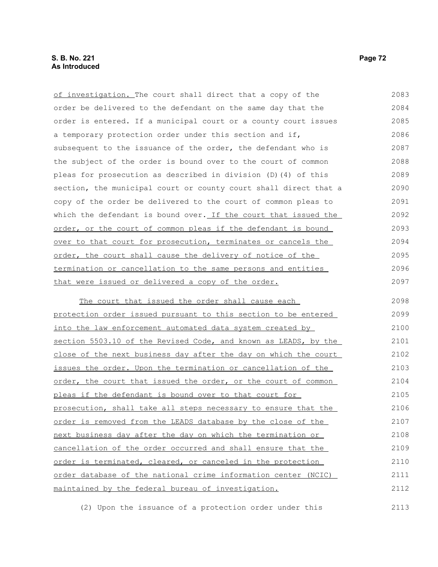of investigation. The court shall direct that a copy of the order be delivered to the defendant on the same day that the order is entered. If a municipal court or a county court issues a temporary protection order under this section and if, subsequent to the issuance of the order, the defendant who is the subject of the order is bound over to the court of common pleas for prosecution as described in division (D)(4) of this section, the municipal court or county court shall direct that a copy of the order be delivered to the court of common pleas to which the defendant is bound over. If the court that issued the order, or the court of common pleas if the defendant is bound over to that court for prosecution, terminates or cancels the order, the court shall cause the delivery of notice of the termination or cancellation to the same persons and entities that were issued or delivered a copy of the order. The court that issued the order shall cause each protection order issued pursuant to this section to be entered into the law enforcement automated data system created by section 5503.10 of the Revised Code, and known as LEADS, by the 2083 2084 2085 2086 2087 2088 2089 2090 2091 2092 2093 2094 2095 2096 2097 2098 2099 2100 2101

 close of the next business day after the day on which the court issues the order. Upon the termination or cancellation of the order, the court that issued the order, or the court of common pleas if the defendant is bound over to that court for prosecution, shall take all steps necessary to ensure that the order is removed from the LEADS database by the close of the next business day after the day on which the termination or cancellation of the order occurred and shall ensure that the order is terminated, cleared, or canceled in the protection order database of the national crime information center (NCIC) maintained by the federal bureau of investigation. 2102 2103 2104 2105 2106 2107 2108 2109 2110 2111 2112

(2) Upon the issuance of a protection order under this

2113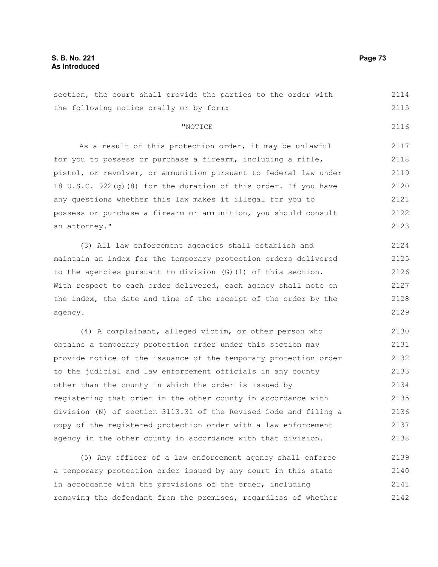2116

section, the court shall provide the parties to the order with the following notice orally or by form: 2114 2115

#### "NOTICE

As a result of this protection order, it may be unlawful for you to possess or purchase a firearm, including a rifle, pistol, or revolver, or ammunition pursuant to federal law under 18 U.S.C. 922 $(q)$ (8) for the duration of this order. If you have any questions whether this law makes it illegal for you to possess or purchase a firearm or ammunition, you should consult an attorney." 2117 2118 2119 2120 2121 2122 2123

(3) All law enforcement agencies shall establish and maintain an index for the temporary protection orders delivered to the agencies pursuant to division (G)(1) of this section. With respect to each order delivered, each agency shall note on the index, the date and time of the receipt of the order by the agency. 2124 2125 2126 2127 2128 2129

(4) A complainant, alleged victim, or other person who obtains a temporary protection order under this section may provide notice of the issuance of the temporary protection order to the judicial and law enforcement officials in any county other than the county in which the order is issued by registering that order in the other county in accordance with division (N) of section 3113.31 of the Revised Code and filing a copy of the registered protection order with a law enforcement agency in the other county in accordance with that division. 2130 2131 2132 2133 2134 2135 2136 2137 2138

(5) Any officer of a law enforcement agency shall enforce a temporary protection order issued by any court in this state in accordance with the provisions of the order, including removing the defendant from the premises, regardless of whether 2139 2140 2141 2142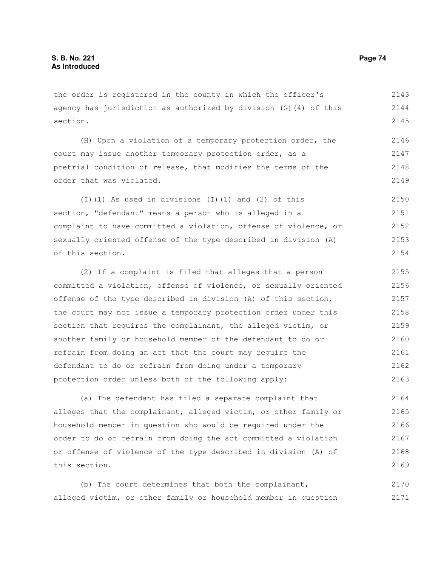the order is registered in the county in which the officer's agency has jurisdiction as authorized by division (G)(4) of this section. 2143 2144 2145

(H) Upon a violation of a temporary protection order, the court may issue another temporary protection order, as a pretrial condition of release, that modifies the terms of the order that was violated. 2146 2147 2148 2149

(I)(1) As used in divisions (I)(1) and (2) of this section, "defendant" means a person who is alleged in a complaint to have committed a violation, offense of violence, or sexually oriented offense of the type described in division (A) of this section. 2150 2151 2152 2153 2154

(2) If a complaint is filed that alleges that a person committed a violation, offense of violence, or sexually oriented offense of the type described in division (A) of this section, the court may not issue a temporary protection order under this section that requires the complainant, the alleged victim, or another family or household member of the defendant to do or refrain from doing an act that the court may require the defendant to do or refrain from doing under a temporary protection order unless both of the following apply: 2155 2156 2157 2158 2159 2160 2161 2162 2163

(a) The defendant has filed a separate complaint that alleges that the complainant, alleged victim, or other family or household member in question who would be required under the order to do or refrain from doing the act committed a violation or offense of violence of the type described in division (A) of this section. 2164 2165 2166 2167 2168 2169

(b) The court determines that both the complainant, alleged victim, or other family or household member in question 2170 2171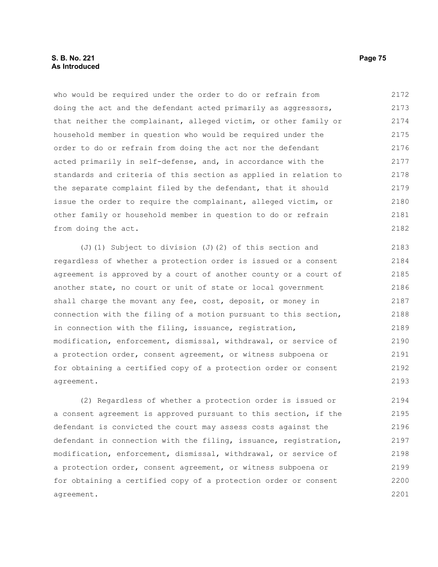## **S. B. No. 221 Page 75 As Introduced**

who would be required under the order to do or refrain from doing the act and the defendant acted primarily as aggressors, that neither the complainant, alleged victim, or other family or household member in question who would be required under the order to do or refrain from doing the act nor the defendant acted primarily in self-defense, and, in accordance with the standards and criteria of this section as applied in relation to the separate complaint filed by the defendant, that it should issue the order to require the complainant, alleged victim, or other family or household member in question to do or refrain from doing the act. 2172 2173 2174 2175 2176 2177 2178 2179 2180 2181 2182

(J)(1) Subject to division (J)(2) of this section and regardless of whether a protection order is issued or a consent agreement is approved by a court of another county or a court of another state, no court or unit of state or local government shall charge the movant any fee, cost, deposit, or money in connection with the filing of a motion pursuant to this section, in connection with the filing, issuance, registration, modification, enforcement, dismissal, withdrawal, or service of a protection order, consent agreement, or witness subpoena or for obtaining a certified copy of a protection order or consent agreement. 2183 2184 2185 2186 2187 2188 2189 2190 2191 2192 2193

(2) Regardless of whether a protection order is issued or a consent agreement is approved pursuant to this section, if the defendant is convicted the court may assess costs against the defendant in connection with the filing, issuance, registration, modification, enforcement, dismissal, withdrawal, or service of a protection order, consent agreement, or witness subpoena or for obtaining a certified copy of a protection order or consent agreement. 2194 2195 2196 2197 2198 2199 2200 2201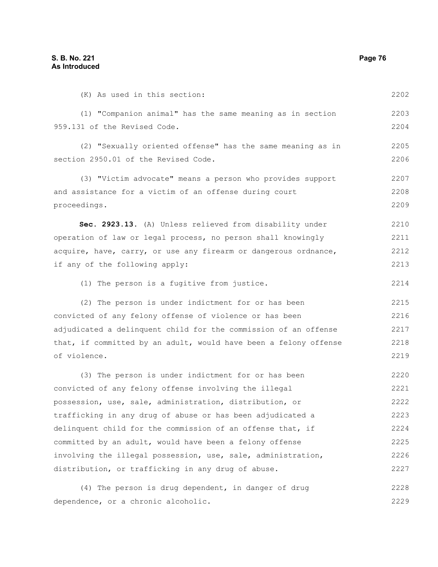(K) As used in this section:

dependence, or a chronic alcoholic.

(1) "Companion animal" has the same meaning as in section 959.131 of the Revised Code. (2) "Sexually oriented offense" has the same meaning as in section 2950.01 of the Revised Code. (3) "Victim advocate" means a person who provides support and assistance for a victim of an offense during court proceedings. **Sec. 2923.13.** (A) Unless relieved from disability under operation of law or legal process, no person shall knowingly acquire, have, carry, or use any firearm or dangerous ordnance, if any of the following apply: (1) The person is a fugitive from justice. (2) The person is under indictment for or has been convicted of any felony offense of violence or has been adjudicated a delinquent child for the commission of an offense that, if committed by an adult, would have been a felony offense of violence. (3) The person is under indictment for or has been convicted of any felony offense involving the illegal possession, use, sale, administration, distribution, or trafficking in any drug of abuse or has been adjudicated a delinquent child for the commission of an offense that, if committed by an adult, would have been a felony offense involving the illegal possession, use, sale, administration, distribution, or trafficking in any drug of abuse. (4) The person is drug dependent, in danger of drug 2203 2204 2205 2206 2207 2208 2209 2210 2211 2212 2213 2214 2215 2216 2217 2218 2219 2220 2221 2222 2223 2224 2225 2226 2227 2228

2202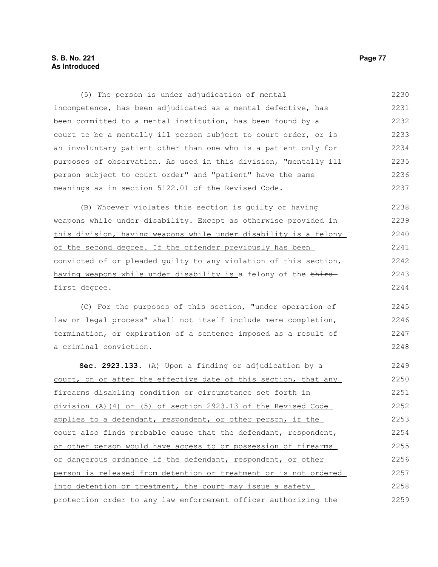# **S. B. No. 221 Page 77 As Introduced**

(5) The person is under adjudication of mental incompetence, has been adjudicated as a mental defective, has been committed to a mental institution, has been found by a court to be a mentally ill person subject to court order, or is an involuntary patient other than one who is a patient only for purposes of observation. As used in this division, "mentally ill person subject to court order" and "patient" have the same meanings as in section 5122.01 of the Revised Code. 2230 2231 2232 2233 2234 2235 2236 2237

(B) Whoever violates this section is guilty of having weapons while under disability. Except as otherwise provided in this division, having weapons while under disability is a felony of the second degree. If the offender previously has been convicted of or pleaded guilty to any violation of this section, having weapons while under disability is a felony of the thirdfirst degree. 2238 2239 2240 2241 2242 2243 2244

(C) For the purposes of this section, "under operation of law or legal process" shall not itself include mere completion, termination, or expiration of a sentence imposed as a result of a criminal conviction. 2245 2246 2247 2248

Sec. 2923.133. (A) Upon a finding or adjudication by a court, on or after the effective date of this section, that any firearms disabling condition or circumstance set forth in division (A)(4) or (5) of section 2923.13 of the Revised Code applies to a defendant, respondent, or other person, if the court also finds probable cause that the defendant, respondent, or other person would have access to or possession of firearms or dangerous ordnance if the defendant, respondent, or other person is released from detention or treatment or is not ordered into detention or treatment, the court may issue a safety protection order to any law enforcement officer authorizing the 2249 2250 2251 2252 2253 2254 2255 2256 2257 2258 2259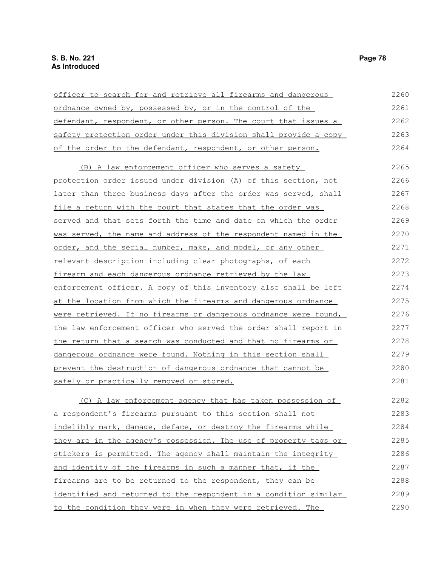| officer to search for and retrieve all firearms and dangerous    | 2260 |
|------------------------------------------------------------------|------|
| ordnance owned by, possessed by, or in the control of the        | 2261 |
| defendant, respondent, or other person. The court that issues a  | 2262 |
| safety protection order under this division shall provide a copy | 2263 |
| of the order to the defendant, respondent, or other person.      | 2264 |
| (B) A law enforcement officer who serves a safety                | 2265 |
| protection order issued under division (A) of this section, not  | 2266 |
| later than three business days after the order was served, shall | 2267 |
| file a return with the court that states that the order was      | 2268 |
| served and that sets forth the time and date on which the order  | 2269 |
| was served, the name and address of the respondent named in the  | 2270 |
| order, and the serial number, make, and model, or any other      | 2271 |
| relevant description including clear photographs, of each        | 2272 |
| firearm and each dangerous ordnance retrieved by the law         | 2273 |
| enforcement officer. A copy of this inventory also shall be left | 2274 |
| at the location from which the firearms and dangerous ordnance   | 2275 |
| were retrieved. If no firearms or dangerous ordnance were found, | 2276 |
| the law enforcement officer who served the order shall report in | 2277 |
| the return that a search was conducted and that no firearms or   | 2278 |
| dangerous ordnance were found. Nothing in this section shall     | 2279 |
| prevent the destruction of dangerous ordnance that cannot be     | 2280 |
| safely or practically removed or stored.                         | 2281 |
| (C) A law enforcement agency that has taken possession of        | 2282 |
| a respondent's firearms pursuant to this section shall not       | 2283 |
| indelibly mark, damage, deface, or destroy the firearms while    | 2284 |
| they are in the agency's possession. The use of property tags or | 2285 |
| stickers is permitted. The agency shall maintain the integrity   | 2286 |
| and identity of the firearms in such a manner that, if the       | 2287 |
| firearms are to be returned to the respondent, they can be       | 2288 |
| identified and returned to the respondent in a condition similar | 2289 |
| to the condition they were in when they were retrieved. The      | 2290 |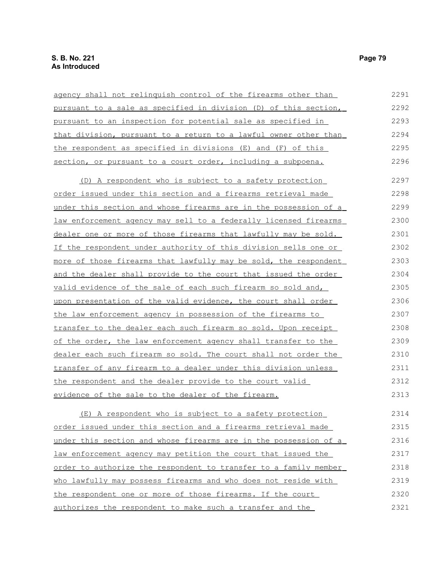| agency shall not relinguish control of the firearms other than   | 2291 |
|------------------------------------------------------------------|------|
| pursuant to a sale as specified in division (D) of this section, | 2292 |
| pursuant to an inspection for potential sale as specified in     | 2293 |
| that division, pursuant to a return to a lawful owner other than | 2294 |
| the respondent as specified in divisions (E) and (F) of this     | 2295 |
| section, or pursuant to a court order, including a subpoena.     | 2296 |
| (D) A respondent who is subject to a safety protection           | 2297 |
| order issued under this section and a firearms retrieval made    | 2298 |
| under this section and whose firearms are in the possession of a | 2299 |
| law enforcement agency may sell to a federally licensed firearms | 2300 |
| dealer one or more of those firearms that lawfully may be sold.  | 2301 |
| If the respondent under authority of this division sells one or  | 2302 |
| more of those firearms that lawfully may be sold, the respondent | 2303 |
| and the dealer shall provide to the court that issued the order  | 2304 |
| valid evidence of the sale of each such firearm so sold and,     | 2305 |
| upon presentation of the valid evidence, the court shall order   | 2306 |
| the law enforcement agency in possession of the firearms to      | 2307 |
| transfer to the dealer each such firearm so sold. Upon receipt   | 2308 |
| of the order, the law enforcement agency shall transfer to the   | 2309 |
| dealer each such firearm so sold. The court shall not order the  | 2310 |
| transfer of any firearm to a dealer under this division unless   | 2311 |
| the respondent and the dealer provide to the court valid         | 2312 |
| evidence of the sale to the dealer of the firearm.               | 2313 |
| (E) A respondent who is subject to a safety protection           | 2314 |
| order issued under this section and a firearms retrieval made    | 2315 |
| under this section and whose firearms are in the possession of a | 2316 |
| law enforcement agency may petition the court that issued the    | 2317 |
| order to authorize the respondent to transfer to a family member | 2318 |
| who lawfully may possess firearms and who does not reside with   | 2319 |
| the respondent one or more of those firearms. If the court       | 2320 |

 the respondent one or more of those firearms. If the court authorizes the respondent to make such a transfer and the 2320 2321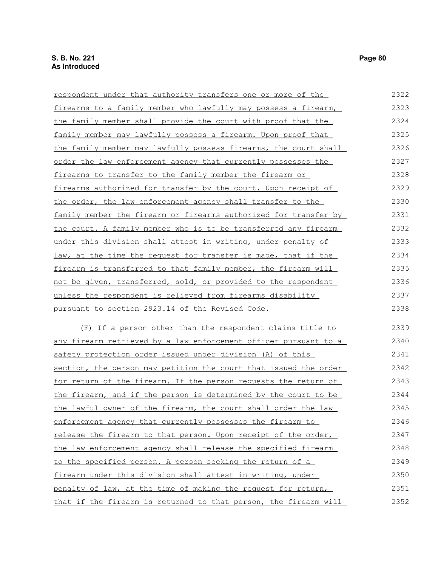| respondent under that authority transfers one or more of the     | 2322 |
|------------------------------------------------------------------|------|
| firearms to a family member who lawfully may possess a firearm,  | 2323 |
| the family member shall provide the court with proof that the    | 2324 |
| family member may lawfully possess a firearm. Upon proof that    | 2325 |
| the family member may lawfully possess firearms, the court shall | 2326 |
| order the law enforcement agency that currently possesses the    | 2327 |
| firearms to transfer to the family member the firearm or         | 2328 |
| firearms authorized for transfer by the court. Upon receipt of   | 2329 |
| the order, the law enforcement agency shall transfer to the      | 2330 |
| family member the firearm or firearms authorized for transfer by | 2331 |
| the court. A family member who is to be transferred any firearm  | 2332 |
| under this division shall attest in writing, under penalty of    | 2333 |
| law, at the time the request for transfer is made, that if the   | 2334 |
| firearm is transferred to that family member, the firearm will   | 2335 |
| not be given, transferred, sold, or provided to the respondent   | 2336 |
| unless the respondent is relieved from firearms disability       | 2337 |
| pursuant to section 2923.14 of the Revised Code.                 | 2338 |
| (F) If a person other than the respondent claims title to        | 2339 |
| any firearm retrieved by a law enforcement officer pursuant to a | 2340 |

 safety protection order issued under division (A) of this section, the person may petition the court that issued the order for return of the firearm. If the person requests the return of the firearm, and if the person is determined by the court to be the lawful owner of the firearm, the court shall order the law enforcement agency that currently possesses the firearm to release the firearm to that person. Upon receipt of the order, the law enforcement agency shall release the specified firearm to the specified person. A person seeking the return of a firearm under this division shall attest in writing, under penalty of law, at the time of making the request for return, that if the firearm is returned to that person, the firearm will 2341 2342 2343 2344 2345 2346 2347 2348 2349 2350 2351 2352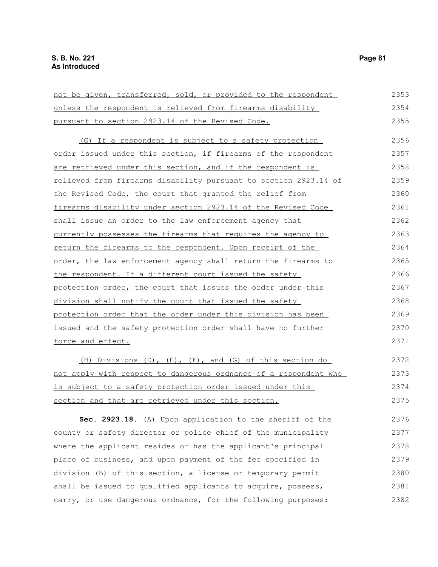| not be given, transferred, sold, or provided to the respondent     | 2353 |
|--------------------------------------------------------------------|------|
| unless the respondent is relieved from firearms disability         | 2354 |
| pursuant to section 2923.14 of the Revised Code.                   | 2355 |
| (G) If a respondent is subject to a safety protection              | 2356 |
| order issued under this section, if firearms of the respondent     | 2357 |
| are retrieved under this section, and if the respondent is         | 2358 |
| relieved from firearms disability pursuant to section 2923.14 of   | 2359 |
| the Revised Code, the court that granted the relief from           | 2360 |
| firearms disability under section 2923.14 of the Revised Code      | 2361 |
| shall issue an order to the law enforcement agency that            | 2362 |
| currently possesses the firearms that requires the agency to       | 2363 |
| return the firearms to the respondent. Upon receipt of the         | 2364 |
| order, the law enforcement agency shall return the firearms to     | 2365 |
| the respondent. If a different court issued the safety             | 2366 |
| protection order, the court that issues the order under this       | 2367 |
| division shall notify the court that issued the safety             | 2368 |
| protection order that the order under this division has been       | 2369 |
| issued and the safety protection order shall have no further       | 2370 |
| force and effect.                                                  | 2371 |
| (H) Divisions $(D)$ , $(E)$ , $(F)$ , and $(G)$ of this section do | 2372 |
| not apply with respect to dangerous ordnance of a respondent who   | 2373 |
| is subject to a safety protection order issued under this          | 2374 |
| section and that are retrieved under this section.                 | 2375 |

**Sec. 2923.18.** (A) Upon application to the sheriff of the county or safety director or police chief of the municipality where the applicant resides or has the applicant's principal place of business, and upon payment of the fee specified in division (B) of this section, a license or temporary permit shall be issued to qualified applicants to acquire, possess, carry, or use dangerous ordnance, for the following purposes: 2376 2377 2378 2379 2380 2381 2382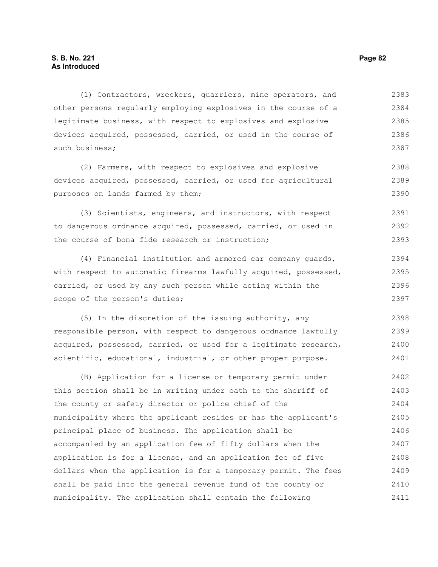# **S. B. No. 221 Page 82 As Introduced**

(1) Contractors, wreckers, quarriers, mine operators, and other persons regularly employing explosives in the course of a legitimate business, with respect to explosives and explosive devices acquired, possessed, carried, or used in the course of such business; 2383 2384 2385 2386 2387

(2) Farmers, with respect to explosives and explosive devices acquired, possessed, carried, or used for agricultural purposes on lands farmed by them; 2388 2389 2390

(3) Scientists, engineers, and instructors, with respect to dangerous ordnance acquired, possessed, carried, or used in the course of bona fide research or instruction; 2391 2392 2393

(4) Financial institution and armored car company guards, with respect to automatic firearms lawfully acquired, possessed, carried, or used by any such person while acting within the scope of the person's duties; 2394 2395 2396 2397

(5) In the discretion of the issuing authority, any responsible person, with respect to dangerous ordnance lawfully acquired, possessed, carried, or used for a legitimate research, scientific, educational, industrial, or other proper purpose. 2398 2399 2400 2401

(B) Application for a license or temporary permit under this section shall be in writing under oath to the sheriff of the county or safety director or police chief of the municipality where the applicant resides or has the applicant's principal place of business. The application shall be accompanied by an application fee of fifty dollars when the application is for a license, and an application fee of five dollars when the application is for a temporary permit. The fees shall be paid into the general revenue fund of the county or municipality. The application shall contain the following 2402 2403 2404 2405 2406 2407 2408 2409 2410 2411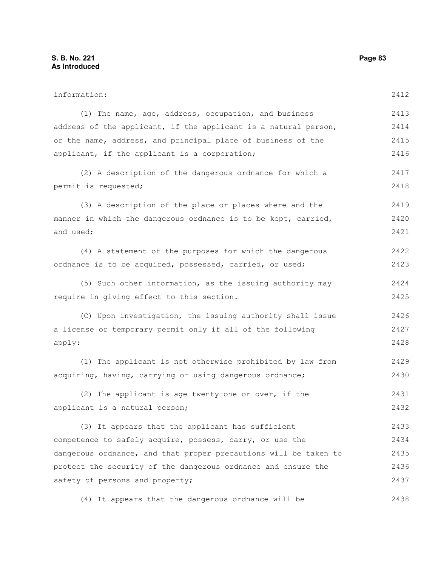#### **S. B. No. 221 Page 83 As Introduced**

information: (1) The name, age, address, occupation, and business address of the applicant, if the applicant is a natural person, or the name, address, and principal place of business of the applicant, if the applicant is a corporation; (2) A description of the dangerous ordnance for which a permit is requested; (3) A description of the place or places where and the manner in which the dangerous ordnance is to be kept, carried, and used; (4) A statement of the purposes for which the dangerous ordnance is to be acquired, possessed, carried, or used; (5) Such other information, as the issuing authority may require in giving effect to this section. (C) Upon investigation, the issuing authority shall issue a license or temporary permit only if all of the following apply: (1) The applicant is not otherwise prohibited by law from acquiring, having, carrying or using dangerous ordnance; (2) The applicant is age twenty-one or over, if the applicant is a natural person; (3) It appears that the applicant has sufficient competence to safely acquire, possess, carry, or use the dangerous ordnance, and that proper precautions will be taken to protect the security of the dangerous ordnance and ensure the safety of persons and property; 2412 2413 2414 2415 2416 2417 2418 2419 2420 2421 2422 2423 2424 2425 2426 2427 2428 2429 2430 2431 2432 2433 2434 2435 2436 2437

(4) It appears that the dangerous ordnance will be 2438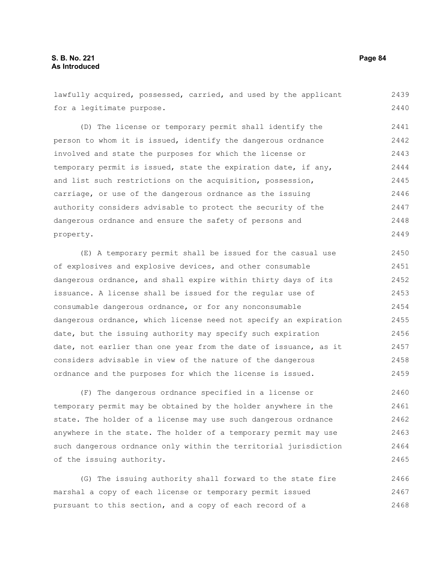lawfully acquired, possessed, carried, and used by the applicant for a legitimate purpose. 2439 2440

(D) The license or temporary permit shall identify the person to whom it is issued, identify the dangerous ordnance involved and state the purposes for which the license or temporary permit is issued, state the expiration date, if any, and list such restrictions on the acquisition, possession, carriage, or use of the dangerous ordnance as the issuing authority considers advisable to protect the security of the dangerous ordnance and ensure the safety of persons and property. 2441 2442 2443 2444 2445 2446 2447 2448 2449

(E) A temporary permit shall be issued for the casual use of explosives and explosive devices, and other consumable dangerous ordnance, and shall expire within thirty days of its issuance. A license shall be issued for the regular use of consumable dangerous ordnance, or for any nonconsumable dangerous ordnance, which license need not specify an expiration date, but the issuing authority may specify such expiration date, not earlier than one year from the date of issuance, as it considers advisable in view of the nature of the dangerous ordnance and the purposes for which the license is issued. 2450 2451 2452 2453 2454 2455 2456 2457 2458 2459

(F) The dangerous ordnance specified in a license or temporary permit may be obtained by the holder anywhere in the state. The holder of a license may use such dangerous ordnance anywhere in the state. The holder of a temporary permit may use such dangerous ordnance only within the territorial jurisdiction of the issuing authority. 2460 2461 2462 2463 2464 2465

(G) The issuing authority shall forward to the state fire marshal a copy of each license or temporary permit issued pursuant to this section, and a copy of each record of a 2466 2467 2468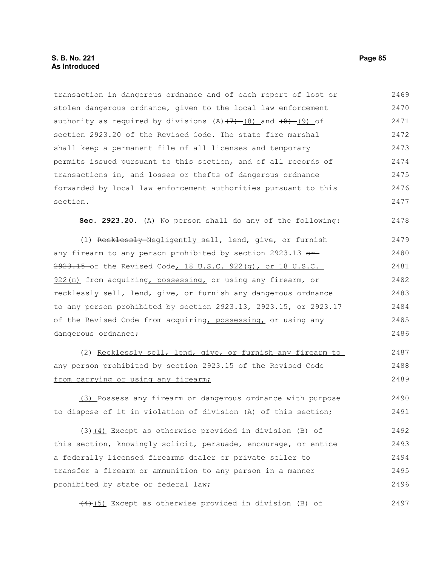transaction in dangerous ordnance and of each report of lost or stolen dangerous ordnance, given to the local law enforcement authority as required by divisions  $(A)$   $(7)$   $(8)$  and  $(8)$   $(9)$  of section 2923.20 of the Revised Code. The state fire marshal shall keep a permanent file of all licenses and temporary permits issued pursuant to this section, and of all records of transactions in, and losses or thefts of dangerous ordnance forwarded by local law enforcement authorities pursuant to this section. 2469 2470 2471 2472 2473 2474 2475 2476 2477

**Sec. 2923.20.** (A) No person shall do any of the following: 2478

(1) Recklessly Negligently sell, lend, give, or furnish any firearm to any person prohibited by section 2923.13 or- $2923.15$  of the Revised Code, 18 U.S.C.  $922(q)$ , or 18 U.S.C.  $922(n)$  from acquiring, possessing, or using any firearm, or recklessly sell, lend, give, or furnish any dangerous ordnance to any person prohibited by section 2923.13, 2923.15, or 2923.17 of the Revised Code from acquiring, possessing, or using any dangerous ordnance; 2479 2480 2481 2482 2483 2484 2485 2486

(2) Recklessly sell, lend, give, or furnish any firearm to any person prohibited by section 2923.15 of the Revised Code from carrying or using any firearm; 2487 2488 2489

(3) Possess any firearm or dangerous ordnance with purpose to dispose of it in violation of division (A) of this section;

 $(4)$  Except as otherwise provided in division (B) of this section, knowingly solicit, persuade, encourage, or entice a federally licensed firearms dealer or private seller to transfer a firearm or ammunition to any person in a manner prohibited by state or federal law; 2492 2493 2494 2495 2496

(4)(5) Except as otherwise provided in division (B) of 2497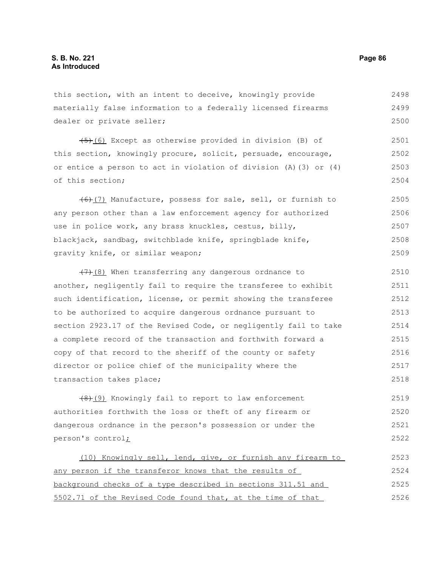this section, with an intent to deceive, knowingly provide materially false information to a federally licensed firearms dealer or private seller; 2498 2499 2500

(5)(6) Except as otherwise provided in division (B) of this section, knowingly procure, solicit, persuade, encourage, or entice a person to act in violation of division (A)(3) or (4) of this section; 2501 2502 2503 2504

(6)(7) Manufacture, possess for sale, sell, or furnish to any person other than a law enforcement agency for authorized use in police work, any brass knuckles, cestus, billy, blackjack, sandbag, switchblade knife, springblade knife, gravity knife, or similar weapon; 2505 2506 2507 2508 2509

 $(7)$  (8) When transferring any dangerous ordnance to another, negligently fail to require the transferee to exhibit such identification, license, or permit showing the transferee to be authorized to acquire dangerous ordnance pursuant to section 2923.17 of the Revised Code, or negligently fail to take a complete record of the transaction and forthwith forward a copy of that record to the sheriff of the county or safety director or police chief of the municipality where the transaction takes place; 2510 2511 2512 2513 2514 2515 2516 2517 2518

(8)(9) Knowingly fail to report to law enforcement authorities forthwith the loss or theft of any firearm or dangerous ordnance in the person's possession or under the person's control; 2519 2520 2521 2522

| (10) Knowingly sell, lend, give, or furnish any firearm to   | 2523 |
|--------------------------------------------------------------|------|
| any person if the transferor knows that the results of       | 2524 |
| background checks of a type described in sections 311.51 and | 2525 |
| 5502.71 of the Revised Code found that, at the time of that  | 2526 |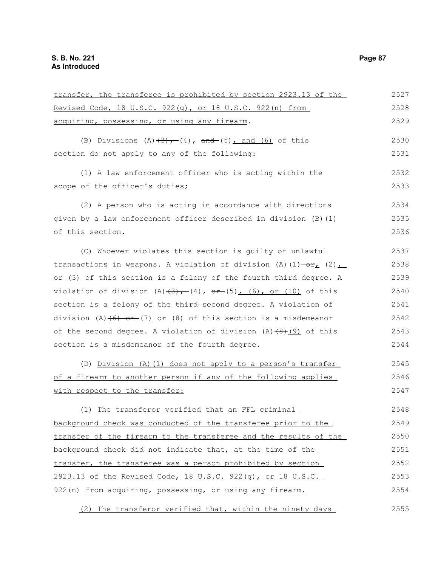| transfer, the transferee is prohibited by section 2923.13 of the                      | 2527 |
|---------------------------------------------------------------------------------------|------|
| <u>Revised Code, 18 U.S.C. 922(g), or 18 U.S.C. 922(n) from </u>                      | 2528 |
| acquiring, possessing, or using any firearm.                                          | 2529 |
| (B) Divisions $(A)$ $(3)$ , $(4)$ , and $(5)$ , and $(6)$ of this                     | 2530 |
| section do not apply to any of the following:                                         | 2531 |
| (1) A law enforcement officer who is acting within the                                | 2532 |
| scope of the officer's duties;                                                        | 2533 |
| (2) A person who is acting in accordance with directions                              | 2534 |
| given by a law enforcement officer described in division (B) (1)                      | 2535 |
| of this section.                                                                      | 2536 |
| (C) Whoever violates this section is guilty of unlawful                               | 2537 |
| transactions in weapons. A violation of division (A) $(1)$ -or, $(2)$ ,               | 2538 |
| or (3) of this section is a felony of the fourth-third degree. A                      | 2539 |
| violation of division $(A)$ $(3)$ , $(4)$ , $e^{x}$ $(5)$ , $(6)$ , or $(10)$ of this | 2540 |
| section is a felony of the third second degree. A violation of                        | 2541 |
| division (A) $(6)$ or $(7)$ or $(8)$ of this section is a misdemeanor                 | 2542 |
| of the second degree. A violation of division $(A)$ $(B)$ $(9)$ of this               | 2543 |
| section is a misdemeanor of the fourth degree.                                        | 2544 |
| (D) Division (A) (1) does not apply to a person's transfer                            | 2545 |
| of a firearm to another person if any of the following applies                        | 2546 |
| <u>with respect to the transfer:</u>                                                  | 2547 |
| (1) The transferor verified that an FFL criminal                                      | 2548 |
| background check was conducted of the transferee prior to the                         | 2549 |
| transfer of the firearm to the transferee and the results of the                      | 2550 |
| background check did not indicate that, at the time of the                            | 2551 |
| transfer, the transferee was a person prohibited by section                           | 2552 |
| 2923.13 of the Revised Code, 18 U.S.C. 922(g), or 18 U.S.C.                           | 2553 |
| 922(n) from acquiring, possessing, or using any firearm.                              | 2554 |
| (2) The transferor verified that, within the ninety days                              | 2555 |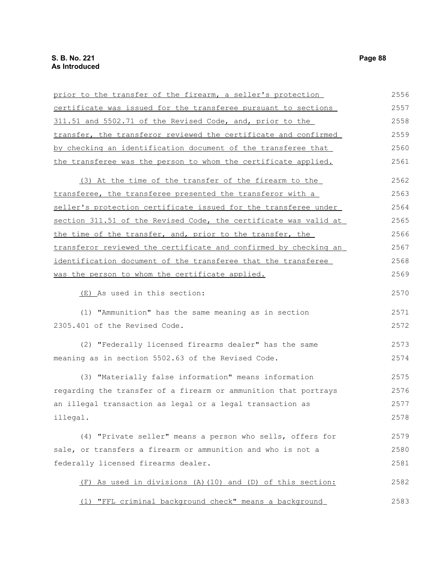| prior to the transfer of the firearm, a seller's protection      | 2556 |
|------------------------------------------------------------------|------|
| certificate was issued for the transferee pursuant to sections   | 2557 |
| 311.51 and 5502.71 of the Revised Code, and, prior to the        | 2558 |
| transfer, the transferor reviewed the certificate and confirmed  | 2559 |
| by checking an identification document of the transferee that    | 2560 |
| the transferee was the person to whom the certificate applied.   | 2561 |
| (3) At the time of the transfer of the firearm to the            | 2562 |
| transferee, the transferee presented the transferor with a       | 2563 |
| seller's protection certificate issued for the transferee under  | 2564 |
| section 311.51 of the Revised Code, the certificate was valid at | 2565 |
| the time of the transfer, and, prior to the transfer, the        | 2566 |
| transferor reviewed the certificate and confirmed by checking an | 2567 |
| identification document of the transferee that the transferee    | 2568 |
| was the person to whom the certificate applied.                  | 2569 |
| (E) As used in this section:                                     | 2570 |
| (1) "Ammunition" has the same meaning as in section              | 2571 |
| 2305.401 of the Revised Code.                                    | 2572 |
| (2) "Federally licensed firearms dealer" has the same            | 2573 |
| meaning as in section 5502.63 of the Revised Code.               | 2574 |
| (3) "Materially false information" means information             | 2575 |
| regarding the transfer of a firearm or ammunition that portrays  | 2576 |
| an illegal transaction as legal or a legal transaction as        | 2577 |
| illegal.                                                         | 2578 |
| (4) "Private seller" means a person who sells, offers for        | 2579 |
| sale, or transfers a firearm or ammunition and who is not a      | 2580 |
| federally licensed firearms dealer.                              | 2581 |
| (F) As used in divisions (A) (10) and (D) of this section:       | 2582 |
| (1) "FFL criminal background check" means a background           | 2583 |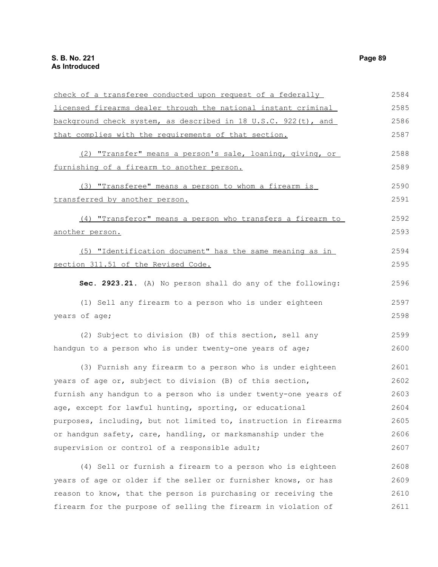| check of a transferee conducted upon request of a federally      | 2584 |
|------------------------------------------------------------------|------|
| licensed firearms dealer through the national instant criminal   | 2585 |
| background check system, as described in 18 U.S.C. 922(t), and   | 2586 |
| that complies with the requirements of that section.             | 2587 |
| (2) "Transfer" means a person's sale, loaning, giving, or        | 2588 |
| furnishing of a firearm to another person.                       | 2589 |
| (3) "Transferee" means a person to whom a firearm is             | 2590 |
| transferred by another person.                                   | 2591 |
| (4) "Transferor" means a person who transfers a firearm to       | 2592 |
| another person.                                                  | 2593 |
| (5) "Identification document" has the same meaning as in         | 2594 |
| section 311.51 of the Revised Code.                              | 2595 |
| Sec. 2923.21. (A) No person shall do any of the following:       | 2596 |
| (1) Sell any firearm to a person who is under eighteen           | 2597 |
| years of age;                                                    | 2598 |
| (2) Subject to division (B) of this section, sell any            | 2599 |
| handgun to a person who is under twenty-one years of age;        | 2600 |
| (3) Furnish any firearm to a person who is under eighteen        | 2601 |
| years of age or, subject to division (B) of this section,        | 2602 |
| furnish any handgun to a person who is under twenty-one years of | 2603 |
| age, except for lawful hunting, sporting, or educational         | 2604 |
| purposes, including, but not limited to, instruction in firearms | 2605 |
| or handgun safety, care, handling, or marksmanship under the     | 2606 |
| supervision or control of a responsible adult;                   | 2607 |
| (4) Sell or furnish a firearm to a person who is eighteen        | 2608 |
| years of age or older if the seller or furnisher knows, or has   | 2609 |
| reason to know, that the person is purchasing or receiving the   | 2610 |
| firearm for the purpose of selling the firearm in violation of   | 2611 |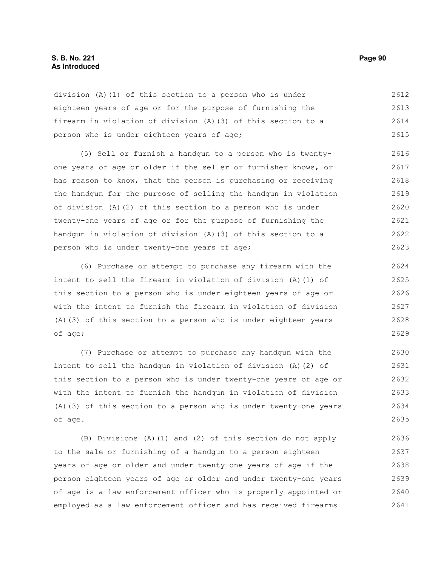## **S. B. No. 221 Page 90 As Introduced**

division (A)(1) of this section to a person who is under eighteen years of age or for the purpose of furnishing the firearm in violation of division (A)(3) of this section to a person who is under eighteen years of age; 2612 2613 2614 2615

(5) Sell or furnish a handgun to a person who is twentyone years of age or older if the seller or furnisher knows, or has reason to know, that the person is purchasing or receiving the handgun for the purpose of selling the handgun in violation of division (A)(2) of this section to a person who is under twenty-one years of age or for the purpose of furnishing the handgun in violation of division (A)(3) of this section to a person who is under twenty-one years of age; 2616 2617 2618 2619 2620 2621 2622 2623

(6) Purchase or attempt to purchase any firearm with the intent to sell the firearm in violation of division (A)(1) of this section to a person who is under eighteen years of age or with the intent to furnish the firearm in violation of division (A)(3) of this section to a person who is under eighteen years of age; 2624 2625 2626 2627 2628 2629

(7) Purchase or attempt to purchase any handgun with the intent to sell the handgun in violation of division (A)(2) of this section to a person who is under twenty-one years of age or with the intent to furnish the handgun in violation of division (A)(3) of this section to a person who is under twenty-one years of age. 2630 2631 2632 2633 2634 2635

(B) Divisions (A)(1) and (2) of this section do not apply to the sale or furnishing of a handgun to a person eighteen years of age or older and under twenty-one years of age if the person eighteen years of age or older and under twenty-one years of age is a law enforcement officer who is properly appointed or employed as a law enforcement officer and has received firearms 2636 2637 2638 2639 2640 2641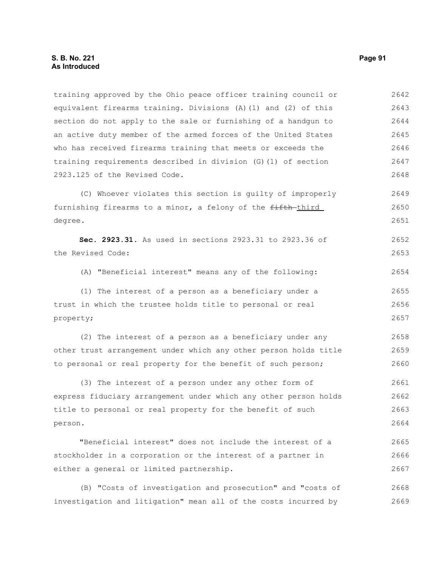training approved by the Ohio peace officer training council or equivalent firearms training. Divisions (A)(1) and (2) of this section do not apply to the sale or furnishing of a handgun to an active duty member of the armed forces of the United States who has received firearms training that meets or exceeds the training requirements described in division (G)(1) of section 2923.125 of the Revised Code. 2642 2643 2644 2645 2646 2647 2648

(C) Whoever violates this section is guilty of improperly furnishing firearms to a minor, a felony of the fifth-third degree. 2649 2650 2651

**Sec. 2923.31.** As used in sections 2923.31 to 2923.36 of the Revised Code: 2652 2653

(A) "Beneficial interest" means any of the following:

(1) The interest of a person as a beneficiary under a trust in which the trustee holds title to personal or real property; 2655 2656 2657

(2) The interest of a person as a beneficiary under any other trust arrangement under which any other person holds title to personal or real property for the benefit of such person; 2658 2659 2660

(3) The interest of a person under any other form of express fiduciary arrangement under which any other person holds title to personal or real property for the benefit of such person. 2661 2662 2663 2664

"Beneficial interest" does not include the interest of a stockholder in a corporation or the interest of a partner in either a general or limited partnership. 2665 2666 2667

(B) "Costs of investigation and prosecution" and "costs of investigation and litigation" mean all of the costs incurred by 2668 2669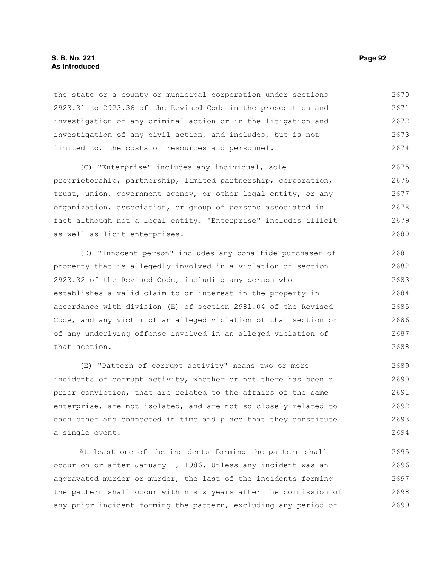## **S. B. No. 221 Page 92 As Introduced**

the state or a county or municipal corporation under sections 2923.31 to 2923.36 of the Revised Code in the prosecution and investigation of any criminal action or in the litigation and investigation of any civil action, and includes, but is not limited to, the costs of resources and personnel. 2670 2671 2672 2673 2674

(C) "Enterprise" includes any individual, sole proprietorship, partnership, limited partnership, corporation, trust, union, government agency, or other legal entity, or any organization, association, or group of persons associated in fact although not a legal entity. "Enterprise" includes illicit as well as licit enterprises. 2675 2676 2677 2678 2679 2680

(D) "Innocent person" includes any bona fide purchaser of property that is allegedly involved in a violation of section 2923.32 of the Revised Code, including any person who establishes a valid claim to or interest in the property in accordance with division (E) of section 2981.04 of the Revised Code, and any victim of an alleged violation of that section or of any underlying offense involved in an alleged violation of that section.

(E) "Pattern of corrupt activity" means two or more incidents of corrupt activity, whether or not there has been a prior conviction, that are related to the affairs of the same enterprise, are not isolated, and are not so closely related to each other and connected in time and place that they constitute a single event. 2689 2690 2691 2692 2693 2694

At least one of the incidents forming the pattern shall occur on or after January 1, 1986. Unless any incident was an aggravated murder or murder, the last of the incidents forming the pattern shall occur within six years after the commission of any prior incident forming the pattern, excluding any period of 2695 2696 2697 2698 2699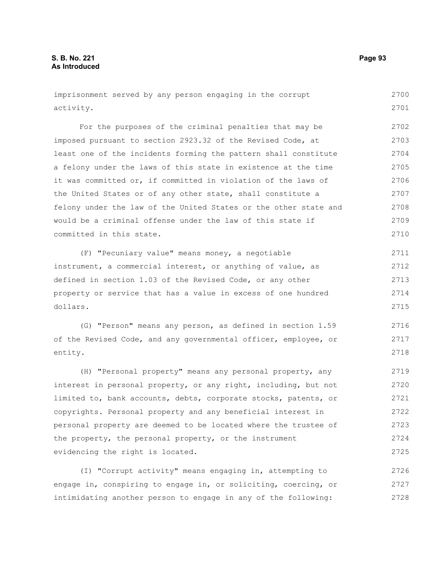imprisonment served by any person engaging in the corrupt activity. 2700 2701

For the purposes of the criminal penalties that may be imposed pursuant to section 2923.32 of the Revised Code, at least one of the incidents forming the pattern shall constitute a felony under the laws of this state in existence at the time it was committed or, if committed in violation of the laws of the United States or of any other state, shall constitute a felony under the law of the United States or the other state and would be a criminal offense under the law of this state if committed in this state. 2702 2703 2704 2705 2706 2707 2708 2709 2710

(F) "Pecuniary value" means money, a negotiable instrument, a commercial interest, or anything of value, as defined in section 1.03 of the Revised Code, or any other property or service that has a value in excess of one hundred dollars. 2711 2712 2713 2714 2715

(G) "Person" means any person, as defined in section 1.59 of the Revised Code, and any governmental officer, employee, or entity. 2716 2717 2718

(H) "Personal property" means any personal property, any interest in personal property, or any right, including, but not limited to, bank accounts, debts, corporate stocks, patents, or copyrights. Personal property and any beneficial interest in personal property are deemed to be located where the trustee of the property, the personal property, or the instrument evidencing the right is located. 2719 2720 2721 2722 2723 2724 2725

(I) "Corrupt activity" means engaging in, attempting to engage in, conspiring to engage in, or soliciting, coercing, or intimidating another person to engage in any of the following: 2726 2727 2728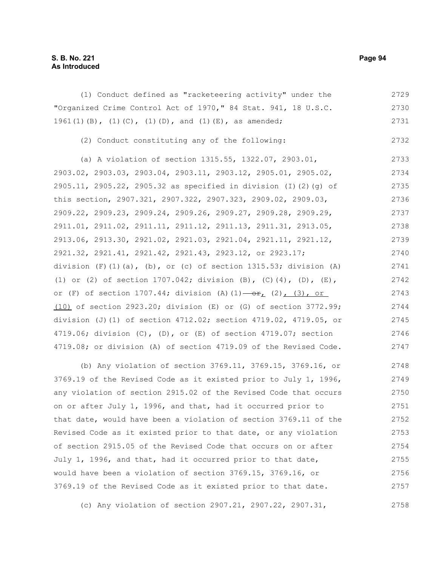(1) Conduct defined as "racketeering activity" under the "Organized Crime Control Act of 1970," 84 Stat. 941, 18 U.S.C. 1961(1)(B), (1)(C), (1)(D), and (1)(E), as amended; 2729 2730 2731

(2) Conduct constituting any of the following:

(a) A violation of section 1315.55, 1322.07, 2903.01, 2903.02, 2903.03, 2903.04, 2903.11, 2903.12, 2905.01, 2905.02, 2905.11, 2905.22, 2905.32 as specified in division (I)(2)(g) of this section, 2907.321, 2907.322, 2907.323, 2909.02, 2909.03, 2909.22, 2909.23, 2909.24, 2909.26, 2909.27, 2909.28, 2909.29, 2911.01, 2911.02, 2911.11, 2911.12, 2911.13, 2911.31, 2913.05, 2913.06, 2913.30, 2921.02, 2921.03, 2921.04, 2921.11, 2921.12, 2921.32, 2921.41, 2921.42, 2921.43, 2923.12, or 2923.17; division  $(F)$  (1)(a), (b), or (c) of section 1315.53; division (A) (1) or (2) of section 1707.042; division (B), (C)(4), (D), (E), or (F) of section 1707.44; division (A)(1)  $-$  or, (2), (3), or  $(10)$  of section 2923.20; division  $(E)$  or  $(G)$  of section 3772.99; division (J)(1) of section 4712.02; section 4719.02, 4719.05, or 4719.06; division (C), (D), or (E) of section 4719.07; section 4719.08; or division (A) of section 4719.09 of the Revised Code. 2733 2734 2735 2736 2737 2738 2739 2740 2741 2742 2743 2744 2745 2746 2747

(b) Any violation of section 3769.11, 3769.15, 3769.16, or 3769.19 of the Revised Code as it existed prior to July 1, 1996, any violation of section 2915.02 of the Revised Code that occurs on or after July 1, 1996, and that, had it occurred prior to that date, would have been a violation of section 3769.11 of the Revised Code as it existed prior to that date, or any violation of section 2915.05 of the Revised Code that occurs on or after July 1, 1996, and that, had it occurred prior to that date, would have been a violation of section 3769.15, 3769.16, or 3769.19 of the Revised Code as it existed prior to that date. 2748 2749 2750 2751 2752 2753 2754 2755 2756 2757

(c) Any violation of section 2907.21, 2907.22, 2907.31, 2758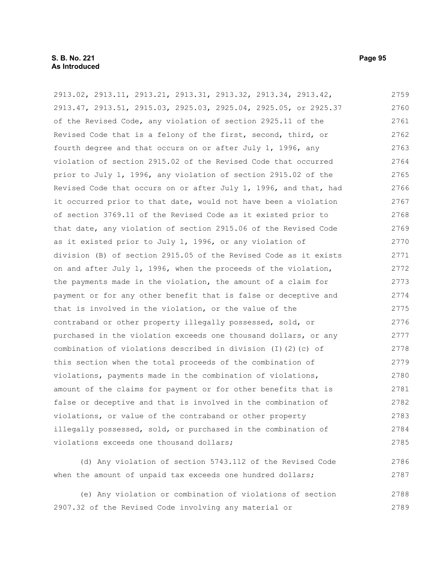## **S. B. No. 221 Page 95 As Introduced**

2913.02, 2913.11, 2913.21, 2913.31, 2913.32, 2913.34, 2913.42, 2913.47, 2913.51, 2915.03, 2925.03, 2925.04, 2925.05, or 2925.37 of the Revised Code, any violation of section 2925.11 of the Revised Code that is a felony of the first, second, third, or fourth degree and that occurs on or after July 1, 1996, any violation of section 2915.02 of the Revised Code that occurred prior to July 1, 1996, any violation of section 2915.02 of the Revised Code that occurs on or after July 1, 1996, and that, had it occurred prior to that date, would not have been a violation of section 3769.11 of the Revised Code as it existed prior to that date, any violation of section 2915.06 of the Revised Code as it existed prior to July 1, 1996, or any violation of division (B) of section 2915.05 of the Revised Code as it exists on and after July 1, 1996, when the proceeds of the violation, the payments made in the violation, the amount of a claim for payment or for any other benefit that is false or deceptive and that is involved in the violation, or the value of the contraband or other property illegally possessed, sold, or purchased in the violation exceeds one thousand dollars, or any combination of violations described in division (I)(2)(c) of this section when the total proceeds of the combination of violations, payments made in the combination of violations, amount of the claims for payment or for other benefits that is false or deceptive and that is involved in the combination of violations, or value of the contraband or other property illegally possessed, sold, or purchased in the combination of violations exceeds one thousand dollars; 2759 2760 2761 2762 2763 2764 2765 2766 2767 2768 2769 2770 2771 2772 2773 2774 2775 2776 2777 2778 2779 2780 2781 2782 2783 2784 2785

(d) Any violation of section 5743.112 of the Revised Code when the amount of unpaid tax exceeds one hundred dollars; 2786 2787

(e) Any violation or combination of violations of section 2907.32 of the Revised Code involving any material or 2788 2789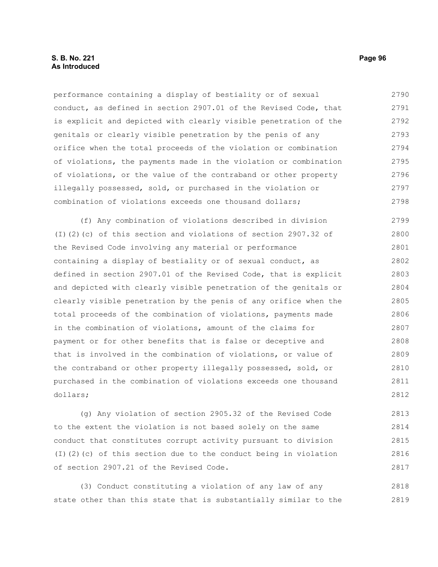performance containing a display of bestiality or of sexual conduct, as defined in section 2907.01 of the Revised Code, that is explicit and depicted with clearly visible penetration of the genitals or clearly visible penetration by the penis of any orifice when the total proceeds of the violation or combination of violations, the payments made in the violation or combination of violations, or the value of the contraband or other property illegally possessed, sold, or purchased in the violation or combination of violations exceeds one thousand dollars; 2790 2791 2792 2793 2794 2795 2796 2797 2798

(f) Any combination of violations described in division (I)(2)(c) of this section and violations of section 2907.32 of the Revised Code involving any material or performance containing a display of bestiality or of sexual conduct, as defined in section 2907.01 of the Revised Code, that is explicit and depicted with clearly visible penetration of the genitals or clearly visible penetration by the penis of any orifice when the total proceeds of the combination of violations, payments made in the combination of violations, amount of the claims for payment or for other benefits that is false or deceptive and that is involved in the combination of violations, or value of the contraband or other property illegally possessed, sold, or purchased in the combination of violations exceeds one thousand dollars; 2799 2800 2801 2802 2803 2804 2805 2806 2807 2808 2809 2810 2811 2812

(g) Any violation of section 2905.32 of the Revised Code to the extent the violation is not based solely on the same conduct that constitutes corrupt activity pursuant to division (I)(2)(c) of this section due to the conduct being in violation of section 2907.21 of the Revised Code. 2813 2814 2815 2816 2817

(3) Conduct constituting a violation of any law of any state other than this state that is substantially similar to the 2818 2819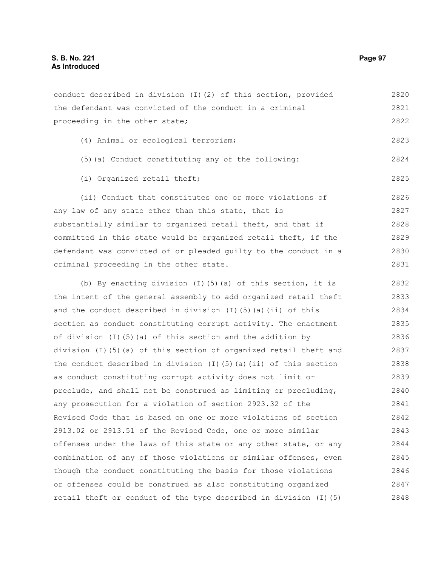conduct described in division (I)(2) of this section, provided the defendant was convicted of the conduct in a criminal proceeding in the other state; 2820 2821 2822

- (4) Animal or ecological terrorism;
- (5)(a) Conduct constituting any of the following: 2824
- (i) Organized retail theft;

(ii) Conduct that constitutes one or more violations of any law of any state other than this state, that is substantially similar to organized retail theft, and that if committed in this state would be organized retail theft, if the defendant was convicted of or pleaded guilty to the conduct in a criminal proceeding in the other state. 2826 2827 2828 2829 2830 2831

(b) By enacting division (I)(5)(a) of this section, it is the intent of the general assembly to add organized retail theft and the conduct described in division (I)(5)(a)(ii) of this section as conduct constituting corrupt activity. The enactment of division (I)(5)(a) of this section and the addition by division (I)(5)(a) of this section of organized retail theft and the conduct described in division  $(I)(5)(a)(ii)$  of this section as conduct constituting corrupt activity does not limit or preclude, and shall not be construed as limiting or precluding, any prosecution for a violation of section 2923.32 of the Revised Code that is based on one or more violations of section 2913.02 or 2913.51 of the Revised Code, one or more similar offenses under the laws of this state or any other state, or any combination of any of those violations or similar offenses, even though the conduct constituting the basis for those violations or offenses could be construed as also constituting organized retail theft or conduct of the type described in division (I)(5) 2832 2833 2834 2835 2836 2837 2838 2839 2840 2841 2842 2843 2844 2845 2846 2847 2848

2823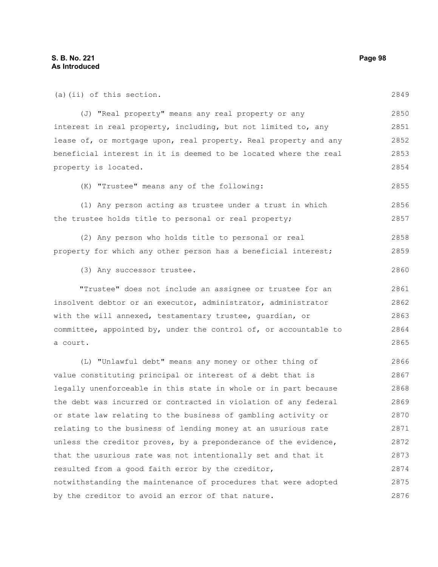| (a) (ii) of this section.                                        | 2849 |
|------------------------------------------------------------------|------|
| (J) "Real property" means any real property or any               | 2850 |
| interest in real property, including, but not limited to, any    | 2851 |
| lease of, or mortgage upon, real property. Real property and any | 2852 |
| beneficial interest in it is deemed to be located where the real | 2853 |
| property is located.                                             | 2854 |
| (K) "Trustee" means any of the following:                        | 2855 |
| (1) Any person acting as trustee under a trust in which          | 2856 |
| the trustee holds title to personal or real property;            | 2857 |
| (2) Any person who holds title to personal or real               | 2858 |
| property for which any other person has a beneficial interest;   | 2859 |
| (3) Any successor trustee.                                       | 2860 |
| "Trustee" does not include an assignee or trustee for an         | 2861 |
| insolvent debtor or an executor, administrator, administrator    | 2862 |
| with the will annexed, testamentary trustee, quardian, or        | 2863 |
| committee, appointed by, under the control of, or accountable to | 2864 |
| a court.                                                         | 2865 |
| (L) "Unlawful debt" means any money or other thing of            | 2866 |
| value constituting principal or interest of a debt that is       | 2867 |
| legally unenforceable in this state in whole or in part because  | 2868 |
| the debt was incurred or contracted in violation of any federal  | 2869 |
| or state law relating to the business of gambling activity or    | 2870 |
| relating to the business of lending money at an usurious rate    | 2871 |
| unless the creditor proves, by a preponderance of the evidence,  | 2872 |
| that the usurious rate was not intentionally set and that it     | 2873 |
| resulted from a good faith error by the creditor,                | 2874 |
| notwithstanding the maintenance of procedures that were adopted  | 2875 |
| by the creditor to avoid an error of that nature.                | 2876 |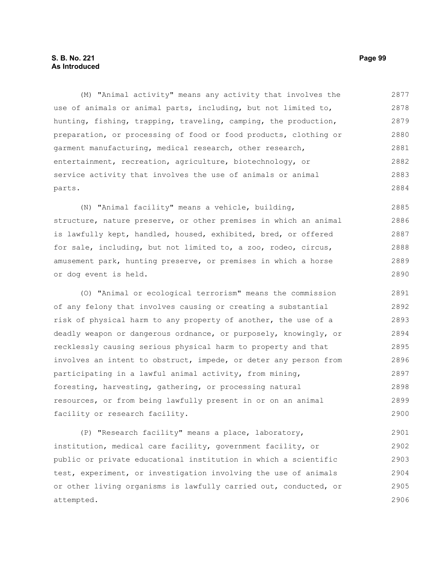(M) "Animal activity" means any activity that involves the use of animals or animal parts, including, but not limited to, hunting, fishing, trapping, traveling, camping, the production, preparation, or processing of food or food products, clothing or garment manufacturing, medical research, other research, entertainment, recreation, agriculture, biotechnology, or service activity that involves the use of animals or animal parts. 2877 2878 2879 2880 2881 2882 2883 2884

(N) "Animal facility" means a vehicle, building, structure, nature preserve, or other premises in which an animal is lawfully kept, handled, housed, exhibited, bred, or offered for sale, including, but not limited to, a zoo, rodeo, circus, amusement park, hunting preserve, or premises in which a horse or dog event is held. 2885 2886 2887 2888 2889 2890

(O) "Animal or ecological terrorism" means the commission of any felony that involves causing or creating a substantial risk of physical harm to any property of another, the use of a deadly weapon or dangerous ordnance, or purposely, knowingly, or recklessly causing serious physical harm to property and that involves an intent to obstruct, impede, or deter any person from participating in a lawful animal activity, from mining, foresting, harvesting, gathering, or processing natural resources, or from being lawfully present in or on an animal facility or research facility. 2891 2892 2893 2894 2895 2896 2897 2898 2899 2900

(P) "Research facility" means a place, laboratory, institution, medical care facility, government facility, or public or private educational institution in which a scientific test, experiment, or investigation involving the use of animals or other living organisms is lawfully carried out, conducted, or attempted. 2901 2902 2903 2904 2905 2906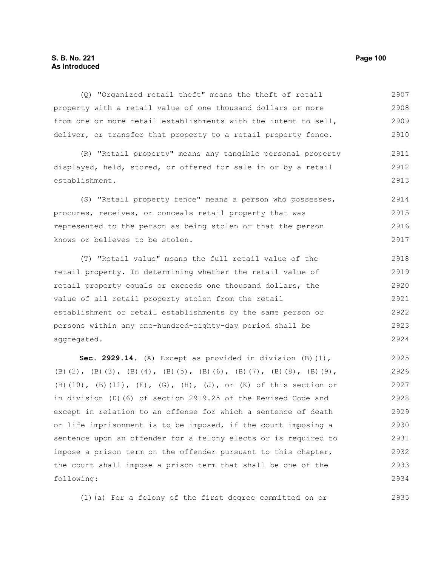# **S. B. No. 221 Page 100 As Introduced**

following:

(Q) "Organized retail theft" means the theft of retail property with a retail value of one thousand dollars or more from one or more retail establishments with the intent to sell, deliver, or transfer that property to a retail property fence. (R) "Retail property" means any tangible personal property displayed, held, stored, or offered for sale in or by a retail establishment. (S) "Retail property fence" means a person who possesses, procures, receives, or conceals retail property that was represented to the person as being stolen or that the person knows or believes to be stolen. (T) "Retail value" means the full retail value of the retail property. In determining whether the retail value of retail property equals or exceeds one thousand dollars, the value of all retail property stolen from the retail establishment or retail establishments by the same person or persons within any one-hundred-eighty-day period shall be aggregated. **Sec. 2929.14.** (A) Except as provided in division (B)(1), (B)(2), (B)(3), (B)(4), (B)(5), (B)(6), (B)(7), (B)(8), (B)(9), (B)(10), (B)(11), (E), (G), (H), (J), or (K) of this section or in division (D)(6) of section 2919.25 of the Revised Code and except in relation to an offense for which a sentence of death or life imprisonment is to be imposed, if the court imposing a sentence upon an offender for a felony elects or is required to impose a prison term on the offender pursuant to this chapter, the court shall impose a prison term that shall be one of the 2907 2908 2909 2910 2911 2912 2913 2914 2915 2916 2917 2918 2919 2920 2921 2922 2923 2924 2925 2926 2927 2928 2929 2930 2931 2932 2933

(1)(a) For a felony of the first degree committed on or

2935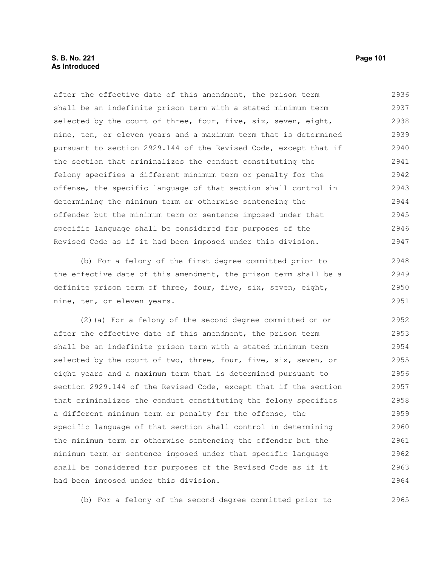## **S. B. No. 221 Page 101 As Introduced**

after the effective date of this amendment, the prison term shall be an indefinite prison term with a stated minimum term selected by the court of three, four, five, six, seven, eight, nine, ten, or eleven years and a maximum term that is determined pursuant to section 2929.144 of the Revised Code, except that if the section that criminalizes the conduct constituting the felony specifies a different minimum term or penalty for the offense, the specific language of that section shall control in determining the minimum term or otherwise sentencing the offender but the minimum term or sentence imposed under that specific language shall be considered for purposes of the Revised Code as if it had been imposed under this division. 2936 2937 2938 2939 2940 2941 2942 2943 2944 2945 2946 2947

(b) For a felony of the first degree committed prior to the effective date of this amendment, the prison term shall be a definite prison term of three, four, five, six, seven, eight, nine, ten, or eleven years. 2948 2949 2950 2951

(2)(a) For a felony of the second degree committed on or after the effective date of this amendment, the prison term shall be an indefinite prison term with a stated minimum term selected by the court of two, three, four, five, six, seven, or eight years and a maximum term that is determined pursuant to section 2929.144 of the Revised Code, except that if the section that criminalizes the conduct constituting the felony specifies a different minimum term or penalty for the offense, the specific language of that section shall control in determining the minimum term or otherwise sentencing the offender but the minimum term or sentence imposed under that specific language shall be considered for purposes of the Revised Code as if it had been imposed under this division. 2952 2953 2954 2955 2956 2957 2958 2959 2960 2961 2962 2963 2964

(b) For a felony of the second degree committed prior to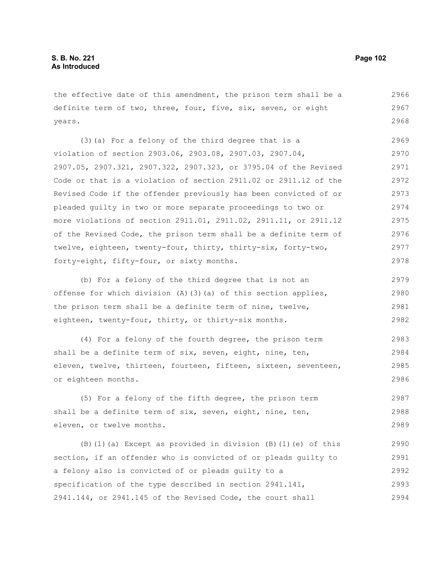the effective date of this amendment, the prison term shall be a definite term of two, three, four, five, six, seven, or eight years. 2966 2967 2968

(3)(a) For a felony of the third degree that is a violation of section 2903.06, 2903.08, 2907.03, 2907.04, 2907.05, 2907.321, 2907.322, 2907.323, or 3795.04 of the Revised Code or that is a violation of section 2911.02 or 2911.12 of the Revised Code if the offender previously has been convicted of or pleaded guilty in two or more separate proceedings to two or more violations of section 2911.01, 2911.02, 2911.11, or 2911.12 of the Revised Code, the prison term shall be a definite term of twelve, eighteen, twenty-four, thirty, thirty-six, forty-two, forty-eight, fifty-four, or sixty months. 2969 2970 2971 2972 2973 2974 2975 2976 2977 2978

(b) For a felony of the third degree that is not an offense for which division (A)(3)(a) of this section applies, the prison term shall be a definite term of nine, twelve, eighteen, twenty-four, thirty, or thirty-six months. 2979 2980 2981 2982

(4) For a felony of the fourth degree, the prison term shall be a definite term of six, seven, eight, nine, ten, eleven, twelve, thirteen, fourteen, fifteen, sixteen, seventeen, or eighteen months. 2983 2984 2985 2986

(5) For a felony of the fifth degree, the prison term shall be a definite term of six, seven, eight, nine, ten, eleven, or twelve months. 2987 2988 2989

 $(B)$ (1)(a) Except as provided in division  $(B)$ (1)(e) of this section, if an offender who is convicted of or pleads guilty to a felony also is convicted of or pleads guilty to a specification of the type described in section 2941.141, 2941.144, or 2941.145 of the Revised Code, the court shall 2990 2991 2992 2993 2994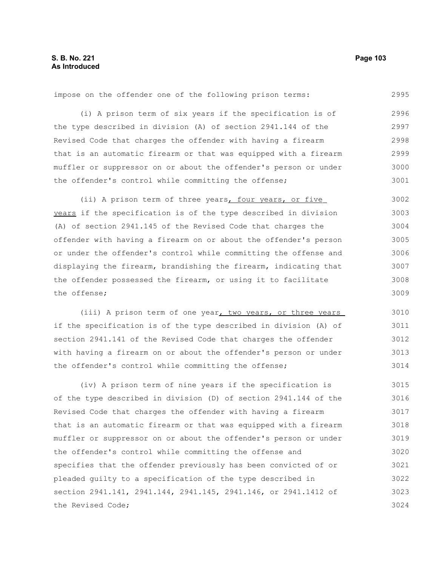2995

impose on the offender one of the following prison terms:

(i) A prison term of six years if the specification is of the type described in division (A) of section 2941.144 of the Revised Code that charges the offender with having a firearm that is an automatic firearm or that was equipped with a firearm muffler or suppressor on or about the offender's person or under the offender's control while committing the offense; 2996 2997 2998 2999 3000 3001

(ii) A prison term of three years, four years, or five years if the specification is of the type described in division (A) of section 2941.145 of the Revised Code that charges the offender with having a firearm on or about the offender's person or under the offender's control while committing the offense and displaying the firearm, brandishing the firearm, indicating that the offender possessed the firearm, or using it to facilitate the offense; 3002 3003 3004 3005 3006 3007 3008 3009

(iii) A prison term of one year, two years, or three years if the specification is of the type described in division (A) of section 2941.141 of the Revised Code that charges the offender with having a firearm on or about the offender's person or under the offender's control while committing the offense; 3010 3011 3012 3013 3014

(iv) A prison term of nine years if the specification is of the type described in division (D) of section 2941.144 of the Revised Code that charges the offender with having a firearm that is an automatic firearm or that was equipped with a firearm muffler or suppressor on or about the offender's person or under the offender's control while committing the offense and specifies that the offender previously has been convicted of or pleaded guilty to a specification of the type described in section 2941.141, 2941.144, 2941.145, 2941.146, or 2941.1412 of the Revised Code; 3015 3016 3017 3018 3019 3020 3021 3022 3023 3024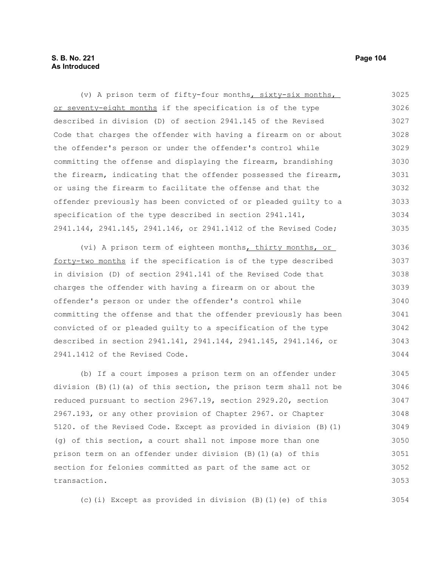# **S. B. No. 221 Page 104 As Introduced**

(v) A prison term of fifty-four months, sixty-six months, or seventy-eight months if the specification is of the type described in division (D) of section 2941.145 of the Revised Code that charges the offender with having a firearm on or about the offender's person or under the offender's control while committing the offense and displaying the firearm, brandishing the firearm, indicating that the offender possessed the firearm, or using the firearm to facilitate the offense and that the offender previously has been convicted of or pleaded guilty to a specification of the type described in section 2941.141, 2941.144, 2941.145, 2941.146, or 2941.1412 of the Revised Code; 3025 3026 3027 3028 3029 3030 3031 3032 3033 3034 3035

(vi) A prison term of eighteen months, thirty months, or forty-two months if the specification is of the type described in division (D) of section 2941.141 of the Revised Code that charges the offender with having a firearm on or about the offender's person or under the offender's control while committing the offense and that the offender previously has been convicted of or pleaded guilty to a specification of the type described in section 2941.141, 2941.144, 2941.145, 2941.146, or 2941.1412 of the Revised Code. 3036 3037 3038 3039 3040 3041 3042 3043 3044

(b) If a court imposes a prison term on an offender under division (B)(1)(a) of this section, the prison term shall not be reduced pursuant to section 2967.19, section 2929.20, section 2967.193, or any other provision of Chapter 2967. or Chapter 5120. of the Revised Code. Except as provided in division (B)(1) (g) of this section, a court shall not impose more than one prison term on an offender under division (B)(1)(a) of this section for felonies committed as part of the same act or transaction. 3045 3046 3047 3048 3049 3050 3051 3052 3053

(c)(i) Except as provided in division (B)(1)(e) of this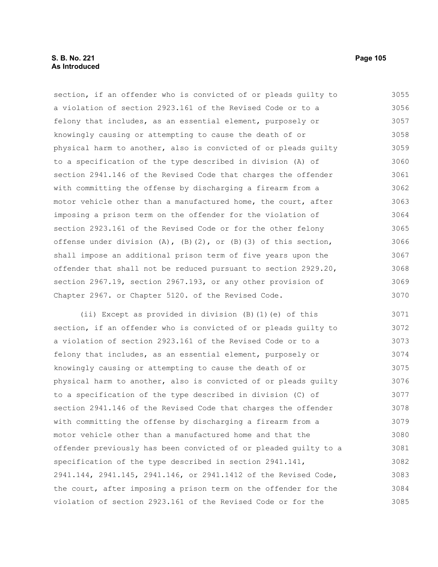section, if an offender who is convicted of or pleads guilty to a violation of section 2923.161 of the Revised Code or to a felony that includes, as an essential element, purposely or knowingly causing or attempting to cause the death of or physical harm to another, also is convicted of or pleads guilty to a specification of the type described in division (A) of section 2941.146 of the Revised Code that charges the offender with committing the offense by discharging a firearm from a motor vehicle other than a manufactured home, the court, after imposing a prison term on the offender for the violation of section 2923.161 of the Revised Code or for the other felony offense under division  $(A)$ ,  $(B)$ (2), or  $(B)$ (3) of this section, shall impose an additional prison term of five years upon the offender that shall not be reduced pursuant to section 2929.20, section 2967.19, section 2967.193, or any other provision of Chapter 2967. or Chapter 5120. of the Revised Code. 3055 3056 3057 3058 3059 3060 3061 3062 3063 3064 3065 3066 3067 3068 3069 3070

(ii) Except as provided in division (B)(1)(e) of this section, if an offender who is convicted of or pleads guilty to a violation of section 2923.161 of the Revised Code or to a felony that includes, as an essential element, purposely or knowingly causing or attempting to cause the death of or physical harm to another, also is convicted of or pleads guilty to a specification of the type described in division (C) of section 2941.146 of the Revised Code that charges the offender with committing the offense by discharging a firearm from a motor vehicle other than a manufactured home and that the offender previously has been convicted of or pleaded guilty to a specification of the type described in section 2941.141, 2941.144, 2941.145, 2941.146, or 2941.1412 of the Revised Code, the court, after imposing a prison term on the offender for the violation of section 2923.161 of the Revised Code or for the 3071 3072 3073 3074 3075 3076 3077 3078 3079 3080 3081 3082 3083 3084 3085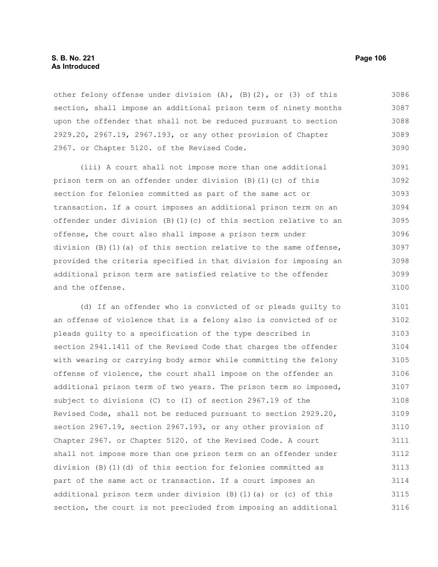## **S. B. No. 221 Page 106 As Introduced**

other felony offense under division  $(A)$ ,  $(B)$   $(2)$ , or  $(3)$  of this section, shall impose an additional prison term of ninety months upon the offender that shall not be reduced pursuant to section 2929.20, 2967.19, 2967.193, or any other provision of Chapter 2967. or Chapter 5120. of the Revised Code. 3086 3087 3088 3089 3090

(iii) A court shall not impose more than one additional prison term on an offender under division (B)(1)(c) of this section for felonies committed as part of the same act or transaction. If a court imposes an additional prison term on an offender under division (B)(1)(c) of this section relative to an offense, the court also shall impose a prison term under division (B)(1)(a) of this section relative to the same offense, provided the criteria specified in that division for imposing an additional prison term are satisfied relative to the offender and the offense. 3091 3092 3093 3094 3095 3096 3097 3098 3099 3100

(d) If an offender who is convicted of or pleads guilty to an offense of violence that is a felony also is convicted of or pleads guilty to a specification of the type described in section 2941.1411 of the Revised Code that charges the offender with wearing or carrying body armor while committing the felony offense of violence, the court shall impose on the offender an additional prison term of two years. The prison term so imposed, subject to divisions (C) to (I) of section 2967.19 of the Revised Code, shall not be reduced pursuant to section 2929.20, section 2967.19, section 2967.193, or any other provision of Chapter 2967. or Chapter 5120. of the Revised Code. A court shall not impose more than one prison term on an offender under division (B)(1)(d) of this section for felonies committed as part of the same act or transaction. If a court imposes an additional prison term under division (B)(1)(a) or (c) of this section, the court is not precluded from imposing an additional 3101 3102 3103 3104 3105 3106 3107 3108 3109 3110 3111 3112 3113 3114 3115 3116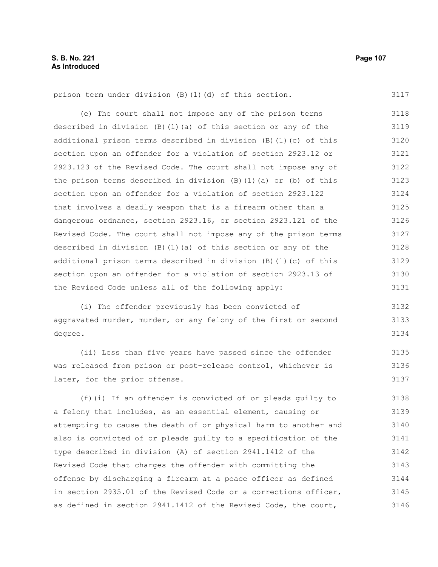3117

prison term under division (B)(1)(d) of this section.

(e) The court shall not impose any of the prison terms described in division (B)(1)(a) of this section or any of the additional prison terms described in division (B)(1)(c) of this section upon an offender for a violation of section 2923.12 or 2923.123 of the Revised Code. The court shall not impose any of the prison terms described in division (B)(1)(a) or (b) of this section upon an offender for a violation of section 2923.122 that involves a deadly weapon that is a firearm other than a dangerous ordnance, section 2923.16, or section 2923.121 of the Revised Code. The court shall not impose any of the prison terms described in division  $(B)$  (1)(a) of this section or any of the additional prison terms described in division (B)(1)(c) of this section upon an offender for a violation of section 2923.13 of the Revised Code unless all of the following apply: 3118 3119 3120 3121 3122 3123 3124 3125 3126 3127 3128 3129 3130 3131

(i) The offender previously has been convicted of aggravated murder, murder, or any felony of the first or second degree. 3132 3133 3134

(ii) Less than five years have passed since the offender was released from prison or post-release control, whichever is later, for the prior offense. 3135 3136 3137

(f)(i) If an offender is convicted of or pleads guilty to a felony that includes, as an essential element, causing or attempting to cause the death of or physical harm to another and also is convicted of or pleads guilty to a specification of the type described in division (A) of section 2941.1412 of the Revised Code that charges the offender with committing the offense by discharging a firearm at a peace officer as defined in section 2935.01 of the Revised Code or a corrections officer, as defined in section 2941.1412 of the Revised Code, the court, 3138 3139 3140 3141 3142 3143 3144 3145 3146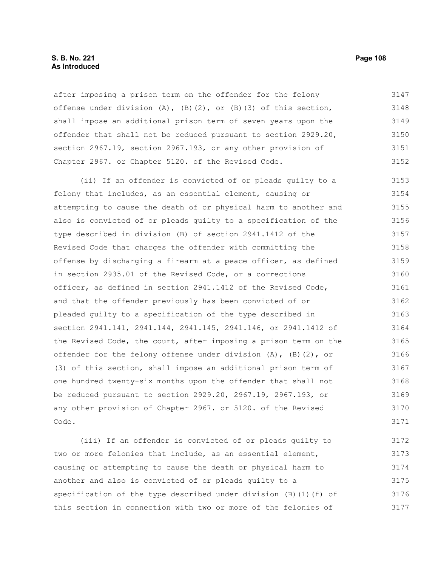## **S. B. No. 221 Page 108 As Introduced**

after imposing a prison term on the offender for the felony offense under division  $(A)$ ,  $(B)$   $(2)$ , or  $(B)$   $(3)$  of this section, shall impose an additional prison term of seven years upon the offender that shall not be reduced pursuant to section 2929.20, section 2967.19, section 2967.193, or any other provision of Chapter 2967. or Chapter 5120. of the Revised Code. 3147 3148 3149 3150 3151 3152

(ii) If an offender is convicted of or pleads guilty to a felony that includes, as an essential element, causing or attempting to cause the death of or physical harm to another and also is convicted of or pleads guilty to a specification of the type described in division (B) of section 2941.1412 of the Revised Code that charges the offender with committing the offense by discharging a firearm at a peace officer, as defined in section 2935.01 of the Revised Code, or a corrections officer, as defined in section 2941.1412 of the Revised Code, and that the offender previously has been convicted of or pleaded guilty to a specification of the type described in section 2941.141, 2941.144, 2941.145, 2941.146, or 2941.1412 of the Revised Code, the court, after imposing a prison term on the offender for the felony offense under division (A), (B)(2), or (3) of this section, shall impose an additional prison term of one hundred twenty-six months upon the offender that shall not be reduced pursuant to section 2929.20, 2967.19, 2967.193, or any other provision of Chapter 2967. or 5120. of the Revised Code. 3153 3154 3155 3156 3157 3158 3159 3160 3161 3162 3163 3164 3165 3166 3167 3168 3169 3170 3171

(iii) If an offender is convicted of or pleads guilty to two or more felonies that include, as an essential element, causing or attempting to cause the death or physical harm to another and also is convicted of or pleads guilty to a specification of the type described under division (B)(1)(f) of this section in connection with two or more of the felonies of 3172 3173 3174 3175 3176 3177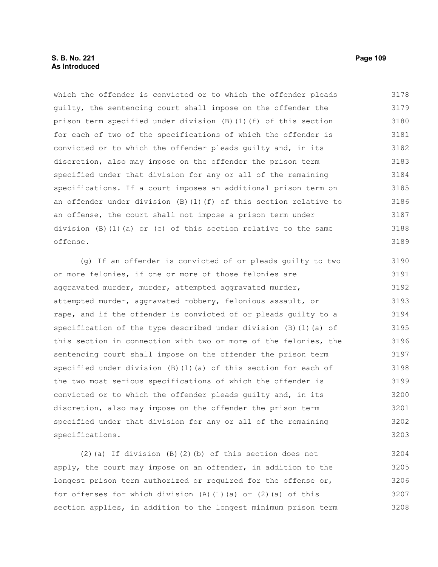# **S. B. No. 221 Page 109 As Introduced**

which the offender is convicted or to which the offender pleads guilty, the sentencing court shall impose on the offender the prison term specified under division (B)(1)(f) of this section for each of two of the specifications of which the offender is convicted or to which the offender pleads guilty and, in its discretion, also may impose on the offender the prison term specified under that division for any or all of the remaining specifications. If a court imposes an additional prison term on an offender under division  $(B)$  (1)(f) of this section relative to an offense, the court shall not impose a prison term under division  $(B)(1)(a)$  or  $(c)$  of this section relative to the same offense. 3178 3179 3180 3181 3182 3183 3184 3185 3186 3187 3188 3189

(g) If an offender is convicted of or pleads guilty to two or more felonies, if one or more of those felonies are aggravated murder, murder, attempted aggravated murder, attempted murder, aggravated robbery, felonious assault, or rape, and if the offender is convicted of or pleads guilty to a specification of the type described under division (B)(1)(a) of this section in connection with two or more of the felonies, the sentencing court shall impose on the offender the prison term specified under division  $(B)$  (1)(a) of this section for each of the two most serious specifications of which the offender is convicted or to which the offender pleads guilty and, in its discretion, also may impose on the offender the prison term specified under that division for any or all of the remaining specifications. 3190 3191 3192 3193 3194 3195 3196 3197 3198 3199 3200 3201 3202 3203

(2)(a) If division (B)(2)(b) of this section does not apply, the court may impose on an offender, in addition to the longest prison term authorized or required for the offense or, for offenses for which division  $(A)$   $(1)$   $(a)$  or  $(2)$   $(a)$  of this section applies, in addition to the longest minimum prison term 3204 3205 3206 3207 3208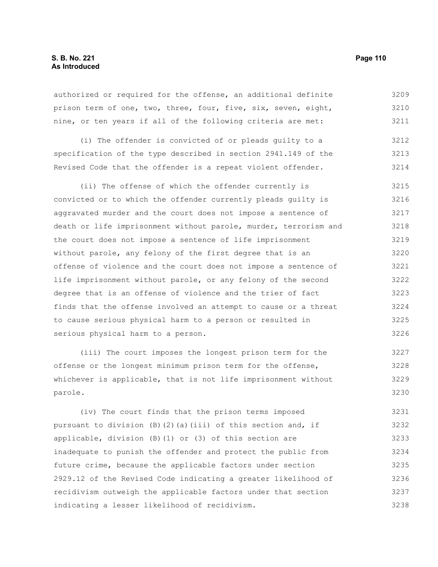# **S. B. No. 221 Page 110 As Introduced**

authorized or required for the offense, an additional definite prison term of one, two, three, four, five, six, seven, eight, nine, or ten years if all of the following criteria are met: 3209 3210 3211

(i) The offender is convicted of or pleads guilty to a specification of the type described in section 2941.149 of the Revised Code that the offender is a repeat violent offender. 3212 3213 3214

(ii) The offense of which the offender currently is convicted or to which the offender currently pleads guilty is aggravated murder and the court does not impose a sentence of death or life imprisonment without parole, murder, terrorism and the court does not impose a sentence of life imprisonment without parole, any felony of the first degree that is an offense of violence and the court does not impose a sentence of life imprisonment without parole, or any felony of the second degree that is an offense of violence and the trier of fact finds that the offense involved an attempt to cause or a threat to cause serious physical harm to a person or resulted in serious physical harm to a person. 3215 3216 3217 3218 3219 3220 3221 3222 3223 3224 3225 3226

(iii) The court imposes the longest prison term for the offense or the longest minimum prison term for the offense, whichever is applicable, that is not life imprisonment without parole. 3227 3228 3229 3230

(iv) The court finds that the prison terms imposed pursuant to division (B)(2)(a)(iii) of this section and, if applicable, division (B)(1) or (3) of this section are inadequate to punish the offender and protect the public from future crime, because the applicable factors under section 2929.12 of the Revised Code indicating a greater likelihood of recidivism outweigh the applicable factors under that section indicating a lesser likelihood of recidivism. 3231 3232 3233 3234 3235 3236 3237 3238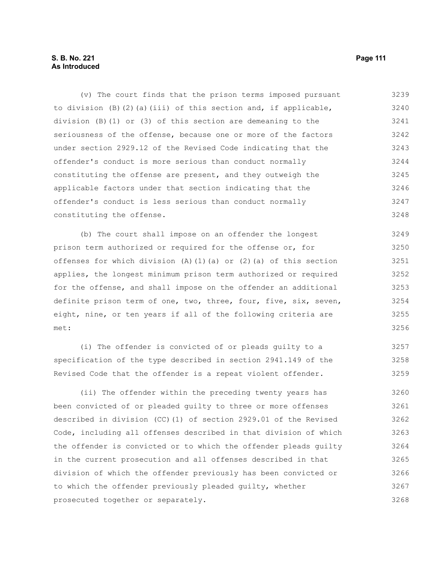# **S. B. No. 221 Page 111 As Introduced**

(v) The court finds that the prison terms imposed pursuant to division (B)(2)(a)(iii) of this section and, if applicable, division (B)(1) or (3) of this section are demeaning to the seriousness of the offense, because one or more of the factors under section 2929.12 of the Revised Code indicating that the offender's conduct is more serious than conduct normally constituting the offense are present, and they outweigh the applicable factors under that section indicating that the offender's conduct is less serious than conduct normally constituting the offense. 3239 3240 3241 3242 3243 3244 3245 3246 3247 3248

(b) The court shall impose on an offender the longest prison term authorized or required for the offense or, for offenses for which division (A)(1)(a) or (2)(a) of this section applies, the longest minimum prison term authorized or required for the offense, and shall impose on the offender an additional definite prison term of one, two, three, four, five, six, seven, eight, nine, or ten years if all of the following criteria are met:

(i) The offender is convicted of or pleads guilty to a specification of the type described in section 2941.149 of the Revised Code that the offender is a repeat violent offender. 3257 3258 3259

(ii) The offender within the preceding twenty years has been convicted of or pleaded guilty to three or more offenses described in division (CC)(1) of section 2929.01 of the Revised Code, including all offenses described in that division of which the offender is convicted or to which the offender pleads guilty in the current prosecution and all offenses described in that division of which the offender previously has been convicted or to which the offender previously pleaded guilty, whether prosecuted together or separately. 3260 3261 3262 3263 3264 3265 3266 3267 3268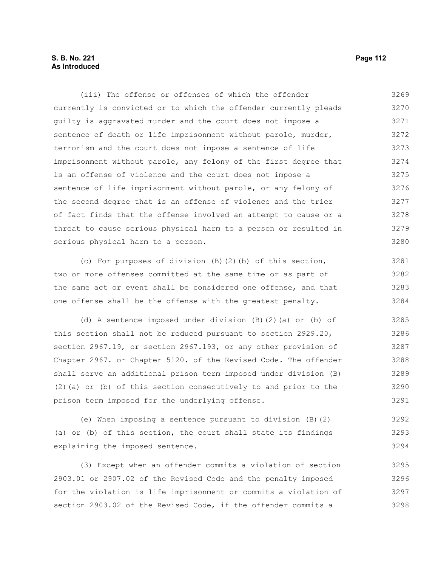# **S. B. No. 221 Page 112 As Introduced**

(iii) The offense or offenses of which the offender currently is convicted or to which the offender currently pleads guilty is aggravated murder and the court does not impose a sentence of death or life imprisonment without parole, murder, terrorism and the court does not impose a sentence of life imprisonment without parole, any felony of the first degree that is an offense of violence and the court does not impose a sentence of life imprisonment without parole, or any felony of the second degree that is an offense of violence and the trier of fact finds that the offense involved an attempt to cause or a threat to cause serious physical harm to a person or resulted in serious physical harm to a person. 3269 3270 3271 3272 3273 3274 3275 3276 3277 3278 3279 3280

(c) For purposes of division (B)(2)(b) of this section, two or more offenses committed at the same time or as part of the same act or event shall be considered one offense, and that one offense shall be the offense with the greatest penalty. 3281 3282 3283 3284

(d) A sentence imposed under division (B)(2)(a) or (b) of this section shall not be reduced pursuant to section 2929.20, section 2967.19, or section 2967.193, or any other provision of Chapter 2967. or Chapter 5120. of the Revised Code. The offender shall serve an additional prison term imposed under division (B) (2)(a) or (b) of this section consecutively to and prior to the prison term imposed for the underlying offense. 3285 3286 3287 3288 3289 3290 3291

(e) When imposing a sentence pursuant to division (B)(2) (a) or (b) of this section, the court shall state its findings explaining the imposed sentence.

(3) Except when an offender commits a violation of section 2903.01 or 2907.02 of the Revised Code and the penalty imposed for the violation is life imprisonment or commits a violation of section 2903.02 of the Revised Code, if the offender commits a 3295 3296 3297 3298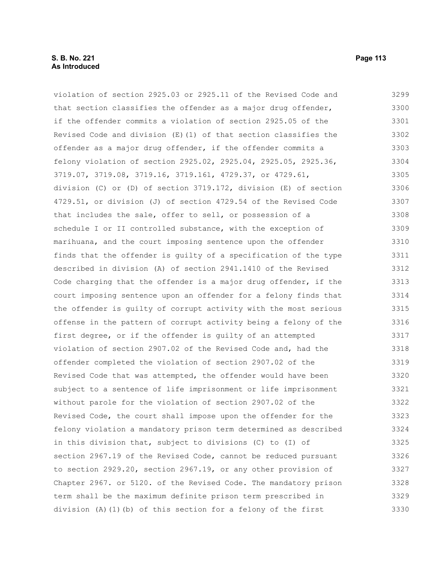violation of section 2925.03 or 2925.11 of the Revised Code and that section classifies the offender as a major drug offender, if the offender commits a violation of section 2925.05 of the Revised Code and division  $(E)$  (1) of that section classifies the offender as a major drug offender, if the offender commits a felony violation of section 2925.02, 2925.04, 2925.05, 2925.36, 3719.07, 3719.08, 3719.16, 3719.161, 4729.37, or 4729.61, division (C) or (D) of section 3719.172, division (E) of section 4729.51, or division (J) of section 4729.54 of the Revised Code that includes the sale, offer to sell, or possession of a schedule I or II controlled substance, with the exception of marihuana, and the court imposing sentence upon the offender finds that the offender is guilty of a specification of the type described in division (A) of section 2941.1410 of the Revised Code charging that the offender is a major drug offender, if the court imposing sentence upon an offender for a felony finds that the offender is guilty of corrupt activity with the most serious offense in the pattern of corrupt activity being a felony of the first degree, or if the offender is guilty of an attempted violation of section 2907.02 of the Revised Code and, had the offender completed the violation of section 2907.02 of the Revised Code that was attempted, the offender would have been subject to a sentence of life imprisonment or life imprisonment without parole for the violation of section 2907.02 of the Revised Code, the court shall impose upon the offender for the felony violation a mandatory prison term determined as described in this division that, subject to divisions (C) to (I) of section 2967.19 of the Revised Code, cannot be reduced pursuant to section 2929.20, section 2967.19, or any other provision of Chapter 2967. or 5120. of the Revised Code. The mandatory prison term shall be the maximum definite prison term prescribed in division (A)(1)(b) of this section for a felony of the first 3299 3300 3301 3302 3303 3304 3305 3306 3307 3308 3309 3310 3311 3312 3313 3314 3315 3316 3317 3318 3319 3320 3321 3322 3323 3324 3325 3326 3327 3328 3329 3330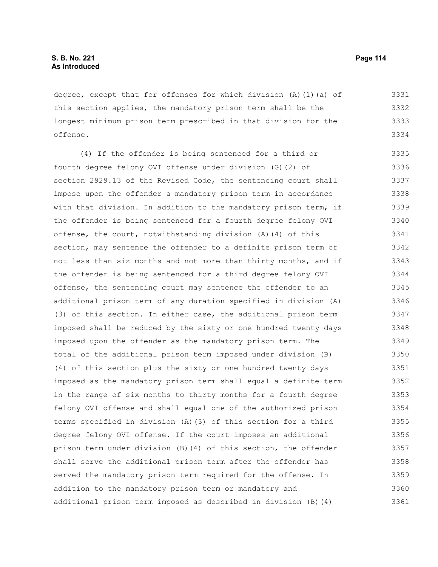degree, except that for offenses for which division (A)(1)(a) of this section applies, the mandatory prison term shall be the longest minimum prison term prescribed in that division for the offense. 3331 3332 3333 3334

(4) If the offender is being sentenced for a third or fourth degree felony OVI offense under division (G)(2) of section 2929.13 of the Revised Code, the sentencing court shall impose upon the offender a mandatory prison term in accordance with that division. In addition to the mandatory prison term, if the offender is being sentenced for a fourth degree felony OVI offense, the court, notwithstanding division (A)(4) of this section, may sentence the offender to a definite prison term of not less than six months and not more than thirty months, and if the offender is being sentenced for a third degree felony OVI offense, the sentencing court may sentence the offender to an additional prison term of any duration specified in division (A) (3) of this section. In either case, the additional prison term imposed shall be reduced by the sixty or one hundred twenty days imposed upon the offender as the mandatory prison term. The total of the additional prison term imposed under division (B) (4) of this section plus the sixty or one hundred twenty days imposed as the mandatory prison term shall equal a definite term in the range of six months to thirty months for a fourth degree felony OVI offense and shall equal one of the authorized prison terms specified in division (A)(3) of this section for a third degree felony OVI offense. If the court imposes an additional prison term under division (B)(4) of this section, the offender shall serve the additional prison term after the offender has served the mandatory prison term required for the offense. In addition to the mandatory prison term or mandatory and additional prison term imposed as described in division (B)(4) 3335 3336 3337 3338 3339 3340 3341 3342 3343 3344 3345 3346 3347 3348 3349 3350 3351 3352 3353 3354 3355 3356 3357 3358 3359 3360 3361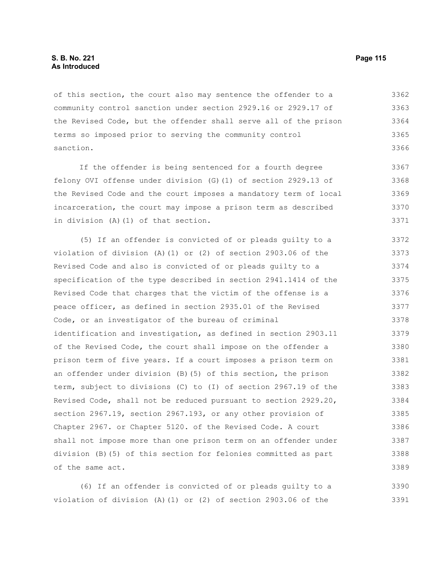of this section, the court also may sentence the offender to a community control sanction under section 2929.16 or 2929.17 of the Revised Code, but the offender shall serve all of the prison terms so imposed prior to serving the community control sanction. 3362 3363 3364 3365 3366

If the offender is being sentenced for a fourth degree felony OVI offense under division (G)(1) of section 2929.13 of the Revised Code and the court imposes a mandatory term of local incarceration, the court may impose a prison term as described in division (A)(1) of that section. 3367 3368 3369 3370 3371

(5) If an offender is convicted of or pleads guilty to a violation of division (A)(1) or (2) of section 2903.06 of the Revised Code and also is convicted of or pleads guilty to a specification of the type described in section 2941.1414 of the Revised Code that charges that the victim of the offense is a peace officer, as defined in section 2935.01 of the Revised Code, or an investigator of the bureau of criminal identification and investigation, as defined in section 2903.11 of the Revised Code, the court shall impose on the offender a prison term of five years. If a court imposes a prison term on an offender under division (B)(5) of this section, the prison term, subject to divisions (C) to (I) of section 2967.19 of the Revised Code, shall not be reduced pursuant to section 2929.20, section 2967.19, section 2967.193, or any other provision of Chapter 2967. or Chapter 5120. of the Revised Code. A court shall not impose more than one prison term on an offender under division (B)(5) of this section for felonies committed as part of the same act. 3372 3373 3374 3375 3376 3377 3378 3379 3380 3381 3382 3383 3384 3385 3386 3387 3388 3389

(6) If an offender is convicted of or pleads guilty to a violation of division (A)(1) or (2) of section 2903.06 of the 3390 3391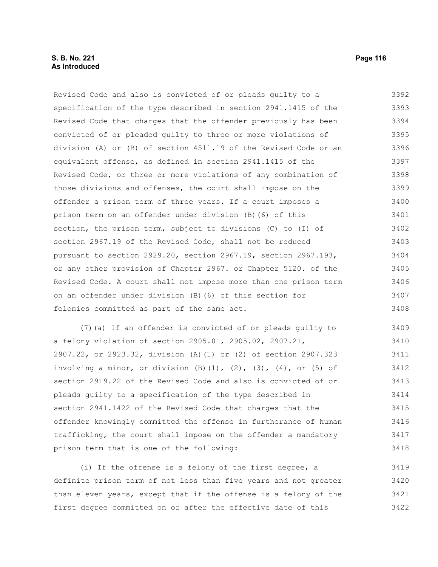# **S. B. No. 221 Page 116 As Introduced**

Revised Code and also is convicted of or pleads guilty to a specification of the type described in section 2941.1415 of the Revised Code that charges that the offender previously has been convicted of or pleaded guilty to three or more violations of division (A) or (B) of section 4511.19 of the Revised Code or an equivalent offense, as defined in section 2941.1415 of the Revised Code, or three or more violations of any combination of those divisions and offenses, the court shall impose on the offender a prison term of three years. If a court imposes a prison term on an offender under division (B)(6) of this section, the prison term, subject to divisions (C) to (I) of section 2967.19 of the Revised Code, shall not be reduced pursuant to section 2929.20, section 2967.19, section 2967.193, or any other provision of Chapter 2967. or Chapter 5120. of the Revised Code. A court shall not impose more than one prison term on an offender under division (B)(6) of this section for felonies committed as part of the same act. 3392 3393 3394 3395 3396 3397 3398 3399 3400 3401 3402 3403 3404 3405 3406 3407 3408

(7)(a) If an offender is convicted of or pleads guilty to a felony violation of section 2905.01, 2905.02, 2907.21, 2907.22, or 2923.32, division (A)(1) or (2) of section 2907.323 involving a minor, or division  $(B)(1)$ ,  $(2)$ ,  $(3)$ ,  $(4)$ , or  $(5)$  of section 2919.22 of the Revised Code and also is convicted of or pleads guilty to a specification of the type described in section 2941.1422 of the Revised Code that charges that the offender knowingly committed the offense in furtherance of human trafficking, the court shall impose on the offender a mandatory prison term that is one of the following: 3409 3410 3411 3412 3413 3414 3415 3416 3417 3418

(i) If the offense is a felony of the first degree, a definite prison term of not less than five years and not greater than eleven years, except that if the offense is a felony of the first degree committed on or after the effective date of this 3419 3420 3421 3422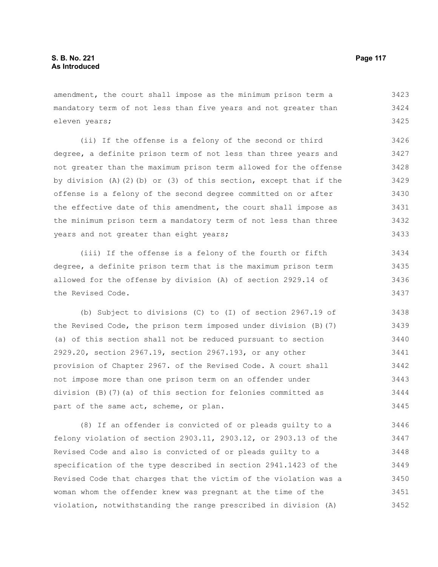amendment, the court shall impose as the minimum prison term a mandatory term of not less than five years and not greater than eleven years; 3423 3424 3425

(ii) If the offense is a felony of the second or third degree, a definite prison term of not less than three years and not greater than the maximum prison term allowed for the offense by division (A)(2)(b) or (3) of this section, except that if the offense is a felony of the second degree committed on or after the effective date of this amendment, the court shall impose as the minimum prison term a mandatory term of not less than three years and not greater than eight years; 3426 3427 3428 3429 3430 3431 3432 3433

(iii) If the offense is a felony of the fourth or fifth degree, a definite prison term that is the maximum prison term allowed for the offense by division (A) of section 2929.14 of the Revised Code. 3434 3435 3436 3437

(b) Subject to divisions (C) to (I) of section 2967.19 of the Revised Code, the prison term imposed under division (B)(7) (a) of this section shall not be reduced pursuant to section 2929.20, section 2967.19, section 2967.193, or any other provision of Chapter 2967. of the Revised Code. A court shall not impose more than one prison term on an offender under division (B)(7)(a) of this section for felonies committed as part of the same act, scheme, or plan. 3438 3439 3440 3441 3442 3443 3444 3445

(8) If an offender is convicted of or pleads guilty to a felony violation of section 2903.11, 2903.12, or 2903.13 of the Revised Code and also is convicted of or pleads guilty to a specification of the type described in section 2941.1423 of the Revised Code that charges that the victim of the violation was a woman whom the offender knew was pregnant at the time of the violation, notwithstanding the range prescribed in division (A) 3446 3447 3448 3449 3450 3451 3452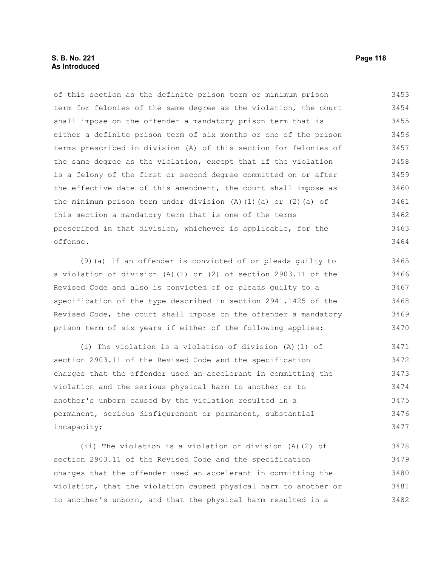# **S. B. No. 221 Page 118 As Introduced**

of this section as the definite prison term or minimum prison term for felonies of the same degree as the violation, the court shall impose on the offender a mandatory prison term that is either a definite prison term of six months or one of the prison terms prescribed in division (A) of this section for felonies of the same degree as the violation, except that if the violation is a felony of the first or second degree committed on or after the effective date of this amendment, the court shall impose as the minimum prison term under division  $(A)$   $(1)$   $(a)$  or  $(2)$   $(a)$  of this section a mandatory term that is one of the terms prescribed in that division, whichever is applicable, for the offense. 3453 3454 3455 3456 3457 3458 3459 3460 3461 3462 3463 3464

(9)(a) If an offender is convicted of or pleads guilty to a violation of division (A)(1) or (2) of section 2903.11 of the Revised Code and also is convicted of or pleads guilty to a specification of the type described in section 2941.1425 of the Revised Code, the court shall impose on the offender a mandatory prison term of six years if either of the following applies: 3465 3466 3467 3468 3469 3470

(i) The violation is a violation of division (A)(1) of section 2903.11 of the Revised Code and the specification charges that the offender used an accelerant in committing the violation and the serious physical harm to another or to another's unborn caused by the violation resulted in a permanent, serious disfigurement or permanent, substantial incapacity; 3471 3472 3473 3474 3475 3476 3477

(ii) The violation is a violation of division (A)(2) of section 2903.11 of the Revised Code and the specification charges that the offender used an accelerant in committing the violation, that the violation caused physical harm to another or to another's unborn, and that the physical harm resulted in a 3478 3479 3480 3481 3482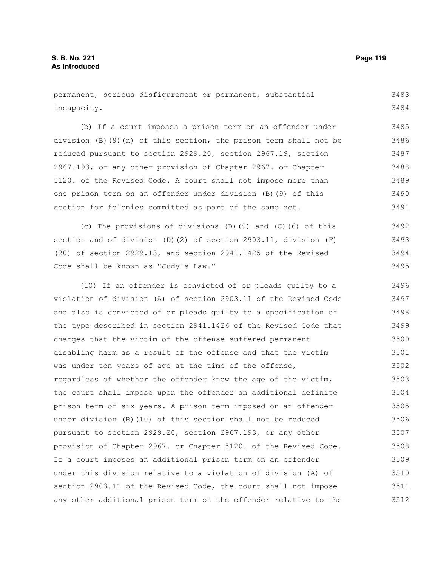permanent, serious disfigurement or permanent, substantial incapacity. 3483 3484

(b) If a court imposes a prison term on an offender under division (B)(9)(a) of this section, the prison term shall not be reduced pursuant to section 2929.20, section 2967.19, section 2967.193, or any other provision of Chapter 2967. or Chapter 5120. of the Revised Code. A court shall not impose more than one prison term on an offender under division (B)(9) of this section for felonies committed as part of the same act. 3485 3486 3487 3488 3489 3490 3491

(c) The provisions of divisions (B)(9) and (C)(6) of this section and of division (D)(2) of section 2903.11, division (F) (20) of section 2929.13, and section 2941.1425 of the Revised Code shall be known as "Judy's Law." 3492 3493 3494 3495

(10) If an offender is convicted of or pleads guilty to a violation of division (A) of section 2903.11 of the Revised Code and also is convicted of or pleads guilty to a specification of the type described in section 2941.1426 of the Revised Code that charges that the victim of the offense suffered permanent disabling harm as a result of the offense and that the victim was under ten years of age at the time of the offense, regardless of whether the offender knew the age of the victim, the court shall impose upon the offender an additional definite prison term of six years. A prison term imposed on an offender under division (B)(10) of this section shall not be reduced pursuant to section 2929.20, section 2967.193, or any other provision of Chapter 2967. or Chapter 5120. of the Revised Code. If a court imposes an additional prison term on an offender under this division relative to a violation of division (A) of section 2903.11 of the Revised Code, the court shall not impose any other additional prison term on the offender relative to the 3496 3497 3498 3499 3500 3501 3502 3503 3504 3505 3506 3507 3508 3509 3510 3511 3512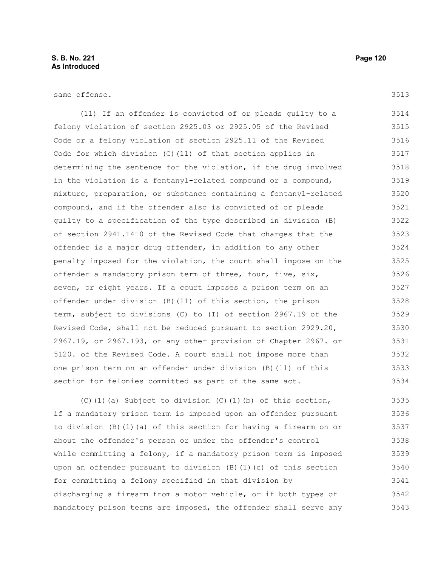#### same offense.

3513

(11) If an offender is convicted of or pleads guilty to a felony violation of section 2925.03 or 2925.05 of the Revised Code or a felony violation of section 2925.11 of the Revised Code for which division (C)(11) of that section applies in determining the sentence for the violation, if the drug involved in the violation is a fentanyl-related compound or a compound, mixture, preparation, or substance containing a fentanyl-related compound, and if the offender also is convicted of or pleads guilty to a specification of the type described in division (B) of section 2941.1410 of the Revised Code that charges that the offender is a major drug offender, in addition to any other penalty imposed for the violation, the court shall impose on the offender a mandatory prison term of three, four, five, six, seven, or eight years. If a court imposes a prison term on an offender under division (B)(11) of this section, the prison term, subject to divisions (C) to (I) of section 2967.19 of the Revised Code, shall not be reduced pursuant to section 2929.20, 2967.19, or 2967.193, or any other provision of Chapter 2967. or 5120. of the Revised Code. A court shall not impose more than one prison term on an offender under division (B)(11) of this section for felonies committed as part of the same act. 3514 3515 3516 3517 3518 3519 3520 3521 3522 3523 3524 3525 3526 3527 3528 3529 3530 3531 3532 3533 3534

(C)(1)(a) Subject to division (C)(1)(b) of this section, if a mandatory prison term is imposed upon an offender pursuant to division (B)(1)(a) of this section for having a firearm on or about the offender's person or under the offender's control while committing a felony, if a mandatory prison term is imposed upon an offender pursuant to division (B)(1)(c) of this section for committing a felony specified in that division by discharging a firearm from a motor vehicle, or if both types of mandatory prison terms are imposed, the offender shall serve any 3535 3536 3537 3538 3539 3540 3541 3542 3543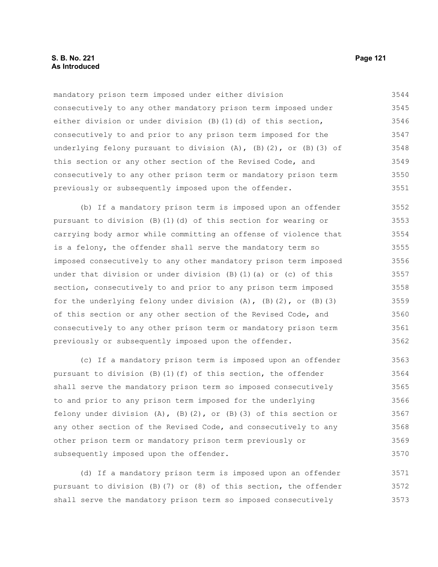# **S. B. No. 221 Page 121 As Introduced**

mandatory prison term imposed under either division consecutively to any other mandatory prison term imposed under either division or under division (B)(1)(d) of this section, consecutively to and prior to any prison term imposed for the underlying felony pursuant to division  $(A)$ ,  $(B)$ (2), or  $(B)$ (3) of this section or any other section of the Revised Code, and consecutively to any other prison term or mandatory prison term previously or subsequently imposed upon the offender. 3544 3545 3546 3547 3548 3549 3550 3551

(b) If a mandatory prison term is imposed upon an offender pursuant to division (B)(1)(d) of this section for wearing or carrying body armor while committing an offense of violence that is a felony, the offender shall serve the mandatory term so imposed consecutively to any other mandatory prison term imposed under that division or under division (B)(1)(a) or (c) of this section, consecutively to and prior to any prison term imposed for the underlying felony under division  $(A)$ ,  $(B)$   $(2)$ , or  $(B)$   $(3)$ of this section or any other section of the Revised Code, and consecutively to any other prison term or mandatory prison term previously or subsequently imposed upon the offender. 3552 3553 3554 3555 3556 3557 3558 3559 3560 3561 3562

(c) If a mandatory prison term is imposed upon an offender pursuant to division (B)(1)(f) of this section, the offender shall serve the mandatory prison term so imposed consecutively to and prior to any prison term imposed for the underlying felony under division  $(A)$ ,  $(B)$   $(2)$ , or  $(B)$   $(3)$  of this section or any other section of the Revised Code, and consecutively to any other prison term or mandatory prison term previously or subsequently imposed upon the offender. 3563 3564 3565 3566 3567 3568 3569 3570

(d) If a mandatory prison term is imposed upon an offender pursuant to division (B)(7) or (8) of this section, the offender shall serve the mandatory prison term so imposed consecutively 3571 3572 3573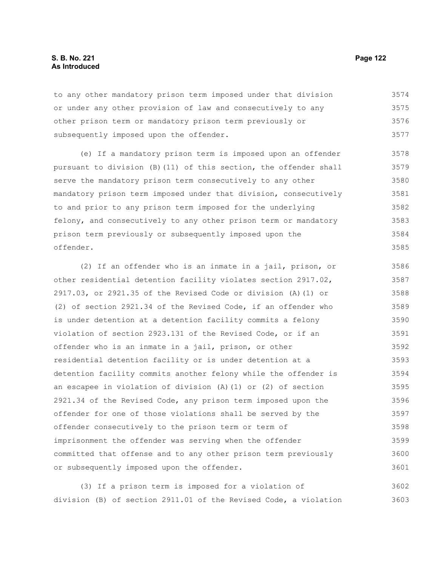# **S. B. No. 221 Page 122 As Introduced**

to any other mandatory prison term imposed under that division or under any other provision of law and consecutively to any other prison term or mandatory prison term previously or subsequently imposed upon the offender. 3574 3575 3576 3577

(e) If a mandatory prison term is imposed upon an offender pursuant to division (B)(11) of this section, the offender shall serve the mandatory prison term consecutively to any other mandatory prison term imposed under that division, consecutively to and prior to any prison term imposed for the underlying felony, and consecutively to any other prison term or mandatory prison term previously or subsequently imposed upon the offender. 3578 3579 3580 3581 3582 3583 3584 3585

(2) If an offender who is an inmate in a jail, prison, or other residential detention facility violates section 2917.02, 2917.03, or 2921.35 of the Revised Code or division (A)(1) or (2) of section 2921.34 of the Revised Code, if an offender who is under detention at a detention facility commits a felony violation of section 2923.131 of the Revised Code, or if an offender who is an inmate in a jail, prison, or other residential detention facility or is under detention at a detention facility commits another felony while the offender is an escapee in violation of division (A)(1) or (2) of section 2921.34 of the Revised Code, any prison term imposed upon the offender for one of those violations shall be served by the offender consecutively to the prison term or term of imprisonment the offender was serving when the offender committed that offense and to any other prison term previously or subsequently imposed upon the offender. 3586 3587 3588 3589 3590 3591 3592 3593 3594 3595 3596 3597 3598 3599 3600 3601

(3) If a prison term is imposed for a violation of division (B) of section 2911.01 of the Revised Code, a violation 3602 3603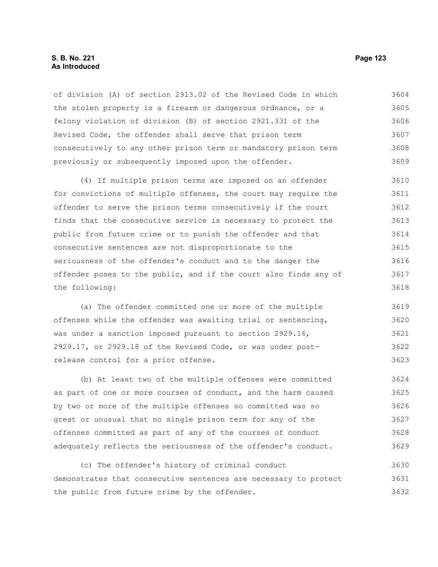### **S. B. No. 221 Page 123 As Introduced**

of division (A) of section 2913.02 of the Revised Code in which the stolen property is a firearm or dangerous ordnance, or a felony violation of division (B) of section 2921.331 of the Revised Code, the offender shall serve that prison term consecutively to any other prison term or mandatory prison term previously or subsequently imposed upon the offender. 3604 3605 3606 3607 3608 3609

(4) If multiple prison terms are imposed on an offender for convictions of multiple offenses, the court may require the offender to serve the prison terms consecutively if the court finds that the consecutive service is necessary to protect the public from future crime or to punish the offender and that consecutive sentences are not disproportionate to the seriousness of the offender's conduct and to the danger the offender poses to the public, and if the court also finds any of the following: 3610 3611 3612 3613 3614 3615 3616 3617 3618

(a) The offender committed one or more of the multiple offenses while the offender was awaiting trial or sentencing, was under a sanction imposed pursuant to section 2929.16, 2929.17, or 2929.18 of the Revised Code, or was under postrelease control for a prior offense. 3619 3620 3621 3622 3623

(b) At least two of the multiple offenses were committed as part of one or more courses of conduct, and the harm caused by two or more of the multiple offenses so committed was so great or unusual that no single prison term for any of the offenses committed as part of any of the courses of conduct adequately reflects the seriousness of the offender's conduct. 3624 3625 3626 3627 3628 3629

(c) The offender's history of criminal conduct demonstrates that consecutive sentences are necessary to protect the public from future crime by the offender. 3630 3631 3632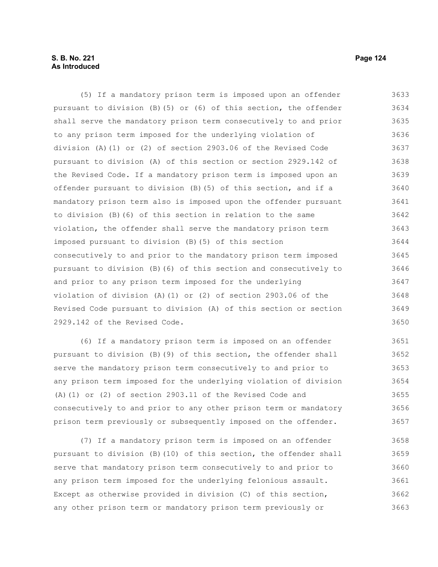# **S. B. No. 221 Page 124 As Introduced**

(5) If a mandatory prison term is imposed upon an offender pursuant to division (B)(5) or (6) of this section, the offender shall serve the mandatory prison term consecutively to and prior to any prison term imposed for the underlying violation of division (A)(1) or (2) of section 2903.06 of the Revised Code pursuant to division (A) of this section or section 2929.142 of the Revised Code. If a mandatory prison term is imposed upon an offender pursuant to division (B)(5) of this section, and if a mandatory prison term also is imposed upon the offender pursuant to division (B)(6) of this section in relation to the same violation, the offender shall serve the mandatory prison term imposed pursuant to division (B)(5) of this section consecutively to and prior to the mandatory prison term imposed pursuant to division (B)(6) of this section and consecutively to and prior to any prison term imposed for the underlying violation of division (A)(1) or (2) of section 2903.06 of the Revised Code pursuant to division (A) of this section or section 2929.142 of the Revised Code. 3633 3634 3635 3636 3637 3638 3639 3640 3641 3642 3643 3644 3645 3646 3647 3648 3649 3650

(6) If a mandatory prison term is imposed on an offender pursuant to division (B)(9) of this section, the offender shall serve the mandatory prison term consecutively to and prior to any prison term imposed for the underlying violation of division (A)(1) or (2) of section 2903.11 of the Revised Code and consecutively to and prior to any other prison term or mandatory prison term previously or subsequently imposed on the offender. 3651 3652 3653 3654 3655 3656 3657

(7) If a mandatory prison term is imposed on an offender pursuant to division (B)(10) of this section, the offender shall serve that mandatory prison term consecutively to and prior to any prison term imposed for the underlying felonious assault. Except as otherwise provided in division (C) of this section, any other prison term or mandatory prison term previously or 3658 3659 3660 3661 3662 3663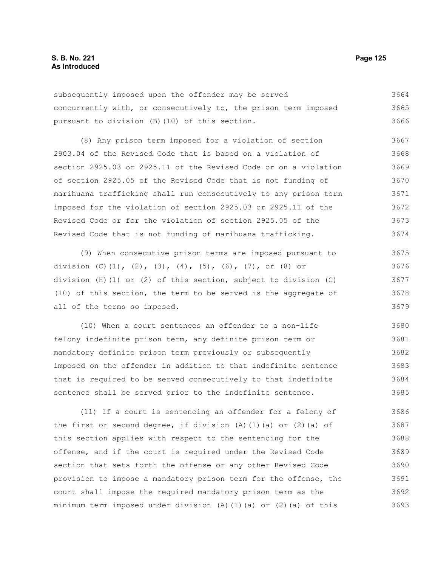subsequently imposed upon the offender may be served concurrently with, or consecutively to, the prison term imposed pursuant to division (B)(10) of this section. 3664 3665 3666

(8) Any prison term imposed for a violation of section 2903.04 of the Revised Code that is based on a violation of section 2925.03 or 2925.11 of the Revised Code or on a violation of section 2925.05 of the Revised Code that is not funding of marihuana trafficking shall run consecutively to any prison term imposed for the violation of section 2925.03 or 2925.11 of the Revised Code or for the violation of section 2925.05 of the Revised Code that is not funding of marihuana trafficking. 3667 3668 3669 3670 3671 3672 3673 3674

(9) When consecutive prison terms are imposed pursuant to division (C)(1), (2), (3), (4), (5), (6), (7), or (8) or division (H)(1) or (2) of this section, subject to division (C) (10) of this section, the term to be served is the aggregate of all of the terms so imposed. 3675 3676 3677 3678 3679

(10) When a court sentences an offender to a non-life felony indefinite prison term, any definite prison term or mandatory definite prison term previously or subsequently imposed on the offender in addition to that indefinite sentence that is required to be served consecutively to that indefinite sentence shall be served prior to the indefinite sentence. 3680 3681 3682 3683 3684 3685

(11) If a court is sentencing an offender for a felony of the first or second degree, if division  $(A)$   $(1)$   $(a)$  or  $(2)$   $(a)$  of this section applies with respect to the sentencing for the offense, and if the court is required under the Revised Code section that sets forth the offense or any other Revised Code provision to impose a mandatory prison term for the offense, the court shall impose the required mandatory prison term as the minimum term imposed under division  $(A)$   $(1)$   $(a)$  or  $(2)$   $(a)$  of this 3686 3687 3688 3689 3690 3691 3692 3693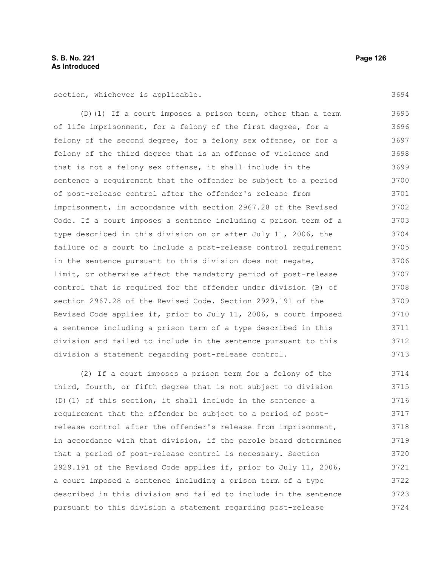section, whichever is applicable.

(D)(1) If a court imposes a prison term, other than a term of life imprisonment, for a felony of the first degree, for a felony of the second degree, for a felony sex offense, or for a felony of the third degree that is an offense of violence and that is not a felony sex offense, it shall include in the sentence a requirement that the offender be subject to a period of post-release control after the offender's release from imprisonment, in accordance with section 2967.28 of the Revised Code. If a court imposes a sentence including a prison term of a type described in this division on or after July 11, 2006, the failure of a court to include a post-release control requirement in the sentence pursuant to this division does not negate, limit, or otherwise affect the mandatory period of post-release control that is required for the offender under division (B) of section 2967.28 of the Revised Code. Section 2929.191 of the Revised Code applies if, prior to July 11, 2006, a court imposed a sentence including a prison term of a type described in this division and failed to include in the sentence pursuant to this division a statement regarding post-release control. 3695 3696 3697 3698 3699 3700 3701 3702 3703 3704 3705 3706 3707 3708 3709 3710 3711 3712 3713

(2) If a court imposes a prison term for a felony of the third, fourth, or fifth degree that is not subject to division (D)(1) of this section, it shall include in the sentence a requirement that the offender be subject to a period of postrelease control after the offender's release from imprisonment, in accordance with that division, if the parole board determines that a period of post-release control is necessary. Section 2929.191 of the Revised Code applies if, prior to July 11, 2006, a court imposed a sentence including a prison term of a type described in this division and failed to include in the sentence pursuant to this division a statement regarding post-release 3714 3715 3716 3717 3718 3719 3720 3721 3722 3723 3724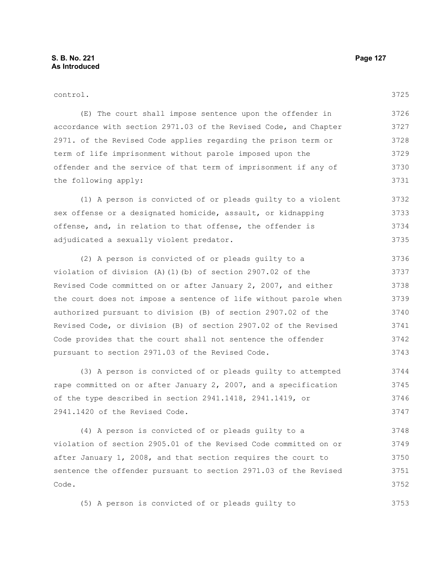| CONTIO |  |
|--------|--|
|--------|--|

(E) The court shall impose sentence upon the offender in accordance with section 2971.03 of the Revised Code, and Chapter 2971. of the Revised Code applies regarding the prison term or term of life imprisonment without parole imposed upon the offender and the service of that term of imprisonment if any of the following apply: 3726 3727 3728 3729 3730 3731

(1) A person is convicted of or pleads guilty to a violent sex offense or a designated homicide, assault, or kidnapping offense, and, in relation to that offense, the offender is adjudicated a sexually violent predator. 3732 3733 3734 3735

(2) A person is convicted of or pleads guilty to a violation of division (A)(1)(b) of section 2907.02 of the Revised Code committed on or after January 2, 2007, and either the court does not impose a sentence of life without parole when authorized pursuant to division (B) of section 2907.02 of the Revised Code, or division (B) of section 2907.02 of the Revised Code provides that the court shall not sentence the offender pursuant to section 2971.03 of the Revised Code. 3736 3737 3738 3739 3740 3741 3742 3743

(3) A person is convicted of or pleads guilty to attempted rape committed on or after January 2, 2007, and a specification of the type described in section 2941.1418, 2941.1419, or 2941.1420 of the Revised Code. 3744 3745 3746 3747

(4) A person is convicted of or pleads guilty to a violation of section 2905.01 of the Revised Code committed on or after January 1, 2008, and that section requires the court to sentence the offender pursuant to section 2971.03 of the Revised Code. 3748 3749 3750 3751 3752

(5) A person is convicted of or pleads guilty to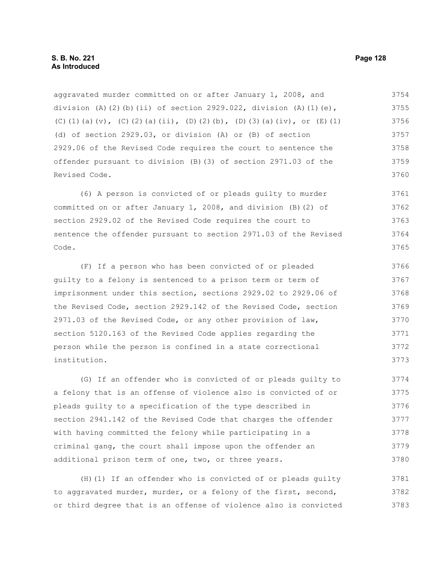aggravated murder committed on or after January 1, 2008, and division (A)(2)(b)(ii) of section 2929.022, division (A)(1)(e), (C)(1)(a)(v), (C)(2)(a)(ii), (D)(2)(b), (D)(3)(a)(iv), or (E)(1) (d) of section 2929.03, or division (A) or (B) of section 2929.06 of the Revised Code requires the court to sentence the offender pursuant to division (B)(3) of section 2971.03 of the Revised Code. 3754 3755 3756 3757 3758 3759 3760

(6) A person is convicted of or pleads guilty to murder committed on or after January 1, 2008, and division (B)(2) of section 2929.02 of the Revised Code requires the court to sentence the offender pursuant to section 2971.03 of the Revised Code. 3761 3762 3763 3764 3765

(F) If a person who has been convicted of or pleaded guilty to a felony is sentenced to a prison term or term of imprisonment under this section, sections 2929.02 to 2929.06 of the Revised Code, section 2929.142 of the Revised Code, section 2971.03 of the Revised Code, or any other provision of law, section 5120.163 of the Revised Code applies regarding the person while the person is confined in a state correctional institution. 3766 3767 3768 3769 3770 3771 3772 3773

(G) If an offender who is convicted of or pleads guilty to a felony that is an offense of violence also is convicted of or pleads guilty to a specification of the type described in section 2941.142 of the Revised Code that charges the offender with having committed the felony while participating in a criminal gang, the court shall impose upon the offender an additional prison term of one, two, or three years. 3774 3775 3776 3777 3778 3779 3780

(H)(1) If an offender who is convicted of or pleads guilty to aggravated murder, murder, or a felony of the first, second, or third degree that is an offense of violence also is convicted 3781 3782 3783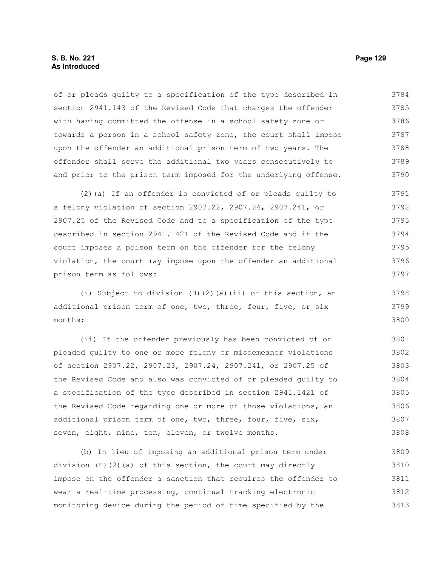of or pleads guilty to a specification of the type described in section 2941.143 of the Revised Code that charges the offender with having committed the offense in a school safety zone or towards a person in a school safety zone, the court shall impose upon the offender an additional prison term of two years. The offender shall serve the additional two years consecutively to and prior to the prison term imposed for the underlying offense. 3784 3785 3786 3787 3788 3789 3790

(2)(a) If an offender is convicted of or pleads guilty to a felony violation of section 2907.22, 2907.24, 2907.241, or 2907.25 of the Revised Code and to a specification of the type described in section 2941.1421 of the Revised Code and if the court imposes a prison term on the offender for the felony violation, the court may impose upon the offender an additional prison term as follows: 3791 3792 3793 3794 3795 3796 3797

(i) Subject to division (H)(2)(a)(ii) of this section, an additional prison term of one, two, three, four, five, or six months;

(ii) If the offender previously has been convicted of or pleaded guilty to one or more felony or misdemeanor violations of section 2907.22, 2907.23, 2907.24, 2907.241, or 2907.25 of the Revised Code and also was convicted of or pleaded guilty to a specification of the type described in section 2941.1421 of the Revised Code regarding one or more of those violations, an additional prison term of one, two, three, four, five, six, seven, eight, nine, ten, eleven, or twelve months. 3801 3802 3803 3804 3805 3806 3807 3808

(b) In lieu of imposing an additional prison term under division (H)(2)(a) of this section, the court may directly impose on the offender a sanction that requires the offender to wear a real-time processing, continual tracking electronic monitoring device during the period of time specified by the 3809 3810 3811 3812 3813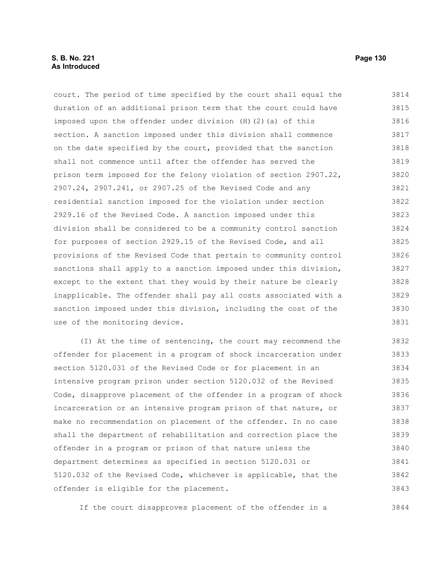# **S. B. No. 221 Page 130 As Introduced**

court. The period of time specified by the court shall equal the duration of an additional prison term that the court could have imposed upon the offender under division (H)(2)(a) of this section. A sanction imposed under this division shall commence on the date specified by the court, provided that the sanction shall not commence until after the offender has served the prison term imposed for the felony violation of section 2907.22, 2907.24, 2907.241, or 2907.25 of the Revised Code and any residential sanction imposed for the violation under section 2929.16 of the Revised Code. A sanction imposed under this division shall be considered to be a community control sanction for purposes of section 2929.15 of the Revised Code, and all provisions of the Revised Code that pertain to community control sanctions shall apply to a sanction imposed under this division, except to the extent that they would by their nature be clearly inapplicable. The offender shall pay all costs associated with a sanction imposed under this division, including the cost of the use of the monitoring device. 3814 3815 3816 3817 3818 3819 3820 3821 3822 3823 3824 3825 3826 3827 3828 3829 3830 3831

(I) At the time of sentencing, the court may recommend the offender for placement in a program of shock incarceration under section 5120.031 of the Revised Code or for placement in an intensive program prison under section 5120.032 of the Revised Code, disapprove placement of the offender in a program of shock incarceration or an intensive program prison of that nature, or make no recommendation on placement of the offender. In no case shall the department of rehabilitation and correction place the offender in a program or prison of that nature unless the department determines as specified in section 5120.031 or 5120.032 of the Revised Code, whichever is applicable, that the offender is eligible for the placement. 3832 3833 3834 3835 3836 3837 3838 3839 3840 3841 3842 3843

If the court disapproves placement of the offender in a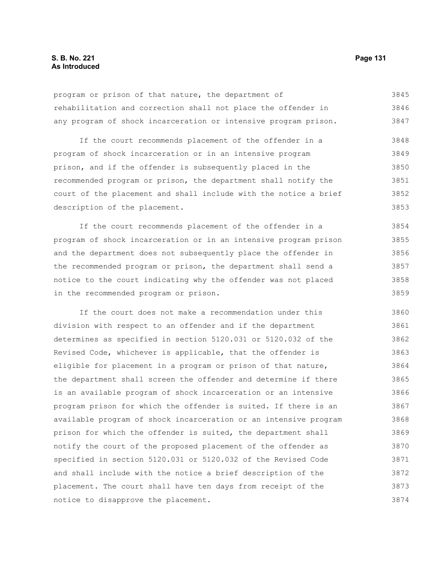# **S. B. No. 221 Page 131 As Introduced**

program or prison of that nature, the department of rehabilitation and correction shall not place the offender in any program of shock incarceration or intensive program prison. 3845 3846 3847

If the court recommends placement of the offender in a program of shock incarceration or in an intensive program prison, and if the offender is subsequently placed in the recommended program or prison, the department shall notify the court of the placement and shall include with the notice a brief description of the placement. 3848 3849 3850 3851 3852 3853

If the court recommends placement of the offender in a program of shock incarceration or in an intensive program prison and the department does not subsequently place the offender in the recommended program or prison, the department shall send a notice to the court indicating why the offender was not placed in the recommended program or prison. 3854 3855 3856 3857 3858 3859

If the court does not make a recommendation under this division with respect to an offender and if the department determines as specified in section 5120.031 or 5120.032 of the Revised Code, whichever is applicable, that the offender is eligible for placement in a program or prison of that nature, the department shall screen the offender and determine if there is an available program of shock incarceration or an intensive program prison for which the offender is suited. If there is an available program of shock incarceration or an intensive program prison for which the offender is suited, the department shall notify the court of the proposed placement of the offender as specified in section 5120.031 or 5120.032 of the Revised Code and shall include with the notice a brief description of the placement. The court shall have ten days from receipt of the notice to disapprove the placement. 3860 3861 3862 3863 3864 3865 3866 3867 3868 3869 3870 3871 3872 3873 3874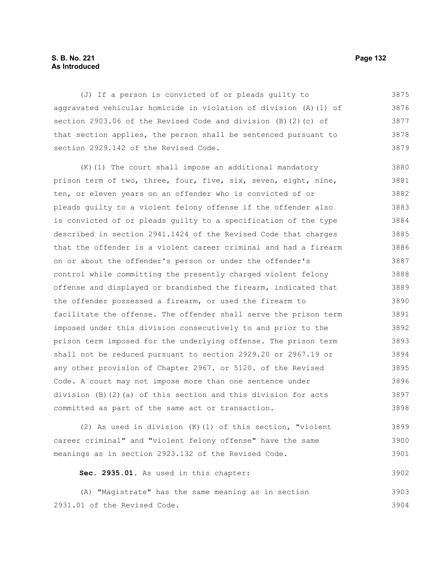# **S. B. No. 221 Page 132 As Introduced**

(J) If a person is convicted of or pleads guilty to aggravated vehicular homicide in violation of division (A)(1) of section 2903.06 of the Revised Code and division (B)(2)(c) of that section applies, the person shall be sentenced pursuant to section 2929.142 of the Revised Code. 3875 3876 3877 3878 3879

(K)(1) The court shall impose an additional mandatory prison term of two, three, four, five, six, seven, eight, nine, ten, or eleven years on an offender who is convicted of or pleads guilty to a violent felony offense if the offender also is convicted of or pleads guilty to a specification of the type described in section 2941.1424 of the Revised Code that charges that the offender is a violent career criminal and had a firearm on or about the offender's person or under the offender's control while committing the presently charged violent felony offense and displayed or brandished the firearm, indicated that the offender possessed a firearm, or used the firearm to facilitate the offense. The offender shall serve the prison term imposed under this division consecutively to and prior to the prison term imposed for the underlying offense. The prison term shall not be reduced pursuant to section 2929.20 or 2967.19 or any other provision of Chapter 2967. or 5120. of the Revised Code. A court may not impose more than one sentence under division (B)(2)(a) of this section and this division for acts committed as part of the same act or transaction. 3880 3881 3882 3883 3884 3885 3886 3887 3888 3889 3890 3891 3892 3893 3894 3895 3896 3897 3898

(2) As used in division (K)(1) of this section, "violent career criminal" and "violent felony offense" have the same meanings as in section 2923.132 of the Revised Code. 3899 3900 3901

**Sec. 2935.01.** As used in this chapter: 3902

(A) "Magistrate" has the same meaning as in section 2931.01 of the Revised Code. 3903 3904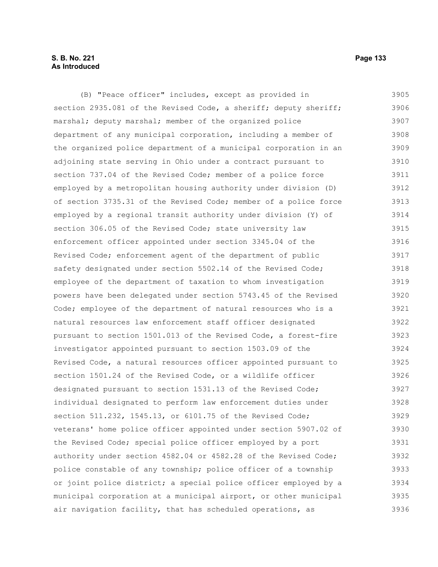# **S. B. No. 221 Page 133 As Introduced**

(B) "Peace officer" includes, except as provided in section 2935.081 of the Revised Code, a sheriff; deputy sheriff; marshal; deputy marshal; member of the organized police department of any municipal corporation, including a member of the organized police department of a municipal corporation in an adjoining state serving in Ohio under a contract pursuant to section 737.04 of the Revised Code; member of a police force employed by a metropolitan housing authority under division (D) of section 3735.31 of the Revised Code; member of a police force employed by a regional transit authority under division (Y) of section 306.05 of the Revised Code; state university law enforcement officer appointed under section 3345.04 of the Revised Code; enforcement agent of the department of public safety designated under section 5502.14 of the Revised Code; employee of the department of taxation to whom investigation powers have been delegated under section 5743.45 of the Revised Code; employee of the department of natural resources who is a natural resources law enforcement staff officer designated pursuant to section 1501.013 of the Revised Code, a forest-fire investigator appointed pursuant to section 1503.09 of the Revised Code, a natural resources officer appointed pursuant to section 1501.24 of the Revised Code, or a wildlife officer designated pursuant to section 1531.13 of the Revised Code; individual designated to perform law enforcement duties under section 511.232, 1545.13, or 6101.75 of the Revised Code; veterans' home police officer appointed under section 5907.02 of the Revised Code; special police officer employed by a port authority under section 4582.04 or 4582.28 of the Revised Code; police constable of any township; police officer of a township or joint police district; a special police officer employed by a municipal corporation at a municipal airport, or other municipal air navigation facility, that has scheduled operations, as 3905 3906 3907 3908 3909 3910 3911 3912 3913 3914 3915 3916 3917 3918 3919 3920 3921 3922 3923 3924 3925 3926 3927 3928 3929 3930 3931 3932 3933 3934 3935 3936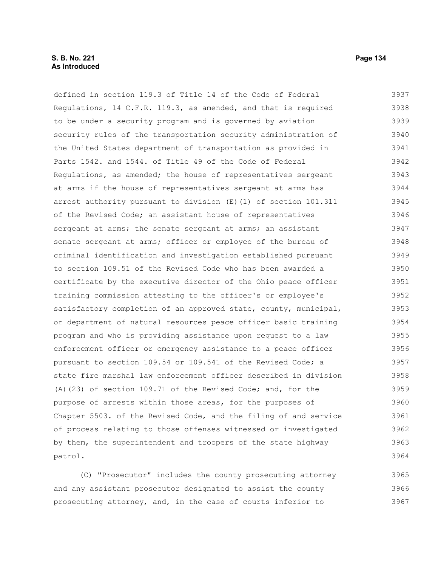# **S. B. No. 221 Page 134 As Introduced**

defined in section 119.3 of Title 14 of the Code of Federal 3937 3938

Regulations, 14 C.F.R. 119.3, as amended, and that is required to be under a security program and is governed by aviation security rules of the transportation security administration of the United States department of transportation as provided in Parts 1542. and 1544. of Title 49 of the Code of Federal Regulations, as amended; the house of representatives sergeant at arms if the house of representatives sergeant at arms has arrest authority pursuant to division (E)(1) of section 101.311 of the Revised Code; an assistant house of representatives sergeant at arms; the senate sergeant at arms; an assistant senate sergeant at arms; officer or employee of the bureau of criminal identification and investigation established pursuant to section 109.51 of the Revised Code who has been awarded a certificate by the executive director of the Ohio peace officer training commission attesting to the officer's or employee's satisfactory completion of an approved state, county, municipal, or department of natural resources peace officer basic training program and who is providing assistance upon request to a law enforcement officer or emergency assistance to a peace officer pursuant to section 109.54 or 109.541 of the Revised Code; a state fire marshal law enforcement officer described in division (A)(23) of section 109.71 of the Revised Code; and, for the purpose of arrests within those areas, for the purposes of Chapter 5503. of the Revised Code, and the filing of and service of process relating to those offenses witnessed or investigated by them, the superintendent and troopers of the state highway patrol. 3939 3940 3941 3942 3943 3944 3945 3946 3947 3948 3949 3950 3951 3952 3953 3954 3955 3956 3957 3958 3959 3960 3961 3962 3963 3964

(C) "Prosecutor" includes the county prosecuting attorney and any assistant prosecutor designated to assist the county prosecuting attorney, and, in the case of courts inferior to 3965 3966 3967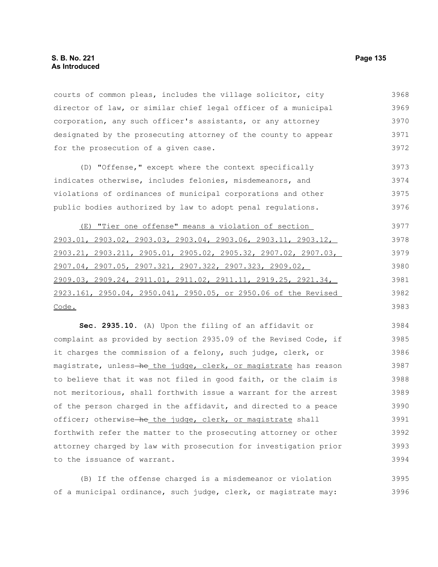courts of common pleas, includes the village solicitor, city director of law, or similar chief legal officer of a municipal corporation, any such officer's assistants, or any attorney designated by the prosecuting attorney of the county to appear for the prosecution of a given case. 3968 3969 3970 3971 3972

(D) "Offense," except where the context specifically indicates otherwise, includes felonies, misdemeanors, and violations of ordinances of municipal corporations and other public bodies authorized by law to adopt penal regulations. 3973 3974 3975 3976

 (E) "Tier one offense" means a violation of section 2903.01, 2903.02, 2903.03, 2903.04, 2903.06, 2903.11, 2903.12, 2903.21, 2903.211, 2905.01, 2905.02, 2905.32, 2907.02, 2907.03, 2907.04, 2907.05, 2907.321, 2907.322, 2907.323, 2909.02, 2909.03, 2909.24, 2911.01, 2911.02, 2911.11, 2919.25, 2921.34, 2923.161, 2950.04, 2950.041, 2950.05, or 2950.06 of the Revised Code. 3977 3978 3979 3980 3981 3982 3983

**Sec. 2935.10.** (A) Upon the filing of an affidavit or complaint as provided by section 2935.09 of the Revised Code, if it charges the commission of a felony, such judge, clerk, or magistrate, unless-he the judge, clerk, or magistrate has reason to believe that it was not filed in good faith, or the claim is not meritorious, shall forthwith issue a warrant for the arrest of the person charged in the affidavit, and directed to a peace officer; otherwise-he the judge, clerk, or magistrate shall forthwith refer the matter to the prosecuting attorney or other attorney charged by law with prosecution for investigation prior to the issuance of warrant. 3984 3985 3986 3987 3988 3989 3990 3991 3992 3993 3994

(B) If the offense charged is a misdemeanor or violation of a municipal ordinance, such judge, clerk, or magistrate may: 3995 3996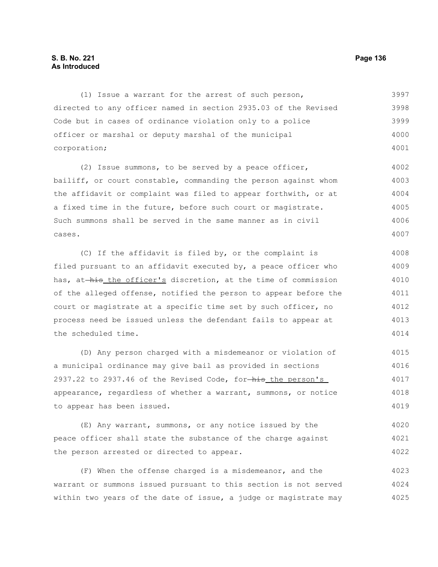# **S. B. No. 221 Page 136 As Introduced**

(1) Issue a warrant for the arrest of such person, directed to any officer named in section 2935.03 of the Revised Code but in cases of ordinance violation only to a police officer or marshal or deputy marshal of the municipal corporation; 3997 3998 3999 4000 4001

(2) Issue summons, to be served by a peace officer, bailiff, or court constable, commanding the person against whom the affidavit or complaint was filed to appear forthwith, or at a fixed time in the future, before such court or magistrate. Such summons shall be served in the same manner as in civil cases. 4002 4003 4004 4005 4006 4007

(C) If the affidavit is filed by, or the complaint is filed pursuant to an affidavit executed by, a peace officer who has, at-his the officer's discretion, at the time of commission of the alleged offense, notified the person to appear before the court or magistrate at a specific time set by such officer, no process need be issued unless the defendant fails to appear at the scheduled time. 4008 4009 4010 4011 4012 4013 4014

(D) Any person charged with a misdemeanor or violation of a municipal ordinance may give bail as provided in sections 2937.22 to 2937.46 of the Revised Code, for his the person's appearance, regardless of whether a warrant, summons, or notice to appear has been issued. 4015 4016 4017 4018 4019

(E) Any warrant, summons, or any notice issued by the peace officer shall state the substance of the charge against the person arrested or directed to appear. 4020 4021 4022

(F) When the offense charged is a misdemeanor, and the warrant or summons issued pursuant to this section is not served within two years of the date of issue, a judge or magistrate may 4023 4024 4025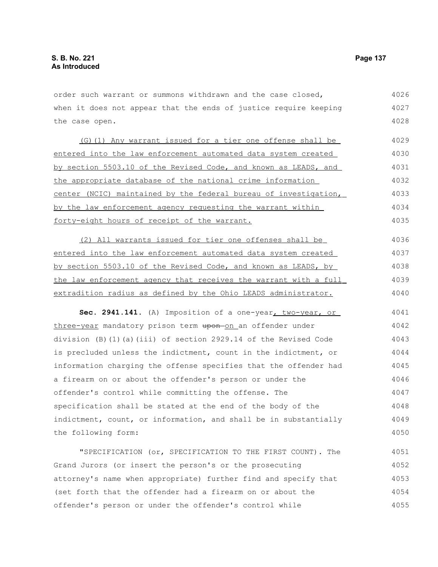order such warrant or summons withdrawn and the case closed, when it does not appear that the ends of justice require keeping the case open. 4026 4027 4028

 (G)(1) Any warrant issued for a tier one offense shall be entered into the law enforcement automated data system created by section 5503.10 of the Revised Code, and known as LEADS, and the appropriate database of the national crime information center (NCIC) maintained by the federal bureau of investigation, by the law enforcement agency requesting the warrant within forty-eight hours of receipt of the warrant. 4029 4030 4031 4032 4033 4034 4035

 (2) All warrants issued for tier one offenses shall be entered into the law enforcement automated data system created by section 5503.10 of the Revised Code, and known as LEADS, by the law enforcement agency that receives the warrant with a full extradition radius as defined by the Ohio LEADS administrator. 4036 4037 4038 4039 4040

Sec. 2941.141. (A) Imposition of a one-year, two-year, or three-year mandatory prison term upon on an offender under division (B)(1)(a)(iii) of section 2929.14 of the Revised Code is precluded unless the indictment, count in the indictment, or information charging the offense specifies that the offender had a firearm on or about the offender's person or under the offender's control while committing the offense. The specification shall be stated at the end of the body of the indictment, count, or information, and shall be in substantially the following form: 4041 4042 4043 4044 4045 4046 4047 4048 4049 4050

"SPECIFICATION (or, SPECIFICATION TO THE FIRST COUNT). The Grand Jurors (or insert the person's or the prosecuting attorney's name when appropriate) further find and specify that (set forth that the offender had a firearm on or about the offender's person or under the offender's control while 4051 4052 4053 4054 4055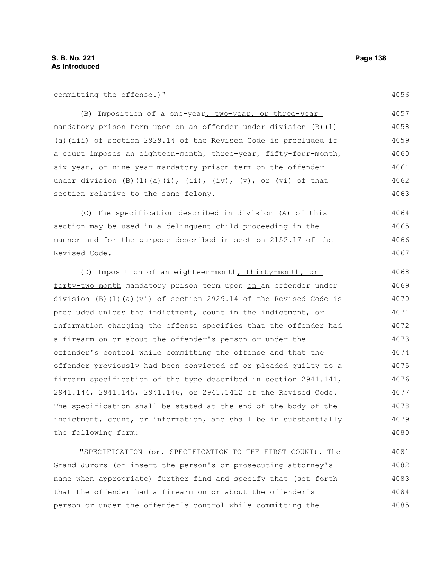committing the offense.)"

(B) Imposition of a one-year, two-year, or three-year mandatory prison term upon on an offender under division (B)(1) (a)(iii) of section 2929.14 of the Revised Code is precluded if a court imposes an eighteen-month, three-year, fifty-four-month, six-year, or nine-year mandatory prison term on the offender under division  $(B)$   $(1)$   $(a)$   $(i)$ ,  $(iii)$ ,  $(iv)$ ,  $(v)$ , or  $(vi)$  of that section relative to the same felony. 4057 4058 4059 4060 4061 4062 4063

(C) The specification described in division (A) of this section may be used in a delinquent child proceeding in the manner and for the purpose described in section 2152.17 of the Revised Code. 4064 4065 4066 4067

(D) Imposition of an eighteen-month, thirty-month, or forty-two month mandatory prison term upon-on an offender under division (B)(1)(a)(vi) of section 2929.14 of the Revised Code is precluded unless the indictment, count in the indictment, or information charging the offense specifies that the offender had a firearm on or about the offender's person or under the offender's control while committing the offense and that the offender previously had been convicted of or pleaded guilty to a firearm specification of the type described in section 2941.141, 2941.144, 2941.145, 2941.146, or 2941.1412 of the Revised Code. The specification shall be stated at the end of the body of the indictment, count, or information, and shall be in substantially the following form: 4068 4069 4070 4071 4072 4073 4074 4075 4076 4077 4078 4079 4080

"SPECIFICATION (or, SPECIFICATION TO THE FIRST COUNT). The Grand Jurors (or insert the person's or prosecuting attorney's name when appropriate) further find and specify that (set forth that the offender had a firearm on or about the offender's person or under the offender's control while committing the 4081 4082 4083 4084 4085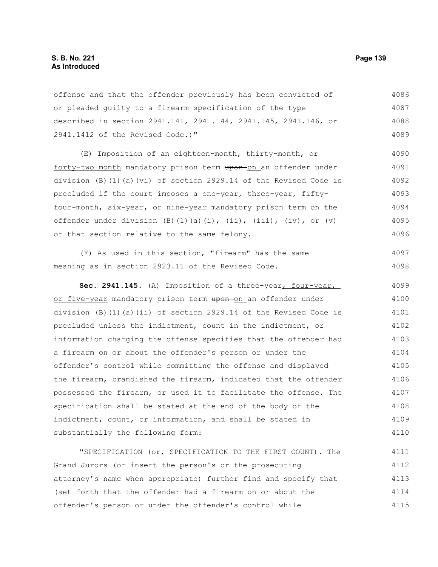offense and that the offender previously has been convicted of or pleaded guilty to a firearm specification of the type described in section 2941.141, 2941.144, 2941.145, 2941.146, or 2941.1412 of the Revised Code.)" 4086 4087 4088 4089

(E) Imposition of an eighteen-month, thirty-month, or forty-two month mandatory prison term upon-on an offender under division (B)(1)(a)(vi) of section 2929.14 of the Revised Code is precluded if the court imposes a one-year, three-year, fiftyfour-month, six-year, or nine-year mandatory prison term on the offender under division (B)(1)(a)(i), (ii), (iii), (iv), or (v) of that section relative to the same felony. 4090 4091 4092 4093 4094 4095 4096

(F) As used in this section, "firearm" has the same meaning as in section 2923.11 of the Revised Code. 4097 4098

Sec. 2941.145. (A) Imposition of a three-year, four-year, or five-year mandatory prison term upon-on an offender under division (B)(1)(a)(ii) of section 2929.14 of the Revised Code is precluded unless the indictment, count in the indictment, or information charging the offense specifies that the offender had a firearm on or about the offender's person or under the offender's control while committing the offense and displayed the firearm, brandished the firearm, indicated that the offender possessed the firearm, or used it to facilitate the offense. The specification shall be stated at the end of the body of the indictment, count, or information, and shall be stated in substantially the following form: 4099 4100 4101 4102 4103 4104 4105 4106 4107 4108 4109 4110

"SPECIFICATION (or, SPECIFICATION TO THE FIRST COUNT). The Grand Jurors (or insert the person's or the prosecuting attorney's name when appropriate) further find and specify that (set forth that the offender had a firearm on or about the offender's person or under the offender's control while 4111 4112 4113 4114 4115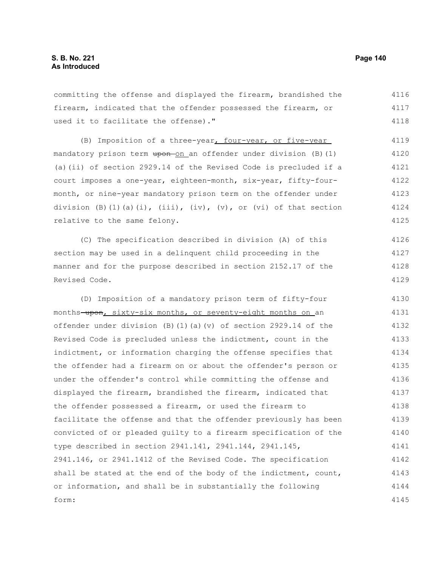committing the offense and displayed the firearm, brandished the firearm, indicated that the offender possessed the firearm, or used it to facilitate the offense)." 4116 4117 4118

(B) Imposition of a three-year, four-year, or five-year mandatory prison term upon on an offender under division (B)(1) (a)(ii) of section 2929.14 of the Revised Code is precluded if a court imposes a one-year, eighteen-month, six-year, fifty-fourmonth, or nine-year mandatory prison term on the offender under division (B)(1)(a)(i), (iii), (iv), (v), or (vi) of that section relative to the same felony. 4119 4120 4121 4122 4123 4124 4125

(C) The specification described in division (A) of this section may be used in a delinquent child proceeding in the manner and for the purpose described in section 2152.17 of the Revised Code. 4126 4127 4128 4129

(D) Imposition of a mandatory prison term of fifty-four months-upon, sixty-six months, or seventy-eight months on an offender under division (B)(1)(a)(v) of section 2929.14 of the Revised Code is precluded unless the indictment, count in the indictment, or information charging the offense specifies that the offender had a firearm on or about the offender's person or under the offender's control while committing the offense and displayed the firearm, brandished the firearm, indicated that the offender possessed a firearm, or used the firearm to facilitate the offense and that the offender previously has been convicted of or pleaded guilty to a firearm specification of the type described in section 2941.141, 2941.144, 2941.145, 2941.146, or 2941.1412 of the Revised Code. The specification shall be stated at the end of the body of the indictment, count, or information, and shall be in substantially the following form: 4130 4131 4132 4133 4134 4135 4136 4137 4138 4139 4140 4141 4142 4143 4144 4145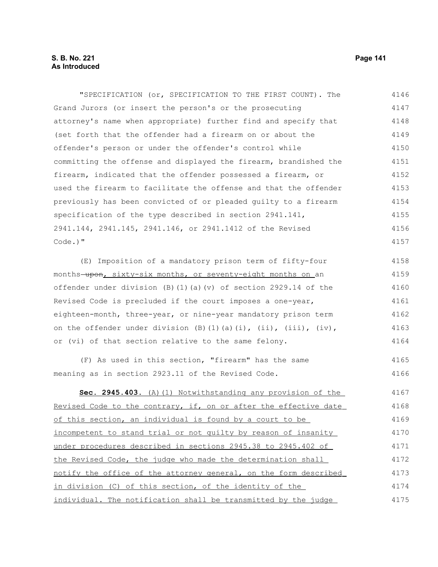"SPECIFICATION (or, SPECIFICATION TO THE FIRST COUNT). The Grand Jurors (or insert the person's or the prosecuting attorney's name when appropriate) further find and specify that (set forth that the offender had a firearm on or about the offender's person or under the offender's control while committing the offense and displayed the firearm, brandished the firearm, indicated that the offender possessed a firearm, or used the firearm to facilitate the offense and that the offender previously has been convicted of or pleaded guilty to a firearm specification of the type described in section 2941.141, 2941.144, 2941.145, 2941.146, or 2941.1412 of the Revised Code.)" 4146 4147 4148 4149 4150 4151 4152 4153 4154 4155 4156 4157

(E) Imposition of a mandatory prison term of fifty-four months upon, sixty-six months, or seventy-eight months on an offender under division (B)(1)(a)(v) of section 2929.14 of the Revised Code is precluded if the court imposes a one-year, eighteen-month, three-year, or nine-year mandatory prison term on the offender under division (B)(1)(a)(i), (ii), (iii), (iv), or (vi) of that section relative to the same felony. 4158 4159 4160 4161 4162 4163 4164

(F) As used in this section, "firearm" has the same meaning as in section 2923.11 of the Revised Code. 4165 4166

**Sec. 2945.403.** (A)(1) Notwithstanding any provision of the Revised Code to the contrary, if, on or after the effective date of this section, an individual is found by a court to be incompetent to stand trial or not guilty by reason of insanity under procedures described in sections 2945.38 to 2945.402 of the Revised Code, the judge who made the determination shall notify the office of the attorney general, on the form described in division (C) of this section, of the identity of the individual. The notification shall be transmitted by the judge 4167 4168 4169 4170 4171 4172 4173 4174 4175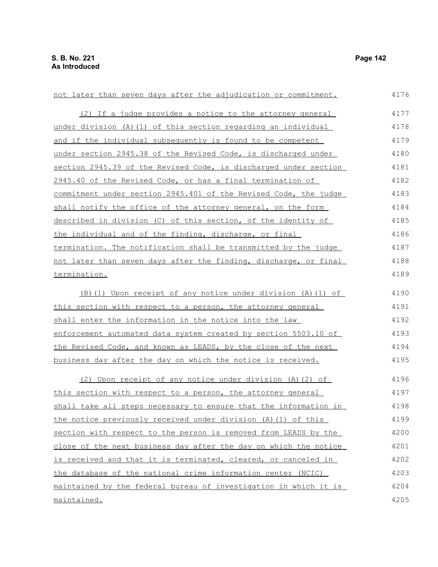maintained.

 not later than seven days after the adjudication or commitment. (2) If a judge provides a notice to the attorney general under division (A)(1) of this section regarding an individual and if the individual subsequently is found to be competent under section 2945.38 of the Revised Code, is discharged under section 2945.39 of the Revised Code, is discharged under section 2945.40 of the Revised Code, or has a final termination of commitment under section 2945.401 of the Revised Code, the judge shall notify the office of the attorney general, on the form described in division (C) of this section, of the identity of the individual and of the finding, discharge, or final termination. The notification shall be transmitted by the judge not later than seven days after the finding, discharge, or final termination. (B)(1) Upon receipt of any notice under division (A)(1) of this section with respect to a person, the attorney general shall enter the information in the notice into the law enforcement automated data system created by section 5503.10 of the Revised Code, and known as LEADS, by the close of the next business day after the day on which the notice is received. (2) Upon receipt of any notice under division (A)(2) of this section with respect to a person, the attorney general shall take all steps necessary to ensure that the information in the notice previously received under division (A)(1) of this section with respect to the person is removed from LEADS by the close of the next business day after the day on which the notice is received and that it is terminated, cleared, or canceled in the database of the national crime information center (NCIC) maintained by the federal bureau of investigation in which it is 4176 4177 4178 4179 4180 4181 4182 4183 4184 4185 4186 4187 4188 4189 4190 4191 4192 4193 4194 4195 4196 4197 4198 4199 4200 4201 4202 4203 4204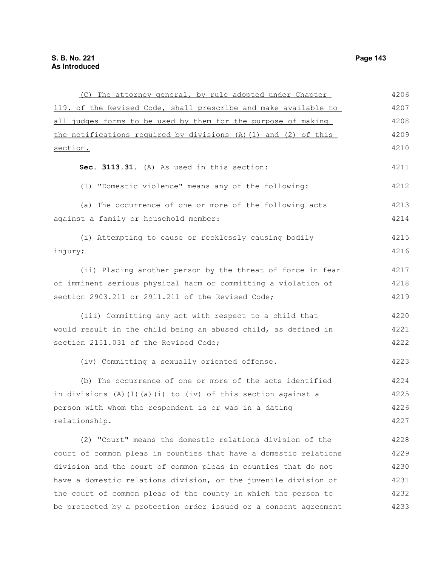| (C) The attorney general, by rule adopted under Chapter          | 4206 |
|------------------------------------------------------------------|------|
| 119. of the Revised Code, shall prescribe and make available to  | 4207 |
| all judges forms to be used by them for the purpose of making    | 4208 |
| the notifications required by divisions (A) (1) and (2) of this  | 4209 |
| section.                                                         | 4210 |
| Sec. 3113.31. (A) As used in this section:                       | 4211 |
| (1) "Domestic violence" means any of the following:              | 4212 |
| (a) The occurrence of one or more of the following acts          | 4213 |
| against a family or household member:                            | 4214 |
| (i) Attempting to cause or recklessly causing bodily             | 4215 |
| injury;                                                          | 4216 |
| (ii) Placing another person by the threat of force in fear       | 4217 |
| of imminent serious physical harm or committing a violation of   | 4218 |
| section 2903.211 or 2911.211 of the Revised Code;                | 4219 |
| (iii) Committing any act with respect to a child that            | 4220 |
| would result in the child being an abused child, as defined in   | 4221 |
| section 2151.031 of the Revised Code;                            | 4222 |
| (iv) Committing a sexually oriented offense.                     | 4223 |
| (b) The occurrence of one or more of the acts identified         | 4224 |
| in divisions $(A) (1) (a) (i)$ to (iv) of this section against a | 4225 |
| person with whom the respondent is or was in a dating            | 4226 |
| relationship.                                                    | 4227 |
| (2) "Court" means the domestic relations division of the         | 4228 |
| court of common pleas in counties that have a domestic relations | 4229 |
| division and the court of common pleas in counties that do not   | 4230 |
| have a domestic relations division, or the juvenile division of  | 4231 |
| the court of common pleas of the county in which the person to   | 4232 |
| be protected by a protection order issued or a consent agreement | 4233 |
|                                                                  |      |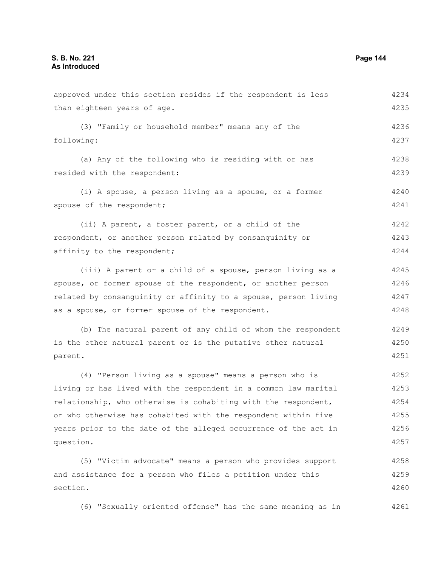| approved under this section resides if the respondent is less   | 4234 |
|-----------------------------------------------------------------|------|
| than eighteen years of age.                                     | 4235 |
| (3) "Family or household member" means any of the               | 4236 |
| following:                                                      | 4237 |
| (a) Any of the following who is residing with or has            | 4238 |
| resided with the respondent:                                    | 4239 |
| (i) A spouse, a person living as a spouse, or a former          | 4240 |
| spouse of the respondent;                                       | 4241 |
| (ii) A parent, a foster parent, or a child of the               | 4242 |
| respondent, or another person related by consanguinity or       | 4243 |
| affinity to the respondent;                                     | 4244 |
| (iii) A parent or a child of a spouse, person living as a       | 4245 |
| spouse, or former spouse of the respondent, or another person   | 4246 |
| related by consanguinity or affinity to a spouse, person living | 4247 |
| as a spouse, or former spouse of the respondent.                | 4248 |
| (b) The natural parent of any child of whom the respondent      | 4249 |
| is the other natural parent or is the putative other natural    | 4250 |
| parent.                                                         | 4251 |
| (4) "Person living as a spouse" means a person who is           | 4252 |
| living or has lived with the respondent in a common law marital | 4253 |
| relationship, who otherwise is cohabiting with the respondent,  | 4254 |
| or who otherwise has cohabited with the respondent within five  | 4255 |
| years prior to the date of the alleged occurrence of the act in | 4256 |
| question.                                                       | 4257 |
| (5) "Victim advocate" means a person who provides support       | 4258 |
| and assistance for a person who files a petition under this     | 4259 |
| section.                                                        | 4260 |
| (6) "Sexually oriented offense" has the same meaning as in      | 4261 |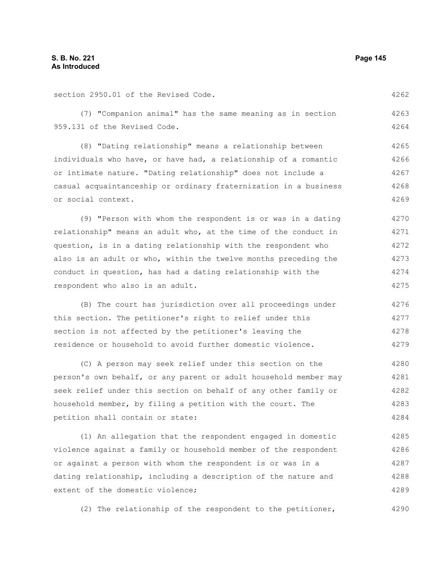4284

| section 2950.01 of the Revised Code.                             | 4262 |
|------------------------------------------------------------------|------|
| (7) "Companion animal" has the same meaning as in section        | 4263 |
| 959.131 of the Revised Code.                                     | 4264 |
| (8) "Dating relationship" means a relationship between           | 4265 |
| individuals who have, or have had, a relationship of a romantic  | 4266 |
| or intimate nature. "Dating relationship" does not include a     | 4267 |
| casual acquaintanceship or ordinary fraternization in a business | 4268 |
| or social context.                                               | 4269 |
| (9) "Person with whom the respondent is or was in a dating       | 4270 |
| relationship" means an adult who, at the time of the conduct in  | 4271 |
| question, is in a dating relationship with the respondent who    | 4272 |
| also is an adult or who, within the twelve months preceding the  | 4273 |
| conduct in question, has had a dating relationship with the      | 4274 |
| respondent who also is an adult.                                 | 4275 |
| (B) The court has jurisdiction over all proceedings under        | 4276 |
| this section. The petitioner's right to relief under this        | 4277 |
| section is not affected by the petitioner's leaving the          | 4278 |
| residence or household to avoid further domestic violence.       | 4279 |
| (C) A person may seek relief under this section on the           | 4280 |
| person's own behalf, or any parent or adult household member may | 4281 |
| seek relief under this section on behalf of any other family or  | 4282 |
| household member, by filing a petition with the court. The       | 4283 |

(1) An allegation that the respondent engaged in domestic violence against a family or household member of the respondent or against a person with whom the respondent is or was in a dating relationship, including a description of the nature and extent of the domestic violence; 4285 4286 4287 4288 4289

petition shall contain or state:

(2) The relationship of the respondent to the petitioner, 4290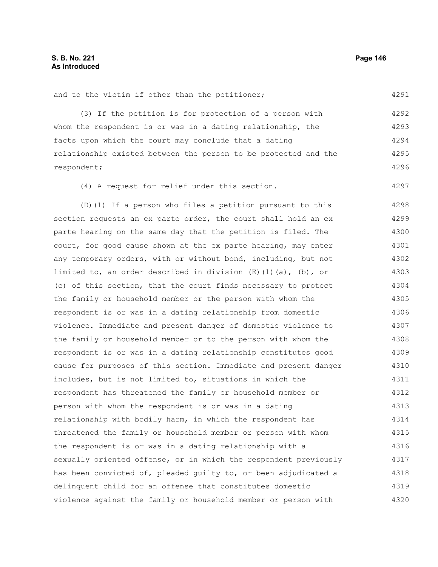and to the victim if other than the petitioner;

4291

(3) If the petition is for protection of a person with whom the respondent is or was in a dating relationship, the facts upon which the court may conclude that a dating relationship existed between the person to be protected and the respondent; 4292 4293 4294 4295 4296

(4) A request for relief under this section. 4297

(D)(1) If a person who files a petition pursuant to this section requests an ex parte order, the court shall hold an ex parte hearing on the same day that the petition is filed. The court, for good cause shown at the ex parte hearing, may enter any temporary orders, with or without bond, including, but not limited to, an order described in division  $(E)$  (1)(a),  $(b)$ , or (c) of this section, that the court finds necessary to protect the family or household member or the person with whom the respondent is or was in a dating relationship from domestic violence. Immediate and present danger of domestic violence to the family or household member or to the person with whom the respondent is or was in a dating relationship constitutes good cause for purposes of this section. Immediate and present danger includes, but is not limited to, situations in which the respondent has threatened the family or household member or person with whom the respondent is or was in a dating relationship with bodily harm, in which the respondent has threatened the family or household member or person with whom the respondent is or was in a dating relationship with a sexually oriented offense, or in which the respondent previously has been convicted of, pleaded guilty to, or been adjudicated a delinquent child for an offense that constitutes domestic violence against the family or household member or person with 4298 4299 4300 4301 4302 4303 4304 4305 4306 4307 4308 4309 4310 4311 4312 4313 4314 4315 4316 4317 4318 4319 4320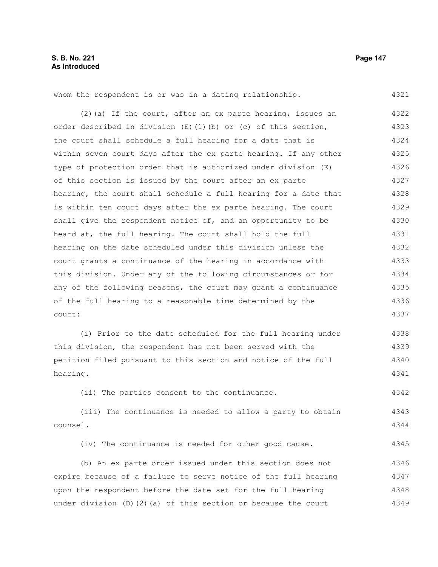4321

4342

whom the respondent is or was in a dating relationship.

(2)(a) If the court, after an ex parte hearing, issues an order described in division  $(E)(1)(b)$  or (c) of this section, the court shall schedule a full hearing for a date that is within seven court days after the ex parte hearing. If any other type of protection order that is authorized under division (E) of this section is issued by the court after an ex parte hearing, the court shall schedule a full hearing for a date that is within ten court days after the ex parte hearing. The court shall give the respondent notice of, and an opportunity to be heard at, the full hearing. The court shall hold the full hearing on the date scheduled under this division unless the court grants a continuance of the hearing in accordance with this division. Under any of the following circumstances or for any of the following reasons, the court may grant a continuance of the full hearing to a reasonable time determined by the court: 4322 4323 4324 4325 4326 4327 4328 4329 4330 4331 4332 4333 4334 4335 4336 4337

(i) Prior to the date scheduled for the full hearing under this division, the respondent has not been served with the petition filed pursuant to this section and notice of the full hearing. 4338 4339 4340 4341

(ii) The parties consent to the continuance.

(iii) The continuance is needed to allow a party to obtain counsel. 4343 4344

(iv) The continuance is needed for other good cause. 4345

(b) An ex parte order issued under this section does not expire because of a failure to serve notice of the full hearing upon the respondent before the date set for the full hearing under division  $(D)$   $(2)$   $(a)$  of this section or because the court 4346 4347 4348 4349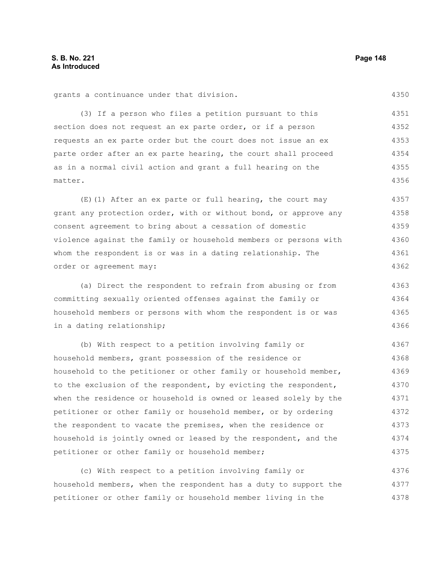4350

grants a continuance under that division.

(3) If a person who files a petition pursuant to this section does not request an ex parte order, or if a person requests an ex parte order but the court does not issue an ex parte order after an ex parte hearing, the court shall proceed as in a normal civil action and grant a full hearing on the matter. 4351 4352 4353 4354 4355 4356

(E)(1) After an ex parte or full hearing, the court may grant any protection order, with or without bond, or approve any consent agreement to bring about a cessation of domestic violence against the family or household members or persons with whom the respondent is or was in a dating relationship. The order or agreement may: 4357 4358 4359 4360 4361 4362

(a) Direct the respondent to refrain from abusing or from committing sexually oriented offenses against the family or household members or persons with whom the respondent is or was in a dating relationship; 4363 4364 4365 4366

(b) With respect to a petition involving family or household members, grant possession of the residence or household to the petitioner or other family or household member, to the exclusion of the respondent, by evicting the respondent, when the residence or household is owned or leased solely by the petitioner or other family or household member, or by ordering the respondent to vacate the premises, when the residence or household is jointly owned or leased by the respondent, and the petitioner or other family or household member; 4367 4368 4369 4370 4371 4372 4373 4374 4375

(c) With respect to a petition involving family or household members, when the respondent has a duty to support the petitioner or other family or household member living in the 4376 4377 4378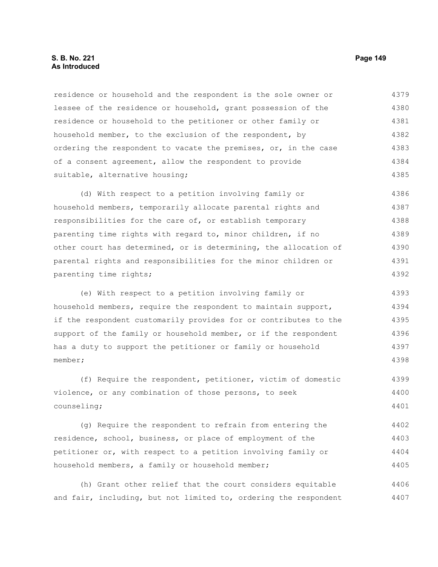#### **S. B. No. 221 Page 149 As Introduced**

residence or household and the respondent is the sole owner or lessee of the residence or household, grant possession of the residence or household to the petitioner or other family or household member, to the exclusion of the respondent, by ordering the respondent to vacate the premises, or, in the case of a consent agreement, allow the respondent to provide suitable, alternative housing; 4379 4380 4381 4382 4383 4384 4385

(d) With respect to a petition involving family or household members, temporarily allocate parental rights and responsibilities for the care of, or establish temporary parenting time rights with regard to, minor children, if no other court has determined, or is determining, the allocation of parental rights and responsibilities for the minor children or parenting time rights; 4386 4387 4388 4389 4390 4391 4392

(e) With respect to a petition involving family or household members, require the respondent to maintain support, if the respondent customarily provides for or contributes to the support of the family or household member, or if the respondent has a duty to support the petitioner or family or household member; 4393 4394 4395 4396 4397 4398

(f) Require the respondent, petitioner, victim of domestic violence, or any combination of those persons, to seek counseling; 4399 4400 4401

(g) Require the respondent to refrain from entering the residence, school, business, or place of employment of the petitioner or, with respect to a petition involving family or household members, a family or household member; 4402 4403 4404 4405

(h) Grant other relief that the court considers equitable and fair, including, but not limited to, ordering the respondent 4406 4407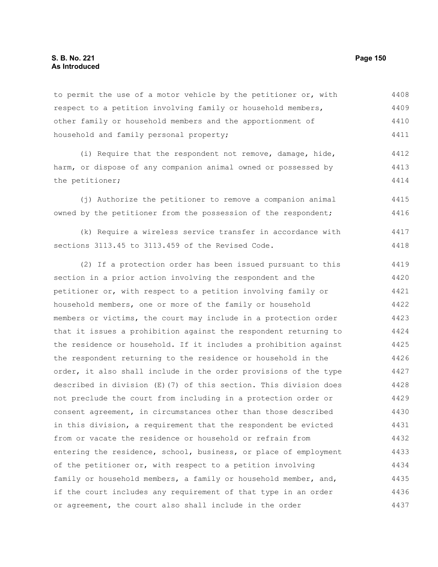#### **S. B. No. 221 Page 150 As Introduced**

to permit the use of a motor vehicle by the petitioner or, with respect to a petition involving family or household members, other family or household members and the apportionment of household and family personal property; 4408 4409 4410 4411

(i) Require that the respondent not remove, damage, hide, harm, or dispose of any companion animal owned or possessed by the petitioner; 4412 4413 4414

(j) Authorize the petitioner to remove a companion animal owned by the petitioner from the possession of the respondent; 4415 4416

(k) Require a wireless service transfer in accordance with sections 3113.45 to 3113.459 of the Revised Code. 4417 4418

(2) If a protection order has been issued pursuant to this section in a prior action involving the respondent and the petitioner or, with respect to a petition involving family or household members, one or more of the family or household members or victims, the court may include in a protection order that it issues a prohibition against the respondent returning to the residence or household. If it includes a prohibition against the respondent returning to the residence or household in the order, it also shall include in the order provisions of the type described in division (E)(7) of this section. This division does not preclude the court from including in a protection order or consent agreement, in circumstances other than those described in this division, a requirement that the respondent be evicted from or vacate the residence or household or refrain from entering the residence, school, business, or place of employment of the petitioner or, with respect to a petition involving family or household members, a family or household member, and, if the court includes any requirement of that type in an order or agreement, the court also shall include in the order 4419 4420 4421 4422 4423 4424 4425 4426 4427 4428 4429 4430 4431 4432 4433 4434 4435 4436 4437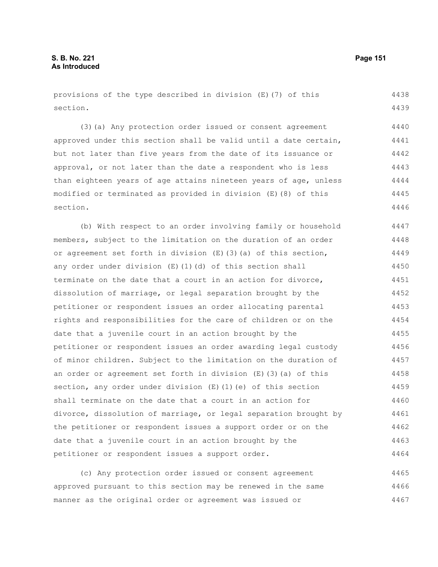provisions of the type described in division (E)(7) of this section. 4438 4439

(3)(a) Any protection order issued or consent agreement approved under this section shall be valid until a date certain, but not later than five years from the date of its issuance or approval, or not later than the date a respondent who is less than eighteen years of age attains nineteen years of age, unless modified or terminated as provided in division (E)(8) of this section. 4440 4441 4442 4443 4444 4445 4446

(b) With respect to an order involving family or household members, subject to the limitation on the duration of an order or agreement set forth in division  $(E)(3)(a)$  of this section, any order under division (E)(1)(d) of this section shall terminate on the date that a court in an action for divorce, dissolution of marriage, or legal separation brought by the petitioner or respondent issues an order allocating parental rights and responsibilities for the care of children or on the date that a juvenile court in an action brought by the petitioner or respondent issues an order awarding legal custody of minor children. Subject to the limitation on the duration of an order or agreement set forth in division (E)(3)(a) of this section, any order under division (E)(1)(e) of this section shall terminate on the date that a court in an action for divorce, dissolution of marriage, or legal separation brought by the petitioner or respondent issues a support order or on the date that a juvenile court in an action brought by the petitioner or respondent issues a support order. 4447 4448 4449 4450 4451 4452 4453 4454 4455 4456 4457 4458 4459 4460 4461 4462 4463 4464

(c) Any protection order issued or consent agreement approved pursuant to this section may be renewed in the same manner as the original order or agreement was issued or 4465 4466 4467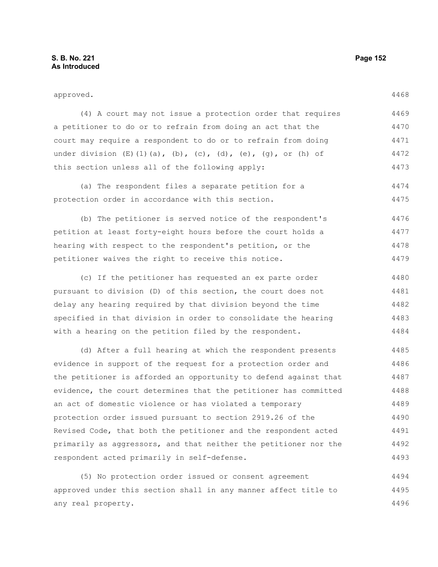# approved.

 $1169$ 

| (4) A court may not issue a protection order that requires                                                                                                                                                                     | 4469  |
|--------------------------------------------------------------------------------------------------------------------------------------------------------------------------------------------------------------------------------|-------|
| a petitioner to do or to refrain from doing an act that the                                                                                                                                                                    | 4470  |
| court may require a respondent to do or to refrain from doing                                                                                                                                                                  | 4471  |
| under division $(E)$ $(1)$ $(a)$ , $(b)$ , $(c)$ , $(d)$ , $(e)$ , $(g)$ , or $(h)$ of                                                                                                                                         | 4472  |
| this section unless all of the following apply:                                                                                                                                                                                | 4473  |
| (a) The respondent files a separate petition for a                                                                                                                                                                             | 4474  |
| protection order in accordance with this section.                                                                                                                                                                              | 4475  |
| 71. A Finnian and the following the concerning and the second control of the control of the second control of the second control of the second control of the second control of the second control of the second control of th | 1.77C |

(b) The petitioner is served notice of the respondent's petition at least forty-eight hours before the court holds a hearing with respect to the respondent's petition, or the petitioner waives the right to receive this notice. 4476 4477 4478 4479

(c) If the petitioner has requested an ex parte order pursuant to division (D) of this section, the court does not delay any hearing required by that division beyond the time specified in that division in order to consolidate the hearing with a hearing on the petition filed by the respondent. 4480 4481 4482 4483 4484

(d) After a full hearing at which the respondent presents evidence in support of the request for a protection order and the petitioner is afforded an opportunity to defend against that evidence, the court determines that the petitioner has committed an act of domestic violence or has violated a temporary protection order issued pursuant to section 2919.26 of the Revised Code, that both the petitioner and the respondent acted primarily as aggressors, and that neither the petitioner nor the respondent acted primarily in self-defense. 4485 4486 4487 4488 4489 4490 4491 4492 4493

(5) No protection order issued or consent agreement approved under this section shall in any manner affect title to any real property. 4494 4495 4496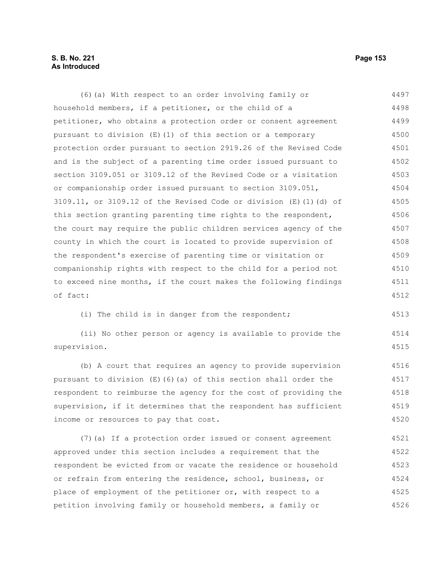## **S. B. No. 221 Page 153 As Introduced**

(6)(a) With respect to an order involving family or household members, if a petitioner, or the child of a petitioner, who obtains a protection order or consent agreement pursuant to division (E)(1) of this section or a temporary protection order pursuant to section 2919.26 of the Revised Code and is the subject of a parenting time order issued pursuant to section 3109.051 or 3109.12 of the Revised Code or a visitation or companionship order issued pursuant to section 3109.051,  $3109.11$ , or  $3109.12$  of the Revised Code or division (E)(1)(d) of this section granting parenting time rights to the respondent, the court may require the public children services agency of the county in which the court is located to provide supervision of the respondent's exercise of parenting time or visitation or companionship rights with respect to the child for a period not to exceed nine months, if the court makes the following findings of fact: 4497 4498 4499 4500 4501 4502 4503 4504 4505 4506 4507 4508 4509 4510 4511 4512

(i) The child is in danger from the respondent;

(ii) No other person or agency is available to provide the supervision. 4514 4515

(b) A court that requires an agency to provide supervision pursuant to division  $(E)$  (6)(a) of this section shall order the respondent to reimburse the agency for the cost of providing the supervision, if it determines that the respondent has sufficient income or resources to pay that cost. 4516 4517 4518 4519 4520

(7)(a) If a protection order issued or consent agreement approved under this section includes a requirement that the respondent be evicted from or vacate the residence or household or refrain from entering the residence, school, business, or place of employment of the petitioner or, with respect to a petition involving family or household members, a family or 4521 4522 4523 4524 4525 4526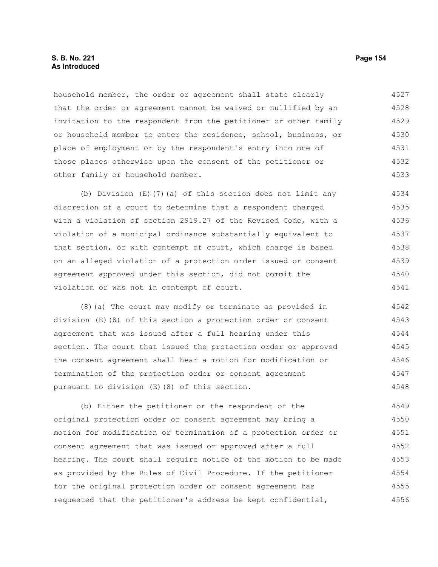#### **S. B. No. 221 Page 154 As Introduced**

household member, the order or agreement shall state clearly that the order or agreement cannot be waived or nullified by an invitation to the respondent from the petitioner or other family or household member to enter the residence, school, business, or place of employment or by the respondent's entry into one of those places otherwise upon the consent of the petitioner or other family or household member. 4527 4528 4529 4530 4531 4532 4533

(b) Division (E)(7)(a) of this section does not limit any discretion of a court to determine that a respondent charged with a violation of section 2919.27 of the Revised Code, with a violation of a municipal ordinance substantially equivalent to that section, or with contempt of court, which charge is based on an alleged violation of a protection order issued or consent agreement approved under this section, did not commit the violation or was not in contempt of court. 4534 4535 4536 4537 4538 4539 4540 4541

(8)(a) The court may modify or terminate as provided in division (E)(8) of this section a protection order or consent agreement that was issued after a full hearing under this section. The court that issued the protection order or approved the consent agreement shall hear a motion for modification or termination of the protection order or consent agreement pursuant to division (E)(8) of this section. 4542 4543 4544 4545 4546 4547 4548

(b) Either the petitioner or the respondent of the original protection order or consent agreement may bring a motion for modification or termination of a protection order or consent agreement that was issued or approved after a full hearing. The court shall require notice of the motion to be made as provided by the Rules of Civil Procedure. If the petitioner for the original protection order or consent agreement has requested that the petitioner's address be kept confidential, 4549 4550 4551 4552 4553 4554 4555 4556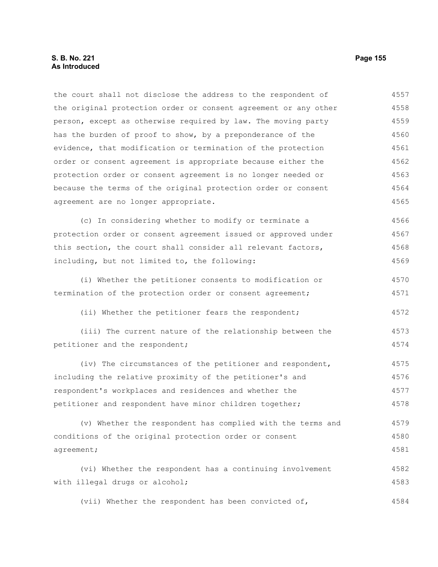#### **S. B. No. 221 Page 155 As Introduced**

the court shall not disclose the address to the respondent of the original protection order or consent agreement or any other person, except as otherwise required by law. The moving party has the burden of proof to show, by a preponderance of the evidence, that modification or termination of the protection order or consent agreement is appropriate because either the protection order or consent agreement is no longer needed or because the terms of the original protection order or consent agreement are no longer appropriate. (c) In considering whether to modify or terminate a protection order or consent agreement issued or approved under this section, the court shall consider all relevant factors, including, but not limited to, the following: (i) Whether the petitioner consents to modification or termination of the protection order or consent agreement; (ii) Whether the petitioner fears the respondent; (iii) The current nature of the relationship between the petitioner and the respondent; (iv) The circumstances of the petitioner and respondent, including the relative proximity of the petitioner's and respondent's workplaces and residences and whether the petitioner and respondent have minor children together; (v) Whether the respondent has complied with the terms and conditions of the original protection order or consent agreement; (vi) Whether the respondent has a continuing involvement with illegal drugs or alcohol; (vii) Whether the respondent has been convicted of, 4557 4558 4559 4560 4561 4562 4563 4564 4565 4566 4567 4568 4569 4570 4571 4572 4573 4574 4575 4576 4577 4578 4579 4580 4581 4582 4583 4584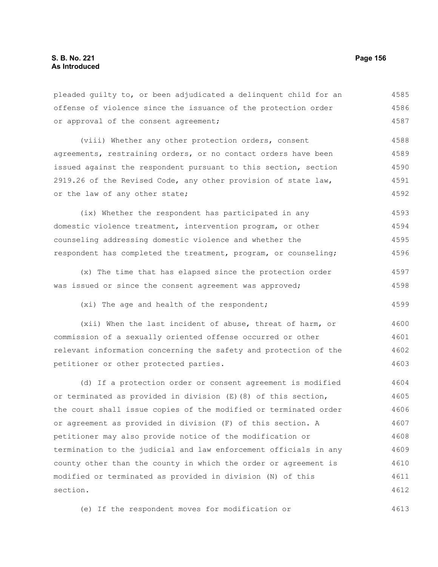| pleaded guilty to, or been adjudicated a delinquent child for an | 4585 |
|------------------------------------------------------------------|------|
| offense of violence since the issuance of the protection order   | 4586 |
| or approval of the consent agreement;                            | 4587 |
| (viii) Whether any other protection orders, consent              | 4588 |
| agreements, restraining orders, or no contact orders have been   | 4589 |
| issued against the respondent pursuant to this section, section  | 4590 |
| 2919.26 of the Revised Code, any other provision of state law,   | 4591 |
| or the law of any other state;                                   | 4592 |
| (ix) Whether the respondent has participated in any              | 4593 |
| domestic violence treatment, intervention program, or other      | 4594 |
| counseling addressing domestic violence and whether the          | 4595 |
| respondent has completed the treatment, program, or counseling;  | 4596 |
| (x) The time that has elapsed since the protection order         | 4597 |
| was issued or since the consent agreement was approved;          | 4598 |
| (xi) The age and health of the respondent;                       | 4599 |
| (xii) When the last incident of abuse, threat of harm, or        | 4600 |
| commission of a sexually oriented offense occurred or other      | 4601 |
| relevant information concerning the safety and protection of the | 4602 |
| petitioner or other protected parties.                           | 4603 |
| (d) If a protection order or consent agreement is modified       | 4604 |
| or terminated as provided in division (E) (8) of this section,   | 4605 |
| the court shall issue copies of the modified or terminated order | 4606 |
| or agreement as provided in division (F) of this section. A      | 4607 |
| petitioner may also provide notice of the modification or        | 4608 |
| termination to the judicial and law enforcement officials in any | 4609 |
| county other than the county in which the order or agreement is  | 4610 |
| modified or terminated as provided in division (N) of this       | 4611 |
| section.                                                         | 4612 |

(e) If the respondent moves for modification or 4613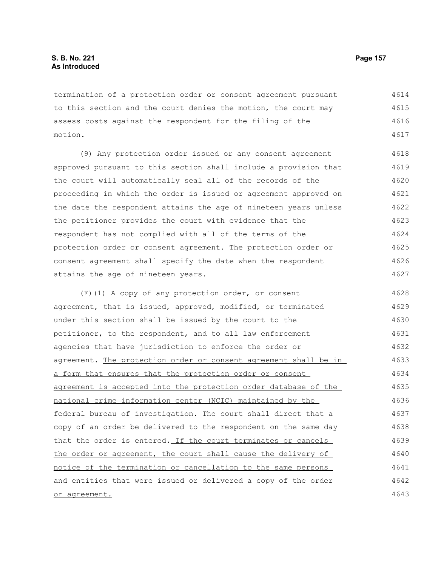termination of a protection order or consent agreement pursuant to this section and the court denies the motion, the court may assess costs against the respondent for the filing of the motion. 4614 4615 4616 4617

(9) Any protection order issued or any consent agreement approved pursuant to this section shall include a provision that the court will automatically seal all of the records of the proceeding in which the order is issued or agreement approved on the date the respondent attains the age of nineteen years unless the petitioner provides the court with evidence that the respondent has not complied with all of the terms of the protection order or consent agreement. The protection order or consent agreement shall specify the date when the respondent attains the age of nineteen years. 4618 4619 4620 4621 4622 4623 4624 4625 4626 4627

(F)(1) A copy of any protection order, or consent agreement, that is issued, approved, modified, or terminated under this section shall be issued by the court to the petitioner, to the respondent, and to all law enforcement agencies that have jurisdiction to enforce the order or agreement. The protection order or consent agreement shall be in a form that ensures that the protection order or consent agreement is accepted into the protection order database of the national crime information center (NCIC) maintained by the federal bureau of investigation. The court shall direct that a copy of an order be delivered to the respondent on the same day that the order is entered. If the court terminates or cancels the order or agreement, the court shall cause the delivery of notice of the termination or cancellation to the same persons and entities that were issued or delivered a copy of the order or agreement. 4628 4629 4630 4631 4632 4633 4634 4635 4636 4637 4638 4639 4640 4641 4642 4643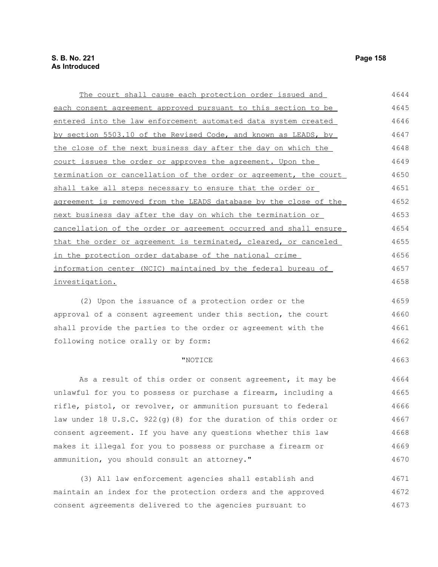The court shall cause each protection order issued and each consent agreement approved pursuant to this section to be entered into the law enforcement automated data system created by section 5503.10 of the Revised Code, and known as LEADS, by the close of the next business day after the day on which the court issues the order or approves the agreement. Upon the termination or cancellation of the order or agreement, the court shall take all steps necessary to ensure that the order or agreement is removed from the LEADS database by the close of the next business day after the day on which the termination or cancellation of the order or agreement occurred and shall ensure that the order or agreement is terminated, cleared, or canceled in the protection order database of the national crime information center (NCIC) maintained by the federal bureau of investigation. 4644 4645 4646 4647 4648 4649 4650 4651 4652 4653 4654 4655 4656 4657 4658

(2) Upon the issuance of a protection order or the approval of a consent agreement under this section, the court shall provide the parties to the order or agreement with the following notice orally or by form: 4659 4660 4661 4662

#### "NOTICE

As a result of this order or consent agreement, it may be unlawful for you to possess or purchase a firearm, including a rifle, pistol, or revolver, or ammunition pursuant to federal law under 18 U.S.C. 922(g)(8) for the duration of this order or consent agreement. If you have any questions whether this law makes it illegal for you to possess or purchase a firearm or ammunition, you should consult an attorney." 4664 4665 4666 4667 4668 4669 4670

(3) All law enforcement agencies shall establish and maintain an index for the protection orders and the approved consent agreements delivered to the agencies pursuant to 4671 4672 4673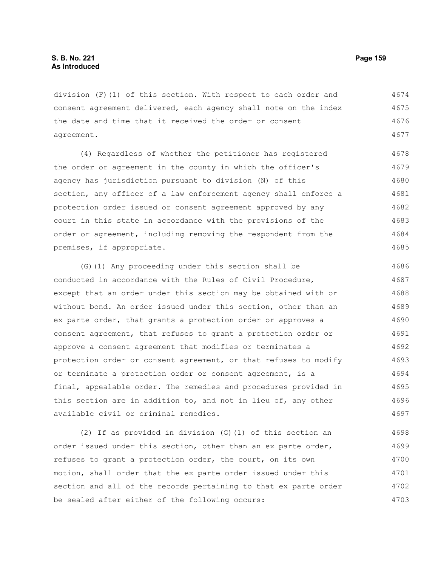division (F)(1) of this section. With respect to each order and consent agreement delivered, each agency shall note on the index the date and time that it received the order or consent agreement. 4674 4675 4676 4677

(4) Regardless of whether the petitioner has registered the order or agreement in the county in which the officer's agency has jurisdiction pursuant to division (N) of this section, any officer of a law enforcement agency shall enforce a protection order issued or consent agreement approved by any court in this state in accordance with the provisions of the order or agreement, including removing the respondent from the premises, if appropriate. 4678 4679 4680 4681 4682 4683 4684 4685

(G)(1) Any proceeding under this section shall be conducted in accordance with the Rules of Civil Procedure, except that an order under this section may be obtained with or without bond. An order issued under this section, other than an ex parte order, that grants a protection order or approves a consent agreement, that refuses to grant a protection order or approve a consent agreement that modifies or terminates a protection order or consent agreement, or that refuses to modify or terminate a protection order or consent agreement, is a final, appealable order. The remedies and procedures provided in this section are in addition to, and not in lieu of, any other available civil or criminal remedies. 4686 4687 4688 4689 4690 4691 4692 4693 4694 4695 4696 4697

(2) If as provided in division (G)(1) of this section an order issued under this section, other than an ex parte order, refuses to grant a protection order, the court, on its own motion, shall order that the ex parte order issued under this section and all of the records pertaining to that ex parte order be sealed after either of the following occurs: 4698 4699 4700 4701 4702 4703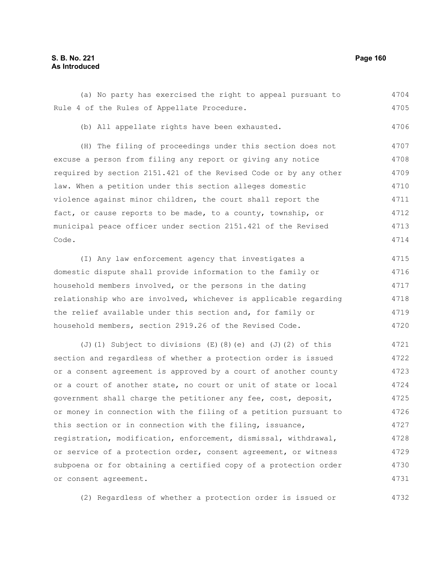## **S. B. No. 221 Page 160 As Introduced**

(a) No party has exercised the right to appeal pursuant to Rule 4 of the Rules of Appellate Procedure. 4704 4705

(b) All appellate rights have been exhausted.

(H) The filing of proceedings under this section does not excuse a person from filing any report or giving any notice required by section 2151.421 of the Revised Code or by any other law. When a petition under this section alleges domestic violence against minor children, the court shall report the fact, or cause reports to be made, to a county, township, or municipal peace officer under section 2151.421 of the Revised Code. 4707 4708 4709 4710 4711 4712 4713 4714

(I) Any law enforcement agency that investigates a domestic dispute shall provide information to the family or household members involved, or the persons in the dating relationship who are involved, whichever is applicable regarding the relief available under this section and, for family or household members, section 2919.26 of the Revised Code. 4715 4716 4717 4718 4719 4720

(J)(1) Subject to divisions (E)(8)(e) and (J)(2) of this section and regardless of whether a protection order is issued or a consent agreement is approved by a court of another county or a court of another state, no court or unit of state or local government shall charge the petitioner any fee, cost, deposit, or money in connection with the filing of a petition pursuant to this section or in connection with the filing, issuance, registration, modification, enforcement, dismissal, withdrawal, or service of a protection order, consent agreement, or witness subpoena or for obtaining a certified copy of a protection order or consent agreement. 4721 4722 4723 4724 4725 4726 4727 4728 4729 4730 4731

(2) Regardless of whether a protection order is issued or

4706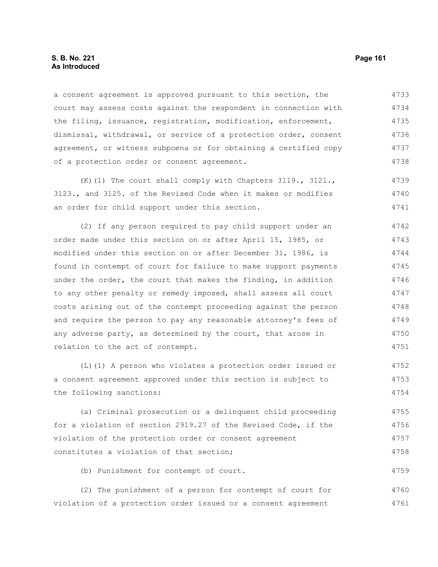a consent agreement is approved pursuant to this section, the court may assess costs against the respondent in connection with the filing, issuance, registration, modification, enforcement, dismissal, withdrawal, or service of a protection order, consent agreement, or witness subpoena or for obtaining a certified copy of a protection order or consent agreement. 4733 4734 4735 4736 4737 4738

(K)(1) The court shall comply with Chapters 3119., 3121., 3123., and 3125. of the Revised Code when it makes or modifies an order for child support under this section. 4739 4740 4741

(2) If any person required to pay child support under an order made under this section on or after April 15, 1985, or modified under this section on or after December 31, 1986, is found in contempt of court for failure to make support payments under the order, the court that makes the finding, in addition to any other penalty or remedy imposed, shall assess all court costs arising out of the contempt proceeding against the person and require the person to pay any reasonable attorney's fees of any adverse party, as determined by the court, that arose in relation to the act of contempt. 4742 4743 4744 4745 4746 4747 4748 4749 4750 4751

(L)(1) A person who violates a protection order issued or a consent agreement approved under this section is subject to the following sanctions: 4752 4753 4754

(a) Criminal prosecution or a delinquent child proceeding for a violation of section 2919.27 of the Revised Code, if the violation of the protection order or consent agreement constitutes a violation of that section; 4755 4756 4757 4758

(b) Punishment for contempt of court. 4759

(2) The punishment of a person for contempt of court for violation of a protection order issued or a consent agreement 4760 4761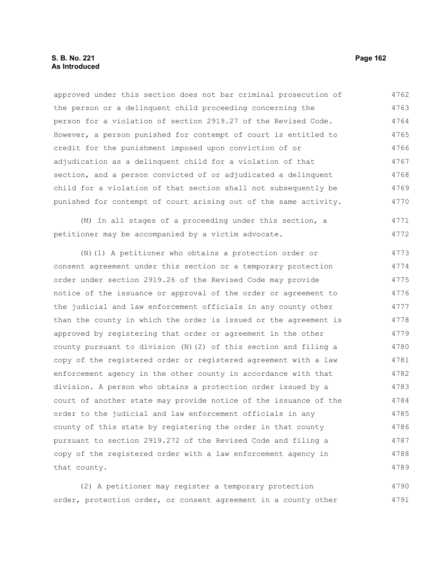#### **S. B. No. 221 Page 162 As Introduced**

approved under this section does not bar criminal prosecution of the person or a delinquent child proceeding concerning the person for a violation of section 2919.27 of the Revised Code. However, a person punished for contempt of court is entitled to credit for the punishment imposed upon conviction of or adjudication as a delinquent child for a violation of that section, and a person convicted of or adjudicated a delinquent child for a violation of that section shall not subsequently be punished for contempt of court arising out of the same activity. 4762 4763 4764 4765 4766 4767 4768 4769 4770

(M) In all stages of a proceeding under this section, a petitioner may be accompanied by a victim advocate. 4771 4772

(N)(1) A petitioner who obtains a protection order or consent agreement under this section or a temporary protection order under section 2919.26 of the Revised Code may provide notice of the issuance or approval of the order or agreement to the judicial and law enforcement officials in any county other than the county in which the order is issued or the agreement is approved by registering that order or agreement in the other county pursuant to division (N)(2) of this section and filing a copy of the registered order or registered agreement with a law enforcement agency in the other county in accordance with that division. A person who obtains a protection order issued by a court of another state may provide notice of the issuance of the order to the judicial and law enforcement officials in any county of this state by registering the order in that county pursuant to section 2919.272 of the Revised Code and filing a copy of the registered order with a law enforcement agency in that county. 4773 4774 4775 4776 4777 4778 4779 4780 4781 4782 4783 4784 4785 4786 4787 4788 4789

(2) A petitioner may register a temporary protection order, protection order, or consent agreement in a county other 4790 4791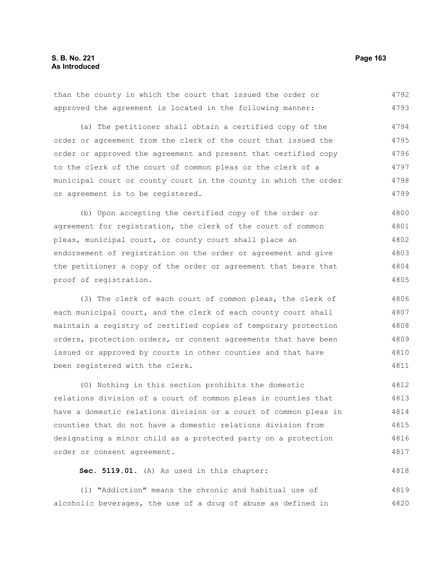than the county in which the court that issued the order or approved the agreement is located in the following manner: 4792 4793

(a) The petitioner shall obtain a certified copy of the order or agreement from the clerk of the court that issued the order or approved the agreement and present that certified copy to the clerk of the court of common pleas or the clerk of a municipal court or county court in the county in which the order or agreement is to be registered. 4794 4795 4796 4797 4798 4799

(b) Upon accepting the certified copy of the order or agreement for registration, the clerk of the court of common pleas, municipal court, or county court shall place an endorsement of registration on the order or agreement and give the petitioner a copy of the order or agreement that bears that proof of registration. 4800 4801 4802 4803 4804 4805

(3) The clerk of each court of common pleas, the clerk of each municipal court, and the clerk of each county court shall maintain a registry of certified copies of temporary protection orders, protection orders, or consent agreements that have been issued or approved by courts in other counties and that have been registered with the clerk. 4806 4807 4808 4809 4810 4811

(O) Nothing in this section prohibits the domestic relations division of a court of common pleas in counties that have a domestic relations division or a court of common pleas in counties that do not have a domestic relations division from designating a minor child as a protected party on a protection order or consent agreement. 4812 4813 4814 4815 4816 4817

**Sec. 5119.01.** (A) As used in this chapter: 4818

(1) "Addiction" means the chronic and habitual use of alcoholic beverages, the use of a drug of abuse as defined in 4819 4820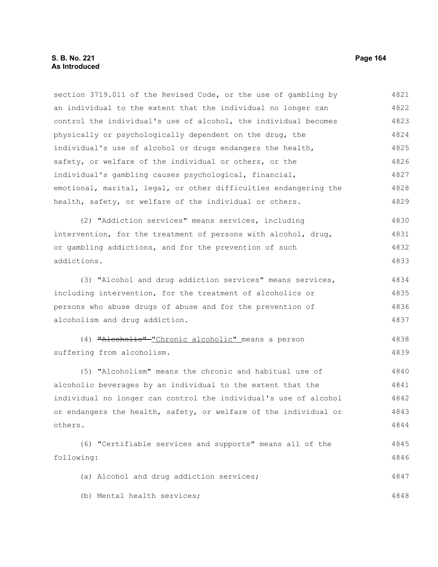#### **S. B. No. 221 Page 164 As Introduced**

section 3719.011 of the Revised Code, or the use of gambling by an individual to the extent that the individual no longer can control the individual's use of alcohol, the individual becomes physically or psychologically dependent on the drug, the individual's use of alcohol or drugs endangers the health, safety, or welfare of the individual or others, or the individual's gambling causes psychological, financial, emotional, marital, legal, or other difficulties endangering the health, safety, or welfare of the individual or others. 4821 4822 4823 4824 4825 4826 4827 4828 4829

(2) "Addiction services" means services, including intervention, for the treatment of persons with alcohol, drug, or gambling addictions, and for the prevention of such addictions. 4830 4831 4832 4833

(3) "Alcohol and drug addiction services" means services, including intervention, for the treatment of alcoholics or persons who abuse drugs of abuse and for the prevention of alcoholism and drug addiction. 4834 4835 4836 4837

(4) "Alcoholic" "Chronic alcoholic" means a person suffering from alcoholism.

(5) "Alcoholism" means the chronic and habitual use of alcoholic beverages by an individual to the extent that the individual no longer can control the individual's use of alcohol or endangers the health, safety, or welfare of the individual or others. 4840 4841 4842 4843 4844

(6) "Certifiable services and supports" means all of the following: 4845 4846

(a) Alcohol and drug addiction services; 4847

(b) Mental health services;

4838 4839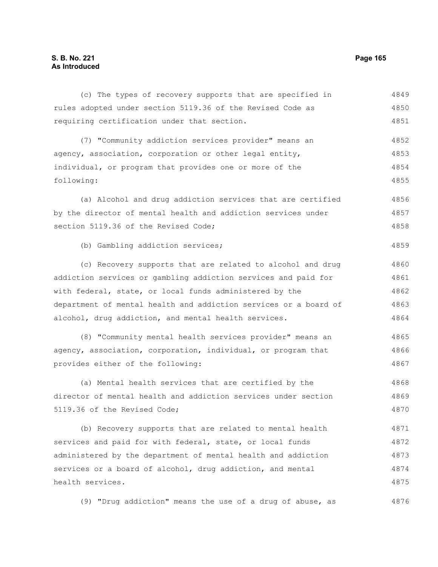(c) The types of recovery supports that are specified in rules adopted under section 5119.36 of the Revised Code as requiring certification under that section. (7) "Community addiction services provider" means an agency, association, corporation or other legal entity, individual, or program that provides one or more of the following: (a) Alcohol and drug addiction services that are certified by the director of mental health and addiction services under section 5119.36 of the Revised Code; (b) Gambling addiction services; (c) Recovery supports that are related to alcohol and drug addiction services or gambling addiction services and paid for with federal, state, or local funds administered by the department of mental health and addiction services or a board of alcohol, drug addiction, and mental health services. (8) "Community mental health services provider" means an agency, association, corporation, individual, or program that provides either of the following: (a) Mental health services that are certified by the director of mental health and addiction services under section 5119.36 of the Revised Code; (b) Recovery supports that are related to mental health services and paid for with federal, state, or local funds administered by the department of mental health and addiction services or a board of alcohol, drug addiction, and mental health services. (9) "Drug addiction" means the use of a drug of abuse, as 4849 4850 4851 4852 4853 4854 4855 4856 4857 4858 4859 4860 4861 4862 4863 4864 4865 4866 4867 4868 4869 4870 4871 4872 4873 4874 4875 4876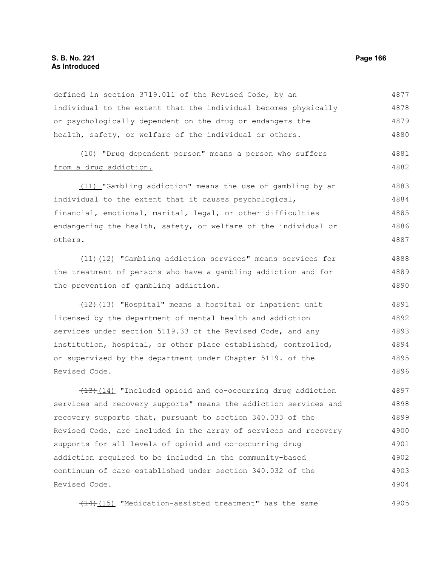defined in section 3719.011 of the Revised Code, by an individual to the extent that the individual becomes physically or psychologically dependent on the drug or endangers the health, safety, or welfare of the individual or others. (10) "Drug dependent person" means a person who suffers from a drug addiction. (11) "Gambling addiction" means the use of gambling by an individual to the extent that it causes psychological, financial, emotional, marital, legal, or other difficulties endangering the health, safety, or welfare of the individual or others. (11)(12) "Gambling addiction services" means services for the treatment of persons who have a gambling addiction and for the prevention of gambling addiction.  $(12)$ (13) "Hospital" means a hospital or inpatient unit licensed by the department of mental health and addiction services under section 5119.33 of the Revised Code, and any institution, hospital, or other place established, controlled, or supervised by the department under Chapter 5119. of the Revised Code. (13)(14) "Included opioid and co-occurring drug addiction services and recovery supports" means the addiction services and recovery supports that, pursuant to section 340.033 of the Revised Code, are included in the array of services and recovery supports for all levels of opioid and co-occurring drug addiction required to be included in the community-based continuum of care established under section 340.032 of the Revised Code. 4877 4878 4879 4880 4881 4882 4883 4884 4885 4886 4887 4888 4889 4890 4891 4892 4893 4894 4895 4896 4897 4898 4899 4900 4901 4902 4903 4904

(14)(15) "Medication-assisted treatment" has the same 4905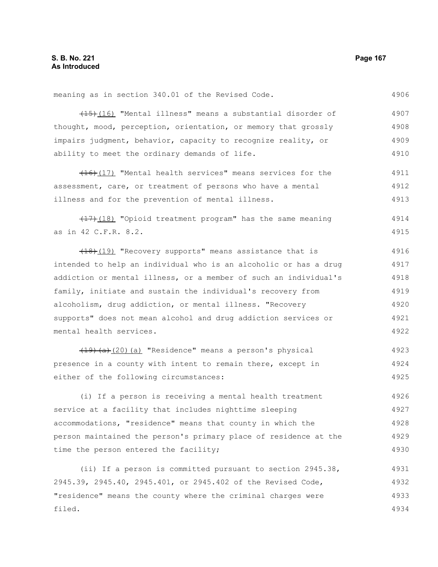meaning as in section 340.01 of the Revised Code.

(15)(16) "Mental illness" means a substantial disorder of thought, mood, perception, orientation, or memory that grossly impairs judgment, behavior, capacity to recognize reality, or ability to meet the ordinary demands of life. 4907 4908 4909 4910

 $(16)$  (17) "Mental health services" means services for the assessment, care, or treatment of persons who have a mental illness and for the prevention of mental illness. 4911 4912 4913

 $(17)$ (18) "Opioid treatment program" has the same meaning as in 42 C.F.R. 8.2. 4914 4915

(18)(19) "Recovery supports" means assistance that is intended to help an individual who is an alcoholic or has a drug addiction or mental illness, or a member of such an individual's family, initiate and sustain the individual's recovery from alcoholism, drug addiction, or mental illness. "Recovery supports" does not mean alcohol and drug addiction services or mental health services. 4916 4917 4918 4919 4920 4921 4922

(19)(a)(20)(a) "Residence" means a person's physical presence in a county with intent to remain there, except in either of the following circumstances: 4923 4924 4925

(i) If a person is receiving a mental health treatment service at a facility that includes nighttime sleeping accommodations, "residence" means that county in which the person maintained the person's primary place of residence at the time the person entered the facility; 4926 4927 4928 4929 4930

(ii) If a person is committed pursuant to section 2945.38, 2945.39, 2945.40, 2945.401, or 2945.402 of the Revised Code, "residence" means the county where the criminal charges were filed. 4931 4932 4933 4934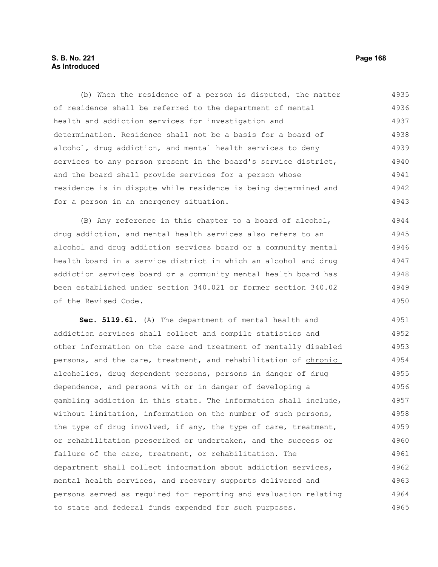## **S. B. No. 221 Page 168 As Introduced**

(b) When the residence of a person is disputed, the matter of residence shall be referred to the department of mental health and addiction services for investigation and determination. Residence shall not be a basis for a board of alcohol, drug addiction, and mental health services to deny services to any person present in the board's service district, and the board shall provide services for a person whose residence is in dispute while residence is being determined and for a person in an emergency situation. 4935 4936 4937 4938 4939 4940 4941 4942 4943

(B) Any reference in this chapter to a board of alcohol, drug addiction, and mental health services also refers to an alcohol and drug addiction services board or a community mental health board in a service district in which an alcohol and drug addiction services board or a community mental health board has been established under section 340.021 or former section 340.02 of the Revised Code. 4944 4945 4946 4947 4948 4949 4950

**Sec. 5119.61.** (A) The department of mental health and addiction services shall collect and compile statistics and other information on the care and treatment of mentally disabled persons, and the care, treatment, and rehabilitation of chronic alcoholics, drug dependent persons, persons in danger of drug dependence, and persons with or in danger of developing a gambling addiction in this state. The information shall include, without limitation, information on the number of such persons, the type of drug involved, if any, the type of care, treatment, or rehabilitation prescribed or undertaken, and the success or failure of the care, treatment, or rehabilitation. The department shall collect information about addiction services, mental health services, and recovery supports delivered and persons served as required for reporting and evaluation relating to state and federal funds expended for such purposes. 4951 4952 4953 4954 4955 4956 4957 4958 4959 4960 4961 4962 4963 4964 4965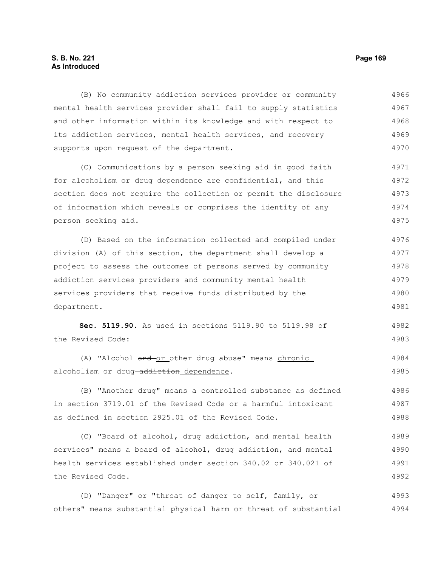#### **S. B. No. 221 Page 169 As Introduced**

(B) No community addiction services provider or community mental health services provider shall fail to supply statistics and other information within its knowledge and with respect to its addiction services, mental health services, and recovery supports upon request of the department. 4966 4967 4968 4969 4970

(C) Communications by a person seeking aid in good faith for alcoholism or drug dependence are confidential, and this section does not require the collection or permit the disclosure of information which reveals or comprises the identity of any person seeking aid. 4971 4972 4973 4974 4975

(D) Based on the information collected and compiled under division (A) of this section, the department shall develop a project to assess the outcomes of persons served by community addiction services providers and community mental health services providers that receive funds distributed by the department. 4976 4977 4978 4979 4980 4981

**Sec. 5119.90.** As used in sections 5119.90 to 5119.98 of the Revised Code: 4982 4983

(A) "Alcohol and or other drug abuse" means chronic alcoholism or drug-addiction dependence. 4984 4985

(B) "Another drug" means a controlled substance as defined in section 3719.01 of the Revised Code or a harmful intoxicant as defined in section 2925.01 of the Revised Code. 4986 4987 4988

(C) "Board of alcohol, drug addiction, and mental health services" means a board of alcohol, drug addiction, and mental health services established under section 340.02 or 340.021 of the Revised Code. 4989 4990 4991 4992

(D) "Danger" or "threat of danger to self, family, or others" means substantial physical harm or threat of substantial 4993 4994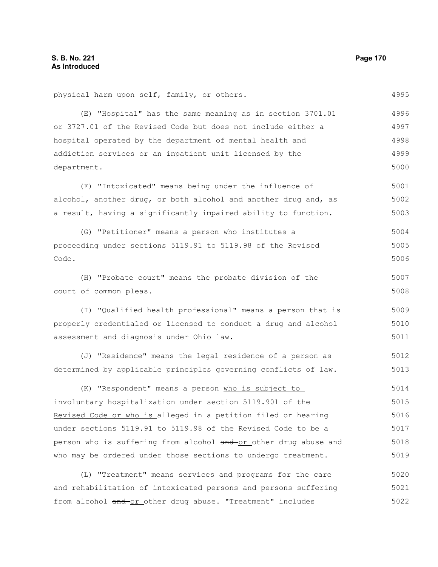| physical harm upon self, family, or others.                      | 4995 |
|------------------------------------------------------------------|------|
| (E) "Hospital" has the same meaning as in section 3701.01        | 4996 |
| or 3727.01 of the Revised Code but does not include either a     | 4997 |
| hospital operated by the department of mental health and         | 4998 |
| addiction services or an inpatient unit licensed by the          | 4999 |
| department.                                                      | 5000 |
| (F) "Intoxicated" means being under the influence of             | 5001 |
| alcohol, another drug, or both alcohol and another drug and, as  | 5002 |
| a result, having a significantly impaired ability to function.   | 5003 |
| (G) "Petitioner" means a person who institutes a                 | 5004 |
| proceeding under sections 5119.91 to 5119.98 of the Revised      | 5005 |
| Code.                                                            | 5006 |
| (H) "Probate court" means the probate division of the            | 5007 |
| court of common pleas.                                           | 5008 |
| (I) "Qualified health professional" means a person that is       | 5009 |
| properly credentialed or licensed to conduct a drug and alcohol  | 5010 |
| assessment and diagnosis under Ohio law.                         | 5011 |
| (J) "Residence" means the legal residence of a person as         | 5012 |
| determined by applicable principles governing conflicts of law.  | 5013 |
| (K) "Respondent" means a person who is subject to                | 5014 |
| involuntary hospitalization under section 5119.901 of the        | 5015 |
| Revised Code or who is alleged in a petition filed or hearing    | 5016 |
| under sections 5119.91 to 5119.98 of the Revised Code to be a    | 5017 |
| person who is suffering from alcohol and or other drug abuse and | 5018 |
| who may be ordered under those sections to undergo treatment.    | 5019 |
| (L) "Treatment" means services and programs for the care         | 5020 |
| and rehabilitation of intoxicated persons and persons suffering  | 5021 |
| from alcohol and or other drug abuse. "Treatment" includes       | 5022 |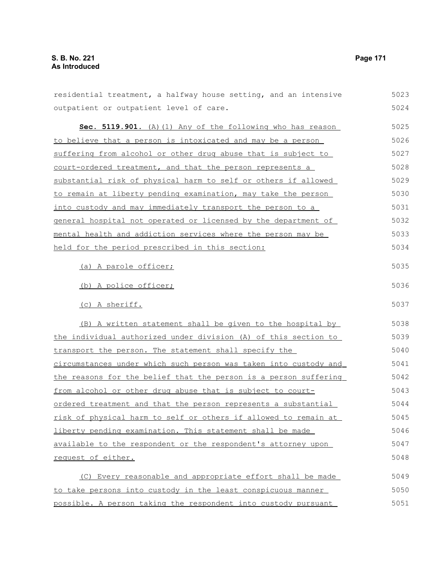| residential treatment, a halfway house setting, and an intensive | 5023 |
|------------------------------------------------------------------|------|
| outpatient or outpatient level of care.                          | 5024 |
| Sec. 5119.901. (A) (1) Any of the following who has reason       | 5025 |
| to believe that a person is intoxicated and may be a person      | 5026 |
| suffering from alcohol or other drug abuse that is subject to    | 5027 |
| court-ordered treatment, and that the person represents a        | 5028 |
| substantial risk of physical harm to self or others if allowed   | 5029 |
| to remain at liberty pending examination, may take the person    | 5030 |
| into custody and may immediately transport the person to a       | 5031 |
| general hospital not operated or licensed by the department of   | 5032 |
| mental health and addiction services where the person may be     | 5033 |
| held for the period prescribed in this section:                  | 5034 |
| (a) A parole officer;                                            | 5035 |
| (b) A police officer;                                            | 5036 |
| (c) A sheriff.                                                   | 5037 |
| (B) A written statement shall be given to the hospital by        | 5038 |
| the individual authorized under division (A) of this section to  | 5039 |
| transport the person. The statement shall specify the            | 5040 |
| circumstances under which such person was taken into custody and | 5041 |
| the reasons for the belief that the person is a person suffering | 5042 |
| from alcohol or other drug abuse that is subject to court-       | 5043 |
| ordered treatment and that the person represents a substantial   | 5044 |
| risk of physical harm to self or others if allowed to remain at  | 5045 |
| liberty pending examination. This statement shall be made        | 5046 |
| available to the respondent or the respondent's attorney upon    | 5047 |
| request of either.                                               | 5048 |
| (C) Every reasonable and appropriate effort shall be made        | 5049 |
| to take persons into custody in the least conspicuous manner     | 5050 |
| possible. A person taking the respondent into custody pursuant   | 5051 |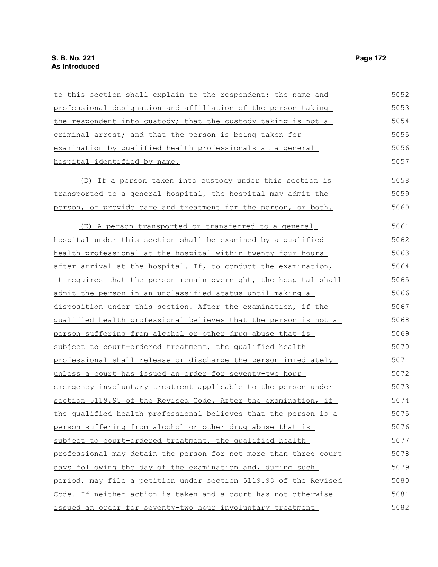| to this section shall explain to the respondent: the name and    | 5052 |
|------------------------------------------------------------------|------|
| professional designation and affiliation of the person taking    | 5053 |
| the respondent into custody; that the custody-taking is not a    | 5054 |
| criminal arrest; and that the person is being taken for          | 5055 |
| examination by qualified health professionals at a general       | 5056 |
| hospital identified by name.                                     | 5057 |
| (D) If a person taken into custody under this section is         | 5058 |
| transported to a general hospital, the hospital may admit the    | 5059 |
| person, or provide care and treatment for the person, or both.   | 5060 |
| (E) A person transported or transferred to a general             | 5061 |
| hospital under this section shall be examined by a qualified     | 5062 |
| health professional at the hospital within twenty-four hours     | 5063 |
| after arrival at the hospital. If, to conduct the examination,   | 5064 |
| it requires that the person remain overnight, the hospital shall | 5065 |
| admit the person in an unclassified status until making a        | 5066 |
| disposition under this section. After the examination, if the    | 5067 |
| qualified health professional believes that the person is not a  | 5068 |
| person suffering from alcohol or other drug abuse that is        | 5069 |
| subject to court-ordered treatment, the qualified health         | 5070 |
| professional shall release or discharge the person immediately   | 5071 |
| unless a court has issued an order for seventy-two hour          | 5072 |
| emergency involuntary treatment applicable to the person under   | 5073 |
| section 5119.95 of the Revised Code. After the examination, if   | 5074 |
| the qualified health professional believes that the person is a  | 5075 |
| person suffering from alcohol or other drug abuse that is        | 5076 |
| subject to court-ordered treatment, the qualified health         | 5077 |
| professional may detain the person for not more than three court | 5078 |
| days following the day of the examination and, during such       | 5079 |
| period, may file a petition under section 5119.93 of the Revised | 5080 |
| Code. If neither action is taken and a court has not otherwise   | 5081 |
| issued an order for seventy-two hour involuntary treatment       | 5082 |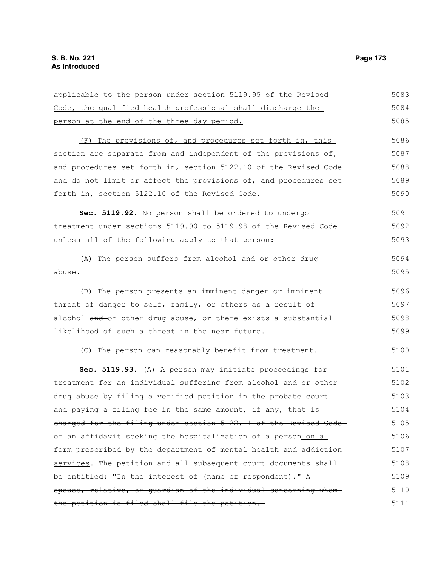applicable to the person under section 5119.95 of the Revised Code, the qualified health professional shall discharge the person at the end of the three-day period. (F) The provisions of, and procedures set forth in, this section are separate from and independent of the provisions of, and procedures set forth in, section 5122.10 of the Revised Code and do not limit or affect the provisions of, and procedures set forth in, section 5122.10 of the Revised Code. **Sec. 5119.92.** No person shall be ordered to undergo treatment under sections 5119.90 to 5119.98 of the Revised Code unless all of the following apply to that person: (A) The person suffers from alcohol and or other drug abuse. (B) The person presents an imminent danger or imminent threat of danger to self, family, or others as a result of alcohol and or other drug abuse, or there exists a substantial likelihood of such a threat in the near future. (C) The person can reasonably benefit from treatment. **Sec. 5119.93.** (A) A person may initiate proceedings for treatment for an individual suffering from alcohol and or other drug abuse by filing a verified petition in the probate court and paying a filing fee in the same amount, if any, that is charged for the filing under section 5122.11 of the Revised Code of an affidavit seeking the hospitalization of a person on a form prescribed by the department of mental health and addiction services. The petition and all subsequent court documents shall be entitled: "In the interest of (name of respondent)." Aspouse, relative, or guardian of the individual concerning whom the petition is filed shall file the petition. 5083 5084 5085 5086 5087 5088 5089 5090 5091 5092 5093 5094 5095 5096 5097 5098 5099 5100 5101 5102 5103 5104 5105 5106 5107 5108 5109 5110 5111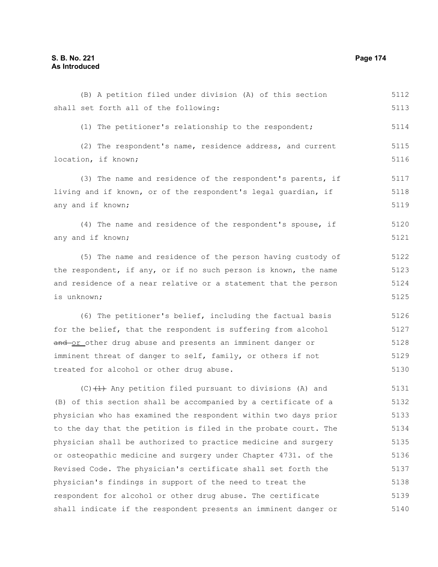## **S. B. No. 221 Page 174 As Introduced**

shall set forth all of the following: (1) The petitioner's relationship to the respondent; (2) The respondent's name, residence address, and current location, if known; (3) The name and residence of the respondent's parents, if living and if known, or of the respondent's legal guardian, if any and if known; (4) The name and residence of the respondent's spouse, if any and if known; (5) The name and residence of the person having custody of the respondent, if any, or if no such person is known, the name and residence of a near relative or a statement that the person is unknown; (6) The petitioner's belief, including the factual basis for the belief, that the respondent is suffering from alcohol and or other drug abuse and presents an imminent danger or imminent threat of danger to self, family, or others if not treated for alcohol or other drug abuse. (C) $(1)$  Any petition filed pursuant to divisions (A) and (B) of this section shall be accompanied by a certificate of a physician who has examined the respondent within two days prior to the day that the petition is filed in the probate court. The physician shall be authorized to practice medicine and surgery or osteopathic medicine and surgery under Chapter 4731. of the Revised Code. The physician's certificate shall set forth the physician's findings in support of the need to treat the 5113 5114 5115 5116 5117 5118 5119 5120 5121 5122 5123 5124 5125 5126 5127 5128 5129 5130 5131 5132 5133 5134 5135 5136 5137 5138

(B) A petition filed under division (A) of this section

respondent for alcohol or other drug abuse. The certificate shall indicate if the respondent presents an imminent danger or 5139 5140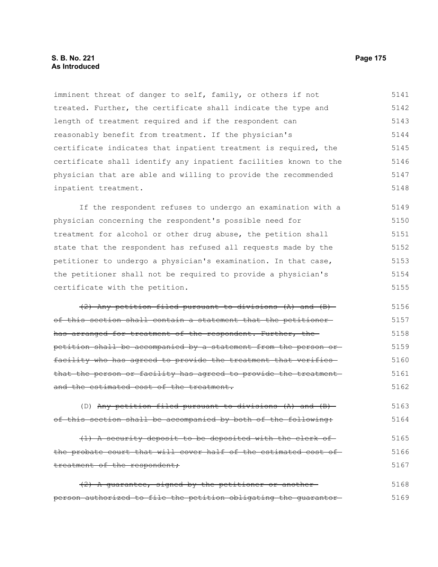imminent threat of danger to self, family, or others if not treated. Further, the certificate shall indicate the type and length of treatment required and if the respondent can reasonably benefit from treatment. If the physician's certificate indicates that inpatient treatment is required, the certificate shall identify any inpatient facilities known to the physician that are able and willing to provide the recommended inpatient treatment. 5141 5142 5143 5144 5145 5146 5147 5148

If the respondent refuses to undergo an examination with a physician concerning the respondent's possible need for treatment for alcohol or other drug abuse, the petition shall state that the respondent has refused all requests made by the petitioner to undergo a physician's examination. In that case, the petitioner shall not be required to provide a physician's certificate with the petition. 5149 5150 5151 5152 5153 5154 5155

(2) Any petition filed pursuant to divisions (A) and (B) of this section shall contain a statement that the petitioner has arranged for treatment of the respondent. Further, the petition shall be accompanied by a statement from the person or facility who has agreed to provide the treatment that verifies that the person or facility has agreed to provide the treatment and the estimated cost of the treatment. 5156 5157 5158 5159 5160 5161 5162

(D) Any petition filed pursuant to divisions (A) and (B) of this section shall be accompanied by both of the following: 5163 5164

(1) A security deposit to be deposited with the clerk of the probate court that will cover half of the estimated cost oftreatment of the respondent; 5165 5166 5167

(2) A guarantee, signed by the petitioner or another person authorized to file the petition obligating the guarantor 5168 5169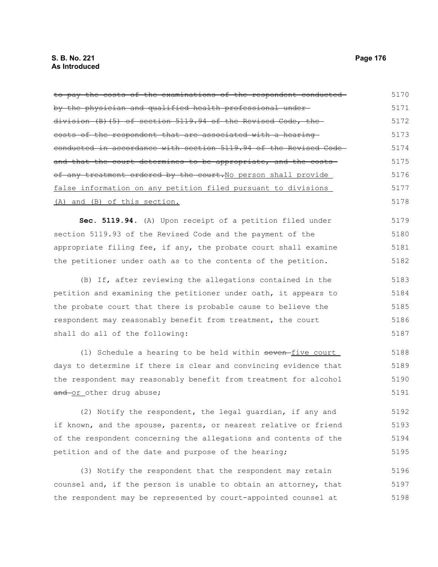#### **S. B. No. 221 Page 176 As Introduced**

to pay the costs of the examinations of the respondent conducted by the physician and qualified health professional under division (B)(5) of section 5119.94 of the Revised Code, the costs of the respondent that are associated with a hearing conducted in accordance with section 5119.94 of the Revised Code and that the court determines to be appropriate, and the costsof any treatment ordered by the court. No person shall provide false information on any petition filed pursuant to divisions (A) and (B) of this section. **Sec. 5119.94.** (A) Upon receipt of a petition filed under section 5119.93 of the Revised Code and the payment of the appropriate filing fee, if any, the probate court shall examine the petitioner under oath as to the contents of the petition. (B) If, after reviewing the allegations contained in the petition and examining the petitioner under oath, it appears to the probate court that there is probable cause to believe the respondent may reasonably benefit from treatment, the court shall do all of the following: 5170 5171 5172 5173 5174 5175 5176 5177 5178 5179 5180 5181 5182 5183 5184 5185 5186 5187

(1) Schedule a hearing to be held within seven-five court days to determine if there is clear and convincing evidence that the respondent may reasonably benefit from treatment for alcohol and or other drug abuse; 5188 5189 5190 5191

(2) Notify the respondent, the legal guardian, if any and if known, and the spouse, parents, or nearest relative or friend of the respondent concerning the allegations and contents of the petition and of the date and purpose of the hearing; 5192 5193 5194 5195

(3) Notify the respondent that the respondent may retain counsel and, if the person is unable to obtain an attorney, that the respondent may be represented by court-appointed counsel at 5196 5197 5198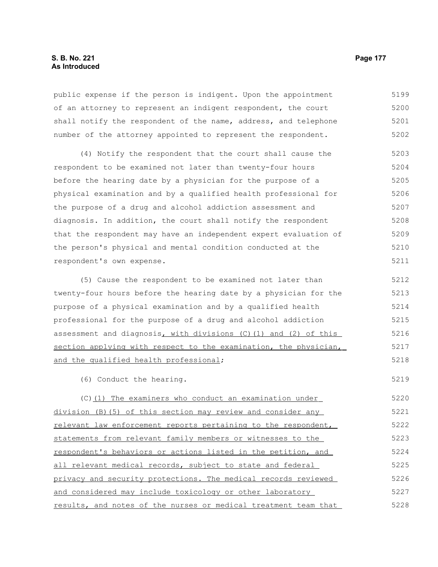#### **S. B. No. 221 Page 177 As Introduced**

public expense if the person is indigent. Upon the appointment of an attorney to represent an indigent respondent, the court shall notify the respondent of the name, address, and telephone number of the attorney appointed to represent the respondent. 5199 5200 5201 5202

(4) Notify the respondent that the court shall cause the respondent to be examined not later than twenty-four hours before the hearing date by a physician for the purpose of a physical examination and by a qualified health professional for the purpose of a drug and alcohol addiction assessment and diagnosis. In addition, the court shall notify the respondent that the respondent may have an independent expert evaluation of the person's physical and mental condition conducted at the respondent's own expense. 5203 5204 5205 5206 5207 5208 5209 5210 5211

(5) Cause the respondent to be examined not later than twenty-four hours before the hearing date by a physician for the purpose of a physical examination and by a qualified health professional for the purpose of a drug and alcohol addiction assessment and diagnosis, with divisions (C)(1) and (2) of this section applying with respect to the examination, the physician, and the qualified health professional; 5212 5213 5214 5215 5216 5217 5218

(6) Conduct the hearing.

(C) (1) The examiners who conduct an examination under division (B)(5) of this section may review and consider any relevant law enforcement reports pertaining to the respondent, statements from relevant family members or witnesses to the respondent's behaviors or actions listed in the petition, and all relevant medical records, subject to state and federal privacy and security protections. The medical records reviewed and considered may include toxicology or other laboratory results, and notes of the nurses or medical treatment team that 5220 5221 5222 5223 5224 5225 5226 5227 5228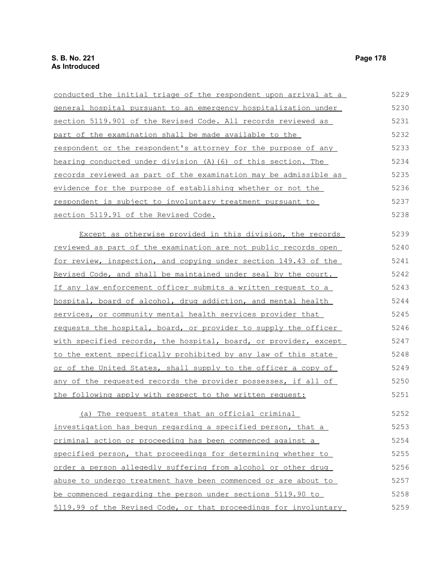| conducted the initial triage of the respondent upon arrival at a | 5229 |
|------------------------------------------------------------------|------|
| general hospital pursuant to an emergency hospitalization under  | 5230 |
| section 5119.901 of the Revised Code. All records reviewed as    | 5231 |
| part of the examination shall be made available to the           | 5232 |
| respondent or the respondent's attorney for the purpose of any   | 5233 |
| hearing conducted under division (A) (6) of this section. The    | 5234 |
| records reviewed as part of the examination may be admissible as | 5235 |
| evidence for the purpose of establishing whether or not the      | 5236 |
| respondent is subject to involuntary treatment pursuant to       | 5237 |
| section 5119.91 of the Revised Code.                             | 5238 |
| Except as otherwise provided in this division, the records       | 5239 |
| reviewed as part of the examination are not public records open  | 5240 |
| for review, inspection, and copying under section 149.43 of the  | 5241 |
| Revised Code, and shall be maintained under seal by the court.   | 5242 |
| If any law enforcement officer submits a written request to a    | 5243 |
| hospital, board of alcohol, drug addiction, and mental health    | 5244 |
| services, or community mental health services provider that      | 5245 |
| requests the hospital, board, or provider to supply the officer  | 5246 |
| with specified records, the hospital, board, or provider, except | 5247 |
| to the extent specifically prohibited by any law of this state   | 5248 |
| or of the United States, shall supply to the officer a copy of   | 5249 |
| any of the requested records the provider possesses, if all of   | 5250 |
| the following apply with respect to the written request:         | 5251 |
| (a) The request states that an official criminal                 | 5252 |
| investigation has begun regarding a specified person, that a     | 5253 |
| criminal action or proceeding has been commenced against a       | 5254 |
| specified person, that proceedings for determining whether to    | 5255 |
| order a person allegedly suffering from alcohol or other drug    | 5256 |
| abuse to undergo treatment have been commenced or are about to   | 5257 |
| be commenced regarding the person under sections 5119.90 to      | 5258 |

5119.99 of the Revised Code, or that proceedings for involuntary 5259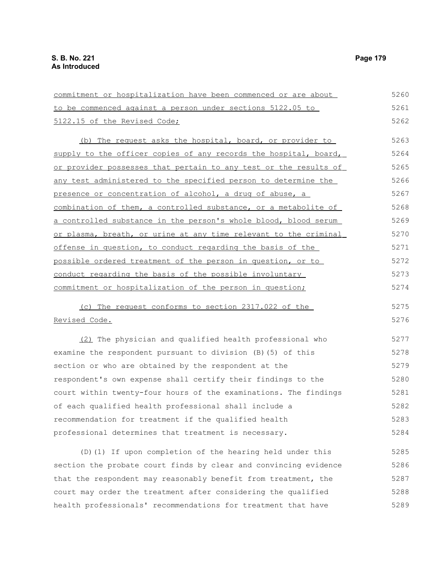5287

| commitment or hospitalization have been commenced or are about   | 5260 |
|------------------------------------------------------------------|------|
| to be commenced against a person under sections 5122.05 to       | 5261 |
| 5122.15 of the Revised Code;                                     | 5262 |
| (b) The request asks the hospital, board, or provider to         | 5263 |
| supply to the officer copies of any records the hospital, board, | 5264 |
| or provider possesses that pertain to any test or the results of | 5265 |
| any test administered to the specified person to determine the   | 5266 |
| presence or concentration of alcohol, a drug of abuse, a         | 5267 |
| combination of them, a controlled substance, or a metabolite of  | 5268 |
| a controlled substance in the person's whole blood, blood serum  | 5269 |
| or plasma, breath, or urine at any time relevant to the criminal | 5270 |
| offense in question, to conduct regarding the basis of the       | 5271 |
| possible ordered treatment of the person in question, or to      | 5272 |
| conduct regarding the basis of the possible involuntary          | 5273 |
| commitment or hospitalization of the person in question;         | 5274 |
| (c) The request conforms to section 2317.022 of the              | 5275 |
| Revised Code.                                                    | 5276 |
| (2) The physician and qualified health professional who          | 5277 |
| examine the respondent pursuant to division (B) (5) of this      | 5278 |
| section or who are obtained by the respondent at the             | 5279 |
| respondent's own expense shall certify their findings to the     | 5280 |
| court within twenty-four hours of the examinations. The findings | 5281 |
| of each qualified health professional shall include a            | 5282 |
| recommendation for treatment if the qualified health             | 5283 |
| professional determines that treatment is necessary.             | 5284 |
| (D) (1) If upon completion of the hearing held under this        | 5285 |
| section the probate court finds by clear and convincing evidence | 5286 |

that the respondent may reasonably benefit from treatment, the court may order the treatment after considering the qualified health professionals' recommendations for treatment that have 5288 5289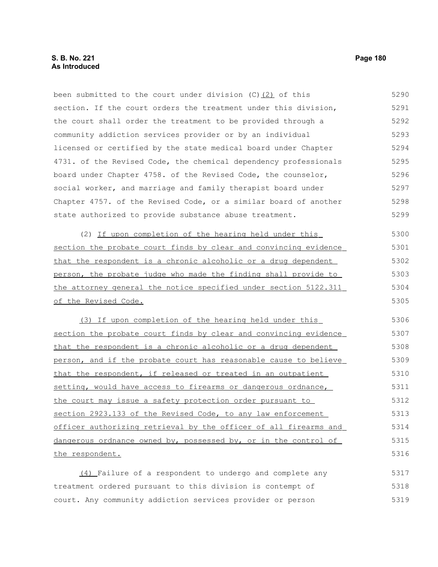been submitted to the court under division  $(C)$   $(2)$  of this section. If the court orders the treatment under this division, the court shall order the treatment to be provided through a community addiction services provider or by an individual licensed or certified by the state medical board under Chapter 4731. of the Revised Code, the chemical dependency professionals board under Chapter 4758. of the Revised Code, the counselor, social worker, and marriage and family therapist board under Chapter 4757. of the Revised Code, or a similar board of another state authorized to provide substance abuse treatment. 5290 5291 5292 5293 5294 5295 5296 5297 5298 5299

(2) If upon completion of the hearing held under this section the probate court finds by clear and convincing evidence that the respondent is a chronic alcoholic or a drug dependent person, the probate judge who made the finding shall provide to the attorney general the notice specified under section 5122.311 of the Revised Code. 5300 5301 5302 5303 5304 5305

 (3) If upon completion of the hearing held under this section the probate court finds by clear and convincing evidence that the respondent is a chronic alcoholic or a drug dependent person, and if the probate court has reasonable cause to believe that the respondent, if released or treated in an outpatient setting, would have access to firearms or dangerous ordnance, the court may issue a safety protection order pursuant to section 2923.133 of the Revised Code, to any law enforcement officer authorizing retrieval by the officer of all firearms and dangerous ordnance owned by, possessed by, or in the control of the respondent. 5306 5307 5308 5309 5310 5311 5312 5313 5314 5315 5316

(4) Failure of a respondent to undergo and complete any treatment ordered pursuant to this division is contempt of court. Any community addiction services provider or person 5317 5318 5319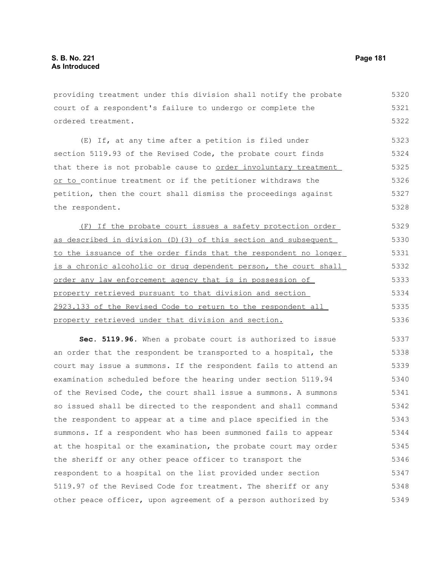providing treatment under this division shall notify the probate court of a respondent's failure to undergo or complete the ordered treatment. 5320 5321 5322

(E) If, at any time after a petition is filed under section 5119.93 of the Revised Code, the probate court finds that there is not probable cause to order involuntary treatment or to continue treatment or if the petitioner withdraws the petition, then the court shall dismiss the proceedings against the respondent. 5323 5324 5325 5326 5327 5328

 (F) If the probate court issues a safety protection order as described in division (D)(3) of this section and subsequent to the issuance of the order finds that the respondent no longer is a chronic alcoholic or drug dependent person, the court shall order any law enforcement agency that is in possession of property retrieved pursuant to that division and section 2923.133 of the Revised Code to return to the respondent all property retrieved under that division and section. 5329 5330 5331 5332 5333 5334 5335 5336

**Sec. 5119.96.** When a probate court is authorized to issue an order that the respondent be transported to a hospital, the court may issue a summons. If the respondent fails to attend an examination scheduled before the hearing under section 5119.94 of the Revised Code, the court shall issue a summons. A summons so issued shall be directed to the respondent and shall command the respondent to appear at a time and place specified in the summons. If a respondent who has been summoned fails to appear at the hospital or the examination, the probate court may order the sheriff or any other peace officer to transport the respondent to a hospital on the list provided under section 5119.97 of the Revised Code for treatment. The sheriff or any other peace officer, upon agreement of a person authorized by 5337 5338 5339 5340 5341 5342 5343 5344 5345 5346 5347 5348 5349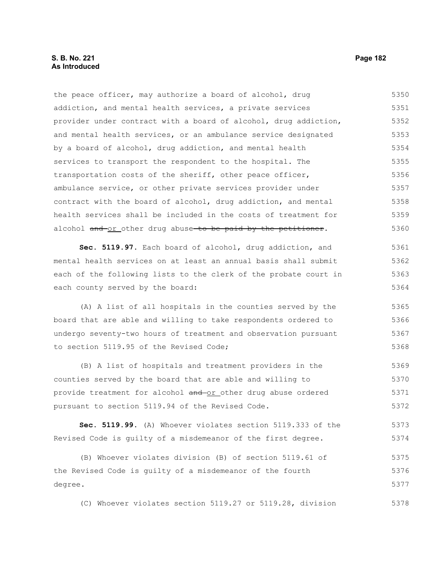#### **S. B. No. 221 Page 182 As Introduced**

the peace officer, may authorize a board of alcohol, drug addiction, and mental health services, a private services provider under contract with a board of alcohol, drug addiction, and mental health services, or an ambulance service designated by a board of alcohol, drug addiction, and mental health services to transport the respondent to the hospital. The transportation costs of the sheriff, other peace officer, ambulance service, or other private services provider under contract with the board of alcohol, drug addiction, and mental health services shall be included in the costs of treatment for alcohol and or other drug abuse to be paid by the petitioner. 5350 5351 5352 5353 5354 5355 5356 5357 5358 5359 5360

**Sec. 5119.97.** Each board of alcohol, drug addiction, and mental health services on at least an annual basis shall submit each of the following lists to the clerk of the probate court in each county served by the board: 5361 5362 5363 5364

(A) A list of all hospitals in the counties served by the board that are able and willing to take respondents ordered to undergo seventy-two hours of treatment and observation pursuant to section 5119.95 of the Revised Code; 5365 5366 5367 5368

(B) A list of hospitals and treatment providers in the counties served by the board that are able and willing to provide treatment for alcohol and or other drug abuse ordered pursuant to section 5119.94 of the Revised Code. 5369 5370 5371 5372

**Sec. 5119.99.** (A) Whoever violates section 5119.333 of the Revised Code is guilty of a misdemeanor of the first degree. 5373 5374

(B) Whoever violates division (B) of section 5119.61 of the Revised Code is guilty of a misdemeanor of the fourth degree. 5375 5376 5377

(C) Whoever violates section 5119.27 or 5119.28, division 5378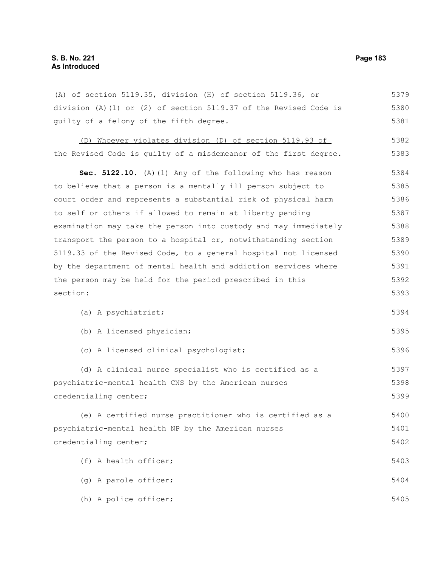| (A) of section 5119.35, division (H) of section 5119.36, or      | 5379 |
|------------------------------------------------------------------|------|
| division (A)(1) or (2) of section 5119.37 of the Revised Code is | 5380 |
| quilty of a felony of the fifth degree.                          | 5381 |
| Whoever violates division (D) of section 5119.93 of<br>(D)       | 5382 |
| the Revised Code is quilty of a misdemeanor of the first degree. | 5383 |
| Sec. 5122.10. (A) (1) Any of the following who has reason        | 5384 |
| to believe that a person is a mentally ill person subject to     | 5385 |
| court order and represents a substantial risk of physical harm   | 5386 |
| to self or others if allowed to remain at liberty pending        | 5387 |
| examination may take the person into custody and may immediately | 5388 |
| transport the person to a hospital or, notwithstanding section   | 5389 |
| 5119.33 of the Revised Code, to a general hospital not licensed  | 5390 |
| by the department of mental health and addiction services where  | 5391 |
| the person may be held for the period prescribed in this         | 5392 |
| section:                                                         | 5393 |
| (a) A psychiatrist;                                              | 5394 |
| (b) A licensed physician;                                        | 5395 |
| (c) A licensed clinical psychologist;                            | 5396 |
| (d) A clinical nurse specialist who is certified as a            | 5397 |
| psychiatric-mental health CNS by the American nurses             | 5398 |
| credentialing center;                                            | 5399 |
| (e) A certified nurse practitioner who is certified as a         | 5400 |
| psychiatric-mental health NP by the American nurses              | 5401 |
| credentialing center;                                            | 5402 |
| (f) A health officer;                                            | 5403 |
| (g) A parole officer;                                            | 5404 |
| (h) A police officer;                                            | 5405 |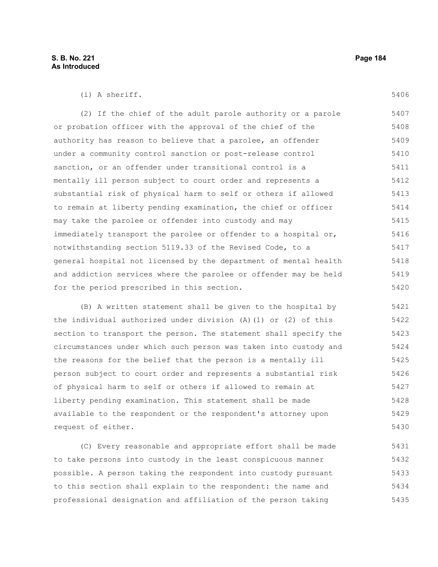5406

|  |  | A sheriff |
|--|--|-----------|
|--|--|-----------|

(2) If the chief of the adult parole authority or a parole or probation officer with the approval of the chief of the authority has reason to believe that a parolee, an offender under a community control sanction or post-release control sanction, or an offender under transitional control is a mentally ill person subject to court order and represents a substantial risk of physical harm to self or others if allowed to remain at liberty pending examination, the chief or officer may take the parolee or offender into custody and may immediately transport the parolee or offender to a hospital or, notwithstanding section 5119.33 of the Revised Code, to a general hospital not licensed by the department of mental health and addiction services where the parolee or offender may be held for the period prescribed in this section. 5407 5408 5409 5410 5411 5412 5413 5414 5415 5416 5417 5418 5419 5420

(B) A written statement shall be given to the hospital by the individual authorized under division (A)(1) or (2) of this section to transport the person. The statement shall specify the circumstances under which such person was taken into custody and the reasons for the belief that the person is a mentally ill person subject to court order and represents a substantial risk of physical harm to self or others if allowed to remain at liberty pending examination. This statement shall be made available to the respondent or the respondent's attorney upon request of either. 5421 5422 5423 5424 5425 5426 5427 5428 5429 5430

(C) Every reasonable and appropriate effort shall be made to take persons into custody in the least conspicuous manner possible. A person taking the respondent into custody pursuant to this section shall explain to the respondent: the name and professional designation and affiliation of the person taking 5431 5432 5433 5434 5435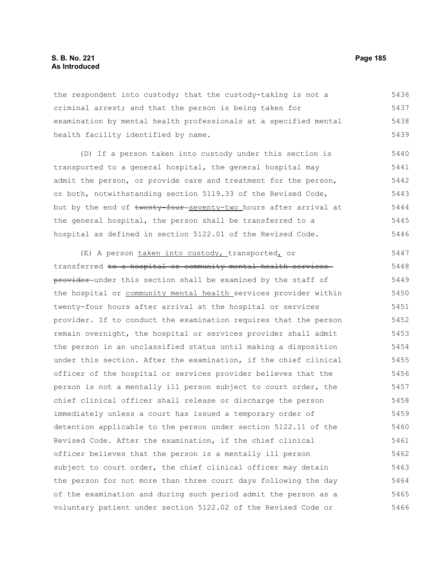#### **S. B. No. 221 Page 185 As Introduced**

the respondent into custody; that the custody-taking is not a criminal arrest; and that the person is being taken for examination by mental health professionals at a specified mental health facility identified by name. 5436 5437 5438 5439

(D) If a person taken into custody under this section is transported to a general hospital, the general hospital may admit the person, or provide care and treatment for the person, or both, notwithstanding section 5119.33 of the Revised Code, but by the end of twenty four seventy-two hours after arrival at the general hospital, the person shall be transferred to a hospital as defined in section 5122.01 of the Revised Code. 5440 5441 5442 5443 5444 5445 5446

(E) A person taken into custody, transported, or transferred to a hospital or community mental health services provider-under this section shall be examined by the staff of the hospital or community mental health services provider within twenty-four hours after arrival at the hospital or services provider. If to conduct the examination requires that the person remain overnight, the hospital or services provider shall admit the person in an unclassified status until making a disposition under this section. After the examination, if the chief clinical officer of the hospital or services provider believes that the person is not a mentally ill person subject to court order, the chief clinical officer shall release or discharge the person immediately unless a court has issued a temporary order of detention applicable to the person under section 5122.11 of the Revised Code. After the examination, if the chief clinical officer believes that the person is a mentally ill person subject to court order, the chief clinical officer may detain the person for not more than three court days following the day of the examination and during such period admit the person as a voluntary patient under section 5122.02 of the Revised Code or 5447 5448 5449 5450 5451 5452 5453 5454 5455 5456 5457 5458 5459 5460 5461 5462 5463 5464 5465 5466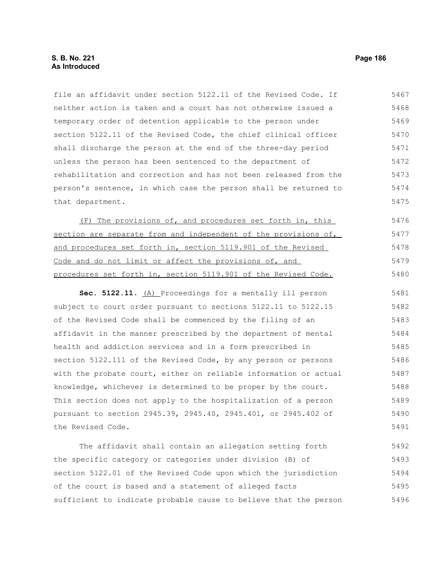#### **S. B. No. 221 Page 186 As Introduced**

file an affidavit under section 5122.11 of the Revised Code. If neither action is taken and a court has not otherwise issued a temporary order of detention applicable to the person under section 5122.11 of the Revised Code, the chief clinical officer shall discharge the person at the end of the three-day period unless the person has been sentenced to the department of rehabilitation and correction and has not been released from the person's sentence, in which case the person shall be returned to that department. 5467 5468 5469 5470 5471 5472 5473 5474 5475

 (F) The provisions of, and procedures set forth in, this section are separate from and independent of the provisions of, and procedures set forth in, section 5119.901 of the Revised Code and do not limit or affect the provisions of, and procedures set forth in, section 5119.901 of the Revised Code. 5476 5477 5478 5479 5480

**Sec. 5122.11.** (A) Proceedings for a mentally ill person subject to court order pursuant to sections 5122.11 to 5122.15 of the Revised Code shall be commenced by the filing of an affidavit in the manner prescribed by the department of mental health and addiction services and in a form prescribed in section 5122.111 of the Revised Code, by any person or persons with the probate court, either on reliable information or actual knowledge, whichever is determined to be proper by the court. This section does not apply to the hospitalization of a person pursuant to section 2945.39, 2945.40, 2945.401, or 2945.402 of the Revised Code. 5481 5482 5483 5484 5485 5486 5487 5488 5489 5490 5491

The affidavit shall contain an allegation setting forth the specific category or categories under division (B) of section 5122.01 of the Revised Code upon which the jurisdiction of the court is based and a statement of alleged facts sufficient to indicate probable cause to believe that the person 5492 5493 5494 5495 5496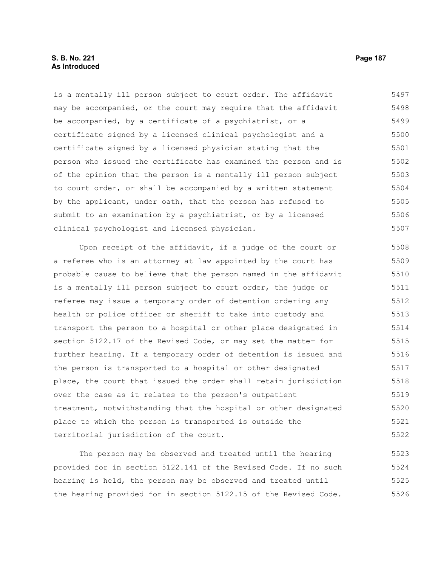#### **S. B. No. 221 Page 187 As Introduced**

is a mentally ill person subject to court order. The affidavit may be accompanied, or the court may require that the affidavit be accompanied, by a certificate of a psychiatrist, or a certificate signed by a licensed clinical psychologist and a certificate signed by a licensed physician stating that the person who issued the certificate has examined the person and is of the opinion that the person is a mentally ill person subject to court order, or shall be accompanied by a written statement by the applicant, under oath, that the person has refused to submit to an examination by a psychiatrist, or by a licensed clinical psychologist and licensed physician. 5497 5498 5499 5500 5501 5502 5503 5504 5505 5506 5507

Upon receipt of the affidavit, if a judge of the court or a referee who is an attorney at law appointed by the court has probable cause to believe that the person named in the affidavit is a mentally ill person subject to court order, the judge or referee may issue a temporary order of detention ordering any health or police officer or sheriff to take into custody and transport the person to a hospital or other place designated in section 5122.17 of the Revised Code, or may set the matter for further hearing. If a temporary order of detention is issued and the person is transported to a hospital or other designated place, the court that issued the order shall retain jurisdiction over the case as it relates to the person's outpatient treatment, notwithstanding that the hospital or other designated place to which the person is transported is outside the territorial jurisdiction of the court. 5508 5509 5510 5511 5512 5513 5514 5515 5516 5517 5518 5519 5520 5521 5522

The person may be observed and treated until the hearing provided for in section 5122.141 of the Revised Code. If no such hearing is held, the person may be observed and treated until the hearing provided for in section 5122.15 of the Revised Code. 5523 5524 5525 5526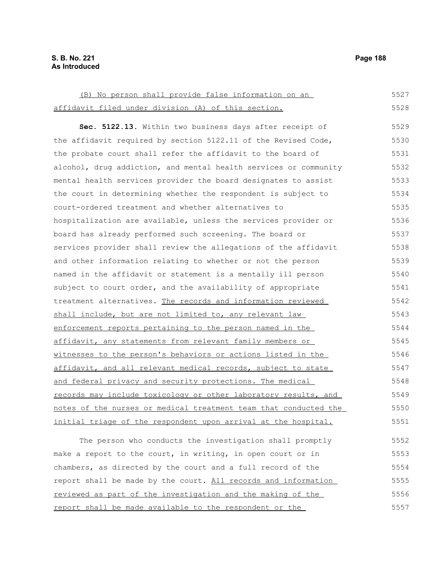| (B) No person shall provide false information on an              | 5527 |
|------------------------------------------------------------------|------|
| affidavit filed under division (A) of this section.              | 5528 |
| Sec. 5122.13. Within two business days after receipt of          | 5529 |
| the affidavit required by section 5122.11 of the Revised Code,   | 5530 |
| the probate court shall refer the affidavit to the board of      | 5531 |
| alcohol, drug addiction, and mental health services or community | 5532 |
|                                                                  | 5533 |
| mental health services provider the board designates to assist   |      |
| the court in determining whether the respondent is subject to    | 5534 |
| court-ordered treatment and whether alternatives to              | 5535 |
| hospitalization are available, unless the services provider or   | 5536 |
| board has already performed such screening. The board or         | 5537 |
| services provider shall review the allegations of the affidavit  | 5538 |
| and other information relating to whether or not the person      | 5539 |
| named in the affidavit or statement is a mentally ill person     | 5540 |
| subject to court order, and the availability of appropriate      | 5541 |
| treatment alternatives. The records and information reviewed     | 5542 |
| shall include, but are not limited to, any relevant law          | 5543 |
| enforcement reports pertaining to the person named in the        | 5544 |
| affidavit, any statements from relevant family members or        | 5545 |
| witnesses to the person's behaviors or actions listed in the     | 5546 |
| affidavit, and all relevant medical records, subject to state    | 5547 |
| and federal privacy and security protections. The medical        | 5548 |
| records may include toxicology or other laboratory results, and  | 5549 |
| notes of the nurses or medical treatment team that conducted the | 5550 |
| initial triage of the respondent upon arrival at the hospital.   | 5551 |
| The person who conducts the investigation shall promptly         | 5552 |
| make a report to the court, in writing, in open court or in      | 5553 |
| chambers, as directed by the court and a full record of the      | 5554 |

report shall be made by the court. All records and information reviewed as part of the investigation and the making of the report shall be made available to the respondent or the 5555 5556 5557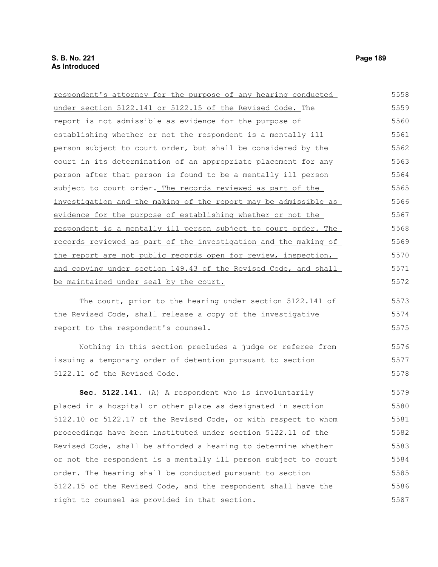respondent's attorney for the purpose of any hearing conducted under section 5122.141 or 5122.15 of the Revised Code. The report is not admissible as evidence for the purpose of establishing whether or not the respondent is a mentally ill person subject to court order, but shall be considered by the court in its determination of an appropriate placement for any person after that person is found to be a mentally ill person subject to court order. The records reviewed as part of the investigation and the making of the report may be admissible as evidence for the purpose of establishing whether or not the respondent is a mentally ill person subject to court order. The records reviewed as part of the investigation and the making of the report are not public records open for review, inspection, and copying under section 149.43 of the Revised Code, and shall be maintained under seal by the court. The court, prior to the hearing under section 5122.141 of the Revised Code, shall release a copy of the investigative report to the respondent's counsel. Nothing in this section precludes a judge or referee from issuing a temporary order of detention pursuant to section 5122.11 of the Revised Code. 5558 5559 5560 5561 5562 5563 5564 5565 5566 5567 5568 5569 5570 5571 5572 5573 5574 5575 5576 5577 5578

**Sec. 5122.141.** (A) A respondent who is involuntarily placed in a hospital or other place as designated in section 5122.10 or 5122.17 of the Revised Code, or with respect to whom proceedings have been instituted under section 5122.11 of the Revised Code, shall be afforded a hearing to determine whether or not the respondent is a mentally ill person subject to court order. The hearing shall be conducted pursuant to section 5122.15 of the Revised Code, and the respondent shall have the right to counsel as provided in that section. 5579 5580 5581 5582 5583 5584 5585 5586 5587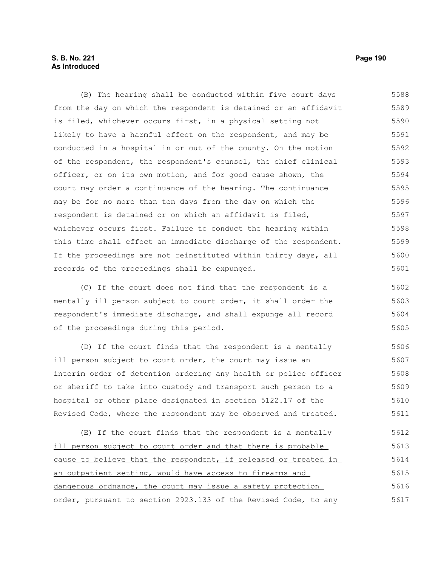## **S. B. No. 221 Page 190 As Introduced**

(B) The hearing shall be conducted within five court days from the day on which the respondent is detained or an affidavit is filed, whichever occurs first, in a physical setting not likely to have a harmful effect on the respondent, and may be conducted in a hospital in or out of the county. On the motion of the respondent, the respondent's counsel, the chief clinical officer, or on its own motion, and for good cause shown, the court may order a continuance of the hearing. The continuance may be for no more than ten days from the day on which the respondent is detained or on which an affidavit is filed, whichever occurs first. Failure to conduct the hearing within this time shall effect an immediate discharge of the respondent. If the proceedings are not reinstituted within thirty days, all records of the proceedings shall be expunged. 5588 5589 5590 5591 5592 5593 5594 5595 5596 5597 5598 5599 5600 5601

(C) If the court does not find that the respondent is a mentally ill person subject to court order, it shall order the respondent's immediate discharge, and shall expunge all record of the proceedings during this period. 5602 5603 5604 5605

(D) If the court finds that the respondent is a mentally ill person subject to court order, the court may issue an interim order of detention ordering any health or police officer or sheriff to take into custody and transport such person to a hospital or other place designated in section 5122.17 of the Revised Code, where the respondent may be observed and treated. 5606 5607 5608 5609 5610 5611

(E) If the court finds that the respondent is a mentally ill person subject to court order and that there is probable cause to believe that the respondent, if released or treated in an outpatient setting, would have access to firearms and dangerous ordnance, the court may issue a safety protection order, pursuant to section 2923.133 of the Revised Code, to any 5612 5613 5614 5615 5616 5617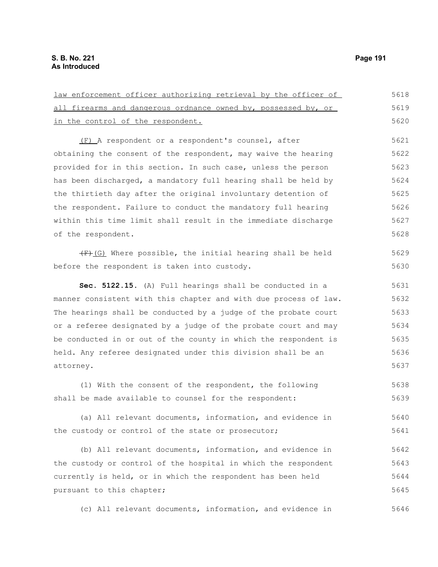law enforcement officer authorizing retrieval by the officer of all firearms and dangerous ordnance owned by, possessed by, or in the control of the respondent. (F) A respondent or a respondent's counsel, after obtaining the consent of the respondent, may waive the hearing provided for in this section. In such case, unless the person has been discharged, a mandatory full hearing shall be held by the thirtieth day after the original involuntary detention of the respondent. Failure to conduct the mandatory full hearing within this time limit shall result in the immediate discharge of the respondent.  $\overline{f(x)}$ (G) Where possible, the initial hearing shall be held before the respondent is taken into custody. **Sec. 5122.15.** (A) Full hearings shall be conducted in a manner consistent with this chapter and with due process of law. The hearings shall be conducted by a judge of the probate court or a referee designated by a judge of the probate court and may be conducted in or out of the county in which the respondent is held. Any referee designated under this division shall be an attorney. (1) With the consent of the respondent, the following shall be made available to counsel for the respondent: (a) All relevant documents, information, and evidence in the custody or control of the state or prosecutor; (b) All relevant documents, information, and evidence in the custody or control of the hospital in which the respondent currently is held, or in which the respondent has been held pursuant to this chapter; 5618 5619 5620 5621 5622 5623 5624 5625 5626 5627 5628 5629 5630 5631 5632 5633 5634 5635 5636 5637 5638 5639 5640 5641 5642 5643 5644 5645

(c) All relevant documents, information, and evidence in 5646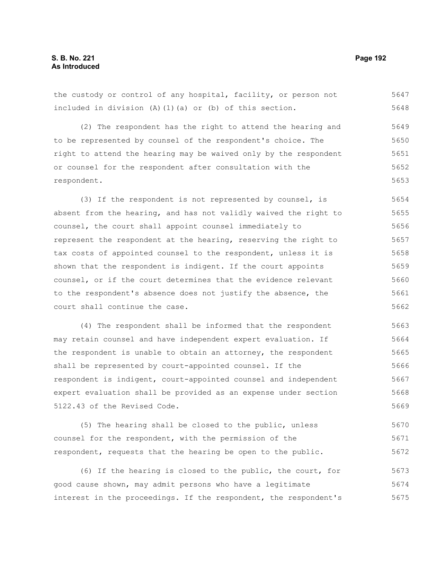the custody or control of any hospital, facility, or person not included in division (A)(1)(a) or (b) of this section. (2) The respondent has the right to attend the hearing and to be represented by counsel of the respondent's choice. The right to attend the hearing may be waived only by the respondent or counsel for the respondent after consultation with the respondent. (3) If the respondent is not represented by counsel, is absent from the hearing, and has not validly waived the right to counsel, the court shall appoint counsel immediately to represent the respondent at the hearing, reserving the right to tax costs of appointed counsel to the respondent, unless it is shown that the respondent is indigent. If the court appoints counsel, or if the court determines that the evidence relevant to the respondent's absence does not justify the absence, the court shall continue the case. 5647 5648 5649 5650 5651 5652 5653 5654 5655 5656 5657 5658 5659 5660 5661 5662

(4) The respondent shall be informed that the respondent may retain counsel and have independent expert evaluation. If the respondent is unable to obtain an attorney, the respondent shall be represented by court-appointed counsel. If the respondent is indigent, court-appointed counsel and independent expert evaluation shall be provided as an expense under section 5122.43 of the Revised Code. 5663 5664 5665 5666 5667 5668 5669

(5) The hearing shall be closed to the public, unless counsel for the respondent, with the permission of the respondent, requests that the hearing be open to the public. 5670 5671 5672

(6) If the hearing is closed to the public, the court, for good cause shown, may admit persons who have a legitimate interest in the proceedings. If the respondent, the respondent's 5673 5674 5675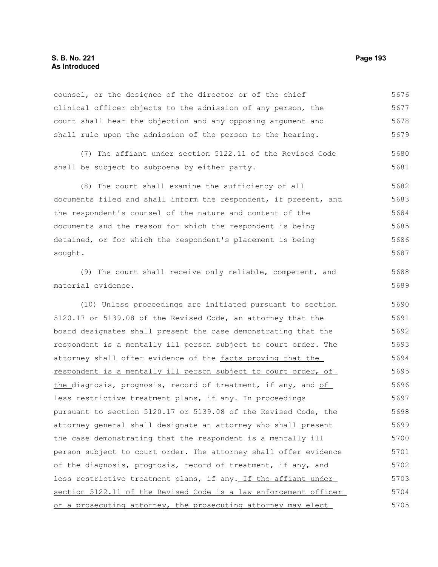counsel, or the designee of the director or of the chief clinical officer objects to the admission of any person, the court shall hear the objection and any opposing argument and shall rule upon the admission of the person to the hearing. (7) The affiant under section 5122.11 of the Revised Code shall be subject to subpoena by either party. (8) The court shall examine the sufficiency of all documents filed and shall inform the respondent, if present, and the respondent's counsel of the nature and content of the documents and the reason for which the respondent is being 5676 5677 5678 5679 5680 5681 5682 5683 5684 5685

detained, or for which the respondent's placement is being sought. 5686 5687

(9) The court shall receive only reliable, competent, and material evidence.

(10) Unless proceedings are initiated pursuant to section 5120.17 or 5139.08 of the Revised Code, an attorney that the board designates shall present the case demonstrating that the respondent is a mentally ill person subject to court order. The attorney shall offer evidence of the facts proving that the respondent is a mentally ill person subject to court order, of the diagnosis, prognosis, record of treatment, if any, and of less restrictive treatment plans, if any. In proceedings pursuant to section 5120.17 or 5139.08 of the Revised Code, the attorney general shall designate an attorney who shall present the case demonstrating that the respondent is a mentally ill person subject to court order. The attorney shall offer evidence of the diagnosis, prognosis, record of treatment, if any, and less restrictive treatment plans, if any. If the affiant under section 5122.11 of the Revised Code is a law enforcement officer or a prosecuting attorney, the prosecuting attorney may elect 5690 5691 5692 5693 5694 5695 5696 5697 5698 5699 5700 5701 5702 5703 5704 5705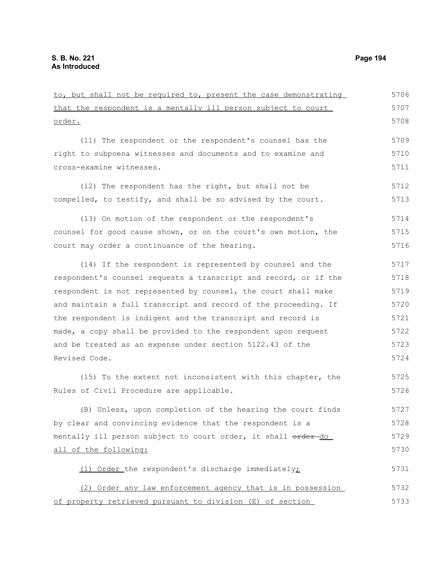| to, but shall not be required to, present the case demonstrating | 5706 |
|------------------------------------------------------------------|------|
| that the respondent is a mentally ill person subject to court    | 5707 |
| <u>order.</u>                                                    | 5708 |
| (11) The respondent or the respondent's counsel has the          | 5709 |
| right to subpoena witnesses and documents and to examine and     | 5710 |
| cross-examine witnesses.                                         | 5711 |
| (12) The respondent has the right, but shall not be              | 5712 |
| compelled, to testify, and shall be so advised by the court.     | 5713 |
| (13) On motion of the respondent or the respondent's             | 5714 |
| counsel for good cause shown, or on the court's own motion, the  | 5715 |
| court may order a continuance of the hearing.                    | 5716 |
| (14) If the respondent is represented by counsel and the         | 5717 |
| respondent's counsel requests a transcript and record, or if the | 5718 |
| respondent is not represented by counsel, the court shall make   | 5719 |
| and maintain a full transcript and record of the proceeding. If  | 5720 |
| the respondent is indigent and the transcript and record is      | 5721 |
| made, a copy shall be provided to the respondent upon request    | 5722 |
| and be treated as an expense under section 5122.43 of the        | 5723 |
| Revised Code.                                                    | 5724 |
| (15) To the extent not inconsistent with this chapter, the       | 5725 |
| Rules of Civil Procedure are applicable.                         | 5726 |
| (B) Unless, upon completion of the hearing the court finds       | 5727 |
| by clear and convincing evidence that the respondent is a        | 5728 |
| mentally ill person subject to court order, it shall order-do    | 5729 |
| all of the following:                                            | 5730 |
| (1) Order the respondent's discharge immediately;                | 5731 |
| (2) Order any law enforcement agency that is in possession       | 5732 |
| of property retrieved pursuant to division (E) of section        | 5733 |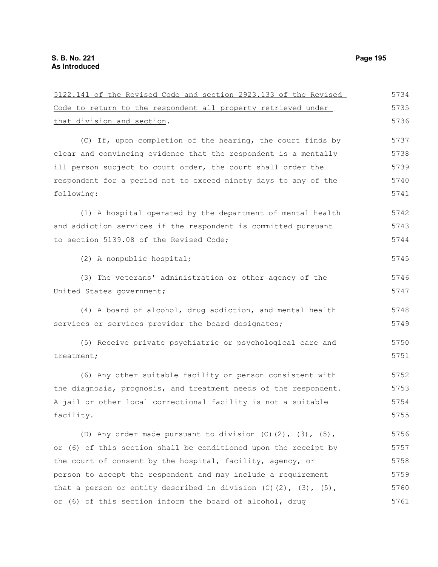5122.141 of the Revised Code and section 2923.133 of the Revised Code to return to the respondent all property retrieved under that division and section. (C) If, upon completion of the hearing, the court finds by clear and convincing evidence that the respondent is a mentally ill person subject to court order, the court shall order the respondent for a period not to exceed ninety days to any of the following: (1) A hospital operated by the department of mental health and addiction services if the respondent is committed pursuant to section 5139.08 of the Revised Code; (2) A nonpublic hospital; (3) The veterans' administration or other agency of the United States government; (4) A board of alcohol, drug addiction, and mental health services or services provider the board designates; (5) Receive private psychiatric or psychological care and treatment; (6) Any other suitable facility or person consistent with the diagnosis, prognosis, and treatment needs of the respondent. A jail or other local correctional facility is not a suitable facility. (D) Any order made pursuant to division  $(C)$   $(2)$ ,  $(3)$ ,  $(5)$ , or (6) of this section shall be conditioned upon the receipt by the court of consent by the hospital, facility, agency, or person to accept the respondent and may include a requirement that a person or entity described in division  $(C)$   $(2)$ ,  $(3)$ ,  $(5)$ , 5734 5735 5736 5737 5738 5739 5740 5741 5742 5743 5744 5745 5746 5747 5748 5749 5750 5751 5752 5753 5754 5755 5756 5757 5758 5759 5760

or (6) of this section inform the board of alcohol, drug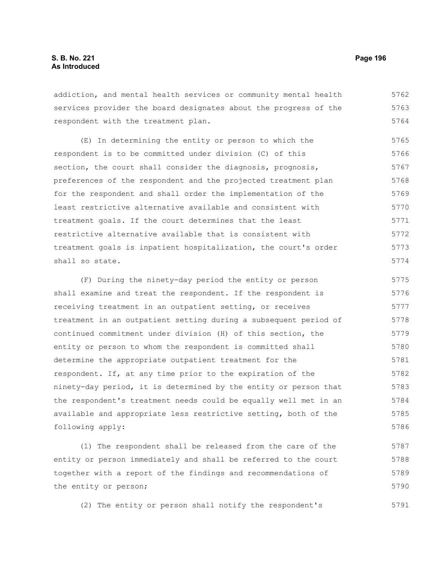addiction, and mental health services or community mental health services provider the board designates about the progress of the respondent with the treatment plan. 5762 5763 5764

(E) In determining the entity or person to which the respondent is to be committed under division (C) of this section, the court shall consider the diagnosis, prognosis, preferences of the respondent and the projected treatment plan for the respondent and shall order the implementation of the least restrictive alternative available and consistent with treatment goals. If the court determines that the least restrictive alternative available that is consistent with treatment goals is inpatient hospitalization, the court's order shall so state. 5765 5766 5767 5768 5769 5770 5771 5772 5773 5774

(F) During the ninety-day period the entity or person shall examine and treat the respondent. If the respondent is receiving treatment in an outpatient setting, or receives treatment in an outpatient setting during a subsequent period of continued commitment under division (H) of this section, the entity or person to whom the respondent is committed shall determine the appropriate outpatient treatment for the respondent. If, at any time prior to the expiration of the ninety-day period, it is determined by the entity or person that the respondent's treatment needs could be equally well met in an available and appropriate less restrictive setting, both of the following apply: 5775 5776 5777 5778 5779 5780 5781 5782 5783 5784 5785 5786

(1) The respondent shall be released from the care of the entity or person immediately and shall be referred to the court together with a report of the findings and recommendations of the entity or person; 5787 5788 5789 5790

(2) The entity or person shall notify the respondent's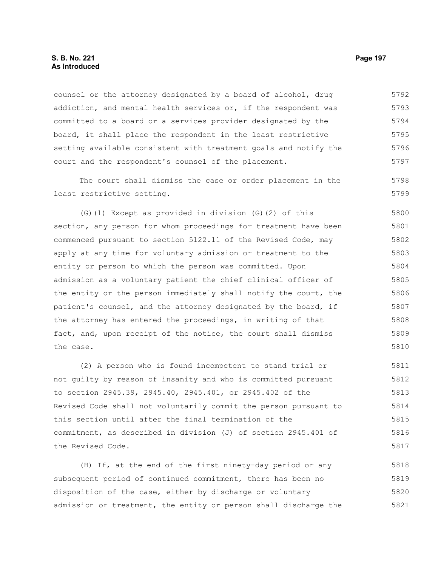#### **S. B. No. 221 Page 197 As Introduced**

counsel or the attorney designated by a board of alcohol, drug addiction, and mental health services or, if the respondent was committed to a board or a services provider designated by the board, it shall place the respondent in the least restrictive setting available consistent with treatment goals and notify the court and the respondent's counsel of the placement. 5792 5793 5794 5795 5796 5797

The court shall dismiss the case or order placement in the least restrictive setting.

(G)(1) Except as provided in division (G)(2) of this section, any person for whom proceedings for treatment have been commenced pursuant to section 5122.11 of the Revised Code, may apply at any time for voluntary admission or treatment to the entity or person to which the person was committed. Upon admission as a voluntary patient the chief clinical officer of the entity or the person immediately shall notify the court, the patient's counsel, and the attorney designated by the board, if the attorney has entered the proceedings, in writing of that fact, and, upon receipt of the notice, the court shall dismiss the case. 5800 5801 5802 5803 5804 5805 5806 5807 5808 5809 5810

(2) A person who is found incompetent to stand trial or not guilty by reason of insanity and who is committed pursuant to section 2945.39, 2945.40, 2945.401, or 2945.402 of the Revised Code shall not voluntarily commit the person pursuant to this section until after the final termination of the commitment, as described in division (J) of section 2945.401 of the Revised Code. 5811 5812 5813 5814 5815 5816 5817

(H) If, at the end of the first ninety-day period or any subsequent period of continued commitment, there has been no disposition of the case, either by discharge or voluntary admission or treatment, the entity or person shall discharge the 5818 5819 5820 5821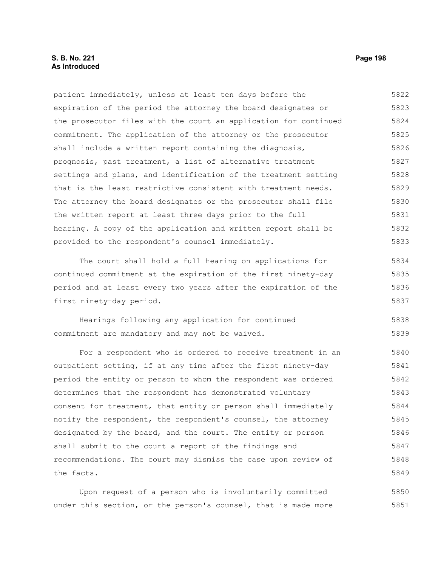### **S. B. No. 221 Page 198 As Introduced**

patient immediately, unless at least ten days before the expiration of the period the attorney the board designates or the prosecutor files with the court an application for continued commitment. The application of the attorney or the prosecutor shall include a written report containing the diagnosis, prognosis, past treatment, a list of alternative treatment settings and plans, and identification of the treatment setting that is the least restrictive consistent with treatment needs. The attorney the board designates or the prosecutor shall file the written report at least three days prior to the full hearing. A copy of the application and written report shall be provided to the respondent's counsel immediately. 5822 5823 5824 5825 5826 5827 5828 5829 5830 5831 5832 5833

The court shall hold a full hearing on applications for continued commitment at the expiration of the first ninety-day period and at least every two years after the expiration of the first ninety-day period. 5834 5835 5836 5837

Hearings following any application for continued commitment are mandatory and may not be waived. 5838 5839

For a respondent who is ordered to receive treatment in an outpatient setting, if at any time after the first ninety-day period the entity or person to whom the respondent was ordered determines that the respondent has demonstrated voluntary consent for treatment, that entity or person shall immediately notify the respondent, the respondent's counsel, the attorney designated by the board, and the court. The entity or person shall submit to the court a report of the findings and recommendations. The court may dismiss the case upon review of the facts. 5840 5841 5842 5843 5844 5845 5846 5847 5848 5849

Upon request of a person who is involuntarily committed under this section, or the person's counsel, that is made more 5850 5851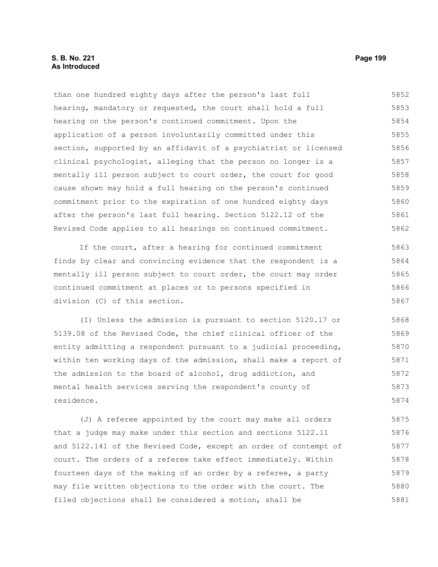than one hundred eighty days after the person's last full hearing, mandatory or requested, the court shall hold a full hearing on the person's continued commitment. Upon the application of a person involuntarily committed under this section, supported by an affidavit of a psychiatrist or licensed clinical psychologist, alleging that the person no longer is a mentally ill person subject to court order, the court for good cause shown may hold a full hearing on the person's continued commitment prior to the expiration of one hundred eighty days after the person's last full hearing. Section 5122.12 of the Revised Code applies to all hearings on continued commitment. 5852 5853 5854 5855 5856 5857 5858 5859 5860 5861 5862

If the court, after a hearing for continued commitment finds by clear and convincing evidence that the respondent is a mentally ill person subject to court order, the court may order continued commitment at places or to persons specified in division (C) of this section. 5863 5864 5865 5866 5867

(I) Unless the admission is pursuant to section 5120.17 or 5139.08 of the Revised Code, the chief clinical officer of the entity admitting a respondent pursuant to a judicial proceeding, within ten working days of the admission, shall make a report of the admission to the board of alcohol, drug addiction, and mental health services serving the respondent's county of residence. 5868 5869 5870 5871 5872 5873 5874

(J) A referee appointed by the court may make all orders that a judge may make under this section and sections 5122.11 and 5122.141 of the Revised Code, except an order of contempt of court. The orders of a referee take effect immediately. Within fourteen days of the making of an order by a referee, a party may file written objections to the order with the court. The filed objections shall be considered a motion, shall be 5875 5876 5877 5878 5879 5880 5881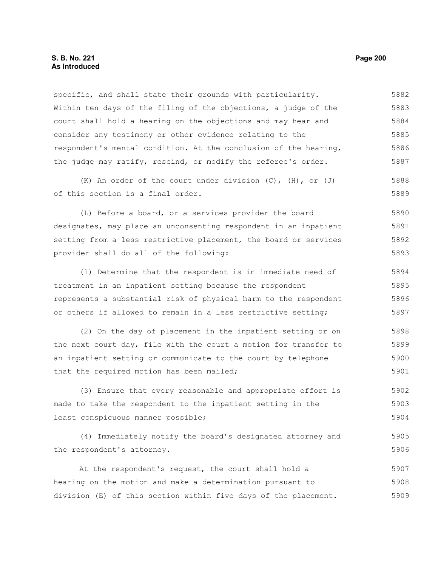#### **S. B. No. 221 Page 200 As Introduced**

specific, and shall state their grounds with particularity. Within ten days of the filing of the objections, a judge of the court shall hold a hearing on the objections and may hear and consider any testimony or other evidence relating to the respondent's mental condition. At the conclusion of the hearing, the judge may ratify, rescind, or modify the referee's order. 5882 5883 5884 5885 5886 5887

(K) An order of the court under division (C), (H), or (J) of this section is a final order.

(L) Before a board, or a services provider the board designates, may place an unconsenting respondent in an inpatient setting from a less restrictive placement, the board or services provider shall do all of the following: 5890 5891 5892 5893

(1) Determine that the respondent is in immediate need of treatment in an inpatient setting because the respondent represents a substantial risk of physical harm to the respondent or others if allowed to remain in a less restrictive setting; 5894 5895 5896 5897

(2) On the day of placement in the inpatient setting or on the next court day, file with the court a motion for transfer to an inpatient setting or communicate to the court by telephone that the required motion has been mailed; 5898 5899 5900 5901

(3) Ensure that every reasonable and appropriate effort is made to take the respondent to the inpatient setting in the least conspicuous manner possible; 5902 5903 5904

(4) Immediately notify the board's designated attorney and the respondent's attorney. 5905 5906

At the respondent's request, the court shall hold a hearing on the motion and make a determination pursuant to division (E) of this section within five days of the placement. 5907 5908 5909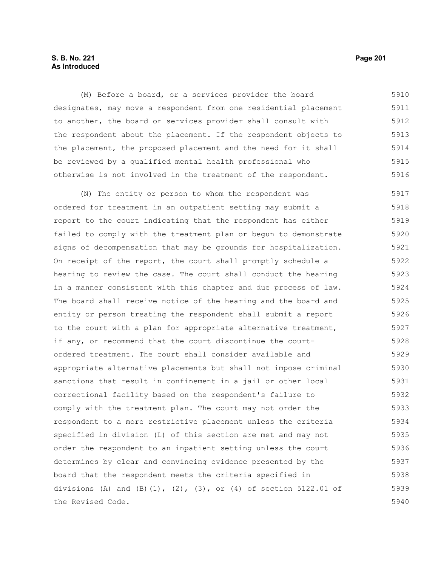### **S. B. No. 221 Page 201 As Introduced**

(M) Before a board, or a services provider the board designates, may move a respondent from one residential placement to another, the board or services provider shall consult with the respondent about the placement. If the respondent objects to the placement, the proposed placement and the need for it shall be reviewed by a qualified mental health professional who otherwise is not involved in the treatment of the respondent. 5910 5911 5912 5913 5914 5915 5916

(N) The entity or person to whom the respondent was ordered for treatment in an outpatient setting may submit a report to the court indicating that the respondent has either failed to comply with the treatment plan or begun to demonstrate signs of decompensation that may be grounds for hospitalization. On receipt of the report, the court shall promptly schedule a hearing to review the case. The court shall conduct the hearing in a manner consistent with this chapter and due process of law. The board shall receive notice of the hearing and the board and entity or person treating the respondent shall submit a report to the court with a plan for appropriate alternative treatment, if any, or recommend that the court discontinue the courtordered treatment. The court shall consider available and appropriate alternative placements but shall not impose criminal sanctions that result in confinement in a jail or other local correctional facility based on the respondent's failure to comply with the treatment plan. The court may not order the respondent to a more restrictive placement unless the criteria specified in division (L) of this section are met and may not order the respondent to an inpatient setting unless the court determines by clear and convincing evidence presented by the board that the respondent meets the criteria specified in divisions (A) and (B)(1), (2), (3), or (4) of section 5122.01 of the Revised Code. 5917 5918 5919 5920 5921 5922 5923 5924 5925 5926 5927 5928 5929 5930 5931 5932 5933 5934 5935 5936 5937 5938 5939 5940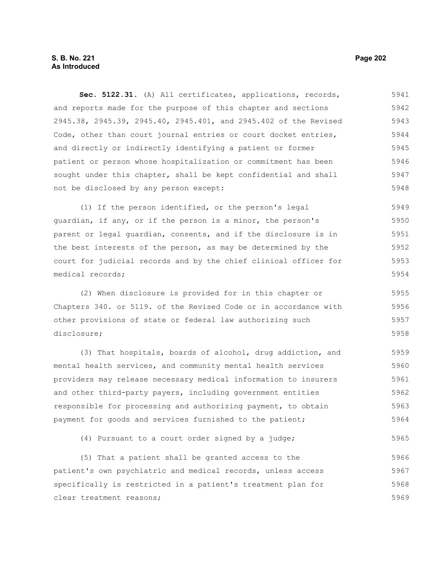**Sec. 5122.31.** (A) All certificates, applications, records, and reports made for the purpose of this chapter and sections 2945.38, 2945.39, 2945.40, 2945.401, and 2945.402 of the Revised Code, other than court journal entries or court docket entries, and directly or indirectly identifying a patient or former patient or person whose hospitalization or commitment has been sought under this chapter, shall be kept confidential and shall not be disclosed by any person except: 5941 5942 5943 5944 5945 5946 5947 5948

(1) If the person identified, or the person's legal guardian, if any, or if the person is a minor, the person's parent or legal guardian, consents, and if the disclosure is in the best interests of the person, as may be determined by the court for judicial records and by the chief clinical officer for medical records; 5949 5950 5951 5952 5953 5954

(2) When disclosure is provided for in this chapter or Chapters 340. or 5119. of the Revised Code or in accordance with other provisions of state or federal law authorizing such disclosure; 5955 5956 5957 5958

(3) That hospitals, boards of alcohol, drug addiction, and mental health services, and community mental health services providers may release necessary medical information to insurers and other third-party payers, including government entities responsible for processing and authorizing payment, to obtain payment for goods and services furnished to the patient; 5959 5960 5961 5962 5963 5964

(4) Pursuant to a court order signed by a judge;

(5) That a patient shall be granted access to the patient's own psychiatric and medical records, unless access specifically is restricted in a patient's treatment plan for clear treatment reasons; 5966 5967 5968 5969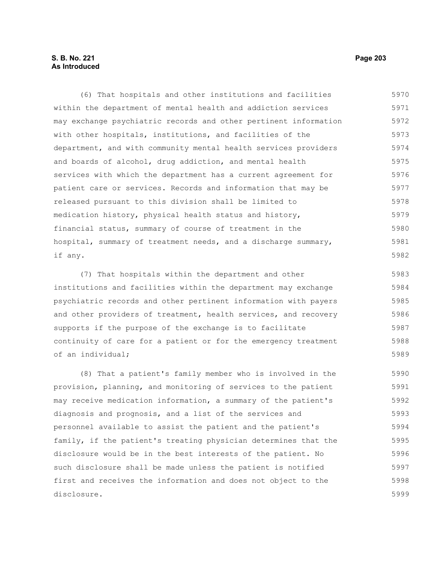## **S. B. No. 221 Page 203 As Introduced**

(6) That hospitals and other institutions and facilities within the department of mental health and addiction services may exchange psychiatric records and other pertinent information with other hospitals, institutions, and facilities of the department, and with community mental health services providers and boards of alcohol, drug addiction, and mental health services with which the department has a current agreement for patient care or services. Records and information that may be released pursuant to this division shall be limited to medication history, physical health status and history, financial status, summary of course of treatment in the hospital, summary of treatment needs, and a discharge summary, if any. 5970 5971 5972 5973 5974 5975 5976 5977 5978 5979 5980 5981 5982

(7) That hospitals within the department and other institutions and facilities within the department may exchange psychiatric records and other pertinent information with payers and other providers of treatment, health services, and recovery supports if the purpose of the exchange is to facilitate continuity of care for a patient or for the emergency treatment of an individual; 5983 5984 5985 5986 5987 5988 5989

(8) That a patient's family member who is involved in the provision, planning, and monitoring of services to the patient may receive medication information, a summary of the patient's diagnosis and prognosis, and a list of the services and personnel available to assist the patient and the patient's family, if the patient's treating physician determines that the disclosure would be in the best interests of the patient. No such disclosure shall be made unless the patient is notified first and receives the information and does not object to the disclosure. 5990 5991 5992 5993 5994 5995 5996 5997 5998 5999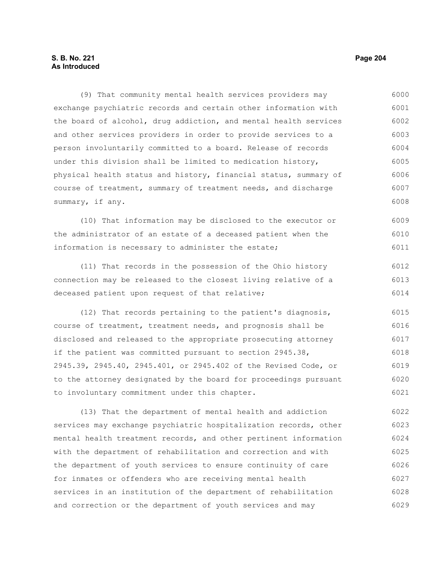## **S. B. No. 221 Page 204 As Introduced**

(9) That community mental health services providers may exchange psychiatric records and certain other information with the board of alcohol, drug addiction, and mental health services and other services providers in order to provide services to a person involuntarily committed to a board. Release of records under this division shall be limited to medication history, physical health status and history, financial status, summary of course of treatment, summary of treatment needs, and discharge summary, if any. 6000 6001 6002 6003 6004 6005 6006 6007 6008

(10) That information may be disclosed to the executor or the administrator of an estate of a deceased patient when the information is necessary to administer the estate; 6009 6010 6011

(11) That records in the possession of the Ohio history connection may be released to the closest living relative of a deceased patient upon request of that relative; 6012 6013 6014

(12) That records pertaining to the patient's diagnosis, course of treatment, treatment needs, and prognosis shall be disclosed and released to the appropriate prosecuting attorney if the patient was committed pursuant to section 2945.38, 2945.39, 2945.40, 2945.401, or 2945.402 of the Revised Code, or to the attorney designated by the board for proceedings pursuant to involuntary commitment under this chapter. 6015 6016 6017 6018 6019 6020 6021

(13) That the department of mental health and addiction services may exchange psychiatric hospitalization records, other mental health treatment records, and other pertinent information with the department of rehabilitation and correction and with the department of youth services to ensure continuity of care for inmates or offenders who are receiving mental health services in an institution of the department of rehabilitation and correction or the department of youth services and may 6022 6023 6024 6025 6026 6027 6028 6029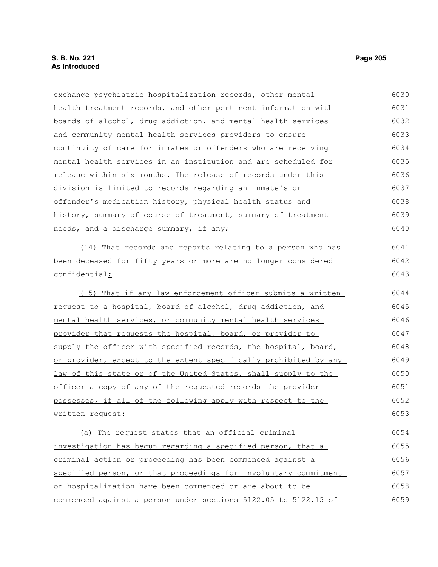## **S. B. No. 221 Page 205 As Introduced**

exchange psychiatric hospitalization records, other mental health treatment records, and other pertinent information with boards of alcohol, drug addiction, and mental health services and community mental health services providers to ensure continuity of care for inmates or offenders who are receiving mental health services in an institution and are scheduled for release within six months. The release of records under this division is limited to records regarding an inmate's or offender's medication history, physical health status and history, summary of course of treatment, summary of treatment needs, and a discharge summary, if any; (14) That records and reports relating to a person who has been deceased for fifty years or more are no longer considered confidential; (15) That if any law enforcement officer submits a written request to a hospital, board of alcohol, drug addiction, and mental health services, or community mental health services provider that requests the hospital, board, or provider to supply the officer with specified records, the hospital, board, or provider, except to the extent specifically prohibited by any law of this state or of the United States, shall supply to the officer a copy of any of the requested records the provider possesses, if all of the following apply with respect to the written request: (a) The request states that an official criminal investigation has begun regarding a specified person, that a criminal action or proceeding has been commenced against a specified person, or that proceedings for involuntary commitment or hospitalization have been commenced or are about to be commenced against a person under sections 5122.05 to 5122.15 of 6030 6031 6032 6033 6034 6035 6036 6037 6038 6039 6040 6041 6042 6043 6044 6045 6046 6047 6048 6049 6050 6051 6052 6053 6054 6055 6056 6057 6058 6059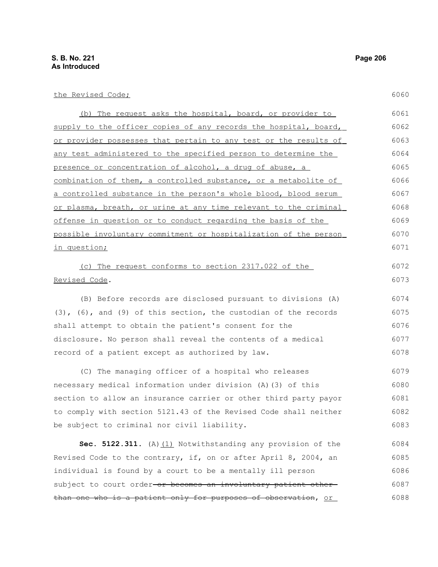#### the Revised Code;

| (b) The request asks the hospital, board, or provider to         | 6061 |
|------------------------------------------------------------------|------|
| supply to the officer copies of any records the hospital, board, | 6062 |
| or provider possesses that pertain to any test or the results of | 6063 |
| any test administered to the specified person to determine the   | 6064 |
| presence or concentration of alcohol, a drug of abuse, a         | 6065 |
| combination of them, a controlled substance, or a metabolite of  | 6066 |
| a controlled substance in the person's whole blood, blood serum  | 6067 |
| or plasma, breath, or urine at any time relevant to the criminal | 6068 |
| offense in question or to conduct regarding the basis of the     | 6069 |
| possible involuntary commitment or hospitalization of the person | 6070 |
| in question;                                                     | 6071 |
|                                                                  |      |

#### (c) The request conforms to section 2317.022 of the Revised Code. 6072 6073

(B) Before records are disclosed pursuant to divisions (A) (3), (6), and (9) of this section, the custodian of the records shall attempt to obtain the patient's consent for the disclosure. No person shall reveal the contents of a medical record of a patient except as authorized by law. 6074 6075 6076 6077 6078

(C) The managing officer of a hospital who releases necessary medical information under division (A)(3) of this section to allow an insurance carrier or other third party payor to comply with section 5121.43 of the Revised Code shall neither be subject to criminal nor civil liability. 6079 6080 6081 6082 6083

**Sec. 5122.311.** (A) (1) Notwithstanding any provision of the Revised Code to the contrary, if, on or after April 8, 2004, an individual is found by a court to be a mentally ill person subject to court order-or becomes an involuntary patient otherthan one who is a patient only for purposes of observation, or 6084 6085 6086 6087 6088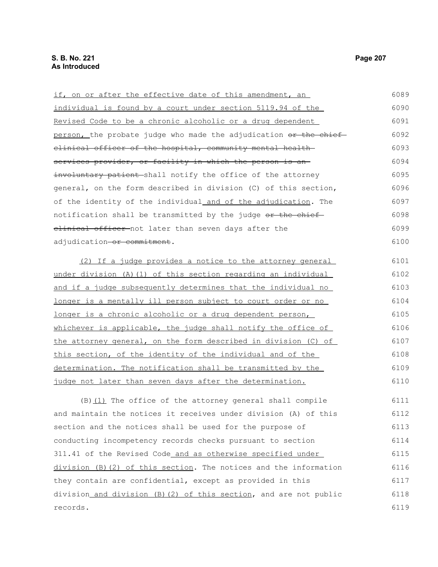if, on or after the effective date of this amendment, an individual is found by a court under section 5119.94 of the Revised Code to be a chronic alcoholic or a drug dependent person, the probate judge who made the adjudication or the chief clinical officer of the hospital, community mental health services provider, or facility in which the person is aninvoluntary patient shall notify the office of the attorney general, on the form described in division (C) of this section, of the identity of the individual and of the adjudication. The notification shall be transmitted by the judge  $\Theta$ r the chiefelinical officer not later than seven days after the adjudication-or commitment. (2) If a judge provides a notice to the attorney general under division (A)(1) of this section regarding an individual and if a judge subsequently determines that the individual no longer is a mentally ill person subject to court order or no longer is a chronic alcoholic or a drug dependent person, whichever is applicable, the judge shall notify the office of the attorney general, on the form described in division (C) of this section, of the identity of the individual and of the determination. The notification shall be transmitted by the judge not later than seven days after the determination. (B)(1) The office of the attorney general shall compile and maintain the notices it receives under division (A) of this section and the notices shall be used for the purpose of conducting incompetency records checks pursuant to section 6089 6090 6091 6092 6093 6094 6095 6096 6097 6098 6099 6100 6101 6102 6103 6104 6105 6106 6107 6108 6109 6110 6111 6112 6113 6114

311.41 of the Revised Code and as otherwise specified under division (B)(2) of this section. The notices and the information they contain are confidential, except as provided in this division and division (B)(2) of this section, and are not public records. 6115 6116 6117 6118 6119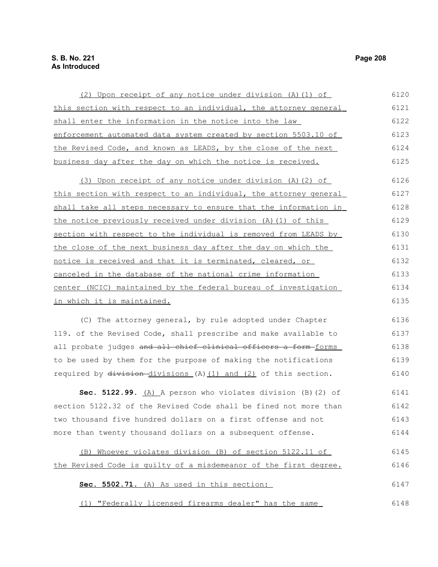| (2) Upon receipt of any notice under division (A) (1) of         | 6120 |
|------------------------------------------------------------------|------|
| this section with respect to an individual, the attorney general | 6121 |
| shall enter the information in the notice into the law           | 6122 |
| enforcement automated data system created by section 5503.10 of  | 6123 |
| the Revised Code, and known as LEADS, by the close of the next   | 6124 |
| business day after the day on which the notice is received.      | 6125 |
| (3) Upon receipt of any notice under division (A)(2) of          | 6126 |
| this section with respect to an individual, the attorney general | 6127 |
| shall take all steps necessary to ensure that the information in | 6128 |
| the notice previously received under division (A) (1) of this    | 6129 |
| section with respect to the individual is removed from LEADS by  | 6130 |
| the close of the next business day after the day on which the    | 6131 |
| notice is received and that it is terminated, cleared, or        | 6132 |
| canceled in the database of the national crime information       | 6133 |
| center (NCIC) maintained by the federal bureau of investigation  | 6134 |
| <u>in which it is maintained.</u>                                | 6135 |
| (C) The attorney general, by rule adopted under Chapter          | 6136 |

119. of the Revised Code, shall prescribe and make available to all probate judges and all chief clinical officers a form forms to be used by them for the purpose of making the notifications required by  $division\_divisions$  (A) (1) and (2) of this section. 6137 6138 6139 6140

**Sec. 5122.99.** (A) A person who violates division (B)(2) of section 5122.32 of the Revised Code shall be fined not more than two thousand five hundred dollars on a first offense and not more than twenty thousand dollars on a subsequent offense. 6141 6142 6143 6144

 (B) Whoever violates division (B) of section 5122.11 of the Revised Code is guilty of a misdemeanor of the first degree. 6145 6146

 **Sec. 5502.71.** (A) As used in this section: 6147

 (1) "Federally licensed firearms dealer" has the same 6148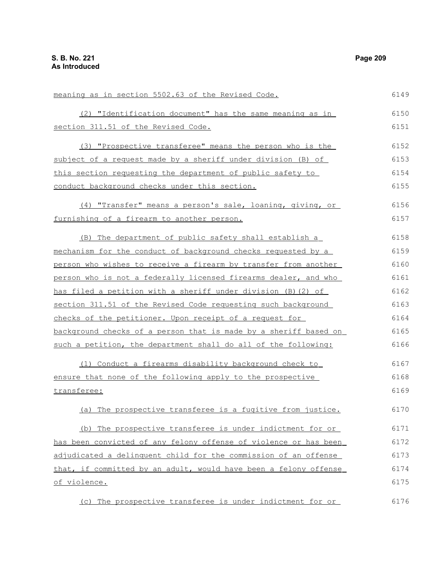| meaning as in section 5502.63 of the Revised Code.               | 6149 |
|------------------------------------------------------------------|------|
| (2) "Identification document" has the same meaning as in         | 6150 |
| section 311.51 of the Revised Code.                              | 6151 |
| (3) "Prospective transferee" means the person who is the         | 6152 |
| subject of a request made by a sheriff under division (B) of     | 6153 |
| this section requesting the department of public safety to       | 6154 |
| conduct background checks under this section.                    | 6155 |
| (4) "Transfer" means a person's sale, loaning, giving, or        | 6156 |
| furnishing of a firearm to another person.                       | 6157 |
| (B) The department of public safety shall establish a            | 6158 |
| mechanism for the conduct of background checks requested by a    | 6159 |
| person who wishes to receive a firearm by transfer from another  | 6160 |
| person who is not a federally licensed firearms dealer, and who  | 6161 |
| has filed a petition with a sheriff under division (B) (2) of    | 6162 |
| section 311.51 of the Revised Code requesting such background    | 6163 |
| checks of the petitioner. Upon receipt of a request for          | 6164 |
| background checks of a person that is made by a sheriff based on | 6165 |
| such a petition, the department shall do all of the following:   | 6166 |
| (1) Conduct a firearms disability background check to            | 6167 |
| ensure that none of the following apply to the prospective       | 6168 |
| transferee:                                                      | 6169 |
| (a) The prospective transferee is a fugitive from justice.       | 6170 |
| (b) The prospective transferee is under indictment for or        | 6171 |
| has been convicted of any felony offense of violence or has been | 6172 |
| adjudicated a delinquent child for the commission of an offense  | 6173 |
| that, if committed by an adult, would have been a felony offense | 6174 |
| <u>of violence.</u>                                              | 6175 |
| The prospective transferee is under indictment for or<br>(C)     | 6176 |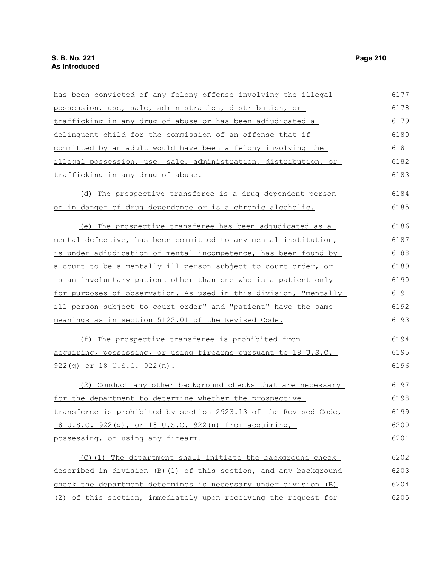| has been convicted of any felony offense involving the illegal    | 6177 |
|-------------------------------------------------------------------|------|
| possession, use, sale, administration, distribution, or           | 6178 |
| trafficking in any drug of abuse or has been adjudicated a        | 6179 |
| delinquent child for the commission of an offense that if         | 6180 |
| committed by an adult would have been a felony involving the      | 6181 |
| illegal possession, use, sale, administration, distribution, or   | 6182 |
| trafficking in any drug of abuse.                                 | 6183 |
| (d) The prospective transferee is a drug dependent person         | 6184 |
| <u>or in danger of drug dependence or is a chronic alcoholic.</u> | 6185 |
| (e) The prospective transferee has been adjudicated as a          | 6186 |
| mental defective, has been committed to any mental institution,   | 6187 |
| is under adjudication of mental incompetence, has been found by   | 6188 |
| a court to be a mentally ill person subject to court order, or    | 6189 |
| is an involuntary patient other than one who is a patient only    | 6190 |
| for purposes of observation. As used in this division, "mentally  | 6191 |
| ill person subject to court order" and "patient" have the same    | 6192 |
| meanings as in section 5122.01 of the Revised Code.               | 6193 |
| (f) The prospective transferee is prohibited from                 | 6194 |
| acquiring, possessing, or using firearms pursuant to 18 U.S.C.    | 6195 |
| 922(g) or 18 U.S.C. 922(n).                                       | 6196 |
| (2) Conduct any other background checks that are necessary        | 6197 |
| <u>for the department to determine whether the prospective</u>    | 6198 |
| transferee is prohibited by section 2923.13 of the Revised Code,  | 6199 |
| 18 U.S.C. 922(g), or 18 U.S.C. 922(n) from acquiring,             | 6200 |
| possessing, or using any firearm.                                 | 6201 |
| (C)(1) The department shall initiate the background check         | 6202 |
| described in division (B) (1) of this section, and any background | 6203 |
| check the department determines is necessary under division (B)   | 6204 |
| (2) of this section, immediately upon receiving the request for   | 6205 |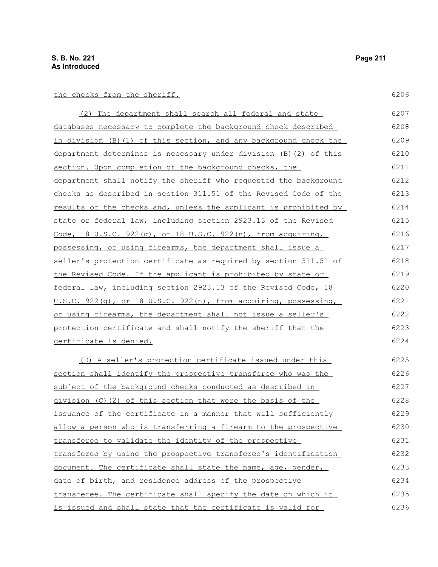6206

| (2) The department shall search all federal and state              | 6207 |
|--------------------------------------------------------------------|------|
| databases necessary to complete the background check described     | 6208 |
| in division (B) (1) of this section, and any background check the  | 6209 |
| department determines is necessary under division (B) (2) of this  | 6210 |
| section. Upon completion of the background checks, the             | 6211 |
| department shall notify the sheriff who requested the background   | 6212 |
| checks as described in section 311.51 of the Revised Code of the   | 6213 |
| results of the checks and, unless the applicant is prohibited by   | 6214 |
| state or federal law, including section 2923.13 of the Revised     | 6215 |
| Code, 18 U.S.C. $922(q)$ , or 18 U.S.C. $922(n)$ , from acquiring, | 6216 |
| possessing, or using firearms, the department shall issue a        | 6217 |
| seller's protection certificate as required by section 311.51 of   | 6218 |
| the Revised Code. If the applicant is prohibited by state or       | 6219 |
| federal law, including section 2923.13 of the Revised Code, 18     | 6220 |
| U.S.C. 922(q), or 18 U.S.C. 922(n), from acquiring, possessing,    | 6221 |
| or using firearms, the department shall not issue a seller's       | 6222 |
| protection certificate and shall notify the sheriff that the       | 6223 |
| certificate is denied.                                             | 6224 |
| (D) A seller's protection certificate issued under this            | 6225 |
| section shall identify the prospective transferee who was the      | 6226 |
| subject of the background checks conducted as described in         | 6227 |
| $division (C) (2) of this section that were the basis of the$      | 6228 |
| issuance of the certificate in a manner that will sufficiently     | 6229 |
| allow a person who is transferring a firearm to the prospective    | 6230 |
| transferee to validate the identity of the prospective             | 6231 |
| transferee by using the prospective transferee's identification    | 6232 |
| document. The certificate shall state the name, age, gender,       | 6233 |
| date of birth, and residence address of the prospective            | 6234 |
| transferee. The certificate shall specify the date on which it     | 6235 |
| is issued and shall state that the certificate is valid for        | 6236 |

is issued and shall state that the certificate is valid for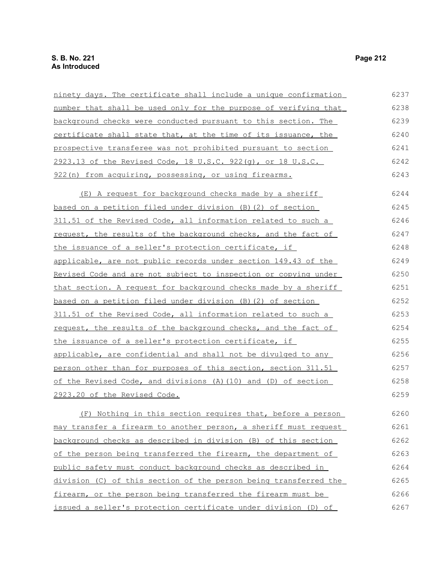| ninety days. The certificate shall include a unique confirmation | 6237 |
|------------------------------------------------------------------|------|
| number that shall be used only for the purpose of verifying that | 6238 |
| background checks were conducted pursuant to this section. The   | 6239 |
| certificate shall state that, at the time of its issuance, the   | 6240 |
| prospective transferee was not prohibited pursuant to section    | 6241 |
| 2923.13 of the Revised Code, 18 U.S.C. 922(g), or 18 U.S.C.      | 6242 |
| 922 (n) from acquiring, possessing, or using firearms.           | 6243 |
| (E) A request for background checks made by a sheriff            | 6244 |
| based on a petition filed under division (B) (2) of section      | 6245 |
| 311.51 of the Revised Code, all information related to such a    | 6246 |
| request, the results of the background checks, and the fact of   | 6247 |
| the issuance of a seller's protection certificate, if            | 6248 |
| applicable, are not public records under section 149.43 of the   | 6249 |
| Revised Code and are not subject to inspection or copying under  | 6250 |
| that section. A request for background checks made by a sheriff  | 6251 |
| based on a petition filed under division (B) (2) of section      | 6252 |
| 311.51 of the Revised Code, all information related to such a    | 6253 |
| request, the results of the background checks, and the fact of   | 6254 |
| the issuance of a seller's protection certificate, if            | 6255 |
| applicable, are confidential and shall not be divulged to any    | 6256 |
| person other than for purposes of this section, section 311.51   | 6257 |
| of the Revised Code, and divisions (A) (10) and (D) of section   | 6258 |
| 2923.20 of the Revised Code.                                     | 6259 |
| (F) Nothing in this section requires that, before a person       | 6260 |
| may transfer a firearm to another person, a sheriff must request | 6261 |
| background checks as described in division (B) of this section   | 6262 |
| of the person being transferred the firearm, the department of   | 6263 |
| public safety must conduct background checks as described in     | 6264 |
| division (C) of this section of the person being transferred the | 6265 |
| firearm, or the person being transferred the firearm must be     | 6266 |

 issued a seller's protection certificate under division (D) of 6267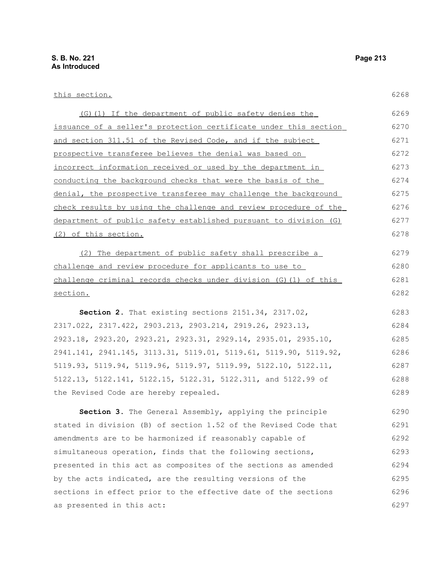# this section.

| (G) (1) If the department of public safety denies the            | 6269 |
|------------------------------------------------------------------|------|
| issuance of a seller's protection certificate under this section | 6270 |
| and section 311.51 of the Revised Code, and if the subject       | 6271 |
| prospective transferee believes the denial was based on          | 6272 |
| incorrect information received or used by the department in      | 6273 |
| conducting the background checks that were the basis of the      | 6274 |
| denial, the prospective transferee may challenge the background  | 6275 |
| check results by using the challenge and review procedure of the | 6276 |
| department of public safety established pursuant to division (G) | 6277 |
| (2) of this section.                                             | 6278 |
| (2) The department of public safety shall prescribe a            | 6279 |
| challenge and review procedure for applicants to use to          | 6280 |
| challenge criminal records checks under division (G) (1) of this | 6281 |
| section.                                                         | 6282 |
| Section 2. That existing sections 2151.34, 2317.02,              | 6283 |
| 2317.022, 2317.422, 2903.213, 2903.214, 2919.26, 2923.13,        | 6284 |
| 2923.18, 2923.20, 2923.21, 2923.31, 2929.14, 2935.01, 2935.10,   | 6285 |
| 2941.141, 2941.145, 3113.31, 5119.01, 5119.61, 5119.90, 5119.92, | 6286 |
| 5119.93, 5119.94, 5119.96, 5119.97, 5119.99, 5122.10, 5122.11,   | 6287 |
| 5122.13, 5122.141, 5122.15, 5122.31, 5122.311, and 5122.99 of    | 6288 |
| the Revised Code are hereby repealed.                            | 6289 |
| Section 3. The General Assembly, applying the principle          | 6290 |
| stated in division (B) of section 1.52 of the Revised Code that  | 6291 |
| amendments are to be harmonized if reasonably capable of         | 6292 |
| simultaneous operation, finds that the following sections,       | 6293 |
| presented in this act as composites of the sections as amended   | 6294 |
| by the acts indicated, are the resulting versions of the         | 6295 |
| sections in effect prior to the effective date of the sections   | 6296 |
| as presented in this act:                                        | 6297 |